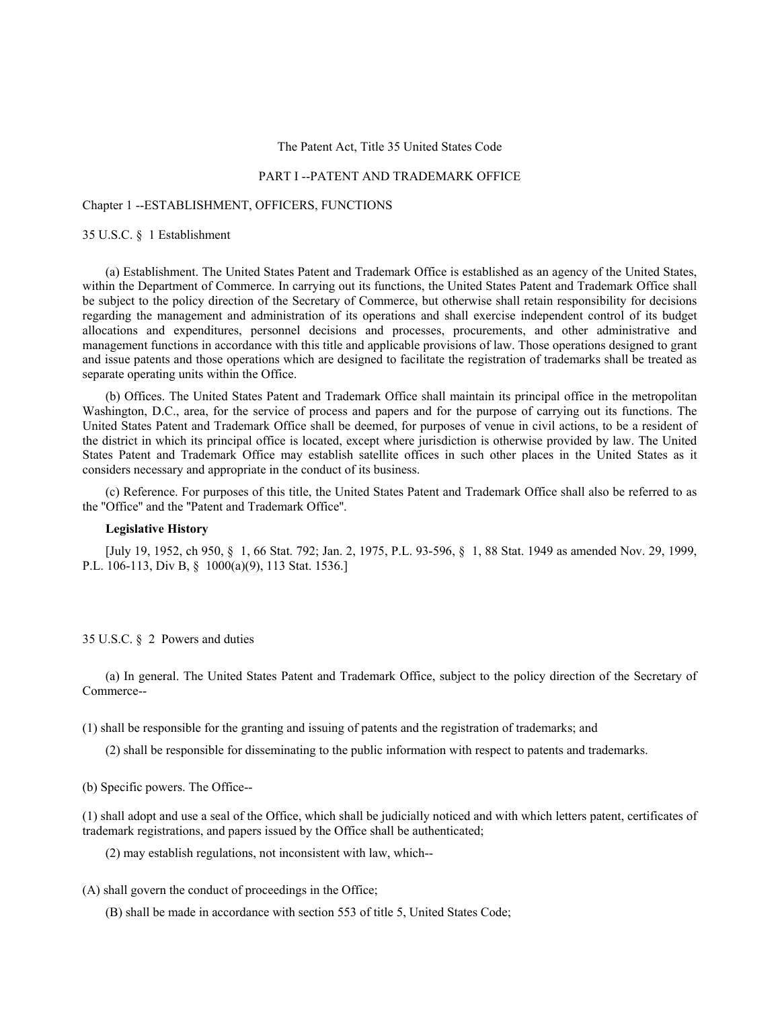#### The Patent Act, Title 35 United States Code

# PART I --PATENT AND TRADEMARK OFFICE

## Chapter 1 --ESTABLISHMENT, OFFICERS, FUNCTIONS

### 35 U.S.C. § 1 Establishment

(a) Establishment. The United States Patent and Trademark Office is established as an agency of the United States, within the Department of Commerce. In carrying out its functions, the United States Patent and Trademark Office shall be subject to the policy direction of the Secretary of Commerce, but otherwise shall retain responsibility for decisions regarding the management and administration of its operations and shall exercise independent control of its budget allocations and expenditures, personnel decisions and processes, procurements, and other administrative and management functions in accordance with this title and applicable provisions of law. Those operations designed to grant and issue patents and those operations which are designed to facilitate the registration of trademarks shall be treated as separate operating units within the Office.

(b) Offices. The United States Patent and Trademark Office shall maintain its principal office in the metropolitan Washington, D.C., area, for the service of process and papers and for the purpose of carrying out its functions. The United States Patent and Trademark Office shall be deemed, for purposes of venue in civil actions, to be a resident of the district in which its principal office is located, except where jurisdiction is otherwise provided by law. The United States Patent and Trademark Office may establish satellite offices in such other places in the United States as it considers necessary and appropriate in the conduct of its business.

(c) Reference. For purposes of this title, the United States Patent and Trademark Office shall also be referred to as the ''Office'' and the ''Patent and Trademark Office''.

# **Legislative History**

[July 19, 1952, ch 950, § 1, 66 Stat. 792; Jan. 2, 1975, P.L. 93-596, § 1, 88 Stat. 1949 as amended Nov. 29, 1999, P.L. 106-113, Div B, § 1000(a)(9), 113 Stat. 1536.]

#### 35 U.S.C. § 2 Powers and duties

(a) In general. The United States Patent and Trademark Office, subject to the policy direction of the Secretary of Commerce--

(1) shall be responsible for the granting and issuing of patents and the registration of trademarks; and

(2) shall be responsible for disseminating to the public information with respect to patents and trademarks.

(b) Specific powers. The Office--

(1) shall adopt and use a seal of the Office, which shall be judicially noticed and with which letters patent, certificates of trademark registrations, and papers issued by the Office shall be authenticated;

(2) may establish regulations, not inconsistent with law, which--

(A) shall govern the conduct of proceedings in the Office;

(B) shall be made in accordance with section 553 of title 5, United States Code;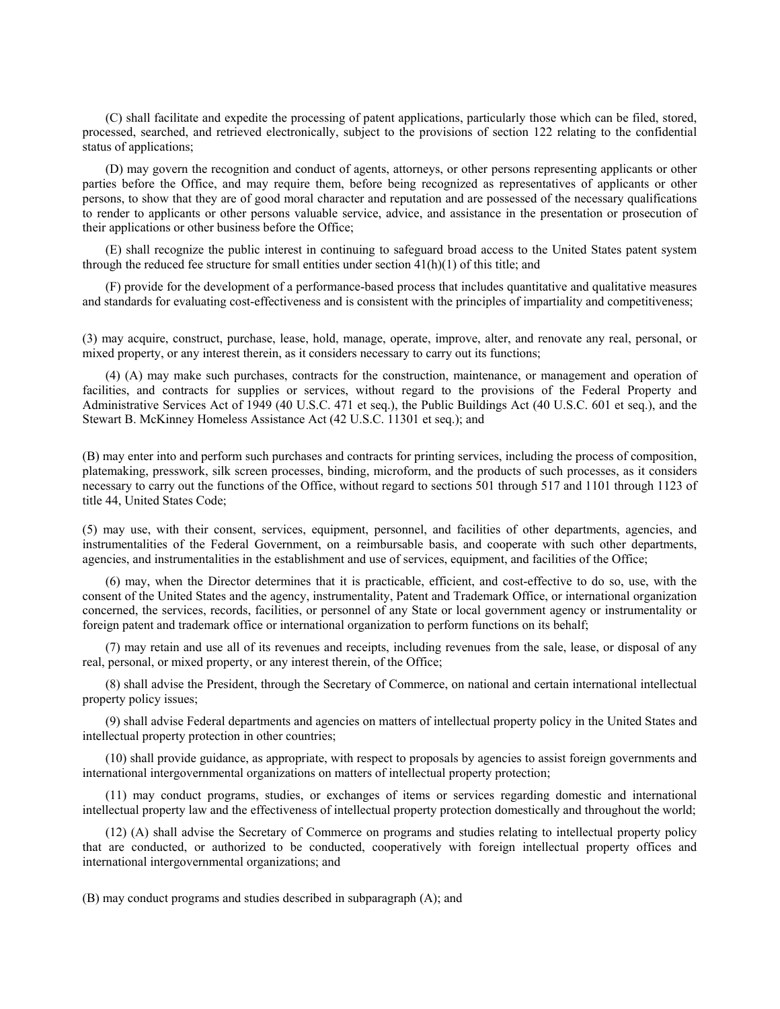(C) shall facilitate and expedite the processing of patent applications, particularly those which can be filed, stored, processed, searched, and retrieved electronically, subject to the provisions of section 122 relating to the confidential status of applications;

(D) may govern the recognition and conduct of agents, attorneys, or other persons representing applicants or other parties before the Office, and may require them, before being recognized as representatives of applicants or other persons, to show that they are of good moral character and reputation and are possessed of the necessary qualifications to render to applicants or other persons valuable service, advice, and assistance in the presentation or prosecution of their applications or other business before the Office;

(E) shall recognize the public interest in continuing to safeguard broad access to the United States patent system through the reduced fee structure for small entities under section  $\frac{41(h)(1)}{h}$  of this title; and

(F) provide for the development of a performance-based process that includes quantitative and qualitative measures and standards for evaluating cost-effectiveness and is consistent with the principles of impartiality and competitiveness;

(3) may acquire, construct, purchase, lease, hold, manage, operate, improve, alter, and renovate any real, personal, or mixed property, or any interest therein, as it considers necessary to carry out its functions;

(4) (A) may make such purchases, contracts for the construction, maintenance, or management and operation of facilities, and contracts for supplies or services, without regard to the provisions of the Federal Property and Administrative Services Act of 1949 (40 U.S.C. 471 et seq.), the Public Buildings Act (40 U.S.C. 601 et seq.), and the Stewart B. McKinney Homeless Assistance Act (42 U.S.C. 11301 et seq.); and

(B) may enter into and perform such purchases and contracts for printing services, including the process of composition, platemaking, presswork, silk screen processes, binding, microform, and the products of such processes, as it considers necessary to carry out the functions of the Office, without regard to sections 501 through 517 and 1101 through 1123 of title 44, United States Code;

(5) may use, with their consent, services, equipment, personnel, and facilities of other departments, agencies, and instrumentalities of the Federal Government, on a reimbursable basis, and cooperate with such other departments, agencies, and instrumentalities in the establishment and use of services, equipment, and facilities of the Office;

(6) may, when the Director determines that it is practicable, efficient, and cost-effective to do so, use, with the consent of the United States and the agency, instrumentality, Patent and Trademark Office, or international organization concerned, the services, records, facilities, or personnel of any State or local government agency or instrumentality or foreign patent and trademark office or international organization to perform functions on its behalf;

(7) may retain and use all of its revenues and receipts, including revenues from the sale, lease, or disposal of any real, personal, or mixed property, or any interest therein, of the Office;

(8) shall advise the President, through the Secretary of Commerce, on national and certain international intellectual property policy issues;

(9) shall advise Federal departments and agencies on matters of intellectual property policy in the United States and intellectual property protection in other countries;

(10) shall provide guidance, as appropriate, with respect to proposals by agencies to assist foreign governments and international intergovernmental organizations on matters of intellectual property protection;

(11) may conduct programs, studies, or exchanges of items or services regarding domestic and international intellectual property law and the effectiveness of intellectual property protection domestically and throughout the world;

(12) (A) shall advise the Secretary of Commerce on programs and studies relating to intellectual property policy that are conducted, or authorized to be conducted, cooperatively with foreign intellectual property offices and international intergovernmental organizations; and

(B) may conduct programs and studies described in subparagraph (A); and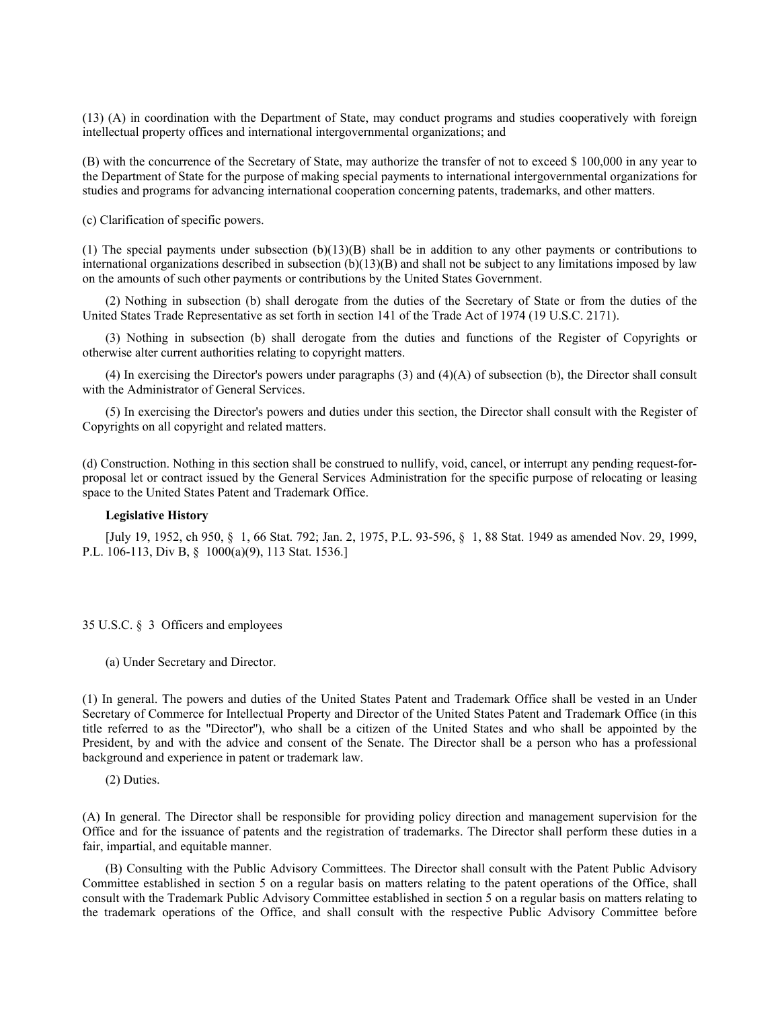(13) (A) in coordination with the Department of State, may conduct programs and studies cooperatively with foreign intellectual property offices and international intergovernmental organizations; and

(B) with the concurrence of the Secretary of State, may authorize the transfer of not to exceed \$ 100,000 in any year to the Department of State for the purpose of making special payments to international intergovernmental organizations for studies and programs for advancing international cooperation concerning patents, trademarks, and other matters.

(c) Clarification of specific powers.

(1) The special payments under subsection (b)(13)(B) shall be in addition to any other payments or contributions to international organizations described in subsection  $(b)(13)(B)$  and shall not be subject to any limitations imposed by law on the amounts of such other payments or contributions by the United States Government.

(2) Nothing in subsection (b) shall derogate from the duties of the Secretary of State or from the duties of the United States Trade Representative as set forth in section 141 of the Trade Act of 1974 (19 U.S.C. 2171).

(3) Nothing in subsection (b) shall derogate from the duties and functions of the Register of Copyrights or otherwise alter current authorities relating to copyright matters.

(4) In exercising the Director's powers under paragraphs (3) and (4)(A) of subsection (b), the Director shall consult with the Administrator of General Services.

(5) In exercising the Director's powers and duties under this section, the Director shall consult with the Register of Copyrights on all copyright and related matters.

(d) Construction. Nothing in this section shall be construed to nullify, void, cancel, or interrupt any pending request-forproposal let or contract issued by the General Services Administration for the specific purpose of relocating or leasing space to the United States Patent and Trademark Office.

# **Legislative History**

[July 19, 1952, ch 950, § 1, 66 Stat. 792; Jan. 2, 1975, P.L. 93-596, § 1, 88 Stat. 1949 as amended Nov. 29, 1999, P.L. 106-113, Div B, § 1000(a)(9), 113 Stat. 1536.]

#### 35 U.S.C. § 3 Officers and employees

(a) Under Secretary and Director.

(1) In general. The powers and duties of the United States Patent and Trademark Office shall be vested in an Under Secretary of Commerce for Intellectual Property and Director of the United States Patent and Trademark Office (in this title referred to as the ''Director''), who shall be a citizen of the United States and who shall be appointed by the President, by and with the advice and consent of the Senate. The Director shall be a person who has a professional background and experience in patent or trademark law.

(2) Duties.

(A) In general. The Director shall be responsible for providing policy direction and management supervision for the Office and for the issuance of patents and the registration of trademarks. The Director shall perform these duties in a fair, impartial, and equitable manner.

(B) Consulting with the Public Advisory Committees. The Director shall consult with the Patent Public Advisory Committee established in section 5 on a regular basis on matters relating to the patent operations of the Office, shall consult with the Trademark Public Advisory Committee established in section 5 on a regular basis on matters relating to the trademark operations of the Office, and shall consult with the respective Public Advisory Committee before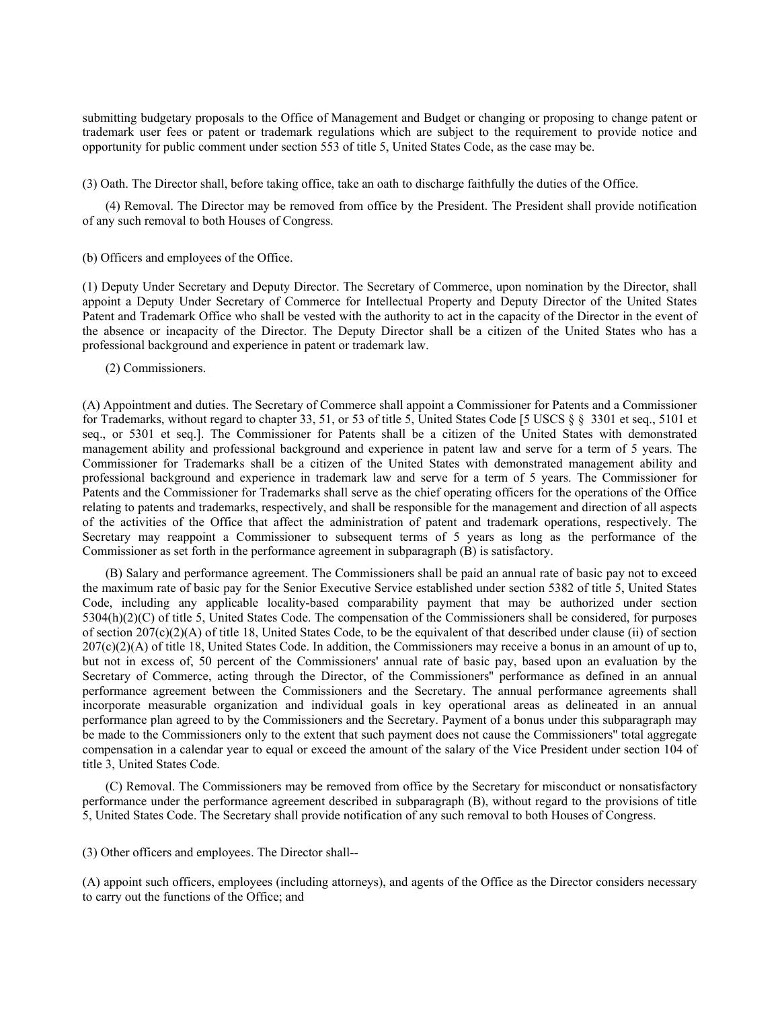submitting budgetary proposals to the Office of Management and Budget or changing or proposing to change patent or trademark user fees or patent or trademark regulations which are subject to the requirement to provide notice and opportunity for public comment under section 553 of title 5, United States Code, as the case may be.

(3) Oath. The Director shall, before taking office, take an oath to discharge faithfully the duties of the Office.

(4) Removal. The Director may be removed from office by the President. The President shall provide notification of any such removal to both Houses of Congress.

(b) Officers and employees of the Office.

(1) Deputy Under Secretary and Deputy Director. The Secretary of Commerce, upon nomination by the Director, shall appoint a Deputy Under Secretary of Commerce for Intellectual Property and Deputy Director of the United States Patent and Trademark Office who shall be vested with the authority to act in the capacity of the Director in the event of the absence or incapacity of the Director. The Deputy Director shall be a citizen of the United States who has a professional background and experience in patent or trademark law.

# (2) Commissioners.

(A) Appointment and duties. The Secretary of Commerce shall appoint a Commissioner for Patents and a Commissioner for Trademarks, without regard to chapter 33, 51, or 53 of title 5, United States Code [5 USCS § § 3301 et seq., 5101 et seq., or 5301 et seq.]. The Commissioner for Patents shall be a citizen of the United States with demonstrated management ability and professional background and experience in patent law and serve for a term of 5 years. The Commissioner for Trademarks shall be a citizen of the United States with demonstrated management ability and professional background and experience in trademark law and serve for a term of 5 years. The Commissioner for Patents and the Commissioner for Trademarks shall serve as the chief operating officers for the operations of the Office relating to patents and trademarks, respectively, and shall be responsible for the management and direction of all aspects of the activities of the Office that affect the administration of patent and trademark operations, respectively. The Secretary may reappoint a Commissioner to subsequent terms of 5 years as long as the performance of the Commissioner as set forth in the performance agreement in subparagraph (B) is satisfactory.

(B) Salary and performance agreement. The Commissioners shall be paid an annual rate of basic pay not to exceed the maximum rate of basic pay for the Senior Executive Service established under section 5382 of title 5, United States Code, including any applicable locality-based comparability payment that may be authorized under section 5304(h)(2)(C) of title 5, United States Code. The compensation of the Commissioners shall be considered, for purposes of section 207(c)(2)(A) of title 18, United States Code, to be the equivalent of that described under clause (ii) of section 207(c)(2)(A) of title 18, United States Code. In addition, the Commissioners may receive a bonus in an amount of up to, but not in excess of, 50 percent of the Commissioners' annual rate of basic pay, based upon an evaluation by the Secretary of Commerce, acting through the Director, of the Commissioners'' performance as defined in an annual performance agreement between the Commissioners and the Secretary. The annual performance agreements shall incorporate measurable organization and individual goals in key operational areas as delineated in an annual performance plan agreed to by the Commissioners and the Secretary. Payment of a bonus under this subparagraph may be made to the Commissioners only to the extent that such payment does not cause the Commissioners'' total aggregate compensation in a calendar year to equal or exceed the amount of the salary of the Vice President under section 104 of title 3, United States Code.

(C) Removal. The Commissioners may be removed from office by the Secretary for misconduct or nonsatisfactory performance under the performance agreement described in subparagraph (B), without regard to the provisions of title 5, United States Code. The Secretary shall provide notification of any such removal to both Houses of Congress.

(3) Other officers and employees. The Director shall--

(A) appoint such officers, employees (including attorneys), and agents of the Office as the Director considers necessary to carry out the functions of the Office; and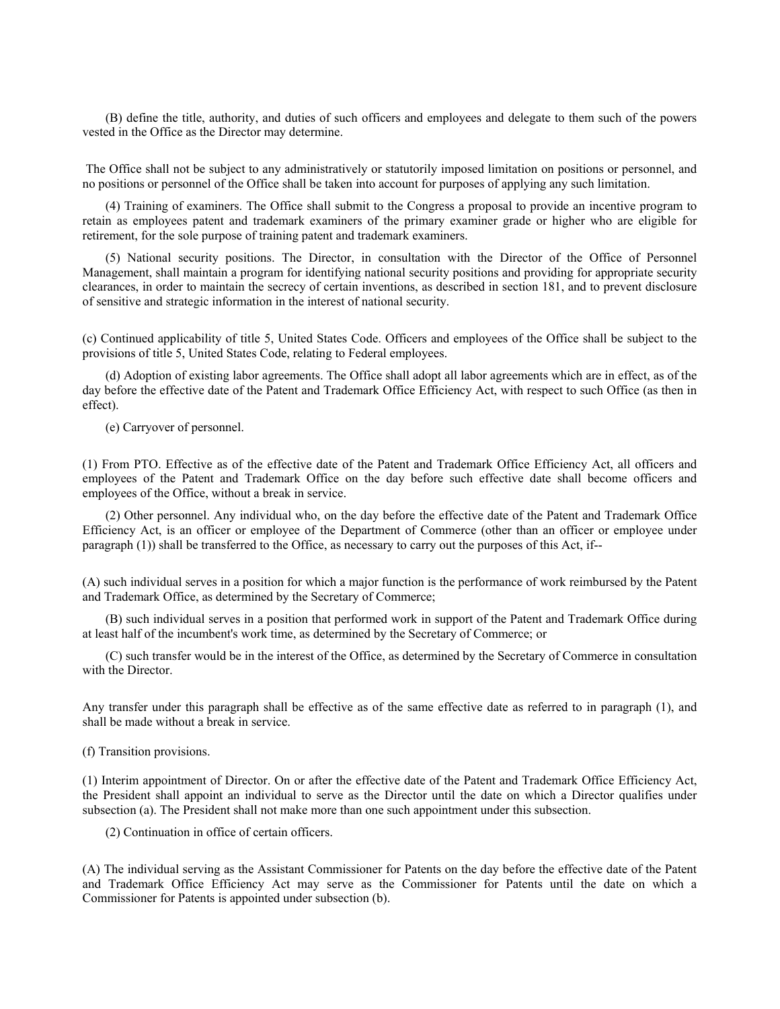(B) define the title, authority, and duties of such officers and employees and delegate to them such of the powers vested in the Office as the Director may determine.

 The Office shall not be subject to any administratively or statutorily imposed limitation on positions or personnel, and no positions or personnel of the Office shall be taken into account for purposes of applying any such limitation.

(4) Training of examiners. The Office shall submit to the Congress a proposal to provide an incentive program to retain as employees patent and trademark examiners of the primary examiner grade or higher who are eligible for retirement, for the sole purpose of training patent and trademark examiners.

(5) National security positions. The Director, in consultation with the Director of the Office of Personnel Management, shall maintain a program for identifying national security positions and providing for appropriate security clearances, in order to maintain the secrecy of certain inventions, as described in section 181, and to prevent disclosure of sensitive and strategic information in the interest of national security.

(c) Continued applicability of title 5, United States Code. Officers and employees of the Office shall be subject to the provisions of title 5, United States Code, relating to Federal employees.

(d) Adoption of existing labor agreements. The Office shall adopt all labor agreements which are in effect, as of the day before the effective date of the Patent and Trademark Office Efficiency Act, with respect to such Office (as then in effect).

(e) Carryover of personnel.

(1) From PTO. Effective as of the effective date of the Patent and Trademark Office Efficiency Act, all officers and employees of the Patent and Trademark Office on the day before such effective date shall become officers and employees of the Office, without a break in service.

(2) Other personnel. Any individual who, on the day before the effective date of the Patent and Trademark Office Efficiency Act, is an officer or employee of the Department of Commerce (other than an officer or employee under paragraph (1)) shall be transferred to the Office, as necessary to carry out the purposes of this Act, if--

(A) such individual serves in a position for which a major function is the performance of work reimbursed by the Patent and Trademark Office, as determined by the Secretary of Commerce;

(B) such individual serves in a position that performed work in support of the Patent and Trademark Office during at least half of the incumbent's work time, as determined by the Secretary of Commerce; or

(C) such transfer would be in the interest of the Office, as determined by the Secretary of Commerce in consultation with the Director

Any transfer under this paragraph shall be effective as of the same effective date as referred to in paragraph (1), and shall be made without a break in service.

(f) Transition provisions.

(1) Interim appointment of Director. On or after the effective date of the Patent and Trademark Office Efficiency Act, the President shall appoint an individual to serve as the Director until the date on which a Director qualifies under subsection (a). The President shall not make more than one such appointment under this subsection.

(2) Continuation in office of certain officers.

(A) The individual serving as the Assistant Commissioner for Patents on the day before the effective date of the Patent and Trademark Office Efficiency Act may serve as the Commissioner for Patents until the date on which a Commissioner for Patents is appointed under subsection (b).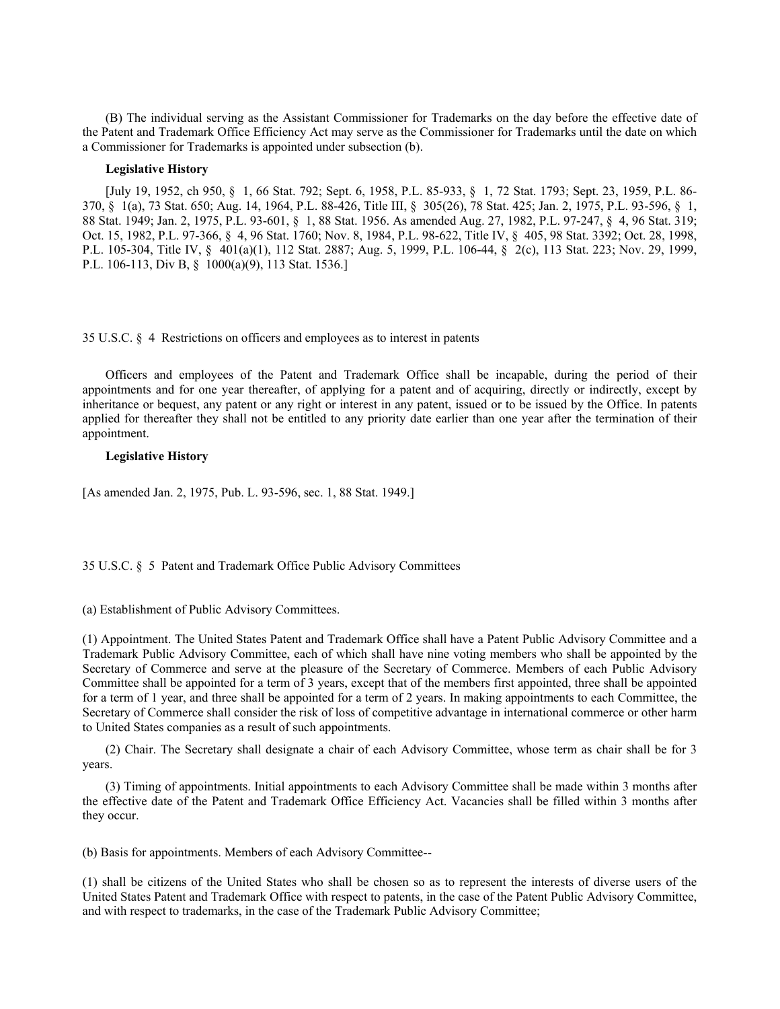(B) The individual serving as the Assistant Commissioner for Trademarks on the day before the effective date of the Patent and Trademark Office Efficiency Act may serve as the Commissioner for Trademarks until the date on which a Commissioner for Trademarks is appointed under subsection (b).

## **Legislative History**

[July 19, 1952, ch 950, § 1, 66 Stat. 792; Sept. 6, 1958, P.L. 85-933, § 1, 72 Stat. 1793; Sept. 23, 1959, P.L. 86- 370, § 1(a), 73 Stat. 650; Aug. 14, 1964, P.L. 88-426, Title III, § 305(26), 78 Stat. 425; Jan. 2, 1975, P.L. 93-596, § 1, 88 Stat. 1949; Jan. 2, 1975, P.L. 93-601, § 1, 88 Stat. 1956. As amended Aug. 27, 1982, P.L. 97-247, § 4, 96 Stat. 319; Oct. 15, 1982, P.L. 97-366, § 4, 96 Stat. 1760; Nov. 8, 1984, P.L. 98-622, Title IV, § 405, 98 Stat. 3392; Oct. 28, 1998, P.L. 105-304, Title IV, § 401(a)(1), 112 Stat. 2887; Aug. 5, 1999, P.L. 106-44, § 2(c), 113 Stat. 223; Nov. 29, 1999, P.L. 106-113, Div B, § 1000(a)(9), 113 Stat. 1536.]

#### 35 U.S.C. § 4 Restrictions on officers and employees as to interest in patents

Officers and employees of the Patent and Trademark Office shall be incapable, during the period of their appointments and for one year thereafter, of applying for a patent and of acquiring, directly or indirectly, except by inheritance or bequest, any patent or any right or interest in any patent, issued or to be issued by the Office. In patents applied for thereafter they shall not be entitled to any priority date earlier than one year after the termination of their appointment.

# **Legislative History**

[As amended Jan. 2, 1975, Pub. L. 93-596, sec. 1, 88 Stat. 1949.]

35 U.S.C. § 5 Patent and Trademark Office Public Advisory Committees

# (a) Establishment of Public Advisory Committees.

(1) Appointment. The United States Patent and Trademark Office shall have a Patent Public Advisory Committee and a Trademark Public Advisory Committee, each of which shall have nine voting members who shall be appointed by the Secretary of Commerce and serve at the pleasure of the Secretary of Commerce. Members of each Public Advisory Committee shall be appointed for a term of 3 years, except that of the members first appointed, three shall be appointed for a term of 1 year, and three shall be appointed for a term of 2 years. In making appointments to each Committee, the Secretary of Commerce shall consider the risk of loss of competitive advantage in international commerce or other harm to United States companies as a result of such appointments.

(2) Chair. The Secretary shall designate a chair of each Advisory Committee, whose term as chair shall be for 3 years.

(3) Timing of appointments. Initial appointments to each Advisory Committee shall be made within 3 months after the effective date of the Patent and Trademark Office Efficiency Act. Vacancies shall be filled within 3 months after they occur.

(b) Basis for appointments. Members of each Advisory Committee--

(1) shall be citizens of the United States who shall be chosen so as to represent the interests of diverse users of the United States Patent and Trademark Office with respect to patents, in the case of the Patent Public Advisory Committee, and with respect to trademarks, in the case of the Trademark Public Advisory Committee;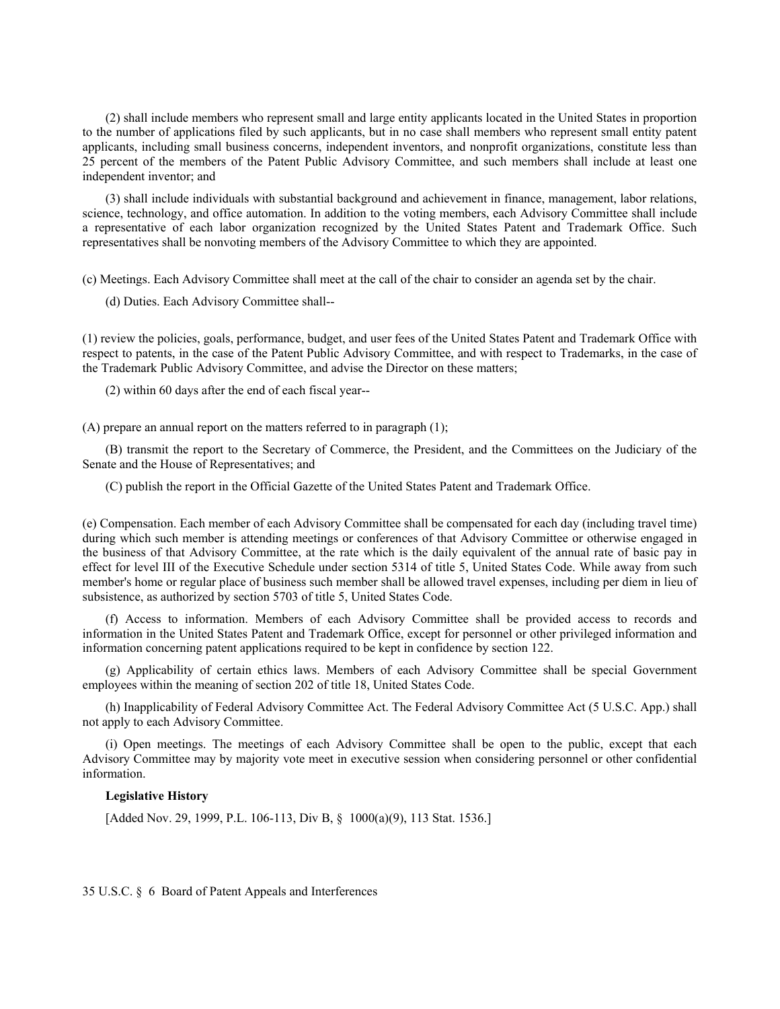(2) shall include members who represent small and large entity applicants located in the United States in proportion to the number of applications filed by such applicants, but in no case shall members who represent small entity patent applicants, including small business concerns, independent inventors, and nonprofit organizations, constitute less than 25 percent of the members of the Patent Public Advisory Committee, and such members shall include at least one independent inventor; and

(3) shall include individuals with substantial background and achievement in finance, management, labor relations, science, technology, and office automation. In addition to the voting members, each Advisory Committee shall include a representative of each labor organization recognized by the United States Patent and Trademark Office. Such representatives shall be nonvoting members of the Advisory Committee to which they are appointed.

(c) Meetings. Each Advisory Committee shall meet at the call of the chair to consider an agenda set by the chair.

(d) Duties. Each Advisory Committee shall--

(1) review the policies, goals, performance, budget, and user fees of the United States Patent and Trademark Office with respect to patents, in the case of the Patent Public Advisory Committee, and with respect to Trademarks, in the case of the Trademark Public Advisory Committee, and advise the Director on these matters;

(2) within 60 days after the end of each fiscal year--

(A) prepare an annual report on the matters referred to in paragraph (1);

(B) transmit the report to the Secretary of Commerce, the President, and the Committees on the Judiciary of the Senate and the House of Representatives; and

(C) publish the report in the Official Gazette of the United States Patent and Trademark Office.

(e) Compensation. Each member of each Advisory Committee shall be compensated for each day (including travel time) during which such member is attending meetings or conferences of that Advisory Committee or otherwise engaged in the business of that Advisory Committee, at the rate which is the daily equivalent of the annual rate of basic pay in effect for level III of the Executive Schedule under section 5314 of title 5, United States Code. While away from such member's home or regular place of business such member shall be allowed travel expenses, including per diem in lieu of subsistence, as authorized by section 5703 of title 5, United States Code.

(f) Access to information. Members of each Advisory Committee shall be provided access to records and information in the United States Patent and Trademark Office, except for personnel or other privileged information and information concerning patent applications required to be kept in confidence by section 122.

(g) Applicability of certain ethics laws. Members of each Advisory Committee shall be special Government employees within the meaning of section 202 of title 18, United States Code.

(h) Inapplicability of Federal Advisory Committee Act. The Federal Advisory Committee Act (5 U.S.C. App.) shall not apply to each Advisory Committee.

(i) Open meetings. The meetings of each Advisory Committee shall be open to the public, except that each Advisory Committee may by majority vote meet in executive session when considering personnel or other confidential information.

# **Legislative History**

[Added Nov. 29, 1999, P.L. 106-113, Div B, § 1000(a)(9), 113 Stat. 1536.]

35 U.S.C. § 6 Board of Patent Appeals and Interferences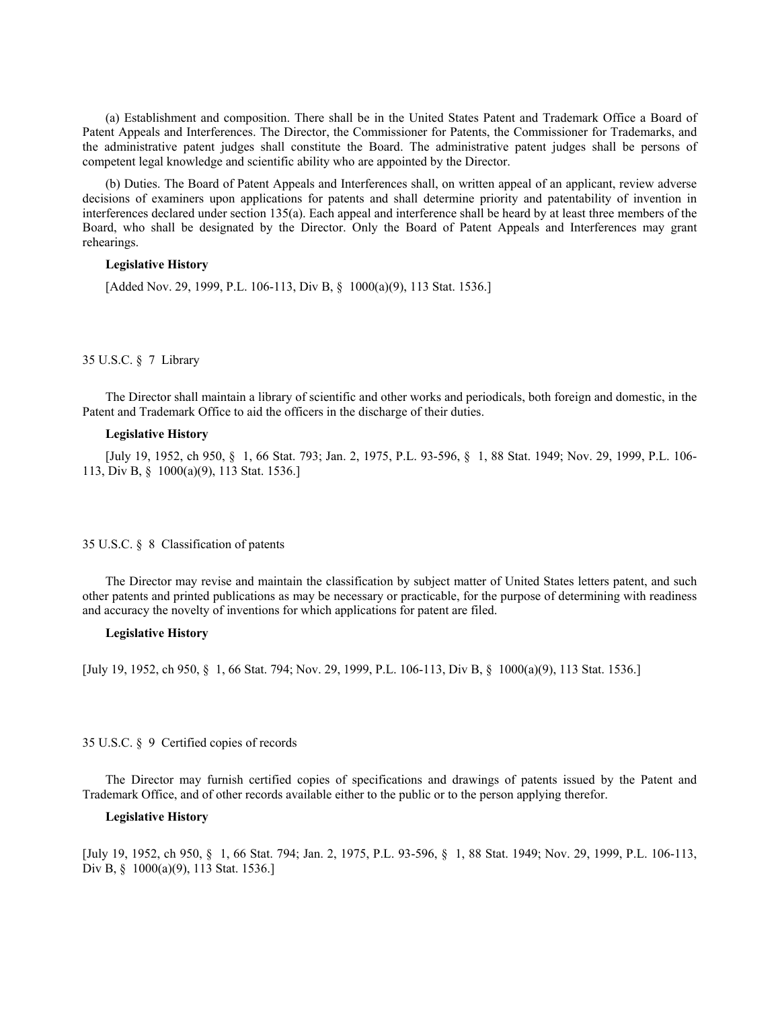(a) Establishment and composition. There shall be in the United States Patent and Trademark Office a Board of Patent Appeals and Interferences. The Director, the Commissioner for Patents, the Commissioner for Trademarks, and the administrative patent judges shall constitute the Board. The administrative patent judges shall be persons of competent legal knowledge and scientific ability who are appointed by the Director.

(b) Duties. The Board of Patent Appeals and Interferences shall, on written appeal of an applicant, review adverse decisions of examiners upon applications for patents and shall determine priority and patentability of invention in interferences declared under section 135(a). Each appeal and interference shall be heard by at least three members of the Board, who shall be designated by the Director. Only the Board of Patent Appeals and Interferences may grant rehearings.

## **Legislative History**

[Added Nov. 29, 1999, P.L. 106-113, Div B, § 1000(a)(9), 113 Stat. 1536.]

# 35 U.S.C. § 7 Library

The Director shall maintain a library of scientific and other works and periodicals, both foreign and domestic, in the Patent and Trademark Office to aid the officers in the discharge of their duties.

# **Legislative History**

[July 19, 1952, ch 950, § 1, 66 Stat. 793; Jan. 2, 1975, P.L. 93-596, § 1, 88 Stat. 1949; Nov. 29, 1999, P.L. 106- 113, Div B, § 1000(a)(9), 113 Stat. 1536.]

35 U.S.C. § 8 Classification of patents

The Director may revise and maintain the classification by subject matter of United States letters patent, and such other patents and printed publications as may be necessary or practicable, for the purpose of determining with readiness and accuracy the novelty of inventions for which applications for patent are filed.

# **Legislative History**

[July 19, 1952, ch 950, § 1, 66 Stat. 794; Nov. 29, 1999, P.L. 106-113, Div B, § 1000(a)(9), 113 Stat. 1536.]

#### 35 U.S.C. § 9 Certified copies of records

The Director may furnish certified copies of specifications and drawings of patents issued by the Patent and Trademark Office, and of other records available either to the public or to the person applying therefor.

# **Legislative History**

[July 19, 1952, ch 950, § 1, 66 Stat. 794; Jan. 2, 1975, P.L. 93-596, § 1, 88 Stat. 1949; Nov. 29, 1999, P.L. 106-113, Div B, § 1000(a)(9), 113 Stat. 1536.]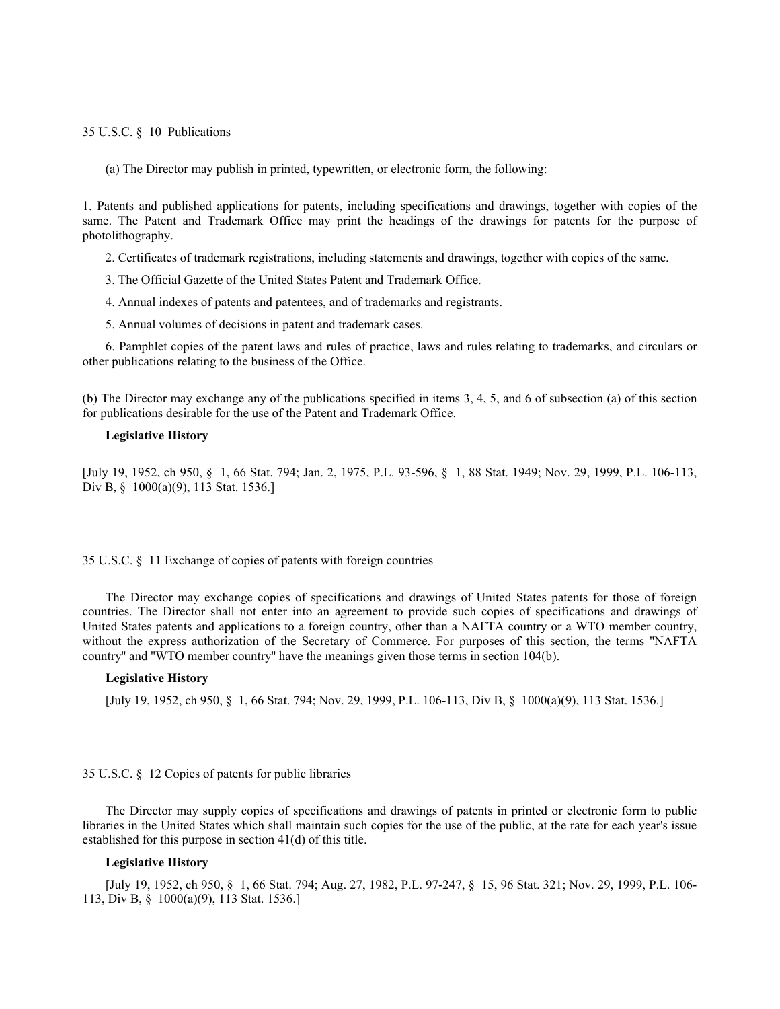# 35 U.S.C. § 10 Publications

(a) The Director may publish in printed, typewritten, or electronic form, the following:

1. Patents and published applications for patents, including specifications and drawings, together with copies of the same. The Patent and Trademark Office may print the headings of the drawings for patents for the purpose of photolithography.

2. Certificates of trademark registrations, including statements and drawings, together with copies of the same.

- 3. The Official Gazette of the United States Patent and Trademark Office.
- 4. Annual indexes of patents and patentees, and of trademarks and registrants.
- 5. Annual volumes of decisions in patent and trademark cases.

6. Pamphlet copies of the patent laws and rules of practice, laws and rules relating to trademarks, and circulars or other publications relating to the business of the Office.

(b) The Director may exchange any of the publications specified in items 3, 4, 5, and 6 of subsection (a) of this section for publications desirable for the use of the Patent and Trademark Office.

# **Legislative History**

[July 19, 1952, ch 950, § 1, 66 Stat. 794; Jan. 2, 1975, P.L. 93-596, § 1, 88 Stat. 1949; Nov. 29, 1999, P.L. 106-113, Div B, § 1000(a)(9), 113 Stat. 1536.]

# 35 U.S.C. § 11 Exchange of copies of patents with foreign countries

The Director may exchange copies of specifications and drawings of United States patents for those of foreign countries. The Director shall not enter into an agreement to provide such copies of specifications and drawings of United States patents and applications to a foreign country, other than a NAFTA country or a WTO member country, without the express authorization of the Secretary of Commerce. For purposes of this section, the terms ''NAFTA country'' and ''WTO member country'' have the meanings given those terms in section 104(b).

# **Legislative History**

[July 19, 1952, ch 950, § 1, 66 Stat. 794; Nov. 29, 1999, P.L. 106-113, Div B, § 1000(a)(9), 113 Stat. 1536.]

### 35 U.S.C. § 12 Copies of patents for public libraries

The Director may supply copies of specifications and drawings of patents in printed or electronic form to public libraries in the United States which shall maintain such copies for the use of the public, at the rate for each year's issue established for this purpose in section 41(d) of this title.

# **Legislative History**

[July 19, 1952, ch 950, § 1, 66 Stat. 794; Aug. 27, 1982, P.L. 97-247, § 15, 96 Stat. 321; Nov. 29, 1999, P.L. 106- 113, Div B, § 1000(a)(9), 113 Stat. 1536.]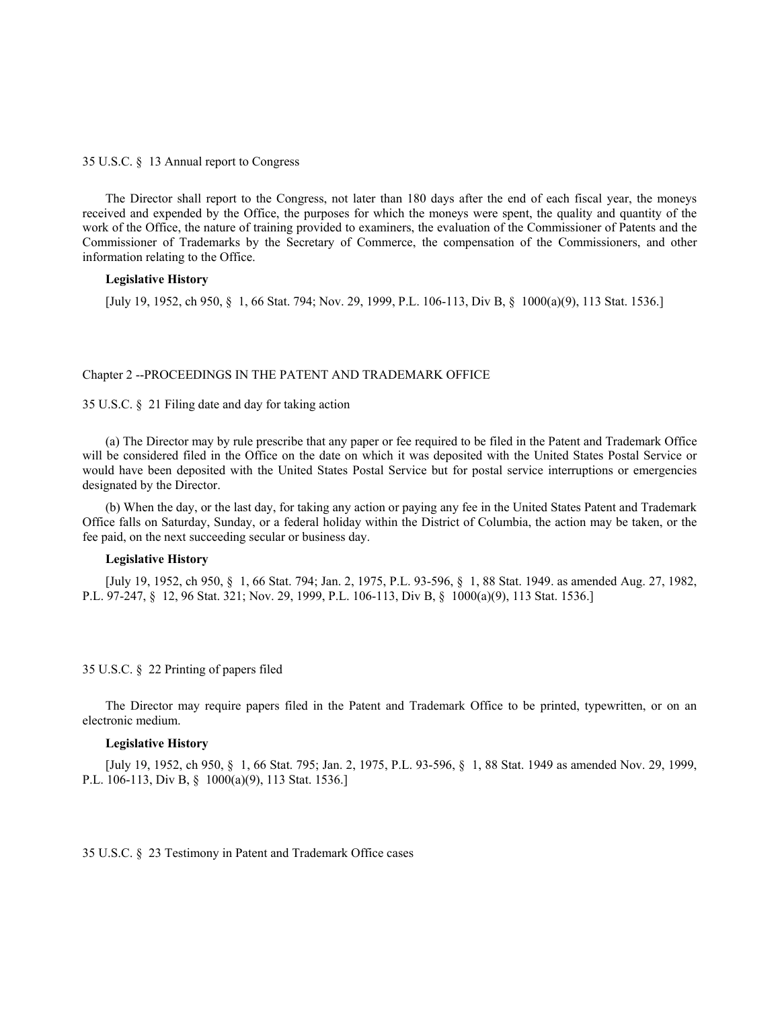#### 35 U.S.C. § 13 Annual report to Congress

The Director shall report to the Congress, not later than 180 days after the end of each fiscal year, the moneys received and expended by the Office, the purposes for which the moneys were spent, the quality and quantity of the work of the Office, the nature of training provided to examiners, the evaluation of the Commissioner of Patents and the Commissioner of Trademarks by the Secretary of Commerce, the compensation of the Commissioners, and other information relating to the Office.

# **Legislative History**

[July 19, 1952, ch 950, § 1, 66 Stat. 794; Nov. 29, 1999, P.L. 106-113, Div B, § 1000(a)(9), 113 Stat. 1536.]

#### Chapter 2 --PROCEEDINGS IN THE PATENT AND TRADEMARK OFFICE

35 U.S.C. § 21 Filing date and day for taking action

(a) The Director may by rule prescribe that any paper or fee required to be filed in the Patent and Trademark Office will be considered filed in the Office on the date on which it was deposited with the United States Postal Service or would have been deposited with the United States Postal Service but for postal service interruptions or emergencies designated by the Director.

(b) When the day, or the last day, for taking any action or paying any fee in the United States Patent and Trademark Office falls on Saturday, Sunday, or a federal holiday within the District of Columbia, the action may be taken, or the fee paid, on the next succeeding secular or business day.

# **Legislative History**

[July 19, 1952, ch 950, § 1, 66 Stat. 794; Jan. 2, 1975, P.L. 93-596, § 1, 88 Stat. 1949. as amended Aug. 27, 1982, P.L. 97-247, § 12, 96 Stat. 321; Nov. 29, 1999, P.L. 106-113, Div B, § 1000(a)(9), 113 Stat. 1536.]

## 35 U.S.C. § 22 Printing of papers filed

The Director may require papers filed in the Patent and Trademark Office to be printed, typewritten, or on an electronic medium.

### **Legislative History**

[July 19, 1952, ch 950, § 1, 66 Stat. 795; Jan. 2, 1975, P.L. 93-596, § 1, 88 Stat. 1949 as amended Nov. 29, 1999, P.L. 106-113, Div B, § 1000(a)(9), 113 Stat. 1536.]

35 U.S.C. § 23 Testimony in Patent and Trademark Office cases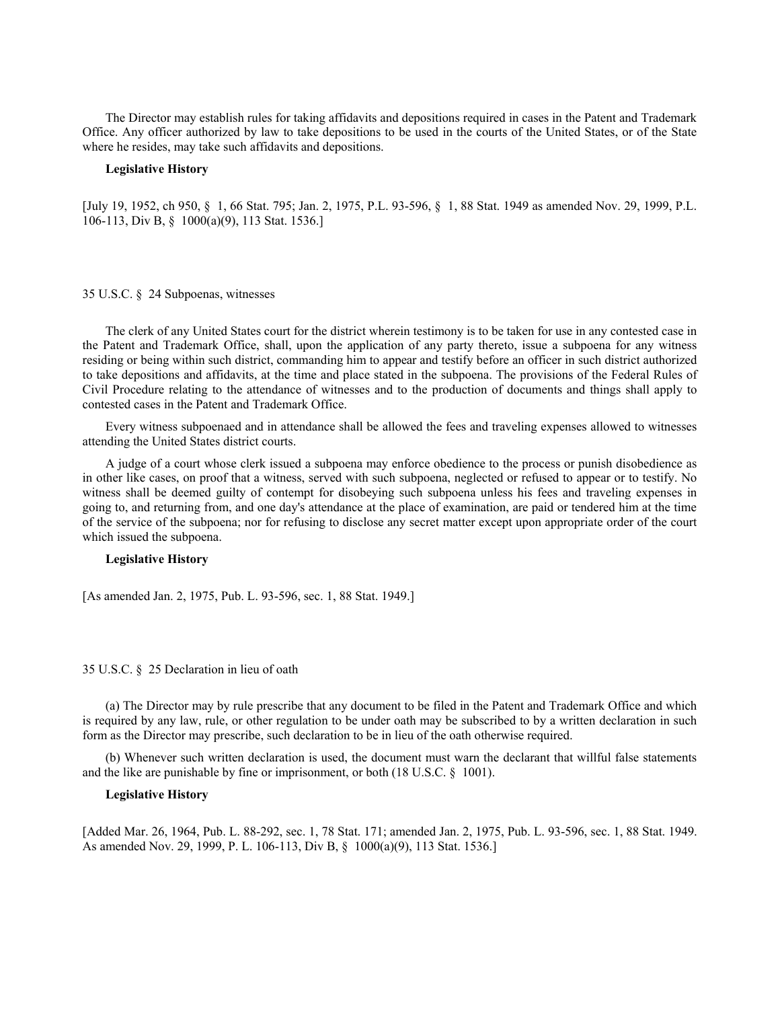The Director may establish rules for taking affidavits and depositions required in cases in the Patent and Trademark Office. Any officer authorized by law to take depositions to be used in the courts of the United States, or of the State where he resides, may take such affidavits and depositions.

# **Legislative History**

[July 19, 1952, ch 950, § 1, 66 Stat. 795; Jan. 2, 1975, P.L. 93-596, § 1, 88 Stat. 1949 as amended Nov. 29, 1999, P.L. 106-113, Div B, § 1000(a)(9), 113 Stat. 1536.]

#### 35 U.S.C. § 24 Subpoenas, witnesses

The clerk of any United States court for the district wherein testimony is to be taken for use in any contested case in the Patent and Trademark Office, shall, upon the application of any party thereto, issue a subpoena for any witness residing or being within such district, commanding him to appear and testify before an officer in such district authorized to take depositions and affidavits, at the time and place stated in the subpoena. The provisions of the Federal Rules of Civil Procedure relating to the attendance of witnesses and to the production of documents and things shall apply to contested cases in the Patent and Trademark Office.

Every witness subpoenaed and in attendance shall be allowed the fees and traveling expenses allowed to witnesses attending the United States district courts.

A judge of a court whose clerk issued a subpoena may enforce obedience to the process or punish disobedience as in other like cases, on proof that a witness, served with such subpoena, neglected or refused to appear or to testify. No witness shall be deemed guilty of contempt for disobeying such subpoena unless his fees and traveling expenses in going to, and returning from, and one day's attendance at the place of examination, are paid or tendered him at the time of the service of the subpoena; nor for refusing to disclose any secret matter except upon appropriate order of the court which issued the subpoena.

# **Legislative History**

[As amended Jan. 2, 1975, Pub. L. 93-596, sec. 1, 88 Stat. 1949.]

## 35 U.S.C. § 25 Declaration in lieu of oath

(a) The Director may by rule prescribe that any document to be filed in the Patent and Trademark Office and which is required by any law, rule, or other regulation to be under oath may be subscribed to by a written declaration in such form as the Director may prescribe, such declaration to be in lieu of the oath otherwise required.

(b) Whenever such written declaration is used, the document must warn the declarant that willful false statements and the like are punishable by fine or imprisonment, or both  $(18 \text{ U.S.C. } § 1001)$ .

## **Legislative History**

[Added Mar. 26, 1964, Pub. L. 88-292, sec. 1, 78 Stat. 171; amended Jan. 2, 1975, Pub. L. 93-596, sec. 1, 88 Stat. 1949. As amended Nov. 29, 1999, P. L. 106-113, Div B, § 1000(a)(9), 113 Stat. 1536.]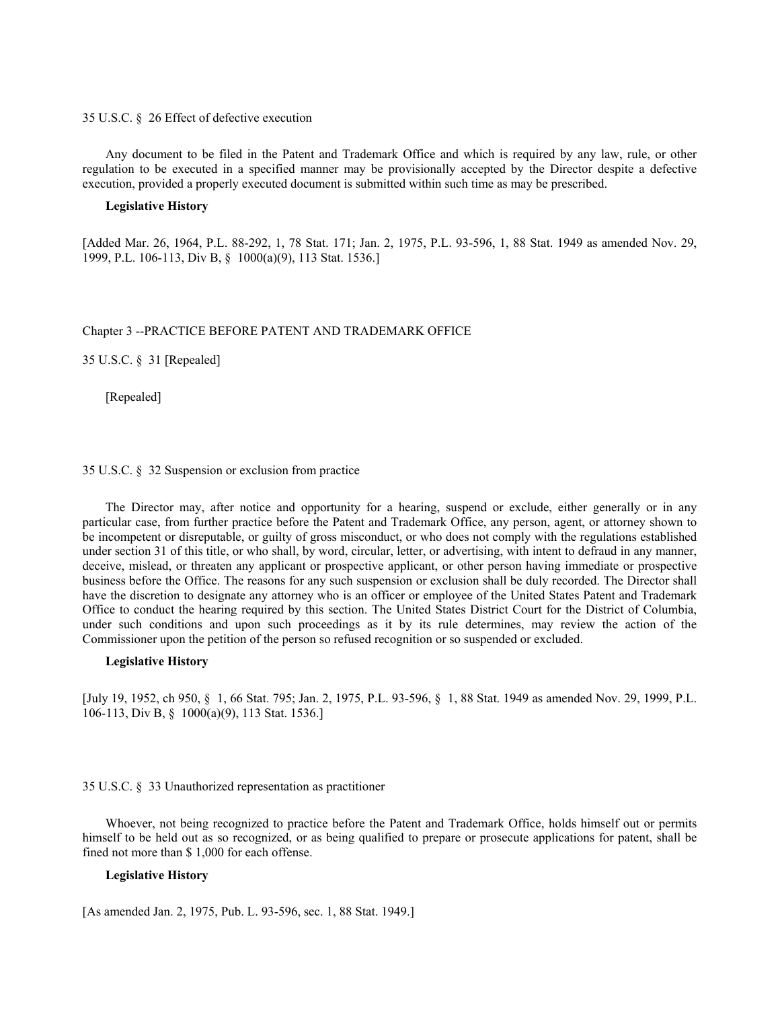### 35 U.S.C. § 26 Effect of defective execution

Any document to be filed in the Patent and Trademark Office and which is required by any law, rule, or other regulation to be executed in a specified manner may be provisionally accepted by the Director despite a defective execution, provided a properly executed document is submitted within such time as may be prescribed.

### **Legislative History**

[Added Mar. 26, 1964, P.L. 88-292, 1, 78 Stat. 171; Jan. 2, 1975, P.L. 93-596, 1, 88 Stat. 1949 as amended Nov. 29, 1999, P.L. 106-113, Div B, § 1000(a)(9), 113 Stat. 1536.]

#### Chapter 3 --PRACTICE BEFORE PATENT AND TRADEMARK OFFICE

35 U.S.C. § 31 [Repealed]

[Repealed]

## 35 U.S.C. § 32 Suspension or exclusion from practice

The Director may, after notice and opportunity for a hearing, suspend or exclude, either generally or in any particular case, from further practice before the Patent and Trademark Office, any person, agent, or attorney shown to be incompetent or disreputable, or guilty of gross misconduct, or who does not comply with the regulations established under section 31 of this title, or who shall, by word, circular, letter, or advertising, with intent to defraud in any manner, deceive, mislead, or threaten any applicant or prospective applicant, or other person having immediate or prospective business before the Office. The reasons for any such suspension or exclusion shall be duly recorded. The Director shall have the discretion to designate any attorney who is an officer or employee of the United States Patent and Trademark Office to conduct the hearing required by this section. The United States District Court for the District of Columbia, under such conditions and upon such proceedings as it by its rule determines, may review the action of the Commissioner upon the petition of the person so refused recognition or so suspended or excluded.

#### **Legislative History**

[July 19, 1952, ch 950, § 1, 66 Stat. 795; Jan. 2, 1975, P.L. 93-596, § 1, 88 Stat. 1949 as amended Nov. 29, 1999, P.L. 106-113, Div B, § 1000(a)(9), 113 Stat. 1536.]

### 35 U.S.C. § 33 Unauthorized representation as practitioner

Whoever, not being recognized to practice before the Patent and Trademark Office, holds himself out or permits himself to be held out as so recognized, or as being qualified to prepare or prosecute applications for patent, shall be fined not more than \$ 1,000 for each offense.

#### **Legislative History**

[As amended Jan. 2, 1975, Pub. L. 93-596, sec. 1, 88 Stat. 1949.]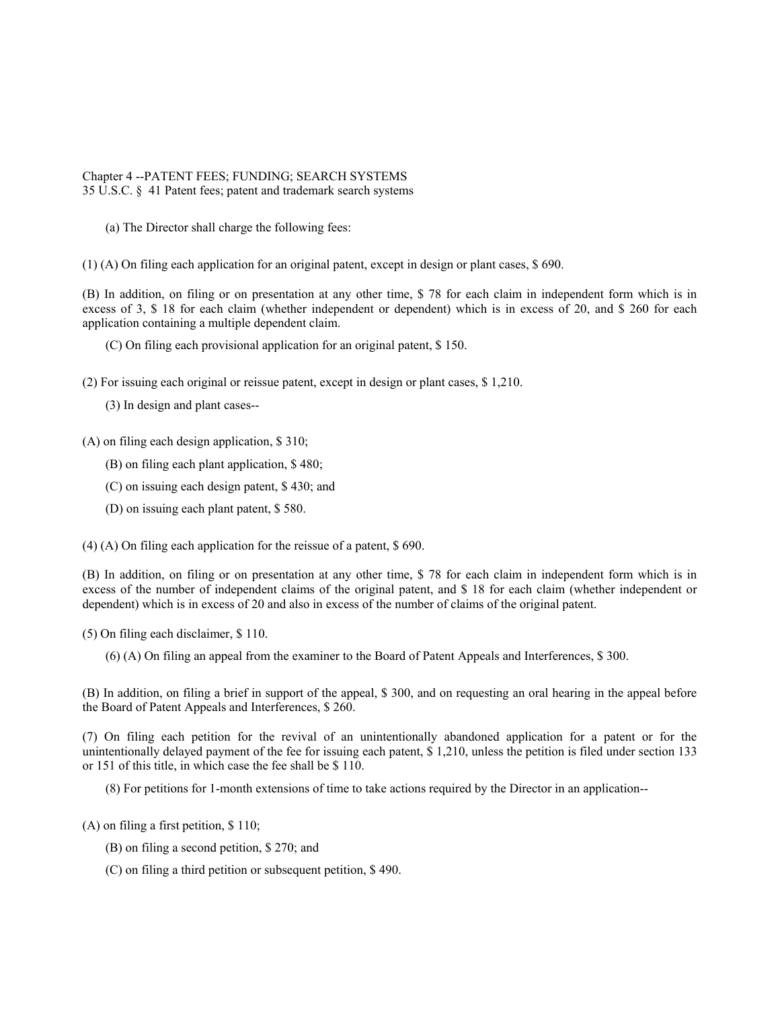# Chapter 4 --PATENT FEES; FUNDING; SEARCH SYSTEMS 35 U.S.C. § 41 Patent fees; patent and trademark search systems

- (a) The Director shall charge the following fees:
- (1) (A) On filing each application for an original patent, except in design or plant cases, \$ 690.

(B) In addition, on filing or on presentation at any other time, \$ 78 for each claim in independent form which is in excess of 3, \$ 18 for each claim (whether independent or dependent) which is in excess of 20, and \$ 260 for each application containing a multiple dependent claim.

(C) On filing each provisional application for an original patent, \$ 150.

(2) For issuing each original or reissue patent, except in design or plant cases, \$ 1,210.

- (3) In design and plant cases--
- (A) on filing each design application, \$ 310;
	- (B) on filing each plant application, \$ 480;
	- (C) on issuing each design patent, \$ 430; and
	- (D) on issuing each plant patent, \$ 580.

(4) (A) On filing each application for the reissue of a patent, \$ 690.

(B) In addition, on filing or on presentation at any other time, \$ 78 for each claim in independent form which is in excess of the number of independent claims of the original patent, and \$ 18 for each claim (whether independent or dependent) which is in excess of 20 and also in excess of the number of claims of the original patent.

(5) On filing each disclaimer, \$ 110.

(6) (A) On filing an appeal from the examiner to the Board of Patent Appeals and Interferences, \$ 300.

(B) In addition, on filing a brief in support of the appeal, \$ 300, and on requesting an oral hearing in the appeal before the Board of Patent Appeals and Interferences, \$ 260.

(7) On filing each petition for the revival of an unintentionally abandoned application for a patent or for the unintentionally delayed payment of the fee for issuing each patent, \$ 1,210, unless the petition is filed under section 133 or 151 of this title, in which case the fee shall be \$ 110.

(8) For petitions for 1-month extensions of time to take actions required by the Director in an application--

(A) on filing a first petition, \$ 110;

- (B) on filing a second petition, \$ 270; and
- (C) on filing a third petition or subsequent petition, \$ 490.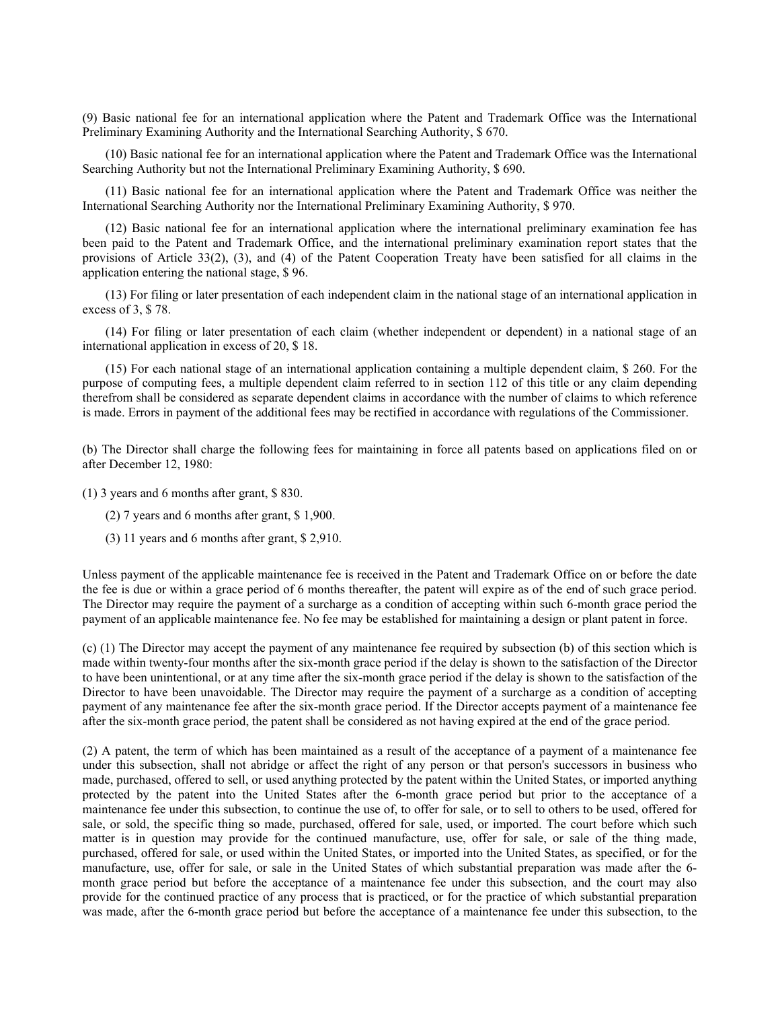(9) Basic national fee for an international application where the Patent and Trademark Office was the International Preliminary Examining Authority and the International Searching Authority, \$ 670.

(10) Basic national fee for an international application where the Patent and Trademark Office was the International Searching Authority but not the International Preliminary Examining Authority, \$ 690.

(11) Basic national fee for an international application where the Patent and Trademark Office was neither the International Searching Authority nor the International Preliminary Examining Authority, \$ 970.

(12) Basic national fee for an international application where the international preliminary examination fee has been paid to the Patent and Trademark Office, and the international preliminary examination report states that the provisions of Article 33(2), (3), and (4) of the Patent Cooperation Treaty have been satisfied for all claims in the application entering the national stage, \$ 96.

(13) For filing or later presentation of each independent claim in the national stage of an international application in excess of 3, \$ 78.

(14) For filing or later presentation of each claim (whether independent or dependent) in a national stage of an international application in excess of 20, \$ 18.

(15) For each national stage of an international application containing a multiple dependent claim, \$ 260. For the purpose of computing fees, a multiple dependent claim referred to in section 112 of this title or any claim depending therefrom shall be considered as separate dependent claims in accordance with the number of claims to which reference is made. Errors in payment of the additional fees may be rectified in accordance with regulations of the Commissioner.

(b) The Director shall charge the following fees for maintaining in force all patents based on applications filed on or after December 12, 1980:

(1) 3 years and 6 months after grant, \$ 830.

- (2) 7 years and 6 months after grant, \$ 1,900.
- (3) 11 years and 6 months after grant, \$ 2,910.

Unless payment of the applicable maintenance fee is received in the Patent and Trademark Office on or before the date the fee is due or within a grace period of 6 months thereafter, the patent will expire as of the end of such grace period. The Director may require the payment of a surcharge as a condition of accepting within such 6-month grace period the payment of an applicable maintenance fee. No fee may be established for maintaining a design or plant patent in force.

(c) (1) The Director may accept the payment of any maintenance fee required by subsection (b) of this section which is made within twenty-four months after the six-month grace period if the delay is shown to the satisfaction of the Director to have been unintentional, or at any time after the six-month grace period if the delay is shown to the satisfaction of the Director to have been unavoidable. The Director may require the payment of a surcharge as a condition of accepting payment of any maintenance fee after the six-month grace period. If the Director accepts payment of a maintenance fee after the six-month grace period, the patent shall be considered as not having expired at the end of the grace period.

(2) A patent, the term of which has been maintained as a result of the acceptance of a payment of a maintenance fee under this subsection, shall not abridge or affect the right of any person or that person's successors in business who made, purchased, offered to sell, or used anything protected by the patent within the United States, or imported anything protected by the patent into the United States after the 6-month grace period but prior to the acceptance of a maintenance fee under this subsection, to continue the use of, to offer for sale, or to sell to others to be used, offered for sale, or sold, the specific thing so made, purchased, offered for sale, used, or imported. The court before which such matter is in question may provide for the continued manufacture, use, offer for sale, or sale of the thing made, purchased, offered for sale, or used within the United States, or imported into the United States, as specified, or for the manufacture, use, offer for sale, or sale in the United States of which substantial preparation was made after the 6 month grace period but before the acceptance of a maintenance fee under this subsection, and the court may also provide for the continued practice of any process that is practiced, or for the practice of which substantial preparation was made, after the 6-month grace period but before the acceptance of a maintenance fee under this subsection, to the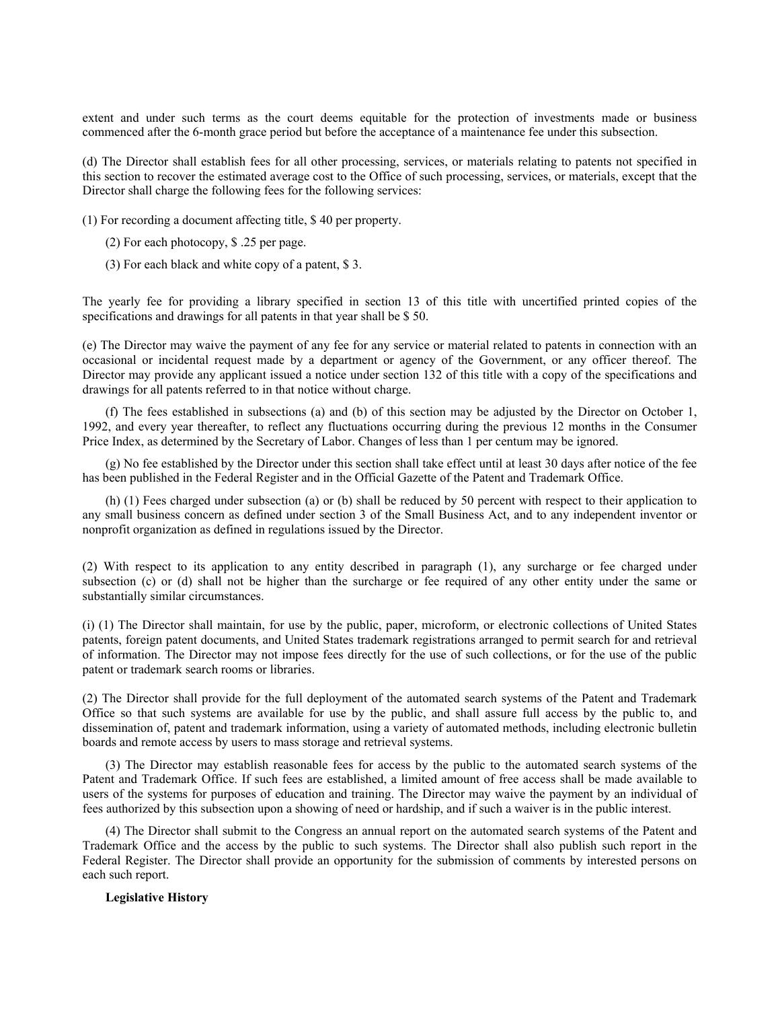extent and under such terms as the court deems equitable for the protection of investments made or business commenced after the 6-month grace period but before the acceptance of a maintenance fee under this subsection.

(d) The Director shall establish fees for all other processing, services, or materials relating to patents not specified in this section to recover the estimated average cost to the Office of such processing, services, or materials, except that the Director shall charge the following fees for the following services:

(1) For recording a document affecting title, \$ 40 per property.

- (2) For each photocopy, \$ .25 per page.
- (3) For each black and white copy of a patent, \$ 3.

The yearly fee for providing a library specified in section 13 of this title with uncertified printed copies of the specifications and drawings for all patents in that year shall be \$ 50.

(e) The Director may waive the payment of any fee for any service or material related to patents in connection with an occasional or incidental request made by a department or agency of the Government, or any officer thereof. The Director may provide any applicant issued a notice under section 132 of this title with a copy of the specifications and drawings for all patents referred to in that notice without charge.

(f) The fees established in subsections (a) and (b) of this section may be adjusted by the Director on October 1, 1992, and every year thereafter, to reflect any fluctuations occurring during the previous 12 months in the Consumer Price Index, as determined by the Secretary of Labor. Changes of less than 1 per centum may be ignored.

(g) No fee established by the Director under this section shall take effect until at least 30 days after notice of the fee has been published in the Federal Register and in the Official Gazette of the Patent and Trademark Office.

(h) (1) Fees charged under subsection (a) or (b) shall be reduced by 50 percent with respect to their application to any small business concern as defined under section 3 of the Small Business Act, and to any independent inventor or nonprofit organization as defined in regulations issued by the Director.

(2) With respect to its application to any entity described in paragraph (1), any surcharge or fee charged under subsection (c) or (d) shall not be higher than the surcharge or fee required of any other entity under the same or substantially similar circumstances.

(i) (1) The Director shall maintain, for use by the public, paper, microform, or electronic collections of United States patents, foreign patent documents, and United States trademark registrations arranged to permit search for and retrieval of information. The Director may not impose fees directly for the use of such collections, or for the use of the public patent or trademark search rooms or libraries.

(2) The Director shall provide for the full deployment of the automated search systems of the Patent and Trademark Office so that such systems are available for use by the public, and shall assure full access by the public to, and dissemination of, patent and trademark information, using a variety of automated methods, including electronic bulletin boards and remote access by users to mass storage and retrieval systems.

(3) The Director may establish reasonable fees for access by the public to the automated search systems of the Patent and Trademark Office. If such fees are established, a limited amount of free access shall be made available to users of the systems for purposes of education and training. The Director may waive the payment by an individual of fees authorized by this subsection upon a showing of need or hardship, and if such a waiver is in the public interest.

(4) The Director shall submit to the Congress an annual report on the automated search systems of the Patent and Trademark Office and the access by the public to such systems. The Director shall also publish such report in the Federal Register. The Director shall provide an opportunity for the submission of comments by interested persons on each such report.

# **Legislative History**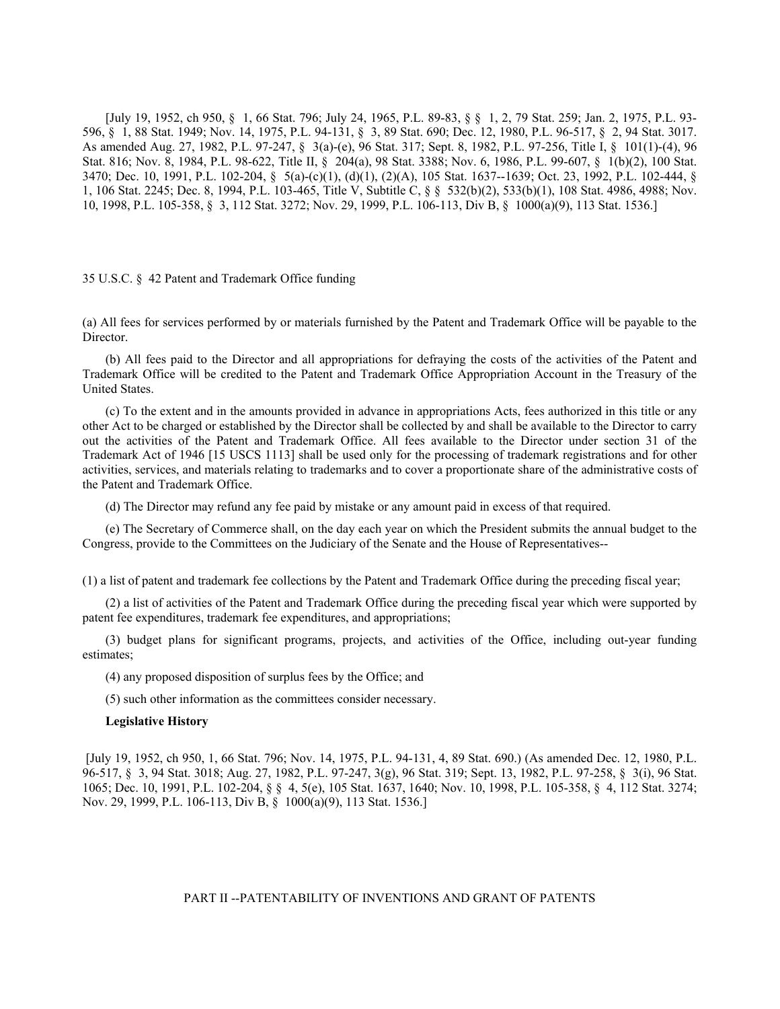[July 19, 1952, ch 950, § 1, 66 Stat. 796; July 24, 1965, P.L. 89-83, § § 1, 2, 79 Stat. 259; Jan. 2, 1975, P.L. 93- 596, § 1, 88 Stat. 1949; Nov. 14, 1975, P.L. 94-131, § 3, 89 Stat. 690; Dec. 12, 1980, P.L. 96-517, § 2, 94 Stat. 3017. As amended Aug. 27, 1982, P.L. 97-247, § 3(a)-(e), 96 Stat. 317; Sept. 8, 1982, P.L. 97-256, Title I, § 101(1)-(4), 96 Stat. 816; Nov. 8, 1984, P.L. 98-622, Title II, § 204(a), 98 Stat. 3388; Nov. 6, 1986, P.L. 99-607, § 1(b)(2), 100 Stat. 3470; Dec. 10, 1991, P.L. 102-204, § 5(a)-(c)(1), (d)(1), (2)(A), 105 Stat. 1637--1639; Oct. 23, 1992, P.L. 102-444, § 1, 106 Stat. 2245; Dec. 8, 1994, P.L. 103-465, Title V, Subtitle C, § § 532(b)(2), 533(b)(1), 108 Stat. 4986, 4988; Nov. 10, 1998, P.L. 105-358, § 3, 112 Stat. 3272; Nov. 29, 1999, P.L. 106-113, Div B, § 1000(a)(9), 113 Stat. 1536.]

35 U.S.C. § 42 Patent and Trademark Office funding

(a) All fees for services performed by or materials furnished by the Patent and Trademark Office will be payable to the Director.

(b) All fees paid to the Director and all appropriations for defraying the costs of the activities of the Patent and Trademark Office will be credited to the Patent and Trademark Office Appropriation Account in the Treasury of the United States.

(c) To the extent and in the amounts provided in advance in appropriations Acts, fees authorized in this title or any other Act to be charged or established by the Director shall be collected by and shall be available to the Director to carry out the activities of the Patent and Trademark Office. All fees available to the Director under section 31 of the Trademark Act of 1946 [15 USCS 1113] shall be used only for the processing of trademark registrations and for other activities, services, and materials relating to trademarks and to cover a proportionate share of the administrative costs of the Patent and Trademark Office.

(d) The Director may refund any fee paid by mistake or any amount paid in excess of that required.

(e) The Secretary of Commerce shall, on the day each year on which the President submits the annual budget to the Congress, provide to the Committees on the Judiciary of the Senate and the House of Representatives--

(1) a list of patent and trademark fee collections by the Patent and Trademark Office during the preceding fiscal year;

(2) a list of activities of the Patent and Trademark Office during the preceding fiscal year which were supported by patent fee expenditures, trademark fee expenditures, and appropriations;

(3) budget plans for significant programs, projects, and activities of the Office, including out-year funding estimates;

(4) any proposed disposition of surplus fees by the Office; and

(5) such other information as the committees consider necessary.

# **Legislative History**

 [July 19, 1952, ch 950, 1, 66 Stat. 796; Nov. 14, 1975, P.L. 94-131, 4, 89 Stat. 690.) (As amended Dec. 12, 1980, P.L. 96-517, § 3, 94 Stat. 3018; Aug. 27, 1982, P.L. 97-247, 3(g), 96 Stat. 319; Sept. 13, 1982, P.L. 97-258, § 3(i), 96 Stat. 1065; Dec. 10, 1991, P.L. 102-204, § § 4, 5(e), 105 Stat. 1637, 1640; Nov. 10, 1998, P.L. 105-358, § 4, 112 Stat. 3274; Nov. 29, 1999, P.L. 106-113, Div B, § 1000(a)(9), 113 Stat. 1536.]

# PART II --PATENTABILITY OF INVENTIONS AND GRANT OF PATENTS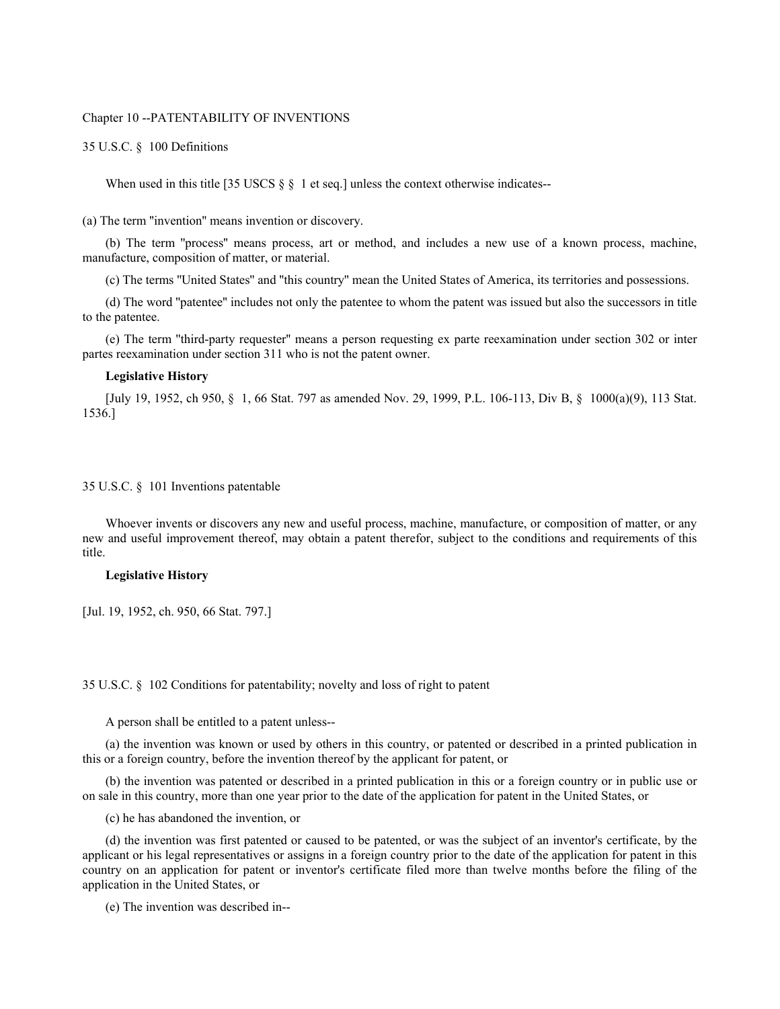#### Chapter 10 --PATENTABILITY OF INVENTIONS

35 U.S.C. § 100 Definitions

When used in this title [35 USCS  $\S$  § 1 et seq.] unless the context otherwise indicates--

(a) The term ''invention'' means invention or discovery.

(b) The term ''process'' means process, art or method, and includes a new use of a known process, machine, manufacture, composition of matter, or material.

(c) The terms ''United States'' and ''this country'' mean the United States of America, its territories and possessions.

(d) The word ''patentee'' includes not only the patentee to whom the patent was issued but also the successors in title to the patentee.

(e) The term ''third-party requester'' means a person requesting ex parte reexamination under section 302 or inter partes reexamination under section 311 who is not the patent owner.

# **Legislative History**

[July 19, 1952, ch 950, § 1, 66 Stat. 797 as amended Nov. 29, 1999, P.L. 106-113, Div B, § 1000(a)(9), 113 Stat. 1536.]

#### 35 U.S.C. § 101 Inventions patentable

Whoever invents or discovers any new and useful process, machine, manufacture, or composition of matter, or any new and useful improvement thereof, may obtain a patent therefor, subject to the conditions and requirements of this title.

## **Legislative History**

[Jul. 19, 1952, ch. 950, 66 Stat. 797.]

35 U.S.C. § 102 Conditions for patentability; novelty and loss of right to patent

A person shall be entitled to a patent unless--

(a) the invention was known or used by others in this country, or patented or described in a printed publication in this or a foreign country, before the invention thereof by the applicant for patent, or

(b) the invention was patented or described in a printed publication in this or a foreign country or in public use or on sale in this country, more than one year prior to the date of the application for patent in the United States, or

(c) he has abandoned the invention, or

(d) the invention was first patented or caused to be patented, or was the subject of an inventor's certificate, by the applicant or his legal representatives or assigns in a foreign country prior to the date of the application for patent in this country on an application for patent or inventor's certificate filed more than twelve months before the filing of the application in the United States, or

(e) The invention was described in--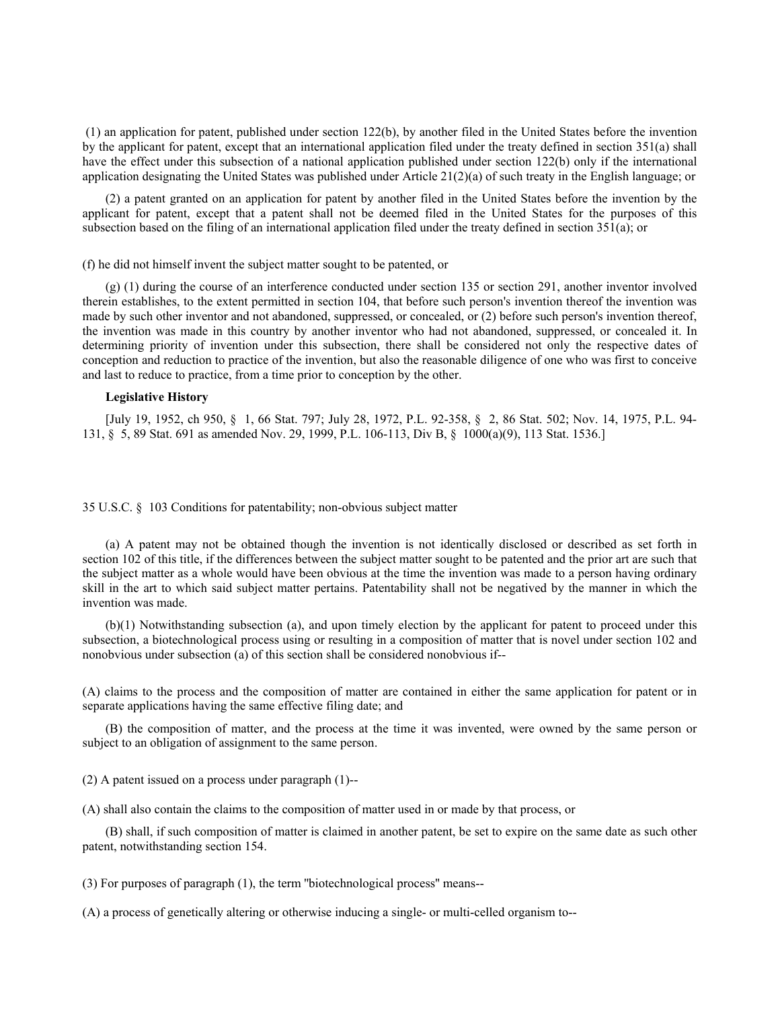(1) an application for patent, published under section 122(b), by another filed in the United States before the invention by the applicant for patent, except that an international application filed under the treaty defined in section 351(a) shall have the effect under this subsection of a national application published under section 122(b) only if the international application designating the United States was published under Article 21(2)(a) of such treaty in the English language; or

(2) a patent granted on an application for patent by another filed in the United States before the invention by the applicant for patent, except that a patent shall not be deemed filed in the United States for the purposes of this subsection based on the filing of an international application filed under the treaty defined in section 351(a); or

(f) he did not himself invent the subject matter sought to be patented, or

(g) (1) during the course of an interference conducted under section 135 or section 291, another inventor involved therein establishes, to the extent permitted in section 104, that before such person's invention thereof the invention was made by such other inventor and not abandoned, suppressed, or concealed, or (2) before such person's invention thereof, the invention was made in this country by another inventor who had not abandoned, suppressed, or concealed it. In determining priority of invention under this subsection, there shall be considered not only the respective dates of conception and reduction to practice of the invention, but also the reasonable diligence of one who was first to conceive and last to reduce to practice, from a time prior to conception by the other.

# **Legislative History**

[July 19, 1952, ch 950, § 1, 66 Stat. 797; July 28, 1972, P.L. 92-358, § 2, 86 Stat. 502; Nov. 14, 1975, P.L. 94- 131, § 5, 89 Stat. 691 as amended Nov. 29, 1999, P.L. 106-113, Div B, § 1000(a)(9), 113 Stat. 1536.]

35 U.S.C. § 103 Conditions for patentability; non-obvious subject matter

(a) A patent may not be obtained though the invention is not identically disclosed or described as set forth in section 102 of this title, if the differences between the subject matter sought to be patented and the prior art are such that the subject matter as a whole would have been obvious at the time the invention was made to a person having ordinary skill in the art to which said subject matter pertains. Patentability shall not be negatived by the manner in which the invention was made.

(b)(1) Notwithstanding subsection (a), and upon timely election by the applicant for patent to proceed under this subsection, a biotechnological process using or resulting in a composition of matter that is novel under section 102 and nonobvious under subsection (a) of this section shall be considered nonobvious if--

(A) claims to the process and the composition of matter are contained in either the same application for patent or in separate applications having the same effective filing date; and

(B) the composition of matter, and the process at the time it was invented, were owned by the same person or subject to an obligation of assignment to the same person.

(2) A patent issued on a process under paragraph (1)--

(A) shall also contain the claims to the composition of matter used in or made by that process, or

(B) shall, if such composition of matter is claimed in another patent, be set to expire on the same date as such other patent, notwithstanding section 154.

(3) For purposes of paragraph (1), the term ''biotechnological process'' means--

(A) a process of genetically altering or otherwise inducing a single- or multi-celled organism to--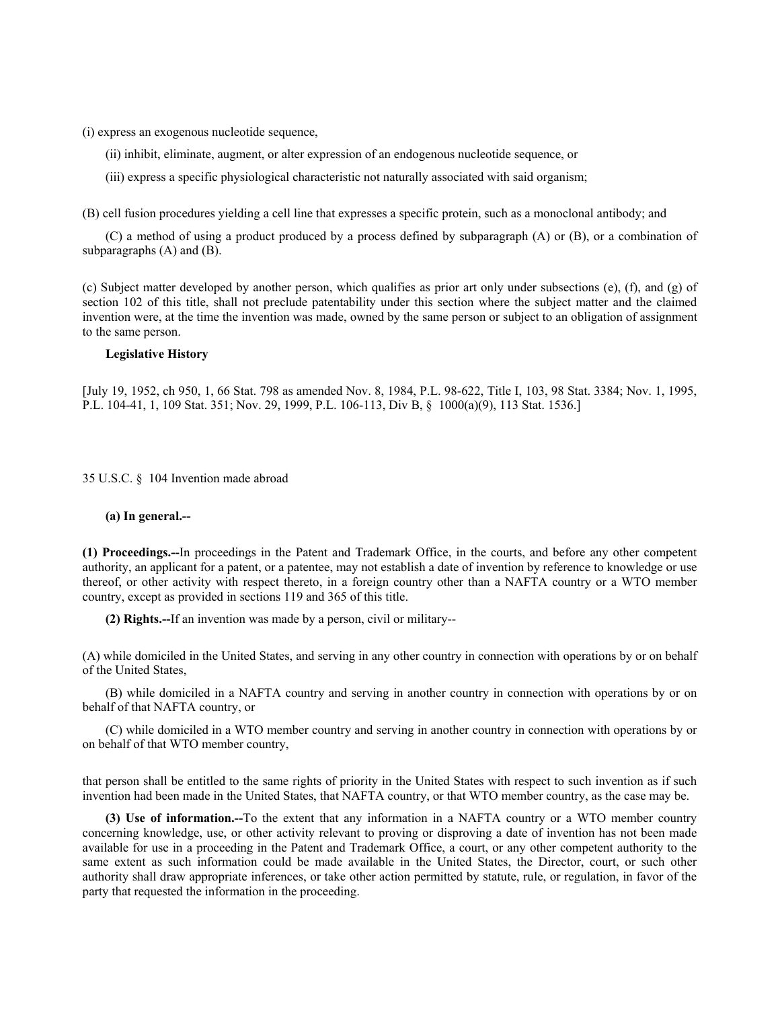(i) express an exogenous nucleotide sequence,

- (ii) inhibit, eliminate, augment, or alter expression of an endogenous nucleotide sequence, or
- (iii) express a specific physiological characteristic not naturally associated with said organism;

(B) cell fusion procedures yielding a cell line that expresses a specific protein, such as a monoclonal antibody; and

(C) a method of using a product produced by a process defined by subparagraph (A) or (B), or a combination of subparagraphs (A) and (B).

(c) Subject matter developed by another person, which qualifies as prior art only under subsections (e), (f), and (g) of section 102 of this title, shall not preclude patentability under this section where the subject matter and the claimed invention were, at the time the invention was made, owned by the same person or subject to an obligation of assignment to the same person.

# **Legislative History**

[July 19, 1952, ch 950, 1, 66 Stat. 798 as amended Nov. 8, 1984, P.L. 98-622, Title I, 103, 98 Stat. 3384; Nov. 1, 1995, P.L. 104-41, 1, 109 Stat. 351; Nov. 29, 1999, P.L. 106-113, Div B, § 1000(a)(9), 113 Stat. 1536.]

#### 35 U.S.C. § 104 Invention made abroad

# **(a) In general.--**

**(1) Proceedings.--**In proceedings in the Patent and Trademark Office, in the courts, and before any other competent authority, an applicant for a patent, or a patentee, may not establish a date of invention by reference to knowledge or use thereof, or other activity with respect thereto, in a foreign country other than a NAFTA country or a WTO member country, except as provided in sections 119 and 365 of this title.

**(2) Rights.--**If an invention was made by a person, civil or military--

(A) while domiciled in the United States, and serving in any other country in connection with operations by or on behalf of the United States,

(B) while domiciled in a NAFTA country and serving in another country in connection with operations by or on behalf of that NAFTA country, or

(C) while domiciled in a WTO member country and serving in another country in connection with operations by or on behalf of that WTO member country,

that person shall be entitled to the same rights of priority in the United States with respect to such invention as if such invention had been made in the United States, that NAFTA country, or that WTO member country, as the case may be.

**(3) Use of information.--**To the extent that any information in a NAFTA country or a WTO member country concerning knowledge, use, or other activity relevant to proving or disproving a date of invention has not been made available for use in a proceeding in the Patent and Trademark Office, a court, or any other competent authority to the same extent as such information could be made available in the United States, the Director, court, or such other authority shall draw appropriate inferences, or take other action permitted by statute, rule, or regulation, in favor of the party that requested the information in the proceeding.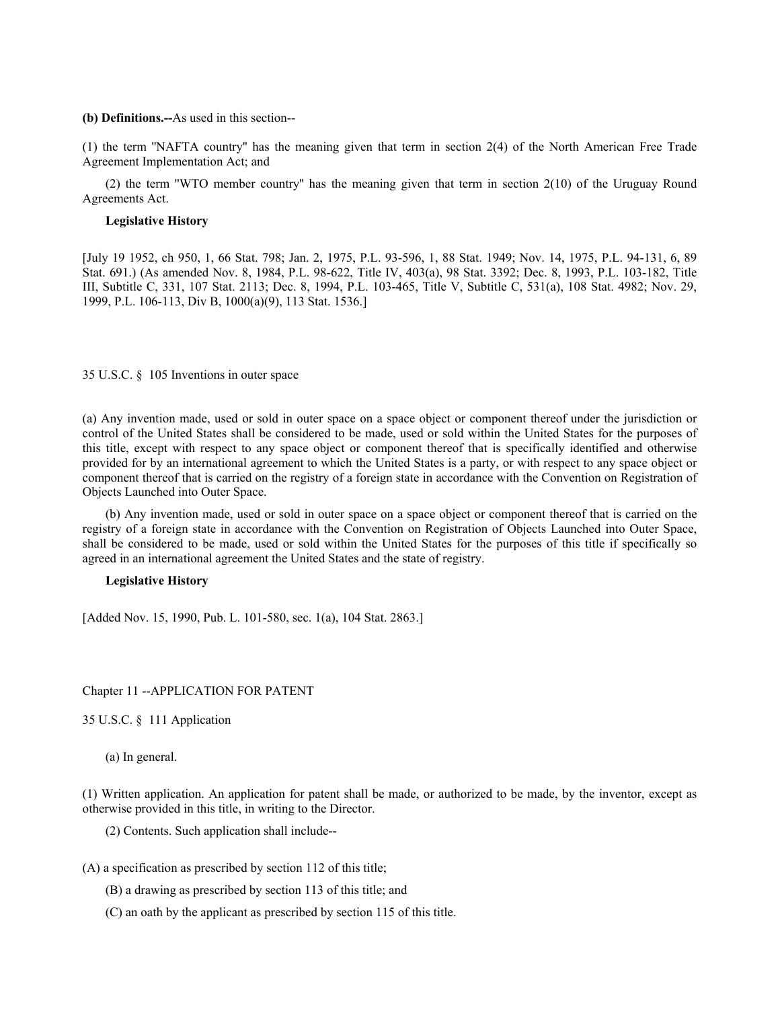#### **(b) Definitions.--**As used in this section--

(1) the term ''NAFTA country'' has the meaning given that term in section 2(4) of the North American Free Trade Agreement Implementation Act; and

(2) the term ''WTO member country'' has the meaning given that term in section 2(10) of the Uruguay Round Agreements Act.

## **Legislative History**

[July 19 1952, ch 950, 1, 66 Stat. 798; Jan. 2, 1975, P.L. 93-596, 1, 88 Stat. 1949; Nov. 14, 1975, P.L. 94-131, 6, 89 Stat. 691.) (As amended Nov. 8, 1984, P.L. 98-622, Title IV, 403(a), 98 Stat. 3392; Dec. 8, 1993, P.L. 103-182, Title III, Subtitle C, 331, 107 Stat. 2113; Dec. 8, 1994, P.L. 103-465, Title V, Subtitle C, 531(a), 108 Stat. 4982; Nov. 29, 1999, P.L. 106-113, Div B, 1000(a)(9), 113 Stat. 1536.]

## 35 U.S.C. § 105 Inventions in outer space

(a) Any invention made, used or sold in outer space on a space object or component thereof under the jurisdiction or control of the United States shall be considered to be made, used or sold within the United States for the purposes of this title, except with respect to any space object or component thereof that is specifically identified and otherwise provided for by an international agreement to which the United States is a party, or with respect to any space object or component thereof that is carried on the registry of a foreign state in accordance with the Convention on Registration of Objects Launched into Outer Space.

(b) Any invention made, used or sold in outer space on a space object or component thereof that is carried on the registry of a foreign state in accordance with the Convention on Registration of Objects Launched into Outer Space, shall be considered to be made, used or sold within the United States for the purposes of this title if specifically so agreed in an international agreement the United States and the state of registry.

#### **Legislative History**

[Added Nov. 15, 1990, Pub. L. 101-580, sec. 1(a), 104 Stat. 2863.]

#### Chapter 11 --APPLICATION FOR PATENT

35 U.S.C. § 111 Application

(a) In general.

(1) Written application. An application for patent shall be made, or authorized to be made, by the inventor, except as otherwise provided in this title, in writing to the Director.

(2) Contents. Such application shall include--

(A) a specification as prescribed by section 112 of this title;

(B) a drawing as prescribed by section 113 of this title; and

(C) an oath by the applicant as prescribed by section 115 of this title.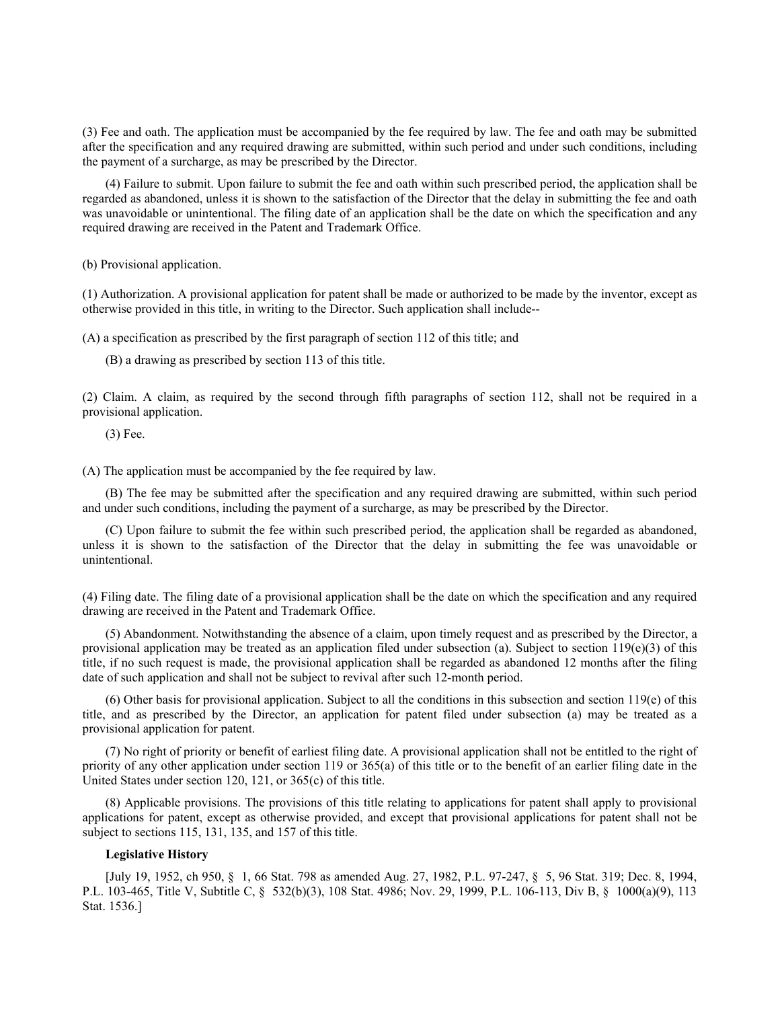(3) Fee and oath. The application must be accompanied by the fee required by law. The fee and oath may be submitted after the specification and any required drawing are submitted, within such period and under such conditions, including the payment of a surcharge, as may be prescribed by the Director.

(4) Failure to submit. Upon failure to submit the fee and oath within such prescribed period, the application shall be regarded as abandoned, unless it is shown to the satisfaction of the Director that the delay in submitting the fee and oath was unavoidable or unintentional. The filing date of an application shall be the date on which the specification and any required drawing are received in the Patent and Trademark Office.

(b) Provisional application.

(1) Authorization. A provisional application for patent shall be made or authorized to be made by the inventor, except as otherwise provided in this title, in writing to the Director. Such application shall include--

(A) a specification as prescribed by the first paragraph of section 112 of this title; and

(B) a drawing as prescribed by section 113 of this title.

(2) Claim. A claim, as required by the second through fifth paragraphs of section 112, shall not be required in a provisional application.

(3) Fee.

(A) The application must be accompanied by the fee required by law.

(B) The fee may be submitted after the specification and any required drawing are submitted, within such period and under such conditions, including the payment of a surcharge, as may be prescribed by the Director.

(C) Upon failure to submit the fee within such prescribed period, the application shall be regarded as abandoned, unless it is shown to the satisfaction of the Director that the delay in submitting the fee was unavoidable or unintentional.

(4) Filing date. The filing date of a provisional application shall be the date on which the specification and any required drawing are received in the Patent and Trademark Office.

(5) Abandonment. Notwithstanding the absence of a claim, upon timely request and as prescribed by the Director, a provisional application may be treated as an application filed under subsection (a). Subject to section  $119(e)(3)$  of this title, if no such request is made, the provisional application shall be regarded as abandoned 12 months after the filing date of such application and shall not be subject to revival after such 12-month period.

(6) Other basis for provisional application. Subject to all the conditions in this subsection and section  $119(e)$  of this title, and as prescribed by the Director, an application for patent filed under subsection (a) may be treated as a provisional application for patent.

(7) No right of priority or benefit of earliest filing date. A provisional application shall not be entitled to the right of priority of any other application under section 119 or 365(a) of this title or to the benefit of an earlier filing date in the United States under section 120, 121, or 365(c) of this title.

(8) Applicable provisions. The provisions of this title relating to applications for patent shall apply to provisional applications for patent, except as otherwise provided, and except that provisional applications for patent shall not be subject to sections 115, 131, 135, and 157 of this title.

## **Legislative History**

[July 19, 1952, ch 950, § 1, 66 Stat. 798 as amended Aug. 27, 1982, P.L. 97-247, § 5, 96 Stat. 319; Dec. 8, 1994, P.L. 103-465, Title V, Subtitle C, § 532(b)(3), 108 Stat. 4986; Nov. 29, 1999, P.L. 106-113, Div B, § 1000(a)(9), 113 Stat. 1536.]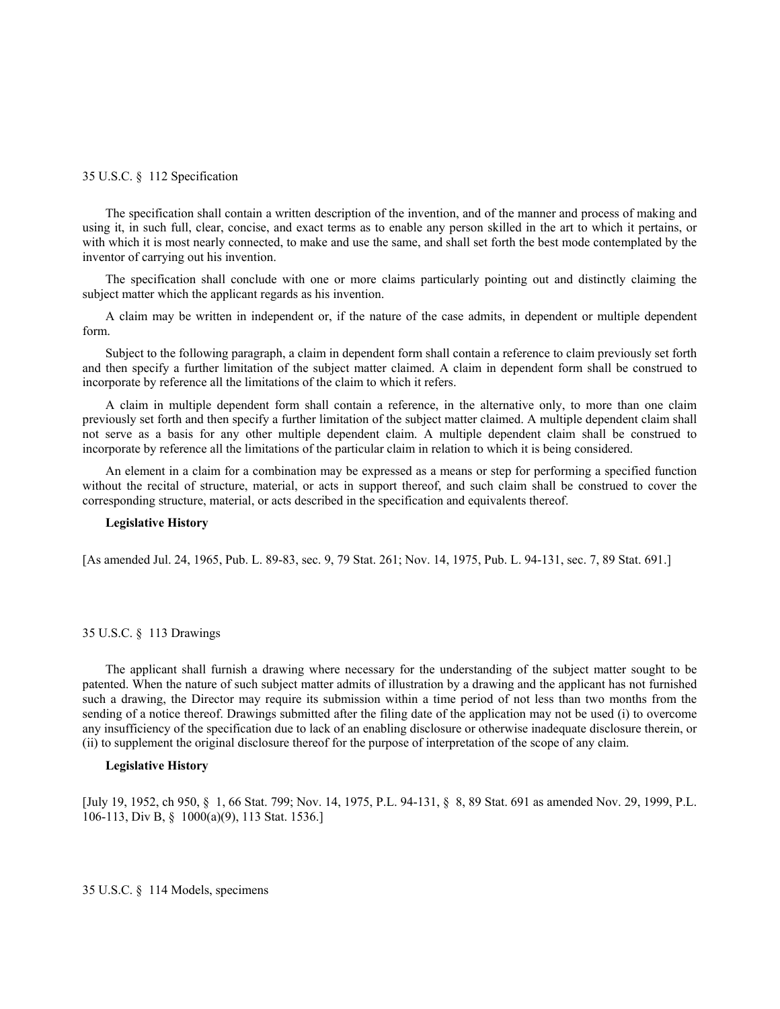## 35 U.S.C. § 112 Specification

The specification shall contain a written description of the invention, and of the manner and process of making and using it, in such full, clear, concise, and exact terms as to enable any person skilled in the art to which it pertains, or with which it is most nearly connected, to make and use the same, and shall set forth the best mode contemplated by the inventor of carrying out his invention.

The specification shall conclude with one or more claims particularly pointing out and distinctly claiming the subject matter which the applicant regards as his invention.

A claim may be written in independent or, if the nature of the case admits, in dependent or multiple dependent form.

Subject to the following paragraph, a claim in dependent form shall contain a reference to claim previously set forth and then specify a further limitation of the subject matter claimed. A claim in dependent form shall be construed to incorporate by reference all the limitations of the claim to which it refers.

A claim in multiple dependent form shall contain a reference, in the alternative only, to more than one claim previously set forth and then specify a further limitation of the subject matter claimed. A multiple dependent claim shall not serve as a basis for any other multiple dependent claim. A multiple dependent claim shall be construed to incorporate by reference all the limitations of the particular claim in relation to which it is being considered.

An element in a claim for a combination may be expressed as a means or step for performing a specified function without the recital of structure, material, or acts in support thereof, and such claim shall be construed to cover the corresponding structure, material, or acts described in the specification and equivalents thereof.

## **Legislative History**

[As amended Jul. 24, 1965, Pub. L. 89-83, sec. 9, 79 Stat. 261; Nov. 14, 1975, Pub. L. 94-131, sec. 7, 89 Stat. 691.]

### 35 U.S.C. § 113 Drawings

The applicant shall furnish a drawing where necessary for the understanding of the subject matter sought to be patented. When the nature of such subject matter admits of illustration by a drawing and the applicant has not furnished such a drawing, the Director may require its submission within a time period of not less than two months from the sending of a notice thereof. Drawings submitted after the filing date of the application may not be used (i) to overcome any insufficiency of the specification due to lack of an enabling disclosure or otherwise inadequate disclosure therein, or (ii) to supplement the original disclosure thereof for the purpose of interpretation of the scope of any claim.

#### **Legislative History**

[July 19, 1952, ch 950, § 1, 66 Stat. 799; Nov. 14, 1975, P.L. 94-131, § 8, 89 Stat. 691 as amended Nov. 29, 1999, P.L. 106-113, Div B, § 1000(a)(9), 113 Stat. 1536.]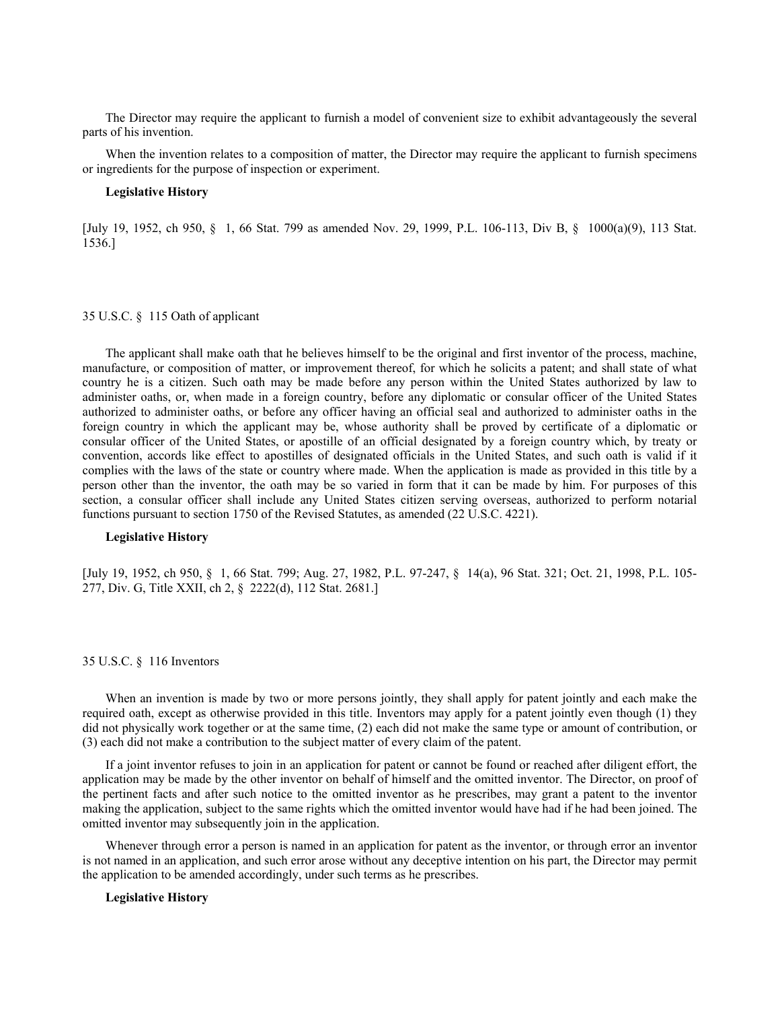The Director may require the applicant to furnish a model of convenient size to exhibit advantageously the several parts of his invention.

When the invention relates to a composition of matter, the Director may require the applicant to furnish specimens or ingredients for the purpose of inspection or experiment.

# **Legislative History**

[July 19, 1952, ch 950, § 1, 66 Stat. 799 as amended Nov. 29, 1999, P.L. 106-113, Div B, § 1000(a)(9), 113 Stat. 1536.]

#### 35 U.S.C. § 115 Oath of applicant

The applicant shall make oath that he believes himself to be the original and first inventor of the process, machine, manufacture, or composition of matter, or improvement thereof, for which he solicits a patent; and shall state of what country he is a citizen. Such oath may be made before any person within the United States authorized by law to administer oaths, or, when made in a foreign country, before any diplomatic or consular officer of the United States authorized to administer oaths, or before any officer having an official seal and authorized to administer oaths in the foreign country in which the applicant may be, whose authority shall be proved by certificate of a diplomatic or consular officer of the United States, or apostille of an official designated by a foreign country which, by treaty or convention, accords like effect to apostilles of designated officials in the United States, and such oath is valid if it complies with the laws of the state or country where made. When the application is made as provided in this title by a person other than the inventor, the oath may be so varied in form that it can be made by him. For purposes of this section, a consular officer shall include any United States citizen serving overseas, authorized to perform notarial functions pursuant to section 1750 of the Revised Statutes, as amended (22 U.S.C. 4221).

# **Legislative History**

[July 19, 1952, ch 950, § 1, 66 Stat. 799; Aug. 27, 1982, P.L. 97-247, § 14(a), 96 Stat. 321; Oct. 21, 1998, P.L. 105- 277, Div. G, Title XXII, ch 2, § 2222(d), 112 Stat. 2681.]

#### 35 U.S.C. § 116 Inventors

When an invention is made by two or more persons jointly, they shall apply for patent jointly and each make the required oath, except as otherwise provided in this title. Inventors may apply for a patent jointly even though (1) they did not physically work together or at the same time, (2) each did not make the same type or amount of contribution, or (3) each did not make a contribution to the subject matter of every claim of the patent.

If a joint inventor refuses to join in an application for patent or cannot be found or reached after diligent effort, the application may be made by the other inventor on behalf of himself and the omitted inventor. The Director, on proof of the pertinent facts and after such notice to the omitted inventor as he prescribes, may grant a patent to the inventor making the application, subject to the same rights which the omitted inventor would have had if he had been joined. The omitted inventor may subsequently join in the application.

Whenever through error a person is named in an application for patent as the inventor, or through error an inventor is not named in an application, and such error arose without any deceptive intention on his part, the Director may permit the application to be amended accordingly, under such terms as he prescribes.

# **Legislative History**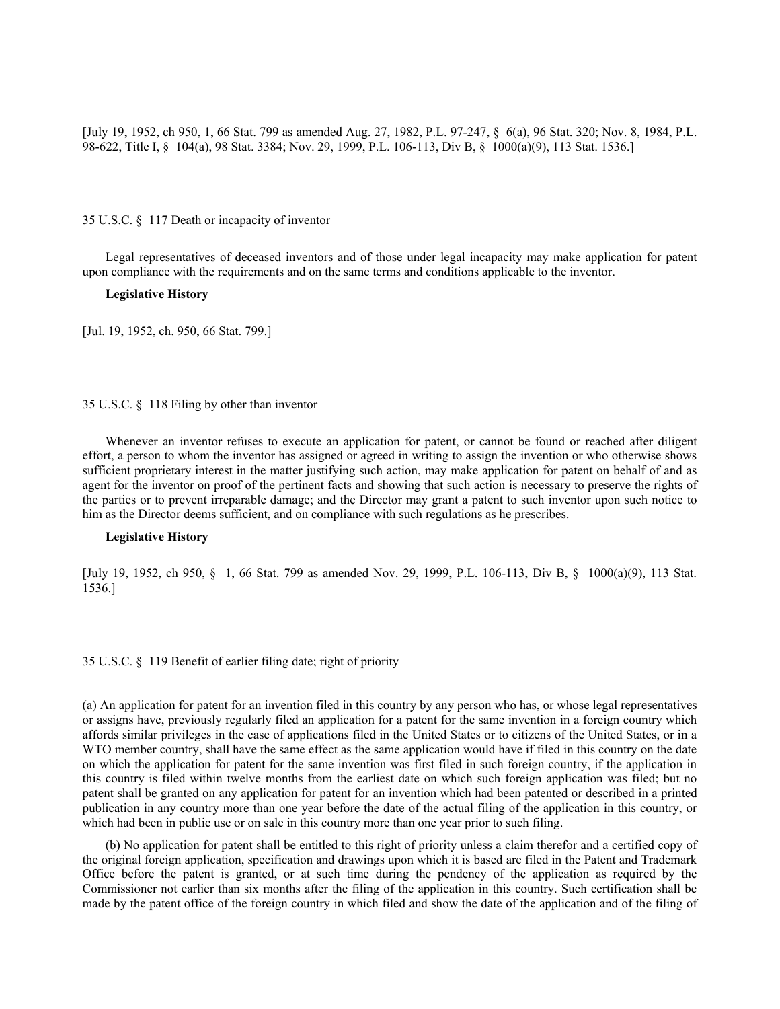[July 19, 1952, ch 950, 1, 66 Stat. 799 as amended Aug. 27, 1982, P.L. 97-247, § 6(a), 96 Stat. 320; Nov. 8, 1984, P.L. 98-622, Title I, § 104(a), 98 Stat. 3384; Nov. 29, 1999, P.L. 106-113, Div B, § 1000(a)(9), 113 Stat. 1536.]

35 U.S.C. § 117 Death or incapacity of inventor

Legal representatives of deceased inventors and of those under legal incapacity may make application for patent upon compliance with the requirements and on the same terms and conditions applicable to the inventor.

# **Legislative History**

[Jul. 19, 1952, ch. 950, 66 Stat. 799.]

# 35 U.S.C. § 118 Filing by other than inventor

Whenever an inventor refuses to execute an application for patent, or cannot be found or reached after diligent effort, a person to whom the inventor has assigned or agreed in writing to assign the invention or who otherwise shows sufficient proprietary interest in the matter justifying such action, may make application for patent on behalf of and as agent for the inventor on proof of the pertinent facts and showing that such action is necessary to preserve the rights of the parties or to prevent irreparable damage; and the Director may grant a patent to such inventor upon such notice to him as the Director deems sufficient, and on compliance with such regulations as he prescribes.

# **Legislative History**

[July 19, 1952, ch 950, § 1, 66 Stat. 799 as amended Nov. 29, 1999, P.L. 106-113, Div B, § 1000(a)(9), 113 Stat. 1536.]

35 U.S.C. § 119 Benefit of earlier filing date; right of priority

(a) An application for patent for an invention filed in this country by any person who has, or whose legal representatives or assigns have, previously regularly filed an application for a patent for the same invention in a foreign country which affords similar privileges in the case of applications filed in the United States or to citizens of the United States, or in a WTO member country, shall have the same effect as the same application would have if filed in this country on the date on which the application for patent for the same invention was first filed in such foreign country, if the application in this country is filed within twelve months from the earliest date on which such foreign application was filed; but no patent shall be granted on any application for patent for an invention which had been patented or described in a printed publication in any country more than one year before the date of the actual filing of the application in this country, or which had been in public use or on sale in this country more than one year prior to such filing.

(b) No application for patent shall be entitled to this right of priority unless a claim therefor and a certified copy of the original foreign application, specification and drawings upon which it is based are filed in the Patent and Trademark Office before the patent is granted, or at such time during the pendency of the application as required by the Commissioner not earlier than six months after the filing of the application in this country. Such certification shall be made by the patent office of the foreign country in which filed and show the date of the application and of the filing of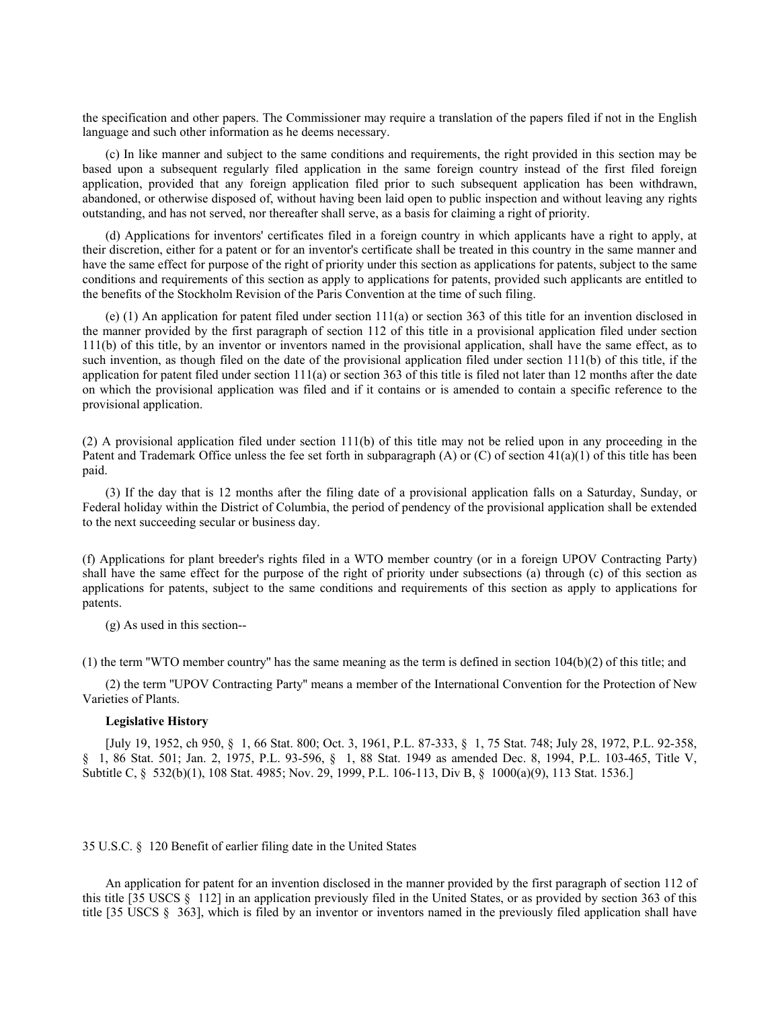the specification and other papers. The Commissioner may require a translation of the papers filed if not in the English language and such other information as he deems necessary.

(c) In like manner and subject to the same conditions and requirements, the right provided in this section may be based upon a subsequent regularly filed application in the same foreign country instead of the first filed foreign application, provided that any foreign application filed prior to such subsequent application has been withdrawn, abandoned, or otherwise disposed of, without having been laid open to public inspection and without leaving any rights outstanding, and has not served, nor thereafter shall serve, as a basis for claiming a right of priority.

(d) Applications for inventors' certificates filed in a foreign country in which applicants have a right to apply, at their discretion, either for a patent or for an inventor's certificate shall be treated in this country in the same manner and have the same effect for purpose of the right of priority under this section as applications for patents, subject to the same conditions and requirements of this section as apply to applications for patents, provided such applicants are entitled to the benefits of the Stockholm Revision of the Paris Convention at the time of such filing.

(e) (1) An application for patent filed under section  $111(a)$  or section 363 of this title for an invention disclosed in the manner provided by the first paragraph of section 112 of this title in a provisional application filed under section 111(b) of this title, by an inventor or inventors named in the provisional application, shall have the same effect, as to such invention, as though filed on the date of the provisional application filed under section 111(b) of this title, if the application for patent filed under section 111(a) or section 363 of this title is filed not later than 12 months after the date on which the provisional application was filed and if it contains or is amended to contain a specific reference to the provisional application.

(2) A provisional application filed under section 111(b) of this title may not be relied upon in any proceeding in the Patent and Trademark Office unless the fee set forth in subparagraph  $(A)$  or  $(C)$  of section  $41(a)(1)$  of this title has been paid.

(3) If the day that is 12 months after the filing date of a provisional application falls on a Saturday, Sunday, or Federal holiday within the District of Columbia, the period of pendency of the provisional application shall be extended to the next succeeding secular or business day.

(f) Applications for plant breeder's rights filed in a WTO member country (or in a foreign UPOV Contracting Party) shall have the same effect for the purpose of the right of priority under subsections (a) through (c) of this section as applications for patents, subject to the same conditions and requirements of this section as apply to applications for patents.

(g) As used in this section--

(1) the term ''WTO member country'' has the same meaning as the term is defined in section 104(b)(2) of this title; and

(2) the term ''UPOV Contracting Party'' means a member of the International Convention for the Protection of New Varieties of Plants.

# **Legislative History**

[July 19, 1952, ch 950, § 1, 66 Stat. 800; Oct. 3, 1961, P.L. 87-333, § 1, 75 Stat. 748; July 28, 1972, P.L. 92-358, § 1, 86 Stat. 501; Jan. 2, 1975, P.L. 93-596, § 1, 88 Stat. 1949 as amended Dec. 8, 1994, P.L. 103-465, Title V, Subtitle C, § 532(b)(1), 108 Stat. 4985; Nov. 29, 1999, P.L. 106-113, Div B, § 1000(a)(9), 113 Stat. 1536.]

35 U.S.C. § 120 Benefit of earlier filing date in the United States

An application for patent for an invention disclosed in the manner provided by the first paragraph of section 112 of this title [35 USCS § 112] in an application previously filed in the United States, or as provided by section 363 of this title [35 USCS § 363], which is filed by an inventor or inventors named in the previously filed application shall have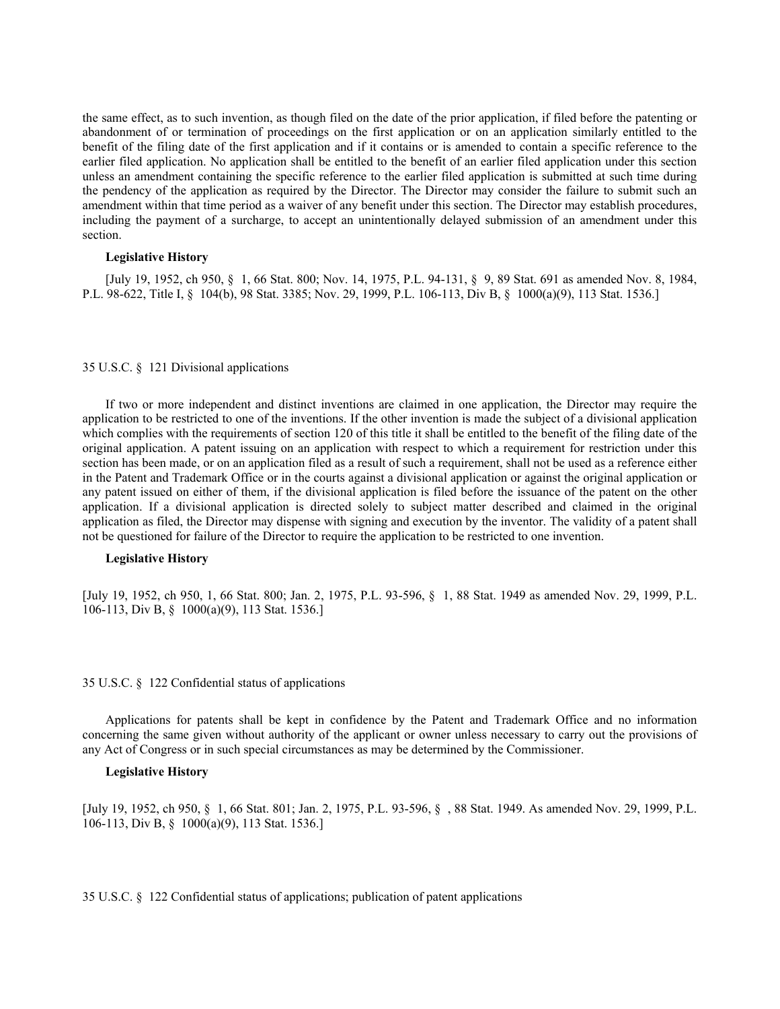the same effect, as to such invention, as though filed on the date of the prior application, if filed before the patenting or abandonment of or termination of proceedings on the first application or on an application similarly entitled to the benefit of the filing date of the first application and if it contains or is amended to contain a specific reference to the earlier filed application. No application shall be entitled to the benefit of an earlier filed application under this section unless an amendment containing the specific reference to the earlier filed application is submitted at such time during the pendency of the application as required by the Director. The Director may consider the failure to submit such an amendment within that time period as a waiver of any benefit under this section. The Director may establish procedures, including the payment of a surcharge, to accept an unintentionally delayed submission of an amendment under this section.

# **Legislative History**

[July 19, 1952, ch 950, § 1, 66 Stat. 800; Nov. 14, 1975, P.L. 94-131, § 9, 89 Stat. 691 as amended Nov. 8, 1984, P.L. 98-622, Title I, § 104(b), 98 Stat. 3385; Nov. 29, 1999, P.L. 106-113, Div B, § 1000(a)(9), 113 Stat. 1536.]

#### 35 U.S.C. § 121 Divisional applications

If two or more independent and distinct inventions are claimed in one application, the Director may require the application to be restricted to one of the inventions. If the other invention is made the subject of a divisional application which complies with the requirements of section 120 of this title it shall be entitled to the benefit of the filing date of the original application. A patent issuing on an application with respect to which a requirement for restriction under this section has been made, or on an application filed as a result of such a requirement, shall not be used as a reference either in the Patent and Trademark Office or in the courts against a divisional application or against the original application or any patent issued on either of them, if the divisional application is filed before the issuance of the patent on the other application. If a divisional application is directed solely to subject matter described and claimed in the original application as filed, the Director may dispense with signing and execution by the inventor. The validity of a patent shall not be questioned for failure of the Director to require the application to be restricted to one invention.

## **Legislative History**

[July 19, 1952, ch 950, 1, 66 Stat. 800; Jan. 2, 1975, P.L. 93-596, § 1, 88 Stat. 1949 as amended Nov. 29, 1999, P.L. 106-113, Div B, § 1000(a)(9), 113 Stat. 1536.]

#### 35 U.S.C. § 122 Confidential status of applications

Applications for patents shall be kept in confidence by the Patent and Trademark Office and no information concerning the same given without authority of the applicant or owner unless necessary to carry out the provisions of any Act of Congress or in such special circumstances as may be determined by the Commissioner.

# **Legislative History**

[July 19, 1952, ch 950, § 1, 66 Stat. 801; Jan. 2, 1975, P.L. 93-596, § , 88 Stat. 1949. As amended Nov. 29, 1999, P.L. 106-113, Div B, § 1000(a)(9), 113 Stat. 1536.]

35 U.S.C. § 122 Confidential status of applications; publication of patent applications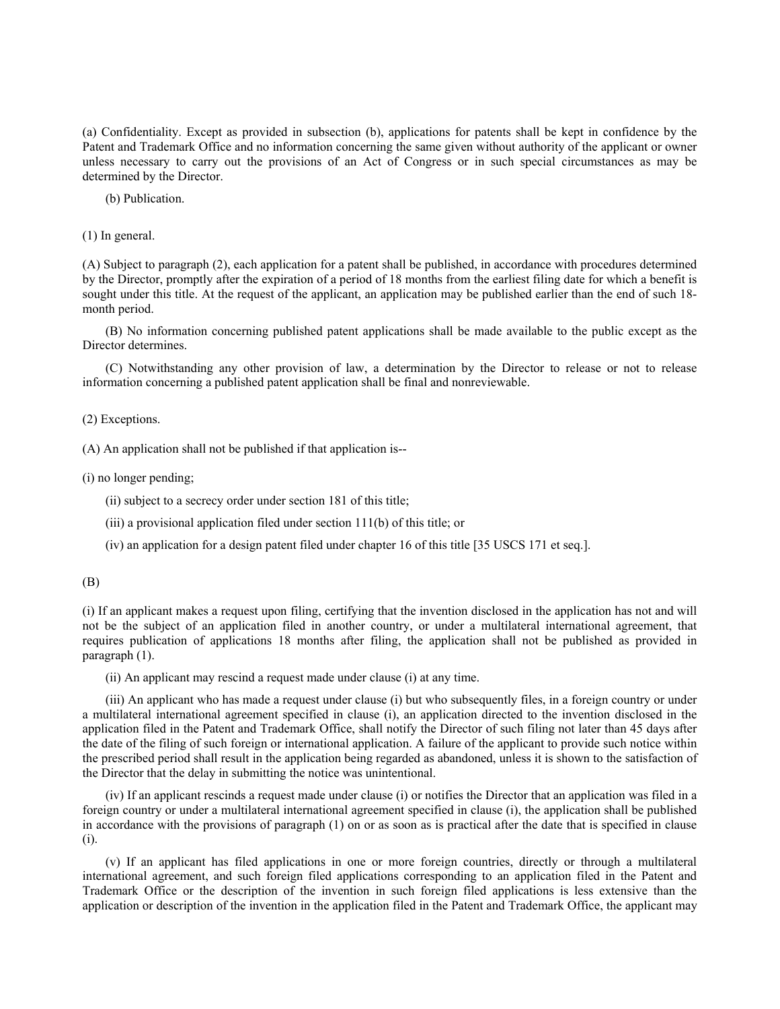(a) Confidentiality. Except as provided in subsection (b), applications for patents shall be kept in confidence by the Patent and Trademark Office and no information concerning the same given without authority of the applicant or owner unless necessary to carry out the provisions of an Act of Congress or in such special circumstances as may be determined by the Director.

(b) Publication.

(1) In general.

(A) Subject to paragraph (2), each application for a patent shall be published, in accordance with procedures determined by the Director, promptly after the expiration of a period of 18 months from the earliest filing date for which a benefit is sought under this title. At the request of the applicant, an application may be published earlier than the end of such 18 month period.

(B) No information concerning published patent applications shall be made available to the public except as the Director determines.

(C) Notwithstanding any other provision of law, a determination by the Director to release or not to release information concerning a published patent application shall be final and nonreviewable.

# (2) Exceptions.

(A) An application shall not be published if that application is--

(i) no longer pending;

(ii) subject to a secrecy order under section 181 of this title;

(iii) a provisional application filed under section 111(b) of this title; or

(iv) an application for a design patent filed under chapter 16 of this title [35 USCS 171 et seq.].

# (B)

(i) If an applicant makes a request upon filing, certifying that the invention disclosed in the application has not and will not be the subject of an application filed in another country, or under a multilateral international agreement, that requires publication of applications 18 months after filing, the application shall not be published as provided in paragraph (1).

(ii) An applicant may rescind a request made under clause (i) at any time.

(iii) An applicant who has made a request under clause (i) but who subsequently files, in a foreign country or under a multilateral international agreement specified in clause (i), an application directed to the invention disclosed in the application filed in the Patent and Trademark Office, shall notify the Director of such filing not later than 45 days after the date of the filing of such foreign or international application. A failure of the applicant to provide such notice within the prescribed period shall result in the application being regarded as abandoned, unless it is shown to the satisfaction of the Director that the delay in submitting the notice was unintentional.

(iv) If an applicant rescinds a request made under clause (i) or notifies the Director that an application was filed in a foreign country or under a multilateral international agreement specified in clause (i), the application shall be published in accordance with the provisions of paragraph (1) on or as soon as is practical after the date that is specified in clause (i).

(v) If an applicant has filed applications in one or more foreign countries, directly or through a multilateral international agreement, and such foreign filed applications corresponding to an application filed in the Patent and Trademark Office or the description of the invention in such foreign filed applications is less extensive than the application or description of the invention in the application filed in the Patent and Trademark Office, the applicant may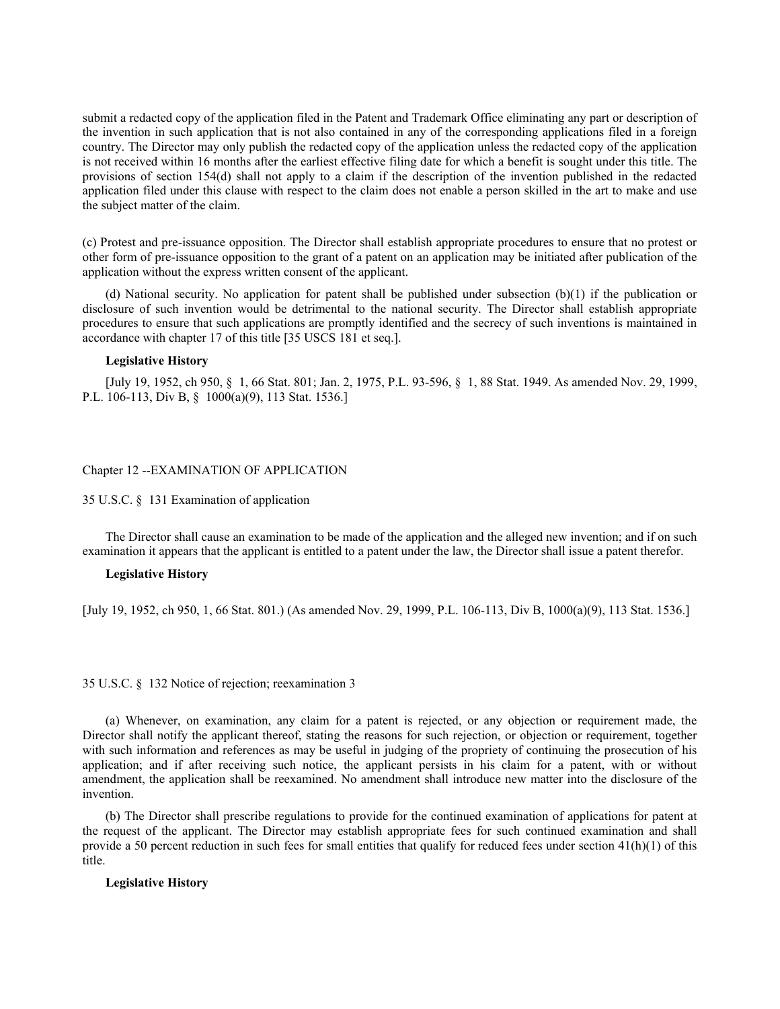submit a redacted copy of the application filed in the Patent and Trademark Office eliminating any part or description of the invention in such application that is not also contained in any of the corresponding applications filed in a foreign country. The Director may only publish the redacted copy of the application unless the redacted copy of the application is not received within 16 months after the earliest effective filing date for which a benefit is sought under this title. The provisions of section 154(d) shall not apply to a claim if the description of the invention published in the redacted application filed under this clause with respect to the claim does not enable a person skilled in the art to make and use the subject matter of the claim.

(c) Protest and pre-issuance opposition. The Director shall establish appropriate procedures to ensure that no protest or other form of pre-issuance opposition to the grant of a patent on an application may be initiated after publication of the application without the express written consent of the applicant.

(d) National security. No application for patent shall be published under subsection (b)(1) if the publication or disclosure of such invention would be detrimental to the national security. The Director shall establish appropriate procedures to ensure that such applications are promptly identified and the secrecy of such inventions is maintained in accordance with chapter 17 of this title [35 USCS 181 et seq.].

## **Legislative History**

[July 19, 1952, ch 950, § 1, 66 Stat. 801; Jan. 2, 1975, P.L. 93-596, § 1, 88 Stat. 1949. As amended Nov. 29, 1999, P.L. 106-113, Div B, § 1000(a)(9), 113 Stat. 1536.]

#### Chapter 12 --EXAMINATION OF APPLICATION

#### 35 U.S.C. § 131 Examination of application

The Director shall cause an examination to be made of the application and the alleged new invention; and if on such examination it appears that the applicant is entitled to a patent under the law, the Director shall issue a patent therefor.

# **Legislative History**

[July 19, 1952, ch 950, 1, 66 Stat. 801.) (As amended Nov. 29, 1999, P.L. 106-113, Div B, 1000(a)(9), 113 Stat. 1536.]

#### 35 U.S.C. § 132 Notice of rejection; reexamination 3

(a) Whenever, on examination, any claim for a patent is rejected, or any objection or requirement made, the Director shall notify the applicant thereof, stating the reasons for such rejection, or objection or requirement, together with such information and references as may be useful in judging of the propriety of continuing the prosecution of his application; and if after receiving such notice, the applicant persists in his claim for a patent, with or without amendment, the application shall be reexamined. No amendment shall introduce new matter into the disclosure of the invention.

(b) The Director shall prescribe regulations to provide for the continued examination of applications for patent at the request of the applicant. The Director may establish appropriate fees for such continued examination and shall provide a 50 percent reduction in such fees for small entities that qualify for reduced fees under section  $41(h)(1)$  of this title.

# **Legislative History**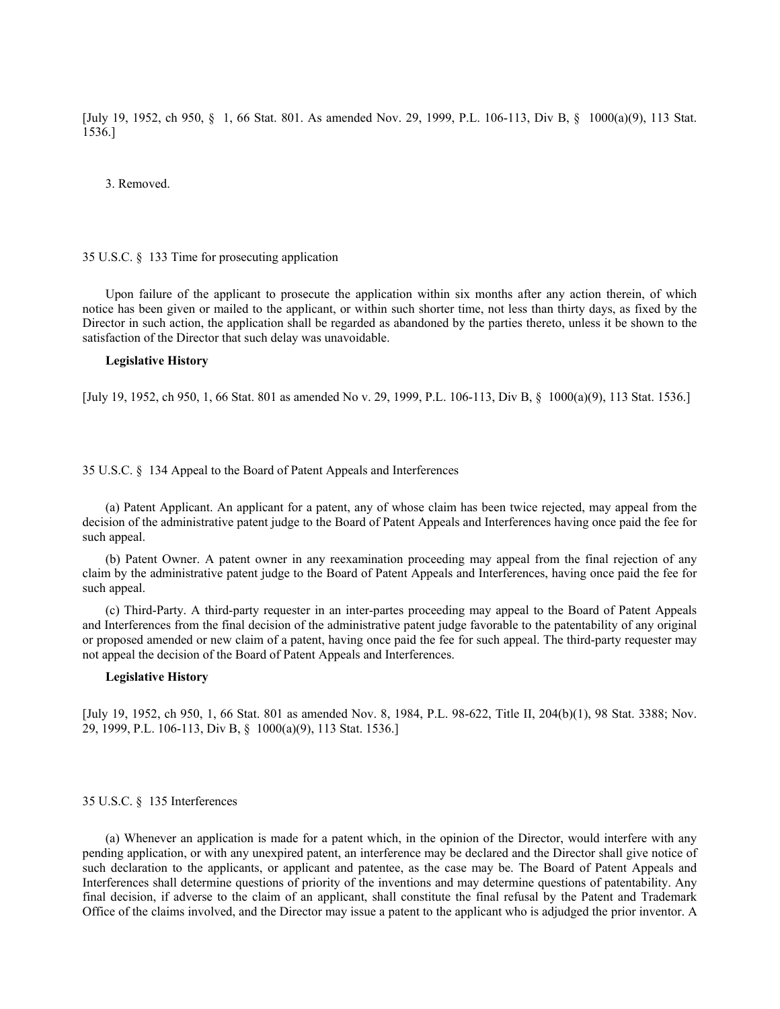[July 19, 1952, ch 950, § 1, 66 Stat. 801. As amended Nov. 29, 1999, P.L. 106-113, Div B, § 1000(a)(9), 113 Stat. 1536.]

3. Removed.

35 U.S.C. § 133 Time for prosecuting application

Upon failure of the applicant to prosecute the application within six months after any action therein, of which notice has been given or mailed to the applicant, or within such shorter time, not less than thirty days, as fixed by the Director in such action, the application shall be regarded as abandoned by the parties thereto, unless it be shown to the satisfaction of the Director that such delay was unavoidable.

## **Legislative History**

[July 19, 1952, ch 950, 1, 66 Stat. 801 as amended No v. 29, 1999, P.L. 106-113, Div B, § 1000(a)(9), 113 Stat. 1536.]

35 U.S.C. § 134 Appeal to the Board of Patent Appeals and Interferences

(a) Patent Applicant. An applicant for a patent, any of whose claim has been twice rejected, may appeal from the decision of the administrative patent judge to the Board of Patent Appeals and Interferences having once paid the fee for such appeal.

(b) Patent Owner. A patent owner in any reexamination proceeding may appeal from the final rejection of any claim by the administrative patent judge to the Board of Patent Appeals and Interferences, having once paid the fee for such appeal.

(c) Third-Party. A third-party requester in an inter-partes proceeding may appeal to the Board of Patent Appeals and Interferences from the final decision of the administrative patent judge favorable to the patentability of any original or proposed amended or new claim of a patent, having once paid the fee for such appeal. The third-party requester may not appeal the decision of the Board of Patent Appeals and Interferences.

# **Legislative History**

[July 19, 1952, ch 950, 1, 66 Stat. 801 as amended Nov. 8, 1984, P.L. 98-622, Title II, 204(b)(1), 98 Stat. 3388; Nov. 29, 1999, P.L. 106-113, Div B, § 1000(a)(9), 113 Stat. 1536.]

# 35 U.S.C. § 135 Interferences

(a) Whenever an application is made for a patent which, in the opinion of the Director, would interfere with any pending application, or with any unexpired patent, an interference may be declared and the Director shall give notice of such declaration to the applicants, or applicant and patentee, as the case may be. The Board of Patent Appeals and Interferences shall determine questions of priority of the inventions and may determine questions of patentability. Any final decision, if adverse to the claim of an applicant, shall constitute the final refusal by the Patent and Trademark Office of the claims involved, and the Director may issue a patent to the applicant who is adjudged the prior inventor. A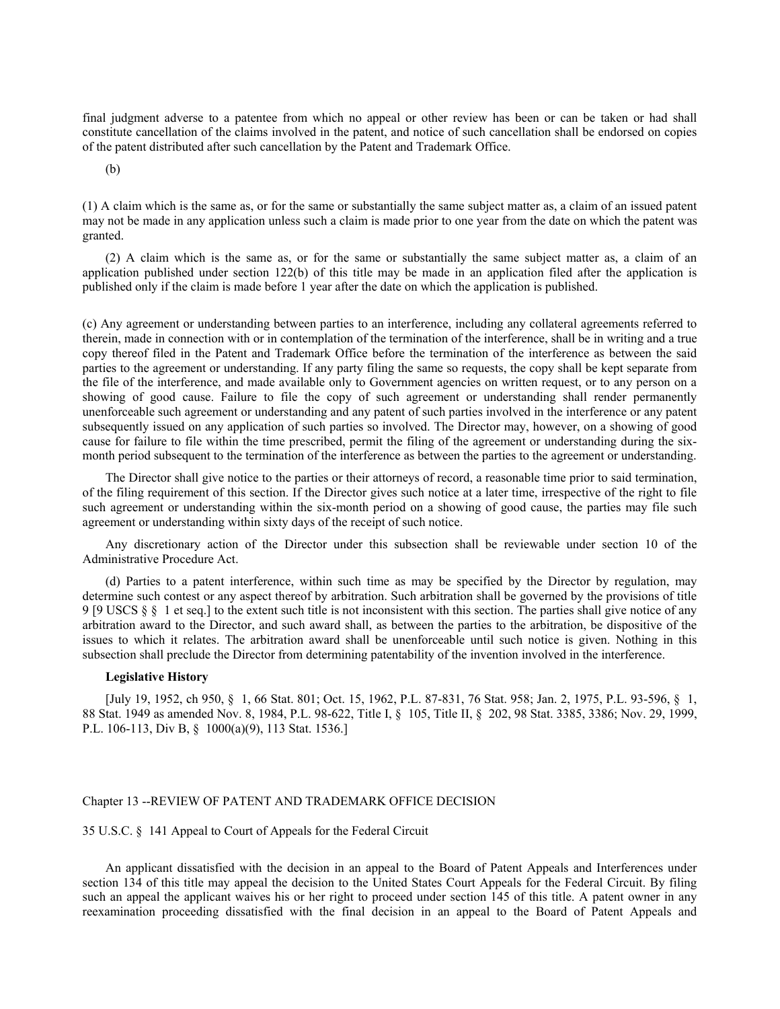final judgment adverse to a patentee from which no appeal or other review has been or can be taken or had shall constitute cancellation of the claims involved in the patent, and notice of such cancellation shall be endorsed on copies of the patent distributed after such cancellation by the Patent and Trademark Office.

(b)

(1) A claim which is the same as, or for the same or substantially the same subject matter as, a claim of an issued patent may not be made in any application unless such a claim is made prior to one year from the date on which the patent was granted.

(2) A claim which is the same as, or for the same or substantially the same subject matter as, a claim of an application published under section 122(b) of this title may be made in an application filed after the application is published only if the claim is made before 1 year after the date on which the application is published.

(c) Any agreement or understanding between parties to an interference, including any collateral agreements referred to therein, made in connection with or in contemplation of the termination of the interference, shall be in writing and a true copy thereof filed in the Patent and Trademark Office before the termination of the interference as between the said parties to the agreement or understanding. If any party filing the same so requests, the copy shall be kept separate from the file of the interference, and made available only to Government agencies on written request, or to any person on a showing of good cause. Failure to file the copy of such agreement or understanding shall render permanently unenforceable such agreement or understanding and any patent of such parties involved in the interference or any patent subsequently issued on any application of such parties so involved. The Director may, however, on a showing of good cause for failure to file within the time prescribed, permit the filing of the agreement or understanding during the sixmonth period subsequent to the termination of the interference as between the parties to the agreement or understanding.

The Director shall give notice to the parties or their attorneys of record, a reasonable time prior to said termination, of the filing requirement of this section. If the Director gives such notice at a later time, irrespective of the right to file such agreement or understanding within the six-month period on a showing of good cause, the parties may file such agreement or understanding within sixty days of the receipt of such notice.

Any discretionary action of the Director under this subsection shall be reviewable under section 10 of the Administrative Procedure Act.

(d) Parties to a patent interference, within such time as may be specified by the Director by regulation, may determine such contest or any aspect thereof by arbitration. Such arbitration shall be governed by the provisions of title 9 [9 USCS § § 1 et seq.] to the extent such title is not inconsistent with this section. The parties shall give notice of any arbitration award to the Director, and such award shall, as between the parties to the arbitration, be dispositive of the issues to which it relates. The arbitration award shall be unenforceable until such notice is given. Nothing in this subsection shall preclude the Director from determining patentability of the invention involved in the interference.

# **Legislative History**

[July 19, 1952, ch 950, § 1, 66 Stat. 801; Oct. 15, 1962, P.L. 87-831, 76 Stat. 958; Jan. 2, 1975, P.L. 93-596, § 1, 88 Stat. 1949 as amended Nov. 8, 1984, P.L. 98-622, Title I, § 105, Title II, § 202, 98 Stat. 3385, 3386; Nov. 29, 1999, P.L. 106-113, Div B, § 1000(a)(9), 113 Stat. 1536.]

#### Chapter 13 --REVIEW OF PATENT AND TRADEMARK OFFICE DECISION

#### 35 U.S.C. § 141 Appeal to Court of Appeals for the Federal Circuit

An applicant dissatisfied with the decision in an appeal to the Board of Patent Appeals and Interferences under section 134 of this title may appeal the decision to the United States Court Appeals for the Federal Circuit. By filing such an appeal the applicant waives his or her right to proceed under section 145 of this title. A patent owner in any reexamination proceeding dissatisfied with the final decision in an appeal to the Board of Patent Appeals and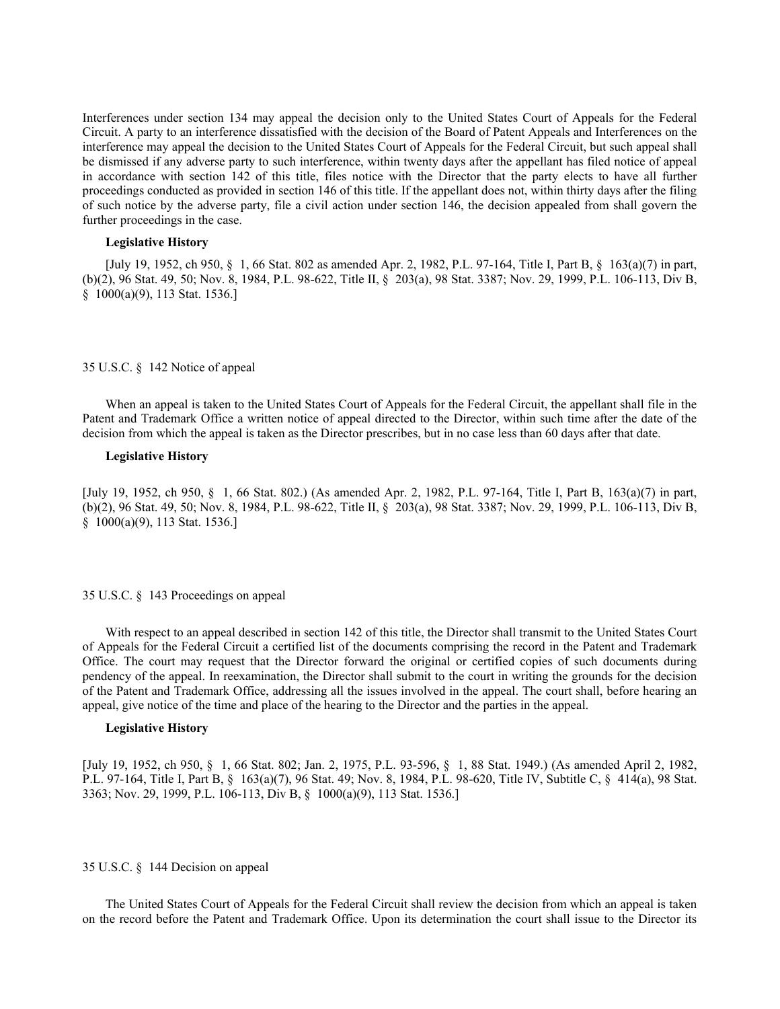Interferences under section 134 may appeal the decision only to the United States Court of Appeals for the Federal Circuit. A party to an interference dissatisfied with the decision of the Board of Patent Appeals and Interferences on the interference may appeal the decision to the United States Court of Appeals for the Federal Circuit, but such appeal shall be dismissed if any adverse party to such interference, within twenty days after the appellant has filed notice of appeal in accordance with section 142 of this title, files notice with the Director that the party elects to have all further proceedings conducted as provided in section 146 of this title. If the appellant does not, within thirty days after the filing of such notice by the adverse party, file a civil action under section 146, the decision appealed from shall govern the further proceedings in the case.

### **Legislative History**

[July 19, 1952, ch 950, § 1, 66 Stat. 802 as amended Apr. 2, 1982, P.L. 97-164, Title I, Part B, § 163(a)(7) in part, (b)(2), 96 Stat. 49, 50; Nov. 8, 1984, P.L. 98-622, Title II, § 203(a), 98 Stat. 3387; Nov. 29, 1999, P.L. 106-113, Div B, § 1000(a)(9), 113 Stat. 1536.]

#### 35 U.S.C. § 142 Notice of appeal

When an appeal is taken to the United States Court of Appeals for the Federal Circuit, the appellant shall file in the Patent and Trademark Office a written notice of appeal directed to the Director, within such time after the date of the decision from which the appeal is taken as the Director prescribes, but in no case less than 60 days after that date.

## **Legislative History**

[July 19, 1952, ch 950, § 1, 66 Stat. 802.) (As amended Apr. 2, 1982, P.L. 97-164, Title I, Part B, 163(a)(7) in part, (b)(2), 96 Stat. 49, 50; Nov. 8, 1984, P.L. 98-622, Title II, § 203(a), 98 Stat. 3387; Nov. 29, 1999, P.L. 106-113, Div B, § 1000(a)(9), 113 Stat. 1536.]

#### 35 U.S.C. § 143 Proceedings on appeal

With respect to an appeal described in section 142 of this title, the Director shall transmit to the United States Court of Appeals for the Federal Circuit a certified list of the documents comprising the record in the Patent and Trademark Office. The court may request that the Director forward the original or certified copies of such documents during pendency of the appeal. In reexamination, the Director shall submit to the court in writing the grounds for the decision of the Patent and Trademark Office, addressing all the issues involved in the appeal. The court shall, before hearing an appeal, give notice of the time and place of the hearing to the Director and the parties in the appeal.

# **Legislative History**

[July 19, 1952, ch 950, § 1, 66 Stat. 802; Jan. 2, 1975, P.L. 93-596, § 1, 88 Stat. 1949.) (As amended April 2, 1982, P.L. 97-164, Title I, Part B, § 163(a)(7), 96 Stat. 49; Nov. 8, 1984, P.L. 98-620, Title IV, Subtitle C, § 414(a), 98 Stat. 3363; Nov. 29, 1999, P.L. 106-113, Div B, § 1000(a)(9), 113 Stat. 1536.]

# 35 U.S.C. § 144 Decision on appeal

The United States Court of Appeals for the Federal Circuit shall review the decision from which an appeal is taken on the record before the Patent and Trademark Office. Upon its determination the court shall issue to the Director its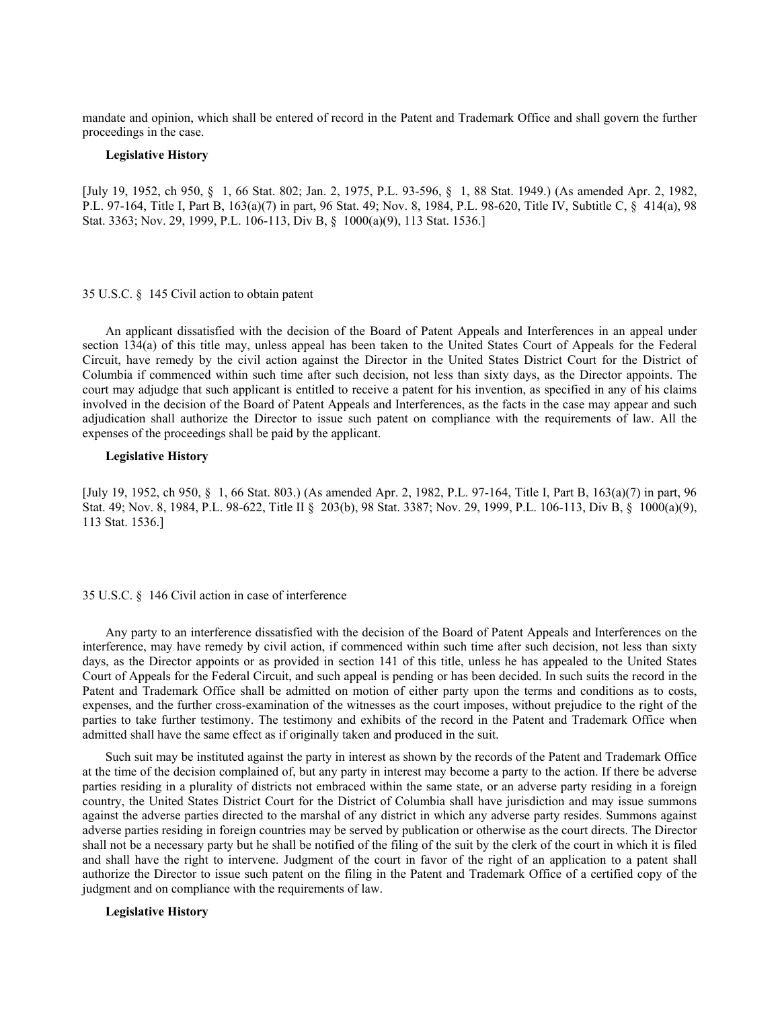mandate and opinion, which shall be entered of record in the Patent and Trademark Office and shall govern the further proceedings in the case.

# **Legislative History**

[July 19, 1952, ch 950, § 1, 66 Stat. 802; Jan. 2, 1975, P.L. 93-596, § 1, 88 Stat. 1949.) (As amended Apr. 2, 1982, P.L. 97-164, Title I, Part B, 163(a)(7) in part, 96 Stat. 49; Nov. 8, 1984, P.L. 98-620, Title IV, Subtitle C, § 414(a), 98 Stat. 3363; Nov. 29, 1999, P.L. 106-113, Div B, § 1000(a)(9), 113 Stat. 1536.]

### 35 U.S.C. § 145 Civil action to obtain patent

An applicant dissatisfied with the decision of the Board of Patent Appeals and Interferences in an appeal under section 134(a) of this title may, unless appeal has been taken to the United States Court of Appeals for the Federal Circuit, have remedy by the civil action against the Director in the United States District Court for the District of Columbia if commenced within such time after such decision, not less than sixty days, as the Director appoints. The court may adjudge that such applicant is entitled to receive a patent for his invention, as specified in any of his claims involved in the decision of the Board of Patent Appeals and Interferences, as the facts in the case may appear and such adjudication shall authorize the Director to issue such patent on compliance with the requirements of law. All the expenses of the proceedings shall be paid by the applicant.

## **Legislative History**

[July 19, 1952, ch 950, § 1, 66 Stat. 803.) (As amended Apr. 2, 1982, P.L. 97-164, Title I, Part B, 163(a)(7) in part, 96 Stat. 49; Nov. 8, 1984, P.L. 98-622, Title II § 203(b), 98 Stat. 3387; Nov. 29, 1999, P.L. 106-113, Div B, § 1000(a)(9), 113 Stat. 1536.]

#### 35 U.S.C. § 146 Civil action in case of interference

Any party to an interference dissatisfied with the decision of the Board of Patent Appeals and Interferences on the interference, may have remedy by civil action, if commenced within such time after such decision, not less than sixty days, as the Director appoints or as provided in section 141 of this title, unless he has appealed to the United States Court of Appeals for the Federal Circuit, and such appeal is pending or has been decided. In such suits the record in the Patent and Trademark Office shall be admitted on motion of either party upon the terms and conditions as to costs, expenses, and the further cross-examination of the witnesses as the court imposes, without prejudice to the right of the parties to take further testimony. The testimony and exhibits of the record in the Patent and Trademark Office when admitted shall have the same effect as if originally taken and produced in the suit.

Such suit may be instituted against the party in interest as shown by the records of the Patent and Trademark Office at the time of the decision complained of, but any party in interest may become a party to the action. If there be adverse parties residing in a plurality of districts not embraced within the same state, or an adverse party residing in a foreign country, the United States District Court for the District of Columbia shall have jurisdiction and may issue summons against the adverse parties directed to the marshal of any district in which any adverse party resides. Summons against adverse parties residing in foreign countries may be served by publication or otherwise as the court directs. The Director shall not be a necessary party but he shall be notified of the filing of the suit by the clerk of the court in which it is filed and shall have the right to intervene. Judgment of the court in favor of the right of an application to a patent shall authorize the Director to issue such patent on the filing in the Patent and Trademark Office of a certified copy of the judgment and on compliance with the requirements of law.

# **Legislative History**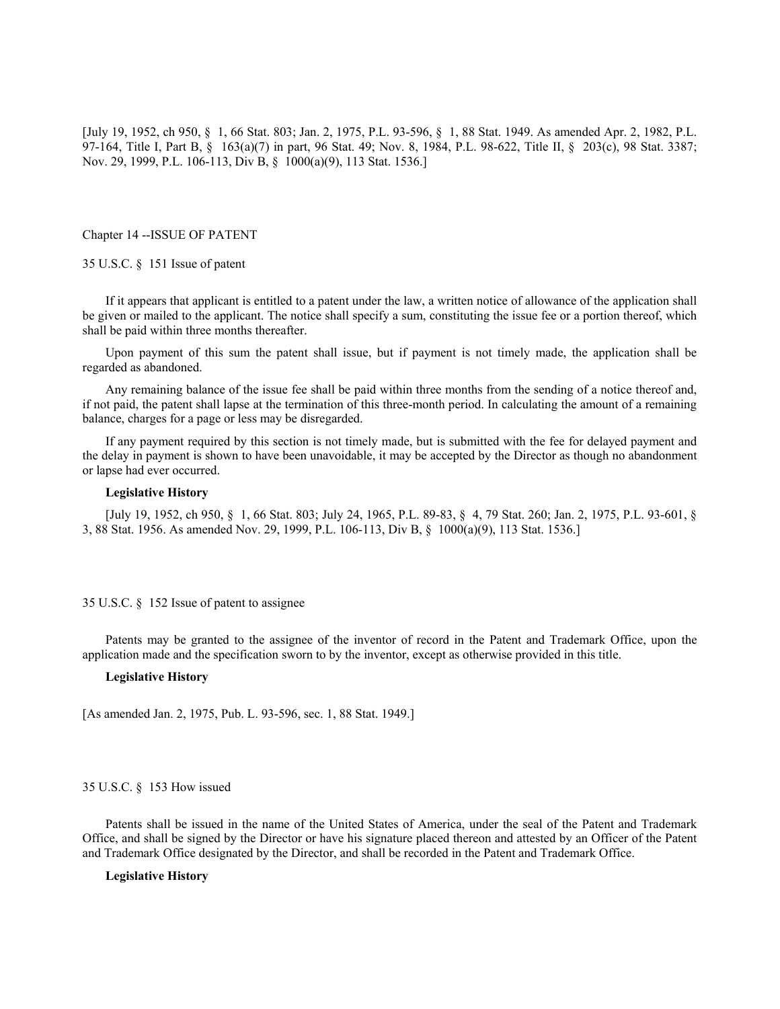[July 19, 1952, ch 950, § 1, 66 Stat. 803; Jan. 2, 1975, P.L. 93-596, § 1, 88 Stat. 1949. As amended Apr. 2, 1982, P.L. 97-164, Title I, Part B, § 163(a)(7) in part, 96 Stat. 49; Nov. 8, 1984, P.L. 98-622, Title II, § 203(c), 98 Stat. 3387; Nov. 29, 1999, P.L. 106-113, Div B, § 1000(a)(9), 113 Stat. 1536.]

#### Chapter 14 --ISSUE OF PATENT

#### 35 U.S.C. § 151 Issue of patent

If it appears that applicant is entitled to a patent under the law, a written notice of allowance of the application shall be given or mailed to the applicant. The notice shall specify a sum, constituting the issue fee or a portion thereof, which shall be paid within three months thereafter.

Upon payment of this sum the patent shall issue, but if payment is not timely made, the application shall be regarded as abandoned.

Any remaining balance of the issue fee shall be paid within three months from the sending of a notice thereof and, if not paid, the patent shall lapse at the termination of this three-month period. In calculating the amount of a remaining balance, charges for a page or less may be disregarded.

If any payment required by this section is not timely made, but is submitted with the fee for delayed payment and the delay in payment is shown to have been unavoidable, it may be accepted by the Director as though no abandonment or lapse had ever occurred.

#### **Legislative History**

[July 19, 1952, ch 950, § 1, 66 Stat. 803; July 24, 1965, P.L. 89-83, § 4, 79 Stat. 260; Jan. 2, 1975, P.L. 93-601, § 3, 88 Stat. 1956. As amended Nov. 29, 1999, P.L. 106-113, Div B, § 1000(a)(9), 113 Stat. 1536.]

# 35 U.S.C. § 152 Issue of patent to assignee

Patents may be granted to the assignee of the inventor of record in the Patent and Trademark Office, upon the application made and the specification sworn to by the inventor, except as otherwise provided in this title.

### **Legislative History**

[As amended Jan. 2, 1975, Pub. L. 93-596, sec. 1, 88 Stat. 1949.]

#### 35 U.S.C. § 153 How issued

Patents shall be issued in the name of the United States of America, under the seal of the Patent and Trademark Office, and shall be signed by the Director or have his signature placed thereon and attested by an Officer of the Patent and Trademark Office designated by the Director, and shall be recorded in the Patent and Trademark Office.

#### **Legislative History**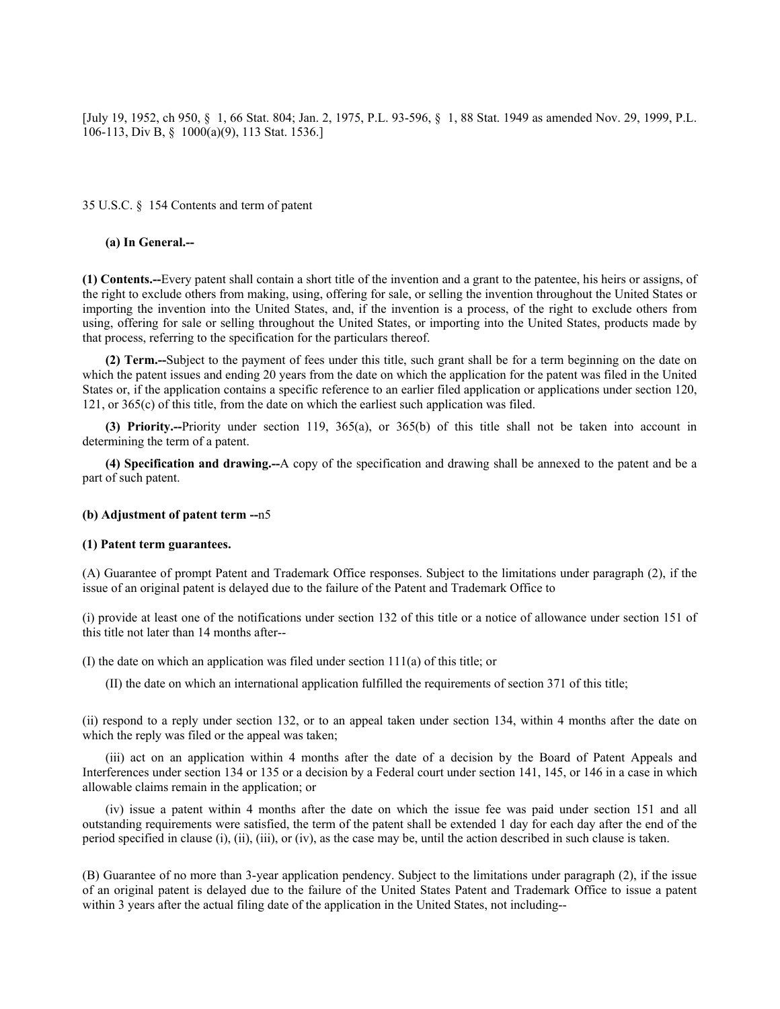[July 19, 1952, ch 950, § 1, 66 Stat. 804; Jan. 2, 1975, P.L. 93-596, § 1, 88 Stat. 1949 as amended Nov. 29, 1999, P.L. 106-113, Div B, § 1000(a)(9), 113 Stat. 1536.]

35 U.S.C. § 154 Contents and term of patent

# **(a) In General.--**

**(1) Contents.--**Every patent shall contain a short title of the invention and a grant to the patentee, his heirs or assigns, of the right to exclude others from making, using, offering for sale, or selling the invention throughout the United States or importing the invention into the United States, and, if the invention is a process, of the right to exclude others from using, offering for sale or selling throughout the United States, or importing into the United States, products made by that process, referring to the specification for the particulars thereof.

**(2) Term.--**Subject to the payment of fees under this title, such grant shall be for a term beginning on the date on which the patent issues and ending 20 years from the date on which the application for the patent was filed in the United States or, if the application contains a specific reference to an earlier filed application or applications under section 120, 121, or 365(c) of this title, from the date on which the earliest such application was filed.

**(3) Priority.--**Priority under section 119, 365(a), or 365(b) of this title shall not be taken into account in determining the term of a patent.

**(4) Specification and drawing.--**A copy of the specification and drawing shall be annexed to the patent and be a part of such patent.

#### **(b) Adjustment of patent term --**n5

#### **(1) Patent term guarantees.**

(A) Guarantee of prompt Patent and Trademark Office responses. Subject to the limitations under paragraph (2), if the issue of an original patent is delayed due to the failure of the Patent and Trademark Office to

(i) provide at least one of the notifications under section 132 of this title or a notice of allowance under section 151 of this title not later than 14 months after--

(I) the date on which an application was filed under section  $111(a)$  of this title; or

(II) the date on which an international application fulfilled the requirements of section 371 of this title;

(ii) respond to a reply under section 132, or to an appeal taken under section 134, within 4 months after the date on which the reply was filed or the appeal was taken;

(iii) act on an application within 4 months after the date of a decision by the Board of Patent Appeals and Interferences under section 134 or 135 or a decision by a Federal court under section 141, 145, or 146 in a case in which allowable claims remain in the application; or

(iv) issue a patent within 4 months after the date on which the issue fee was paid under section 151 and all outstanding requirements were satisfied, the term of the patent shall be extended 1 day for each day after the end of the period specified in clause (i), (ii), (iii), or (iv), as the case may be, until the action described in such clause is taken.

(B) Guarantee of no more than 3-year application pendency. Subject to the limitations under paragraph (2), if the issue of an original patent is delayed due to the failure of the United States Patent and Trademark Office to issue a patent within 3 years after the actual filing date of the application in the United States, not including--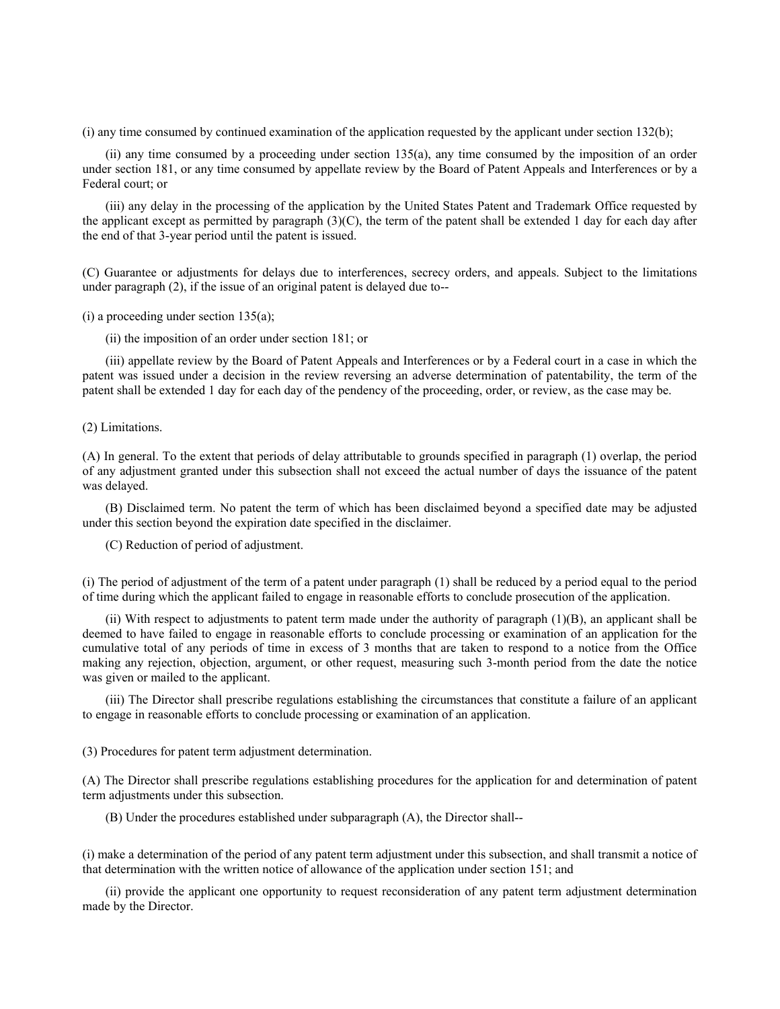(i) any time consumed by continued examination of the application requested by the applicant under section 132(b);

(ii) any time consumed by a proceeding under section 135(a), any time consumed by the imposition of an order under section 181, or any time consumed by appellate review by the Board of Patent Appeals and Interferences or by a Federal court; or

(iii) any delay in the processing of the application by the United States Patent and Trademark Office requested by the applicant except as permitted by paragraph (3)(C), the term of the patent shall be extended 1 day for each day after the end of that 3-year period until the patent is issued.

(C) Guarantee or adjustments for delays due to interferences, secrecy orders, and appeals. Subject to the limitations under paragraph (2), if the issue of an original patent is delayed due to--

 $(i)$  a proceeding under section 135 $(a)$ ;

(ii) the imposition of an order under section 181; or

(iii) appellate review by the Board of Patent Appeals and Interferences or by a Federal court in a case in which the patent was issued under a decision in the review reversing an adverse determination of patentability, the term of the patent shall be extended 1 day for each day of the pendency of the proceeding, order, or review, as the case may be.

(2) Limitations.

(A) In general. To the extent that periods of delay attributable to grounds specified in paragraph (1) overlap, the period of any adjustment granted under this subsection shall not exceed the actual number of days the issuance of the patent was delayed.

(B) Disclaimed term. No patent the term of which has been disclaimed beyond a specified date may be adjusted under this section beyond the expiration date specified in the disclaimer.

(C) Reduction of period of adjustment.

(i) The period of adjustment of the term of a patent under paragraph (1) shall be reduced by a period equal to the period of time during which the applicant failed to engage in reasonable efforts to conclude prosecution of the application.

(ii) With respect to adjustments to patent term made under the authority of paragraph (1)(B), an applicant shall be deemed to have failed to engage in reasonable efforts to conclude processing or examination of an application for the cumulative total of any periods of time in excess of 3 months that are taken to respond to a notice from the Office making any rejection, objection, argument, or other request, measuring such 3-month period from the date the notice was given or mailed to the applicant.

(iii) The Director shall prescribe regulations establishing the circumstances that constitute a failure of an applicant to engage in reasonable efforts to conclude processing or examination of an application.

(3) Procedures for patent term adjustment determination.

(A) The Director shall prescribe regulations establishing procedures for the application for and determination of patent term adjustments under this subsection.

(B) Under the procedures established under subparagraph (A), the Director shall--

(i) make a determination of the period of any patent term adjustment under this subsection, and shall transmit a notice of that determination with the written notice of allowance of the application under section 151; and

(ii) provide the applicant one opportunity to request reconsideration of any patent term adjustment determination made by the Director.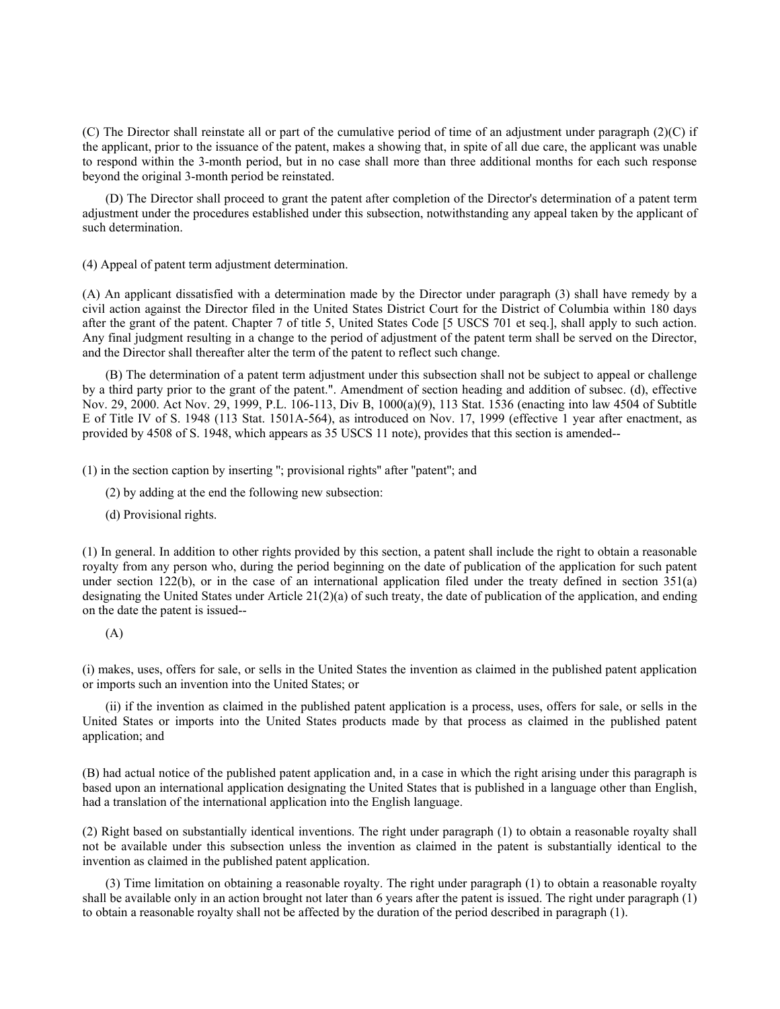(C) The Director shall reinstate all or part of the cumulative period of time of an adjustment under paragraph (2)(C) if the applicant, prior to the issuance of the patent, makes a showing that, in spite of all due care, the applicant was unable to respond within the 3-month period, but in no case shall more than three additional months for each such response beyond the original 3-month period be reinstated.

(D) The Director shall proceed to grant the patent after completion of the Director's determination of a patent term adjustment under the procedures established under this subsection, notwithstanding any appeal taken by the applicant of such determination.

(4) Appeal of patent term adjustment determination.

(A) An applicant dissatisfied with a determination made by the Director under paragraph (3) shall have remedy by a civil action against the Director filed in the United States District Court for the District of Columbia within 180 days after the grant of the patent. Chapter 7 of title 5, United States Code [5 USCS 701 et seq.], shall apply to such action. Any final judgment resulting in a change to the period of adjustment of the patent term shall be served on the Director, and the Director shall thereafter alter the term of the patent to reflect such change.

(B) The determination of a patent term adjustment under this subsection shall not be subject to appeal or challenge by a third party prior to the grant of the patent.". Amendment of section heading and addition of subsec. (d), effective Nov. 29, 2000. Act Nov. 29, 1999, P.L. 106-113, Div B, 1000(a)(9), 113 Stat. 1536 (enacting into law 4504 of Subtitle E of Title IV of S. 1948 (113 Stat. 1501A-564), as introduced on Nov. 17, 1999 (effective 1 year after enactment, as provided by 4508 of S. 1948, which appears as 35 USCS 11 note), provides that this section is amended--

(1) in the section caption by inserting ''; provisional rights'' after ''patent''; and

- (2) by adding at the end the following new subsection:
- (d) Provisional rights.

(1) In general. In addition to other rights provided by this section, a patent shall include the right to obtain a reasonable royalty from any person who, during the period beginning on the date of publication of the application for such patent under section  $122(b)$ , or in the case of an international application filed under the treaty defined in section  $351(a)$ designating the United States under Article 21(2)(a) of such treaty, the date of publication of the application, and ending on the date the patent is issued--

# (A)

(i) makes, uses, offers for sale, or sells in the United States the invention as claimed in the published patent application or imports such an invention into the United States; or

(ii) if the invention as claimed in the published patent application is a process, uses, offers for sale, or sells in the United States or imports into the United States products made by that process as claimed in the published patent application; and

(B) had actual notice of the published patent application and, in a case in which the right arising under this paragraph is based upon an international application designating the United States that is published in a language other than English, had a translation of the international application into the English language.

(2) Right based on substantially identical inventions. The right under paragraph (1) to obtain a reasonable royalty shall not be available under this subsection unless the invention as claimed in the patent is substantially identical to the invention as claimed in the published patent application.

(3) Time limitation on obtaining a reasonable royalty. The right under paragraph (1) to obtain a reasonable royalty shall be available only in an action brought not later than 6 years after the patent is issued. The right under paragraph (1) to obtain a reasonable royalty shall not be affected by the duration of the period described in paragraph (1).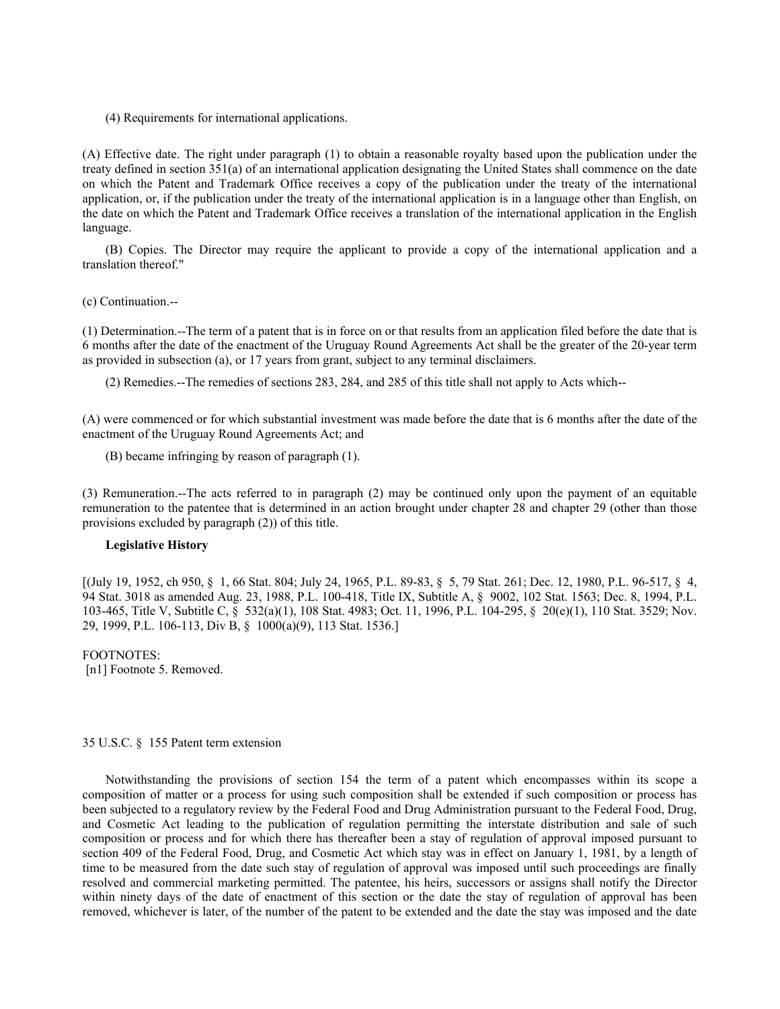(4) Requirements for international applications.

(A) Effective date. The right under paragraph (1) to obtain a reasonable royalty based upon the publication under the treaty defined in section 351(a) of an international application designating the United States shall commence on the date on which the Patent and Trademark Office receives a copy of the publication under the treaty of the international application, or, if the publication under the treaty of the international application is in a language other than English, on the date on which the Patent and Trademark Office receives a translation of the international application in the English language.

(B) Copies. The Director may require the applicant to provide a copy of the international application and a translation thereof."

(c) Continuation.--

(1) Determination.--The term of a patent that is in force on or that results from an application filed before the date that is 6 months after the date of the enactment of the Uruguay Round Agreements Act shall be the greater of the 20-year term as provided in subsection (a), or 17 years from grant, subject to any terminal disclaimers.

(2) Remedies.--The remedies of sections 283, 284, and 285 of this title shall not apply to Acts which--

(A) were commenced or for which substantial investment was made before the date that is 6 months after the date of the enactment of the Uruguay Round Agreements Act; and

(B) became infringing by reason of paragraph (1).

(3) Remuneration.--The acts referred to in paragraph (2) may be continued only upon the payment of an equitable remuneration to the patentee that is determined in an action brought under chapter 28 and chapter 29 (other than those provisions excluded by paragraph (2)) of this title.

# **Legislative History**

[(July 19, 1952, ch 950, § 1, 66 Stat. 804; July 24, 1965, P.L. 89-83, § 5, 79 Stat. 261; Dec. 12, 1980, P.L. 96-517, § 4, 94 Stat. 3018 as amended Aug. 23, 1988, P.L. 100-418, Title IX, Subtitle A, § 9002, 102 Stat. 1563; Dec. 8, 1994, P.L. 103-465, Title V, Subtitle C, § 532(a)(1), 108 Stat. 4983; Oct. 11, 1996, P.L. 104-295, § 20(e)(1), 110 Stat. 3529; Nov. 29, 1999, P.L. 106-113, Div B, § 1000(a)(9), 113 Stat. 1536.]

FOOTNOTES: [n1] Footnote 5. Removed.

### 35 U.S.C. § 155 Patent term extension

Notwithstanding the provisions of section 154 the term of a patent which encompasses within its scope a composition of matter or a process for using such composition shall be extended if such composition or process has been subjected to a regulatory review by the Federal Food and Drug Administration pursuant to the Federal Food, Drug, and Cosmetic Act leading to the publication of regulation permitting the interstate distribution and sale of such composition or process and for which there has thereafter been a stay of regulation of approval imposed pursuant to section 409 of the Federal Food, Drug, and Cosmetic Act which stay was in effect on January 1, 1981, by a length of time to be measured from the date such stay of regulation of approval was imposed until such proceedings are finally resolved and commercial marketing permitted. The patentee, his heirs, successors or assigns shall notify the Director within ninety days of the date of enactment of this section or the date the stay of regulation of approval has been removed, whichever is later, of the number of the patent to be extended and the date the stay was imposed and the date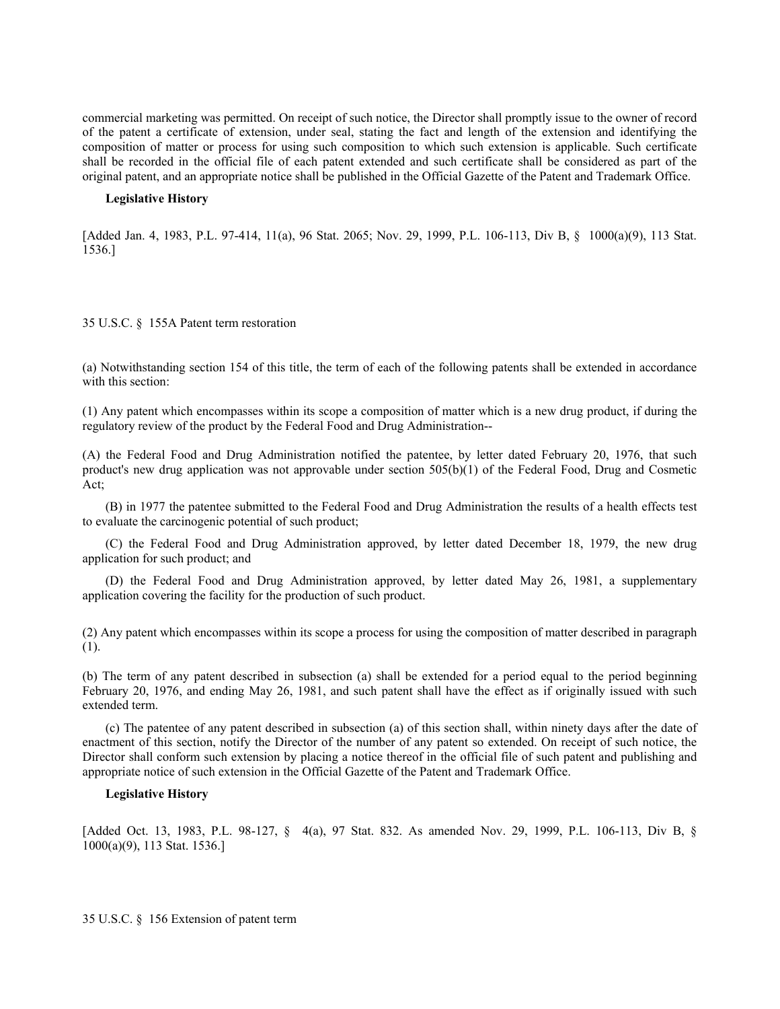commercial marketing was permitted. On receipt of such notice, the Director shall promptly issue to the owner of record of the patent a certificate of extension, under seal, stating the fact and length of the extension and identifying the composition of matter or process for using such composition to which such extension is applicable. Such certificate shall be recorded in the official file of each patent extended and such certificate shall be considered as part of the original patent, and an appropriate notice shall be published in the Official Gazette of the Patent and Trademark Office.

### **Legislative History**

[Added Jan. 4, 1983, P.L. 97-414, 11(a), 96 Stat. 2065; Nov. 29, 1999, P.L. 106-113, Div B, § 1000(a)(9), 113 Stat. 1536.]

### 35 U.S.C. § 155A Patent term restoration

(a) Notwithstanding section 154 of this title, the term of each of the following patents shall be extended in accordance with this section:

(1) Any patent which encompasses within its scope a composition of matter which is a new drug product, if during the regulatory review of the product by the Federal Food and Drug Administration--

(A) the Federal Food and Drug Administration notified the patentee, by letter dated February 20, 1976, that such product's new drug application was not approvable under section 505(b)(1) of the Federal Food, Drug and Cosmetic Act;

(B) in 1977 the patentee submitted to the Federal Food and Drug Administration the results of a health effects test to evaluate the carcinogenic potential of such product;

(C) the Federal Food and Drug Administration approved, by letter dated December 18, 1979, the new drug application for such product; and

(D) the Federal Food and Drug Administration approved, by letter dated May 26, 1981, a supplementary application covering the facility for the production of such product.

(2) Any patent which encompasses within its scope a process for using the composition of matter described in paragraph (1).

(b) The term of any patent described in subsection (a) shall be extended for a period equal to the period beginning February 20, 1976, and ending May 26, 1981, and such patent shall have the effect as if originally issued with such extended term.

(c) The patentee of any patent described in subsection (a) of this section shall, within ninety days after the date of enactment of this section, notify the Director of the number of any patent so extended. On receipt of such notice, the Director shall conform such extension by placing a notice thereof in the official file of such patent and publishing and appropriate notice of such extension in the Official Gazette of the Patent and Trademark Office.

# **Legislative History**

[Added Oct. 13, 1983, P.L. 98-127, § 4(a), 97 Stat. 832. As amended Nov. 29, 1999, P.L. 106-113, Div B, § 1000(a)(9), 113 Stat. 1536.]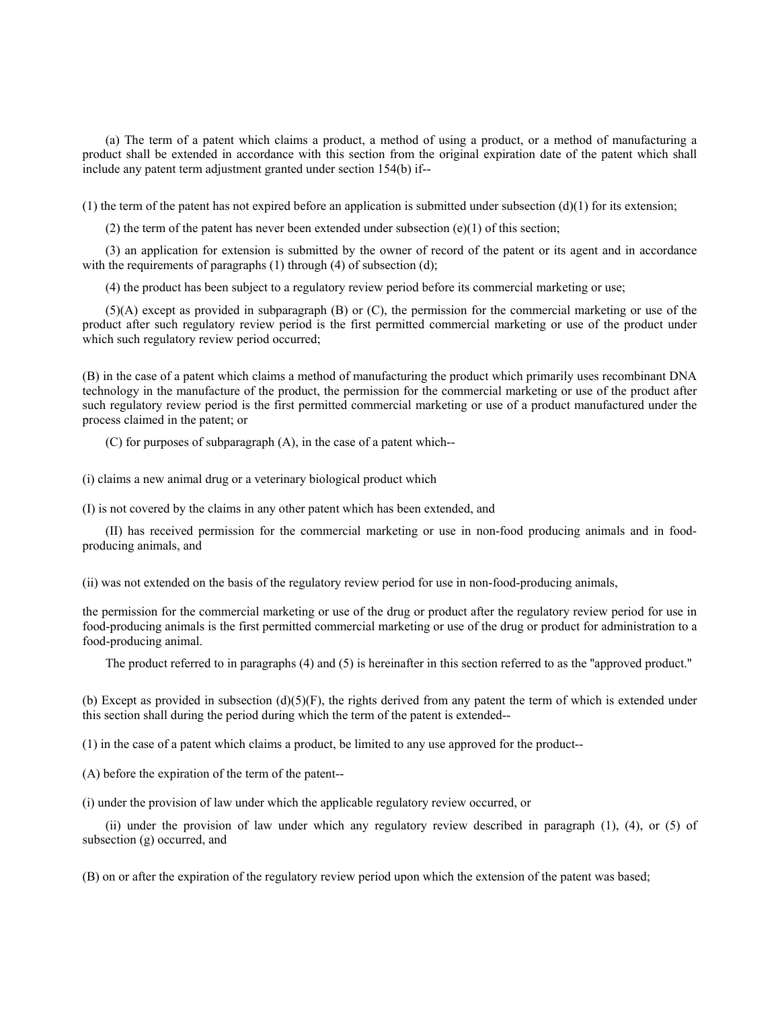(a) The term of a patent which claims a product, a method of using a product, or a method of manufacturing a product shall be extended in accordance with this section from the original expiration date of the patent which shall include any patent term adjustment granted under section 154(b) if--

(1) the term of the patent has not expired before an application is submitted under subsection (d)(1) for its extension;

(2) the term of the patent has never been extended under subsection (e)(1) of this section;

(3) an application for extension is submitted by the owner of record of the patent or its agent and in accordance with the requirements of paragraphs  $(1)$  through  $(4)$  of subsection  $(d)$ ;

(4) the product has been subject to a regulatory review period before its commercial marketing or use;

(5)(A) except as provided in subparagraph (B) or (C), the permission for the commercial marketing or use of the product after such regulatory review period is the first permitted commercial marketing or use of the product under which such regulatory review period occurred;

(B) in the case of a patent which claims a method of manufacturing the product which primarily uses recombinant DNA technology in the manufacture of the product, the permission for the commercial marketing or use of the product after such regulatory review period is the first permitted commercial marketing or use of a product manufactured under the process claimed in the patent; or

(C) for purposes of subparagraph (A), in the case of a patent which--

(i) claims a new animal drug or a veterinary biological product which

(I) is not covered by the claims in any other patent which has been extended, and

(II) has received permission for the commercial marketing or use in non-food producing animals and in foodproducing animals, and

(ii) was not extended on the basis of the regulatory review period for use in non-food-producing animals,

the permission for the commercial marketing or use of the drug or product after the regulatory review period for use in food-producing animals is the first permitted commercial marketing or use of the drug or product for administration to a food-producing animal.

The product referred to in paragraphs (4) and (5) is hereinafter in this section referred to as the ''approved product.''

(b) Except as provided in subsection  $(d)(5)(F)$ , the rights derived from any patent the term of which is extended under this section shall during the period during which the term of the patent is extended--

(1) in the case of a patent which claims a product, be limited to any use approved for the product--

(A) before the expiration of the term of the patent--

(i) under the provision of law under which the applicable regulatory review occurred, or

(ii) under the provision of law under which any regulatory review described in paragraph (1), (4), or (5) of subsection (g) occurred, and

(B) on or after the expiration of the regulatory review period upon which the extension of the patent was based;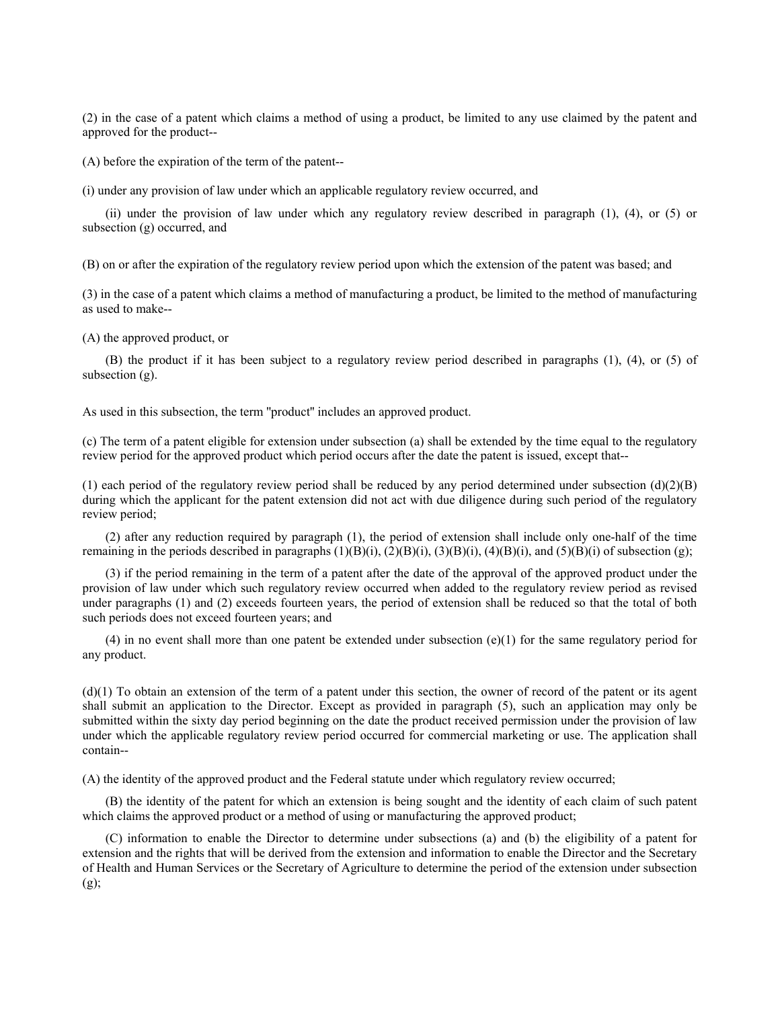(2) in the case of a patent which claims a method of using a product, be limited to any use claimed by the patent and approved for the product--

(A) before the expiration of the term of the patent--

(i) under any provision of law under which an applicable regulatory review occurred, and

(ii) under the provision of law under which any regulatory review described in paragraph (1), (4), or (5) or subsection (g) occurred, and

(B) on or after the expiration of the regulatory review period upon which the extension of the patent was based; and

(3) in the case of a patent which claims a method of manufacturing a product, be limited to the method of manufacturing as used to make--

(A) the approved product, or

(B) the product if it has been subject to a regulatory review period described in paragraphs (1), (4), or (5) of subsection (g).

As used in this subsection, the term ''product'' includes an approved product.

(c) The term of a patent eligible for extension under subsection (a) shall be extended by the time equal to the regulatory review period for the approved product which period occurs after the date the patent is issued, except that--

(1) each period of the regulatory review period shall be reduced by any period determined under subsection  $(d)(2)(B)$ during which the applicant for the patent extension did not act with due diligence during such period of the regulatory review period;

(2) after any reduction required by paragraph (1), the period of extension shall include only one-half of the time remaining in the periods described in paragraphs  $(1)(B)(i)$ ,  $(2)(B)(i)$ ,  $(3)(B)(i)$ ,  $(4)(B)(i)$ , and  $(5)(B)(i)$  of subsection (g);

(3) if the period remaining in the term of a patent after the date of the approval of the approved product under the provision of law under which such regulatory review occurred when added to the regulatory review period as revised under paragraphs (1) and (2) exceeds fourteen years, the period of extension shall be reduced so that the total of both such periods does not exceed fourteen years; and

(4) in no event shall more than one patent be extended under subsection (e)(1) for the same regulatory period for any product.

(d)(1) To obtain an extension of the term of a patent under this section, the owner of record of the patent or its agent shall submit an application to the Director. Except as provided in paragraph (5), such an application may only be submitted within the sixty day period beginning on the date the product received permission under the provision of law under which the applicable regulatory review period occurred for commercial marketing or use. The application shall contain--

(A) the identity of the approved product and the Federal statute under which regulatory review occurred;

(B) the identity of the patent for which an extension is being sought and the identity of each claim of such patent which claims the approved product or a method of using or manufacturing the approved product;

(C) information to enable the Director to determine under subsections (a) and (b) the eligibility of a patent for extension and the rights that will be derived from the extension and information to enable the Director and the Secretary of Health and Human Services or the Secretary of Agriculture to determine the period of the extension under subsection (g);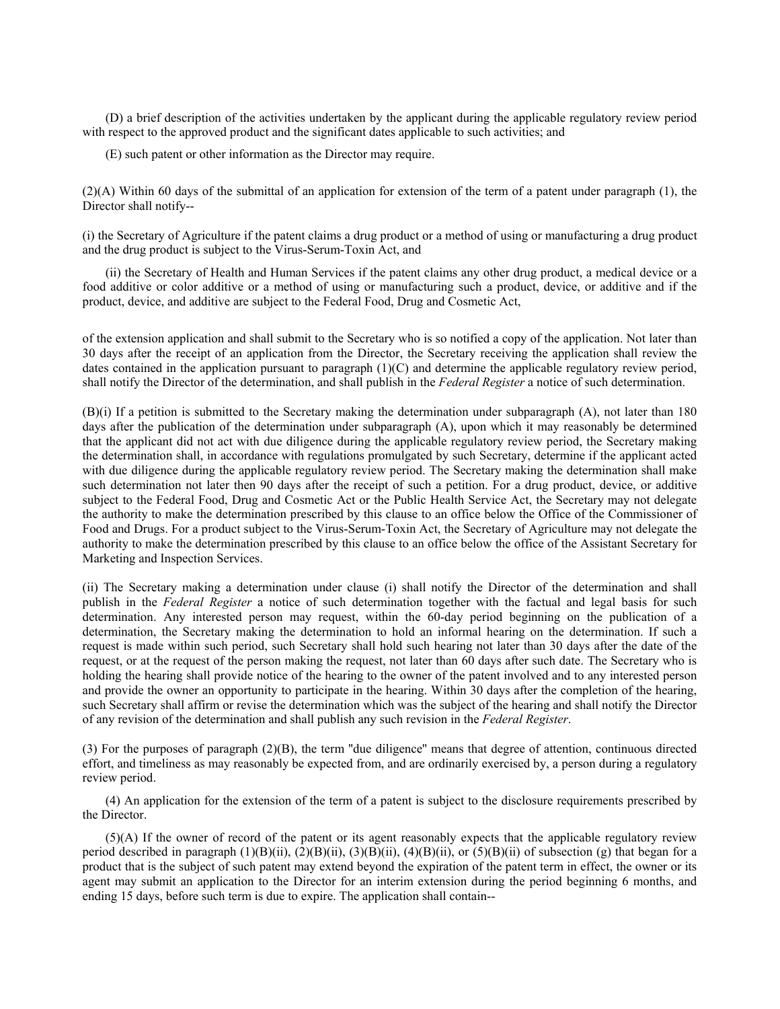(D) a brief description of the activities undertaken by the applicant during the applicable regulatory review period with respect to the approved product and the significant dates applicable to such activities; and

(E) such patent or other information as the Director may require.

 $(2)$ (A) Within 60 days of the submittal of an application for extension of the term of a patent under paragraph (1), the Director shall notify--

(i) the Secretary of Agriculture if the patent claims a drug product or a method of using or manufacturing a drug product and the drug product is subject to the Virus-Serum-Toxin Act, and

(ii) the Secretary of Health and Human Services if the patent claims any other drug product, a medical device or a food additive or color additive or a method of using or manufacturing such a product, device, or additive and if the product, device, and additive are subject to the Federal Food, Drug and Cosmetic Act,

of the extension application and shall submit to the Secretary who is so notified a copy of the application. Not later than 30 days after the receipt of an application from the Director, the Secretary receiving the application shall review the dates contained in the application pursuant to paragraph  $(1)(C)$  and determine the applicable regulatory review period, shall notify the Director of the determination, and shall publish in the *Federal Register* a notice of such determination.

(B)(i) If a petition is submitted to the Secretary making the determination under subparagraph (A), not later than 180 days after the publication of the determination under subparagraph (A), upon which it may reasonably be determined that the applicant did not act with due diligence during the applicable regulatory review period, the Secretary making the determination shall, in accordance with regulations promulgated by such Secretary, determine if the applicant acted with due diligence during the applicable regulatory review period. The Secretary making the determination shall make such determination not later then 90 days after the receipt of such a petition. For a drug product, device, or additive subject to the Federal Food, Drug and Cosmetic Act or the Public Health Service Act, the Secretary may not delegate the authority to make the determination prescribed by this clause to an office below the Office of the Commissioner of Food and Drugs. For a product subject to the Virus-Serum-Toxin Act, the Secretary of Agriculture may not delegate the authority to make the determination prescribed by this clause to an office below the office of the Assistant Secretary for Marketing and Inspection Services.

(ii) The Secretary making a determination under clause (i) shall notify the Director of the determination and shall publish in the *Federal Register* a notice of such determination together with the factual and legal basis for such determination. Any interested person may request, within the 60-day period beginning on the publication of a determination, the Secretary making the determination to hold an informal hearing on the determination. If such a request is made within such period, such Secretary shall hold such hearing not later than 30 days after the date of the request, or at the request of the person making the request, not later than 60 days after such date. The Secretary who is holding the hearing shall provide notice of the hearing to the owner of the patent involved and to any interested person and provide the owner an opportunity to participate in the hearing. Within 30 days after the completion of the hearing, such Secretary shall affirm or revise the determination which was the subject of the hearing and shall notify the Director of any revision of the determination and shall publish any such revision in the *Federal Register*.

(3) For the purposes of paragraph (2)(B), the term ''due diligence'' means that degree of attention, continuous directed effort, and timeliness as may reasonably be expected from, and are ordinarily exercised by, a person during a regulatory review period.

(4) An application for the extension of the term of a patent is subject to the disclosure requirements prescribed by the Director.

(5)(A) If the owner of record of the patent or its agent reasonably expects that the applicable regulatory review period described in paragraph  $(1)(B)(ii)$ ,  $(2)(B)(ii)$ ,  $(3)(B)(ii)$ ,  $(4)(B)(ii)$ , or  $(5)(B)(ii)$  of subsection (g) that began for a product that is the subject of such patent may extend beyond the expiration of the patent term in effect, the owner or its agent may submit an application to the Director for an interim extension during the period beginning 6 months, and ending 15 days, before such term is due to expire. The application shall contain--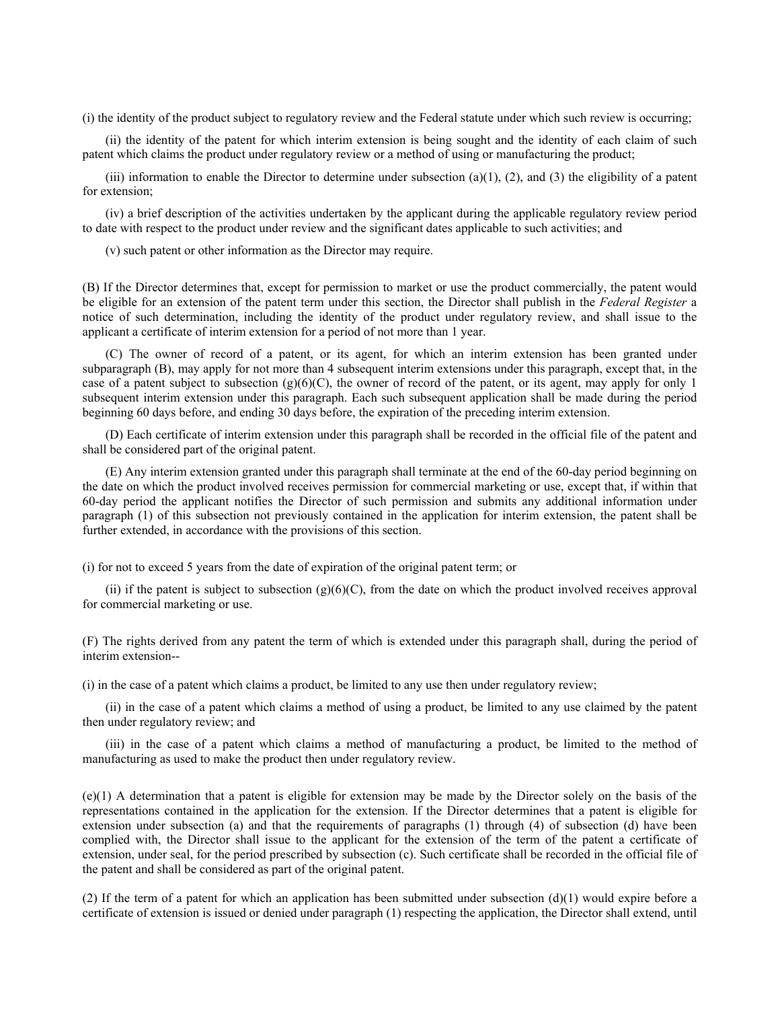(i) the identity of the product subject to regulatory review and the Federal statute under which such review is occurring;

(ii) the identity of the patent for which interim extension is being sought and the identity of each claim of such patent which claims the product under regulatory review or a method of using or manufacturing the product;

(iii) information to enable the Director to determine under subsection (a)(1), (2), and (3) the eligibility of a patent for extension;

(iv) a brief description of the activities undertaken by the applicant during the applicable regulatory review period to date with respect to the product under review and the significant dates applicable to such activities; and

(v) such patent or other information as the Director may require.

(B) If the Director determines that, except for permission to market or use the product commercially, the patent would be eligible for an extension of the patent term under this section, the Director shall publish in the *Federal Register* a notice of such determination, including the identity of the product under regulatory review, and shall issue to the applicant a certificate of interim extension for a period of not more than 1 year.

(C) The owner of record of a patent, or its agent, for which an interim extension has been granted under subparagraph (B), may apply for not more than 4 subsequent interim extensions under this paragraph, except that, in the case of a patent subject to subsection  $(g)(6)(C)$ , the owner of record of the patent, or its agent, may apply for only 1 subsequent interim extension under this paragraph. Each such subsequent application shall be made during the period beginning 60 days before, and ending 30 days before, the expiration of the preceding interim extension.

(D) Each certificate of interim extension under this paragraph shall be recorded in the official file of the patent and shall be considered part of the original patent.

(E) Any interim extension granted under this paragraph shall terminate at the end of the 60-day period beginning on the date on which the product involved receives permission for commercial marketing or use, except that, if within that 60-day period the applicant notifies the Director of such permission and submits any additional information under paragraph (1) of this subsection not previously contained in the application for interim extension, the patent shall be further extended, in accordance with the provisions of this section.

(i) for not to exceed 5 years from the date of expiration of the original patent term; or

(ii) if the patent is subject to subsection  $(g)(6)(C)$ , from the date on which the product involved receives approval for commercial marketing or use.

(F) The rights derived from any patent the term of which is extended under this paragraph shall, during the period of interim extension--

(i) in the case of a patent which claims a product, be limited to any use then under regulatory review;

(ii) in the case of a patent which claims a method of using a product, be limited to any use claimed by the patent then under regulatory review; and

(iii) in the case of a patent which claims a method of manufacturing a product, be limited to the method of manufacturing as used to make the product then under regulatory review.

(e)(1) A determination that a patent is eligible for extension may be made by the Director solely on the basis of the representations contained in the application for the extension. If the Director determines that a patent is eligible for extension under subsection (a) and that the requirements of paragraphs (1) through (4) of subsection (d) have been complied with, the Director shall issue to the applicant for the extension of the term of the patent a certificate of extension, under seal, for the period prescribed by subsection (c). Such certificate shall be recorded in the official file of the patent and shall be considered as part of the original patent.

(2) If the term of a patent for which an application has been submitted under subsection  $(d)(1)$  would expire before a certificate of extension is issued or denied under paragraph (1) respecting the application, the Director shall extend, until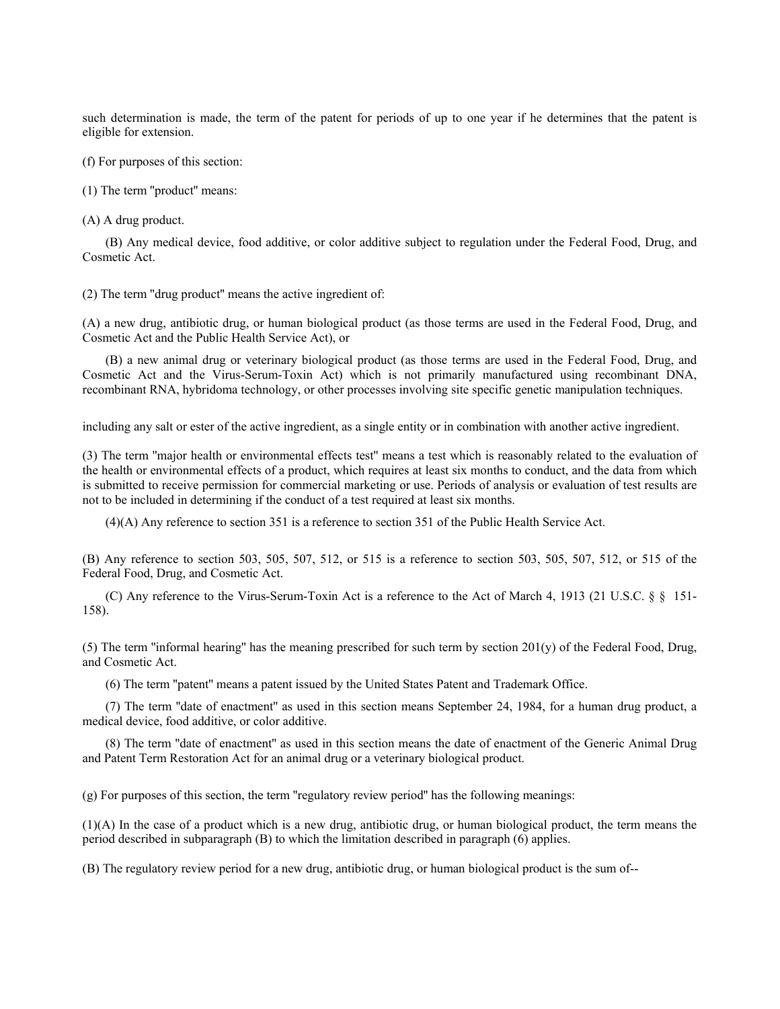such determination is made, the term of the patent for periods of up to one year if he determines that the patent is eligible for extension.

(f) For purposes of this section:

(1) The term ''product'' means:

(A) A drug product.

(B) Any medical device, food additive, or color additive subject to regulation under the Federal Food, Drug, and Cosmetic Act.

(2) The term ''drug product'' means the active ingredient of:

(A) a new drug, antibiotic drug, or human biological product (as those terms are used in the Federal Food, Drug, and Cosmetic Act and the Public Health Service Act), or

(B) a new animal drug or veterinary biological product (as those terms are used in the Federal Food, Drug, and Cosmetic Act and the Virus-Serum-Toxin Act) which is not primarily manufactured using recombinant DNA, recombinant RNA, hybridoma technology, or other processes involving site specific genetic manipulation techniques.

including any salt or ester of the active ingredient, as a single entity or in combination with another active ingredient.

(3) The term ''major health or environmental effects test'' means a test which is reasonably related to the evaluation of the health or environmental effects of a product, which requires at least six months to conduct, and the data from which is submitted to receive permission for commercial marketing or use. Periods of analysis or evaluation of test results are not to be included in determining if the conduct of a test required at least six months.

(4)(A) Any reference to section 351 is a reference to section 351 of the Public Health Service Act.

(B) Any reference to section 503, 505, 507, 512, or 515 is a reference to section 503, 505, 507, 512, or 515 of the Federal Food, Drug, and Cosmetic Act.

(C) Any reference to the Virus-Serum-Toxin Act is a reference to the Act of March 4, 1913 (21 U.S.C. § § 151- 158).

(5) The term "informal hearing" has the meaning prescribed for such term by section  $201(y)$  of the Federal Food, Drug, and Cosmetic Act.

(6) The term ''patent'' means a patent issued by the United States Patent and Trademark Office.

(7) The term ''date of enactment'' as used in this section means September 24, 1984, for a human drug product, a medical device, food additive, or color additive.

(8) The term ''date of enactment'' as used in this section means the date of enactment of the Generic Animal Drug and Patent Term Restoration Act for an animal drug or a veterinary biological product.

(g) For purposes of this section, the term ''regulatory review period'' has the following meanings:

(1)(A) In the case of a product which is a new drug, antibiotic drug, or human biological product, the term means the period described in subparagraph (B) to which the limitation described in paragraph (6) applies.

(B) The regulatory review period for a new drug, antibiotic drug, or human biological product is the sum of--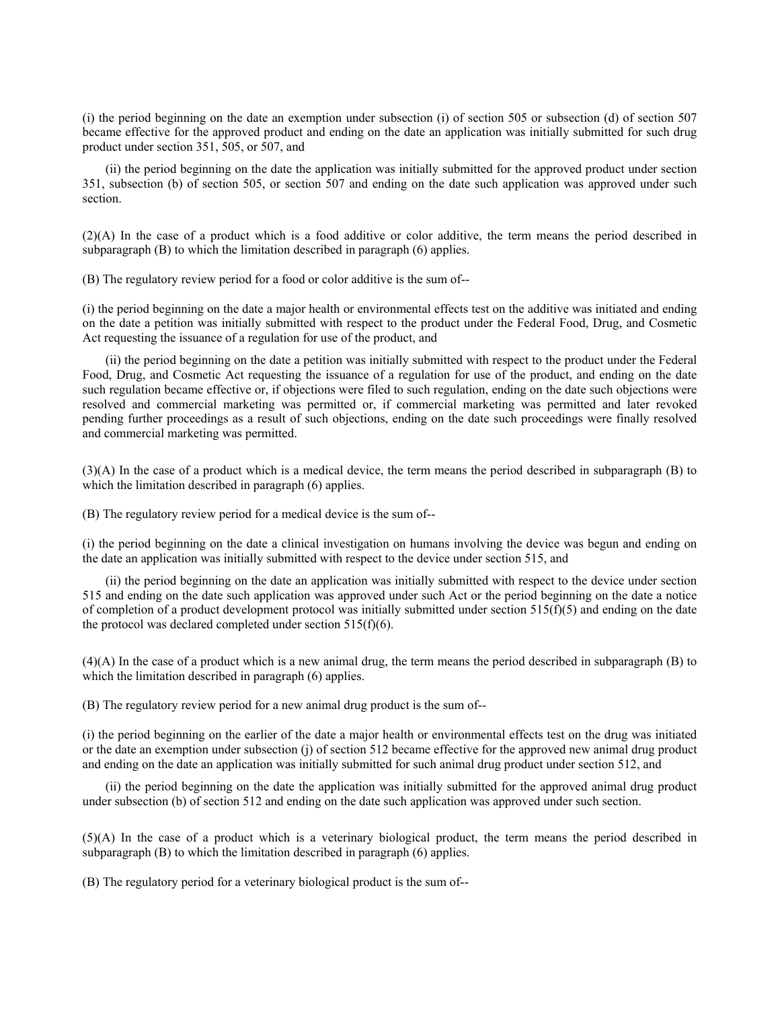(i) the period beginning on the date an exemption under subsection (i) of section 505 or subsection (d) of section 507 became effective for the approved product and ending on the date an application was initially submitted for such drug product under section 351, 505, or 507, and

(ii) the period beginning on the date the application was initially submitted for the approved product under section 351, subsection (b) of section 505, or section 507 and ending on the date such application was approved under such section.

(2)(A) In the case of a product which is a food additive or color additive, the term means the period described in subparagraph (B) to which the limitation described in paragraph (6) applies.

(B) The regulatory review period for a food or color additive is the sum of--

(i) the period beginning on the date a major health or environmental effects test on the additive was initiated and ending on the date a petition was initially submitted with respect to the product under the Federal Food, Drug, and Cosmetic Act requesting the issuance of a regulation for use of the product, and

(ii) the period beginning on the date a petition was initially submitted with respect to the product under the Federal Food, Drug, and Cosmetic Act requesting the issuance of a regulation for use of the product, and ending on the date such regulation became effective or, if objections were filed to such regulation, ending on the date such objections were resolved and commercial marketing was permitted or, if commercial marketing was permitted and later revoked pending further proceedings as a result of such objections, ending on the date such proceedings were finally resolved and commercial marketing was permitted.

(3)(A) In the case of a product which is a medical device, the term means the period described in subparagraph (B) to which the limitation described in paragraph  $(6)$  applies.

(B) The regulatory review period for a medical device is the sum of--

(i) the period beginning on the date a clinical investigation on humans involving the device was begun and ending on the date an application was initially submitted with respect to the device under section 515, and

(ii) the period beginning on the date an application was initially submitted with respect to the device under section 515 and ending on the date such application was approved under such Act or the period beginning on the date a notice of completion of a product development protocol was initially submitted under section  $515(f)(5)$  and ending on the date the protocol was declared completed under section  $515(f)(6)$ .

(4)(A) In the case of a product which is a new animal drug, the term means the period described in subparagraph (B) to which the limitation described in paragraph  $(6)$  applies.

(B) The regulatory review period for a new animal drug product is the sum of--

(i) the period beginning on the earlier of the date a major health or environmental effects test on the drug was initiated or the date an exemption under subsection (j) of section 512 became effective for the approved new animal drug product and ending on the date an application was initially submitted for such animal drug product under section 512, and

(ii) the period beginning on the date the application was initially submitted for the approved animal drug product under subsection (b) of section 512 and ending on the date such application was approved under such section.

(5)(A) In the case of a product which is a veterinary biological product, the term means the period described in subparagraph (B) to which the limitation described in paragraph (6) applies.

(B) The regulatory period for a veterinary biological product is the sum of--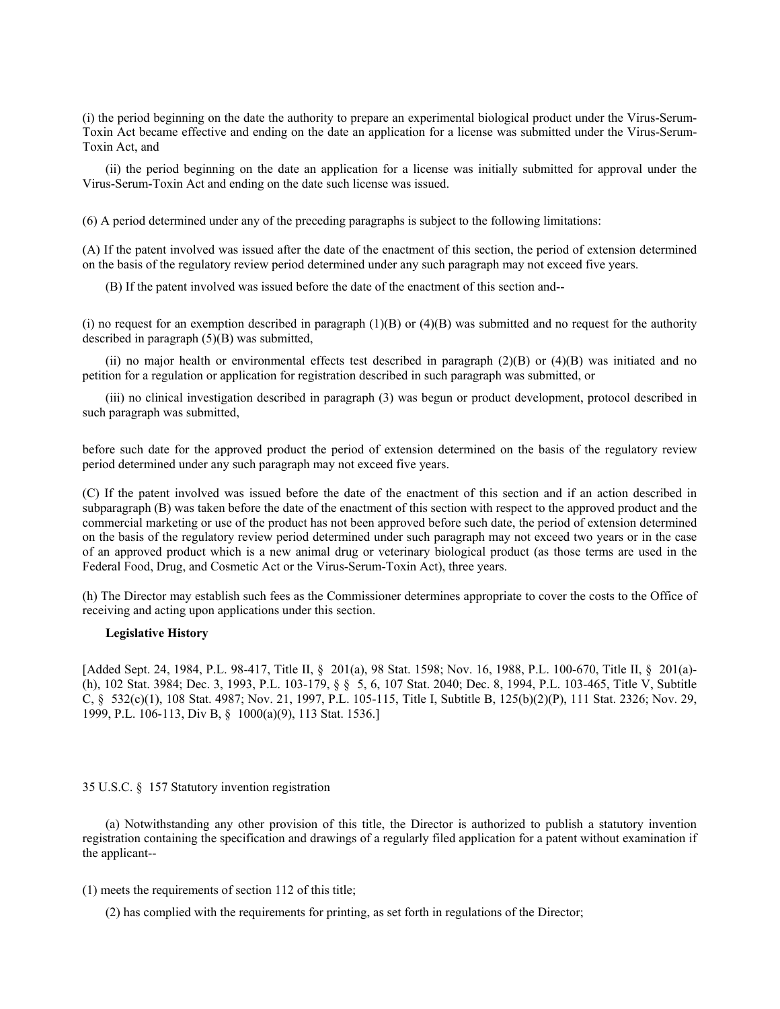(i) the period beginning on the date the authority to prepare an experimental biological product under the Virus-Serum-Toxin Act became effective and ending on the date an application for a license was submitted under the Virus-Serum-Toxin Act, and

(ii) the period beginning on the date an application for a license was initially submitted for approval under the Virus-Serum-Toxin Act and ending on the date such license was issued.

(6) A period determined under any of the preceding paragraphs is subject to the following limitations:

(A) If the patent involved was issued after the date of the enactment of this section, the period of extension determined on the basis of the regulatory review period determined under any such paragraph may not exceed five years.

(B) If the patent involved was issued before the date of the enactment of this section and--

(i) no request for an exemption described in paragraph  $(1)(B)$  or  $(4)(B)$  was submitted and no request for the authority described in paragraph (5)(B) was submitted,

(ii) no major health or environmental effects test described in paragraph (2)(B) or (4)(B) was initiated and no petition for a regulation or application for registration described in such paragraph was submitted, or

(iii) no clinical investigation described in paragraph (3) was begun or product development, protocol described in such paragraph was submitted,

before such date for the approved product the period of extension determined on the basis of the regulatory review period determined under any such paragraph may not exceed five years.

(C) If the patent involved was issued before the date of the enactment of this section and if an action described in subparagraph (B) was taken before the date of the enactment of this section with respect to the approved product and the commercial marketing or use of the product has not been approved before such date, the period of extension determined on the basis of the regulatory review period determined under such paragraph may not exceed two years or in the case of an approved product which is a new animal drug or veterinary biological product (as those terms are used in the Federal Food, Drug, and Cosmetic Act or the Virus-Serum-Toxin Act), three years.

(h) The Director may establish such fees as the Commissioner determines appropriate to cover the costs to the Office of receiving and acting upon applications under this section.

## **Legislative History**

[Added Sept. 24, 1984, P.L. 98-417, Title II, § 201(a), 98 Stat. 1598; Nov. 16, 1988, P.L. 100-670, Title II, § 201(a)-(h), 102 Stat. 3984; Dec. 3, 1993, P.L. 103-179, § § 5, 6, 107 Stat. 2040; Dec. 8, 1994, P.L. 103-465, Title V, Subtitle C, § 532(c)(1), 108 Stat. 4987; Nov. 21, 1997, P.L. 105-115, Title I, Subtitle B, 125(b)(2)(P), 111 Stat. 2326; Nov. 29, 1999, P.L. 106-113, Div B, § 1000(a)(9), 113 Stat. 1536.]

#### 35 U.S.C. § 157 Statutory invention registration

(a) Notwithstanding any other provision of this title, the Director is authorized to publish a statutory invention registration containing the specification and drawings of a regularly filed application for a patent without examination if the applicant--

(1) meets the requirements of section 112 of this title;

(2) has complied with the requirements for printing, as set forth in regulations of the Director;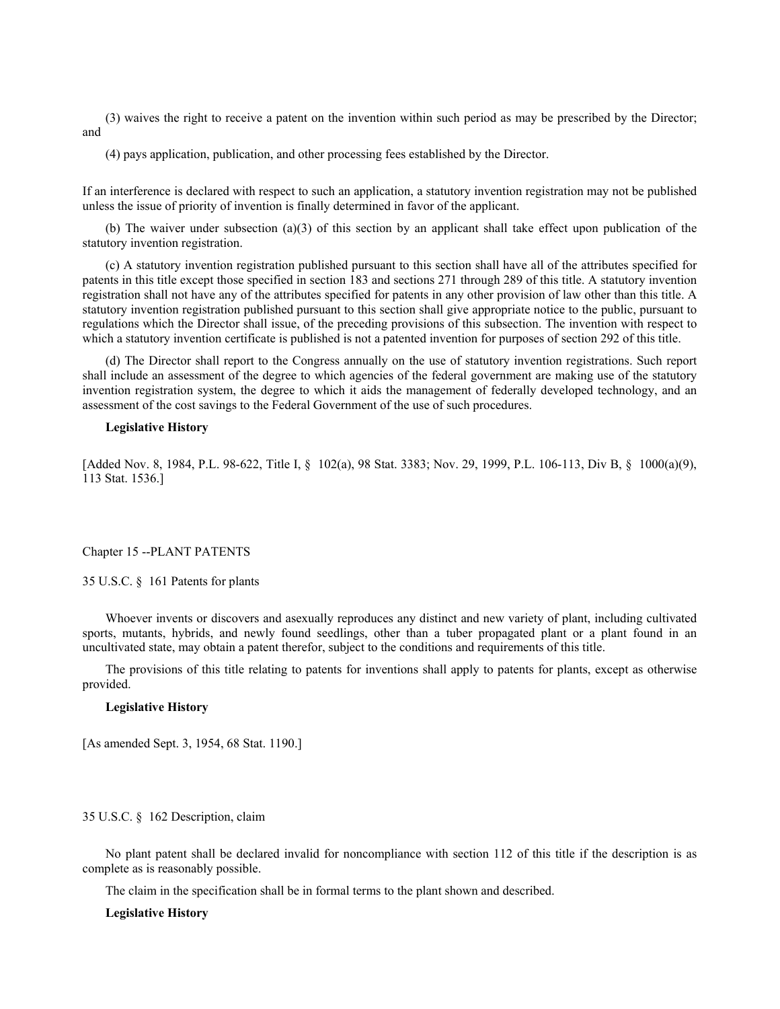(3) waives the right to receive a patent on the invention within such period as may be prescribed by the Director; and

(4) pays application, publication, and other processing fees established by the Director.

If an interference is declared with respect to such an application, a statutory invention registration may not be published unless the issue of priority of invention is finally determined in favor of the applicant.

(b) The waiver under subsection (a)(3) of this section by an applicant shall take effect upon publication of the statutory invention registration.

(c) A statutory invention registration published pursuant to this section shall have all of the attributes specified for patents in this title except those specified in section 183 and sections 271 through 289 of this title. A statutory invention registration shall not have any of the attributes specified for patents in any other provision of law other than this title. A statutory invention registration published pursuant to this section shall give appropriate notice to the public, pursuant to regulations which the Director shall issue, of the preceding provisions of this subsection. The invention with respect to which a statutory invention certificate is published is not a patented invention for purposes of section 292 of this title.

(d) The Director shall report to the Congress annually on the use of statutory invention registrations. Such report shall include an assessment of the degree to which agencies of the federal government are making use of the statutory invention registration system, the degree to which it aids the management of federally developed technology, and an assessment of the cost savings to the Federal Government of the use of such procedures.

## **Legislative History**

[Added Nov. 8, 1984, P.L. 98-622, Title I, § 102(a), 98 Stat. 3383; Nov. 29, 1999, P.L. 106-113, Div B, § 1000(a)(9), 113 Stat. 1536.]

### Chapter 15 --PLANT PATENTS

35 U.S.C. § 161 Patents for plants

Whoever invents or discovers and asexually reproduces any distinct and new variety of plant, including cultivated sports, mutants, hybrids, and newly found seedlings, other than a tuber propagated plant or a plant found in an uncultivated state, may obtain a patent therefor, subject to the conditions and requirements of this title.

The provisions of this title relating to patents for inventions shall apply to patents for plants, except as otherwise provided.

# **Legislative History**

[As amended Sept. 3, 1954, 68 Stat. 1190.]

#### 35 U.S.C. § 162 Description, claim

No plant patent shall be declared invalid for noncompliance with section 112 of this title if the description is as complete as is reasonably possible.

The claim in the specification shall be in formal terms to the plant shown and described.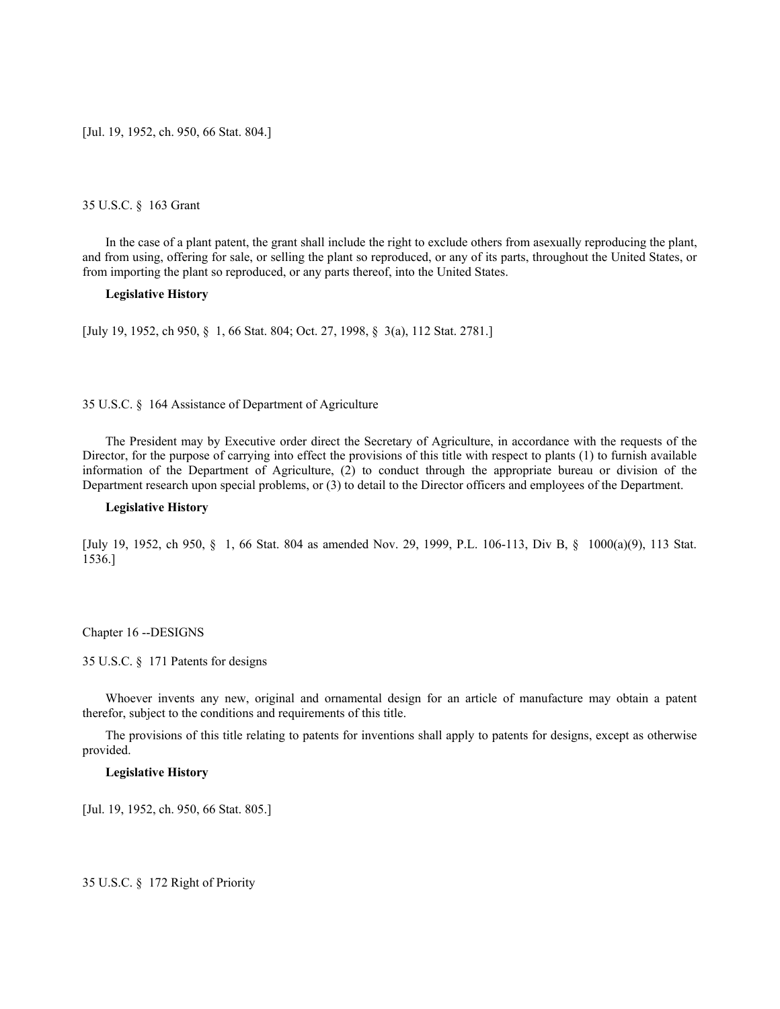[Jul. 19, 1952, ch. 950, 66 Stat. 804.]

35 U.S.C. § 163 Grant

In the case of a plant patent, the grant shall include the right to exclude others from asexually reproducing the plant, and from using, offering for sale, or selling the plant so reproduced, or any of its parts, throughout the United States, or from importing the plant so reproduced, or any parts thereof, into the United States.

# **Legislative History**

[July 19, 1952, ch 950, § 1, 66 Stat. 804; Oct. 27, 1998, § 3(a), 112 Stat. 2781.]

### 35 U.S.C. § 164 Assistance of Department of Agriculture

The President may by Executive order direct the Secretary of Agriculture, in accordance with the requests of the Director, for the purpose of carrying into effect the provisions of this title with respect to plants (1) to furnish available information of the Department of Agriculture, (2) to conduct through the appropriate bureau or division of the Department research upon special problems, or (3) to detail to the Director officers and employees of the Department.

## **Legislative History**

[July 19, 1952, ch 950, § 1, 66 Stat. 804 as amended Nov. 29, 1999, P.L. 106-113, Div B, § 1000(a)(9), 113 Stat. 1536.]

### Chapter 16 --DESIGNS

### 35 U.S.C. § 171 Patents for designs

Whoever invents any new, original and ornamental design for an article of manufacture may obtain a patent therefor, subject to the conditions and requirements of this title.

The provisions of this title relating to patents for inventions shall apply to patents for designs, except as otherwise provided.

# **Legislative History**

[Jul. 19, 1952, ch. 950, 66 Stat. 805.]

35 U.S.C. § 172 Right of Priority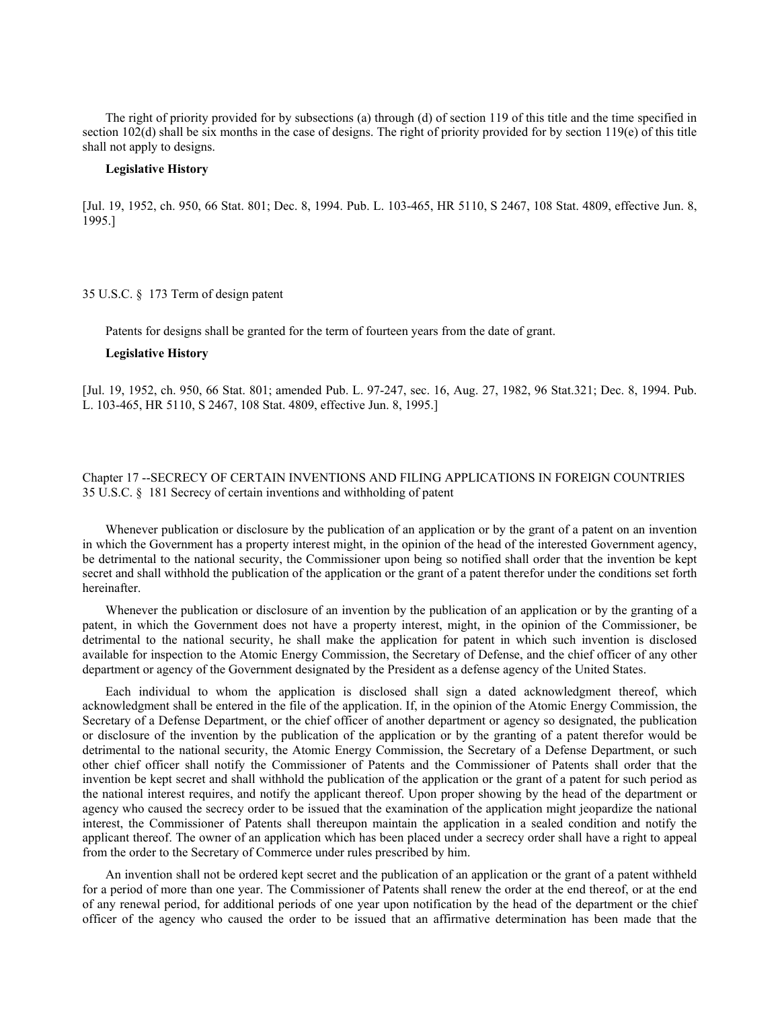The right of priority provided for by subsections (a) through (d) of section 119 of this title and the time specified in section  $102(d)$  shall be six months in the case of designs. The right of priority provided for by section  $119(e)$  of this title shall not apply to designs.

## **Legislative History**

[Jul. 19, 1952, ch. 950, 66 Stat. 801; Dec. 8, 1994. Pub. L. 103-465, HR 5110, S 2467, 108 Stat. 4809, effective Jun. 8, 1995.]

# 35 U.S.C. § 173 Term of design patent

Patents for designs shall be granted for the term of fourteen years from the date of grant.

## **Legislative History**

[Jul. 19, 1952, ch. 950, 66 Stat. 801; amended Pub. L. 97-247, sec. 16, Aug. 27, 1982, 96 Stat.321; Dec. 8, 1994. Pub. L. 103-465, HR 5110, S 2467, 108 Stat. 4809, effective Jun. 8, 1995.]

Chapter 17 --SECRECY OF CERTAIN INVENTIONS AND FILING APPLICATIONS IN FOREIGN COUNTRIES 35 U.S.C. § 181 Secrecy of certain inventions and withholding of patent

Whenever publication or disclosure by the publication of an application or by the grant of a patent on an invention in which the Government has a property interest might, in the opinion of the head of the interested Government agency, be detrimental to the national security, the Commissioner upon being so notified shall order that the invention be kept secret and shall withhold the publication of the application or the grant of a patent therefor under the conditions set forth hereinafter.

Whenever the publication or disclosure of an invention by the publication of an application or by the granting of a patent, in which the Government does not have a property interest, might, in the opinion of the Commissioner, be detrimental to the national security, he shall make the application for patent in which such invention is disclosed available for inspection to the Atomic Energy Commission, the Secretary of Defense, and the chief officer of any other department or agency of the Government designated by the President as a defense agency of the United States.

Each individual to whom the application is disclosed shall sign a dated acknowledgment thereof, which acknowledgment shall be entered in the file of the application. If, in the opinion of the Atomic Energy Commission, the Secretary of a Defense Department, or the chief officer of another department or agency so designated, the publication or disclosure of the invention by the publication of the application or by the granting of a patent therefor would be detrimental to the national security, the Atomic Energy Commission, the Secretary of a Defense Department, or such other chief officer shall notify the Commissioner of Patents and the Commissioner of Patents shall order that the invention be kept secret and shall withhold the publication of the application or the grant of a patent for such period as the national interest requires, and notify the applicant thereof. Upon proper showing by the head of the department or agency who caused the secrecy order to be issued that the examination of the application might jeopardize the national interest, the Commissioner of Patents shall thereupon maintain the application in a sealed condition and notify the applicant thereof. The owner of an application which has been placed under a secrecy order shall have a right to appeal from the order to the Secretary of Commerce under rules prescribed by him.

An invention shall not be ordered kept secret and the publication of an application or the grant of a patent withheld for a period of more than one year. The Commissioner of Patents shall renew the order at the end thereof, or at the end of any renewal period, for additional periods of one year upon notification by the head of the department or the chief officer of the agency who caused the order to be issued that an affirmative determination has been made that the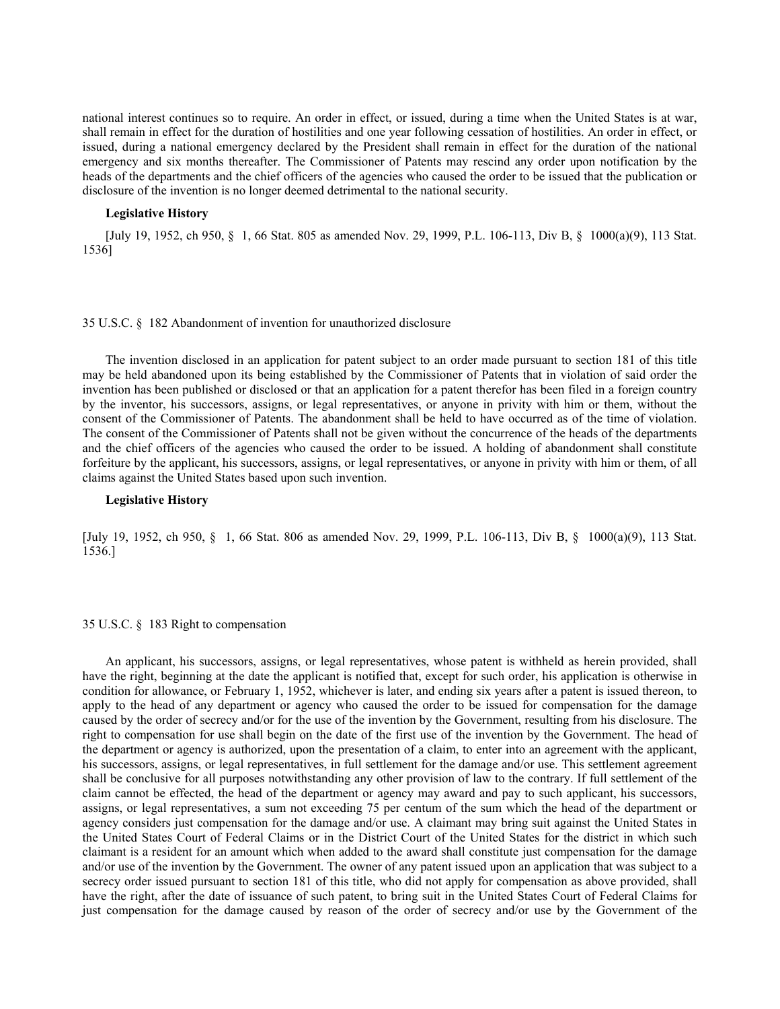national interest continues so to require. An order in effect, or issued, during a time when the United States is at war, shall remain in effect for the duration of hostilities and one year following cessation of hostilities. An order in effect, or issued, during a national emergency declared by the President shall remain in effect for the duration of the national emergency and six months thereafter. The Commissioner of Patents may rescind any order upon notification by the heads of the departments and the chief officers of the agencies who caused the order to be issued that the publication or disclosure of the invention is no longer deemed detrimental to the national security.

# **Legislative History**

[July 19, 1952, ch 950, § 1, 66 Stat. 805 as amended Nov. 29, 1999, P.L. 106-113, Div B, § 1000(a)(9), 113 Stat. 1536]

### 35 U.S.C. § 182 Abandonment of invention for unauthorized disclosure

The invention disclosed in an application for patent subject to an order made pursuant to section 181 of this title may be held abandoned upon its being established by the Commissioner of Patents that in violation of said order the invention has been published or disclosed or that an application for a patent therefor has been filed in a foreign country by the inventor, his successors, assigns, or legal representatives, or anyone in privity with him or them, without the consent of the Commissioner of Patents. The abandonment shall be held to have occurred as of the time of violation. The consent of the Commissioner of Patents shall not be given without the concurrence of the heads of the departments and the chief officers of the agencies who caused the order to be issued. A holding of abandonment shall constitute forfeiture by the applicant, his successors, assigns, or legal representatives, or anyone in privity with him or them, of all claims against the United States based upon such invention.

#### **Legislative History**

[July 19, 1952, ch 950, § 1, 66 Stat. 806 as amended Nov. 29, 1999, P.L. 106-113, Div B, § 1000(a)(9), 113 Stat. 1536.]

#### 35 U.S.C. § 183 Right to compensation

An applicant, his successors, assigns, or legal representatives, whose patent is withheld as herein provided, shall have the right, beginning at the date the applicant is notified that, except for such order, his application is otherwise in condition for allowance, or February 1, 1952, whichever is later, and ending six years after a patent is issued thereon, to apply to the head of any department or agency who caused the order to be issued for compensation for the damage caused by the order of secrecy and/or for the use of the invention by the Government, resulting from his disclosure. The right to compensation for use shall begin on the date of the first use of the invention by the Government. The head of the department or agency is authorized, upon the presentation of a claim, to enter into an agreement with the applicant, his successors, assigns, or legal representatives, in full settlement for the damage and/or use. This settlement agreement shall be conclusive for all purposes notwithstanding any other provision of law to the contrary. If full settlement of the claim cannot be effected, the head of the department or agency may award and pay to such applicant, his successors, assigns, or legal representatives, a sum not exceeding 75 per centum of the sum which the head of the department or agency considers just compensation for the damage and/or use. A claimant may bring suit against the United States in the United States Court of Federal Claims or in the District Court of the United States for the district in which such claimant is a resident for an amount which when added to the award shall constitute just compensation for the damage and/or use of the invention by the Government. The owner of any patent issued upon an application that was subject to a secrecy order issued pursuant to section 181 of this title, who did not apply for compensation as above provided, shall have the right, after the date of issuance of such patent, to bring suit in the United States Court of Federal Claims for just compensation for the damage caused by reason of the order of secrecy and/or use by the Government of the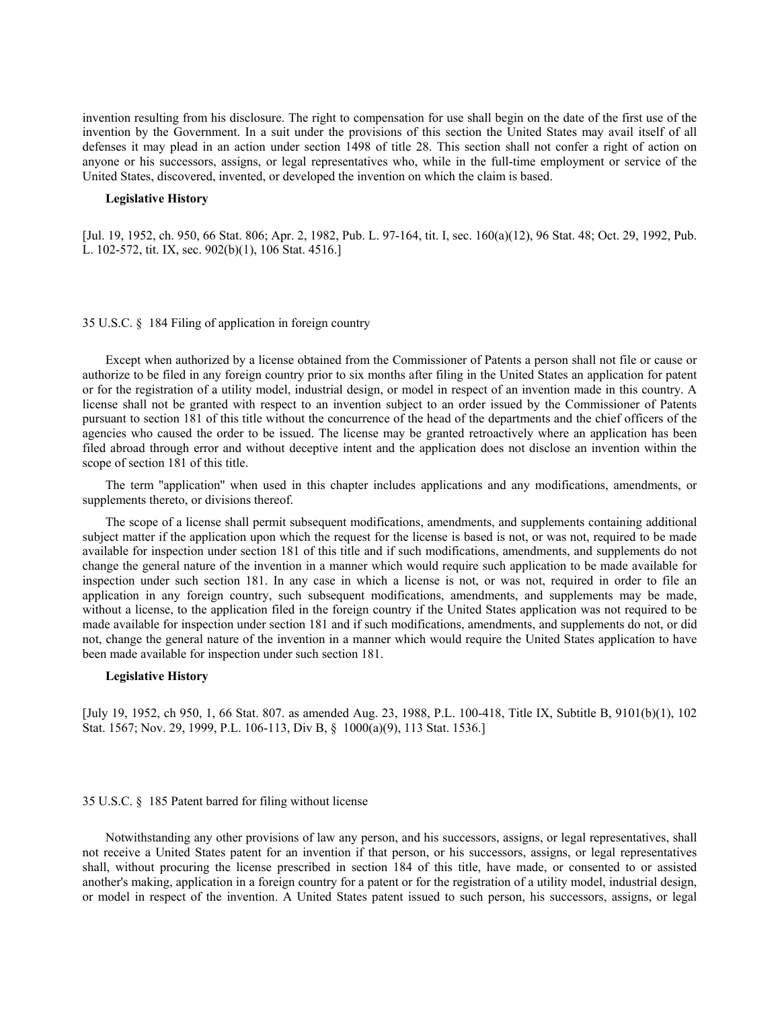invention resulting from his disclosure. The right to compensation for use shall begin on the date of the first use of the invention by the Government. In a suit under the provisions of this section the United States may avail itself of all defenses it may plead in an action under section 1498 of title 28. This section shall not confer a right of action on anyone or his successors, assigns, or legal representatives who, while in the full-time employment or service of the United States, discovered, invented, or developed the invention on which the claim is based.

### **Legislative History**

[Jul. 19, 1952, ch. 950, 66 Stat. 806; Apr. 2, 1982, Pub. L. 97-164, tit. I, sec. 160(a)(12), 96 Stat. 48; Oct. 29, 1992, Pub. L. 102-572, tit. IX, sec. 902(b)(1), 106 Stat. 4516.]

#### 35 U.S.C. § 184 Filing of application in foreign country

Except when authorized by a license obtained from the Commissioner of Patents a person shall not file or cause or authorize to be filed in any foreign country prior to six months after filing in the United States an application for patent or for the registration of a utility model, industrial design, or model in respect of an invention made in this country. A license shall not be granted with respect to an invention subject to an order issued by the Commissioner of Patents pursuant to section 181 of this title without the concurrence of the head of the departments and the chief officers of the agencies who caused the order to be issued. The license may be granted retroactively where an application has been filed abroad through error and without deceptive intent and the application does not disclose an invention within the scope of section 181 of this title.

The term ''application'' when used in this chapter includes applications and any modifications, amendments, or supplements thereto, or divisions thereof.

The scope of a license shall permit subsequent modifications, amendments, and supplements containing additional subject matter if the application upon which the request for the license is based is not, or was not, required to be made available for inspection under section 181 of this title and if such modifications, amendments, and supplements do not change the general nature of the invention in a manner which would require such application to be made available for inspection under such section 181. In any case in which a license is not, or was not, required in order to file an application in any foreign country, such subsequent modifications, amendments, and supplements may be made, without a license, to the application filed in the foreign country if the United States application was not required to be made available for inspection under section 181 and if such modifications, amendments, and supplements do not, or did not, change the general nature of the invention in a manner which would require the United States application to have been made available for inspection under such section 181.

### **Legislative History**

[July 19, 1952, ch 950, 1, 66 Stat. 807. as amended Aug. 23, 1988, P.L. 100-418, Title IX, Subtitle B, 9101(b)(1), 102 Stat. 1567; Nov. 29, 1999, P.L. 106-113, Div B, § 1000(a)(9), 113 Stat. 1536.]

# 35 U.S.C. § 185 Patent barred for filing without license

Notwithstanding any other provisions of law any person, and his successors, assigns, or legal representatives, shall not receive a United States patent for an invention if that person, or his successors, assigns, or legal representatives shall, without procuring the license prescribed in section 184 of this title, have made, or consented to or assisted another's making, application in a foreign country for a patent or for the registration of a utility model, industrial design, or model in respect of the invention. A United States patent issued to such person, his successors, assigns, or legal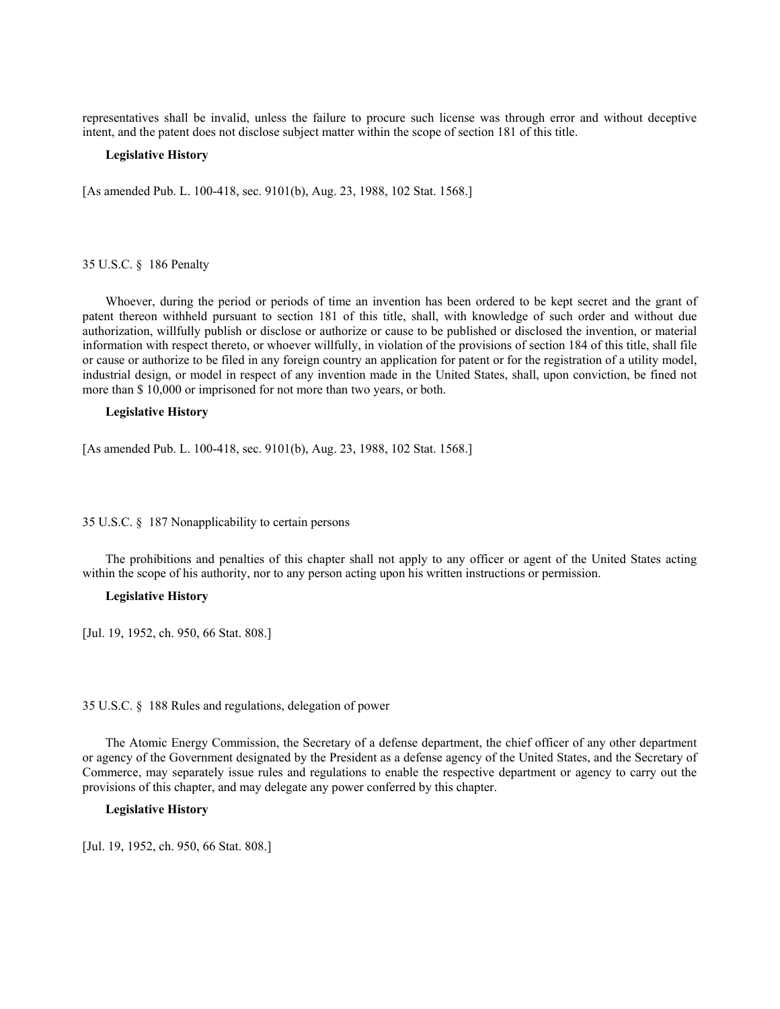representatives shall be invalid, unless the failure to procure such license was through error and without deceptive intent, and the patent does not disclose subject matter within the scope of section 181 of this title.

## **Legislative History**

[As amended Pub. L. 100-418, sec. 9101(b), Aug. 23, 1988, 102 Stat. 1568.]

#### 35 U.S.C. § 186 Penalty

Whoever, during the period or periods of time an invention has been ordered to be kept secret and the grant of patent thereon withheld pursuant to section 181 of this title, shall, with knowledge of such order and without due authorization, willfully publish or disclose or authorize or cause to be published or disclosed the invention, or material information with respect thereto, or whoever willfully, in violation of the provisions of section 184 of this title, shall file or cause or authorize to be filed in any foreign country an application for patent or for the registration of a utility model, industrial design, or model in respect of any invention made in the United States, shall, upon conviction, be fined not more than \$ 10,000 or imprisoned for not more than two years, or both.

### **Legislative History**

[As amended Pub. L. 100-418, sec. 9101(b), Aug. 23, 1988, 102 Stat. 1568.]

### 35 U.S.C. § 187 Nonapplicability to certain persons

The prohibitions and penalties of this chapter shall not apply to any officer or agent of the United States acting within the scope of his authority, nor to any person acting upon his written instructions or permission.

# **Legislative History**

[Jul. 19, 1952, ch. 950, 66 Stat. 808.]

#### 35 U.S.C. § 188 Rules and regulations, delegation of power

The Atomic Energy Commission, the Secretary of a defense department, the chief officer of any other department or agency of the Government designated by the President as a defense agency of the United States, and the Secretary of Commerce, may separately issue rules and regulations to enable the respective department or agency to carry out the provisions of this chapter, and may delegate any power conferred by this chapter.

#### **Legislative History**

[Jul. 19, 1952, ch. 950, 66 Stat. 808.]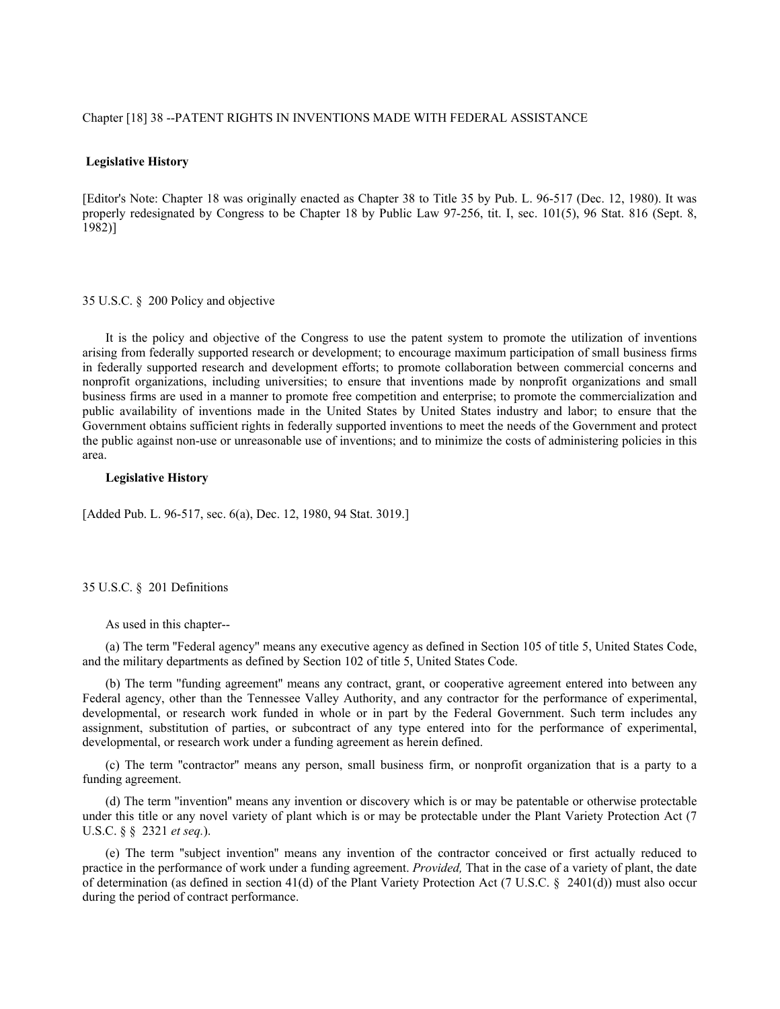#### Chapter [18] 38 --PATENT RIGHTS IN INVENTIONS MADE WITH FEDERAL ASSISTANCE

## **Legislative History**

[Editor's Note: Chapter 18 was originally enacted as Chapter 38 to Title 35 by Pub. L. 96-517 (Dec. 12, 1980). It was properly redesignated by Congress to be Chapter 18 by Public Law 97-256, tit. I, sec. 101(5), 96 Stat. 816 (Sept. 8, 1982)]

## 35 U.S.C. § 200 Policy and objective

It is the policy and objective of the Congress to use the patent system to promote the utilization of inventions arising from federally supported research or development; to encourage maximum participation of small business firms in federally supported research and development efforts; to promote collaboration between commercial concerns and nonprofit organizations, including universities; to ensure that inventions made by nonprofit organizations and small business firms are used in a manner to promote free competition and enterprise; to promote the commercialization and public availability of inventions made in the United States by United States industry and labor; to ensure that the Government obtains sufficient rights in federally supported inventions to meet the needs of the Government and protect the public against non-use or unreasonable use of inventions; and to minimize the costs of administering policies in this area.

## **Legislative History**

[Added Pub. L. 96-517, sec. 6(a), Dec. 12, 1980, 94 Stat. 3019.]

# 35 U.S.C. § 201 Definitions

As used in this chapter--

(a) The term ''Federal agency'' means any executive agency as defined in Section 105 of title 5, United States Code, and the military departments as defined by Section 102 of title 5, United States Code.

(b) The term ''funding agreement'' means any contract, grant, or cooperative agreement entered into between any Federal agency, other than the Tennessee Valley Authority, and any contractor for the performance of experimental, developmental, or research work funded in whole or in part by the Federal Government. Such term includes any assignment, substitution of parties, or subcontract of any type entered into for the performance of experimental, developmental, or research work under a funding agreement as herein defined.

(c) The term ''contractor'' means any person, small business firm, or nonprofit organization that is a party to a funding agreement.

(d) The term ''invention'' means any invention or discovery which is or may be patentable or otherwise protectable under this title or any novel variety of plant which is or may be protectable under the Plant Variety Protection Act (7 U.S.C. § § 2321 *et seq.*).

(e) The term ''subject invention'' means any invention of the contractor conceived or first actually reduced to practice in the performance of work under a funding agreement. *Provided,* That in the case of a variety of plant, the date of determination (as defined in section 41(d) of the Plant Variety Protection Act (7 U.S.C. § 2401(d)) must also occur during the period of contract performance.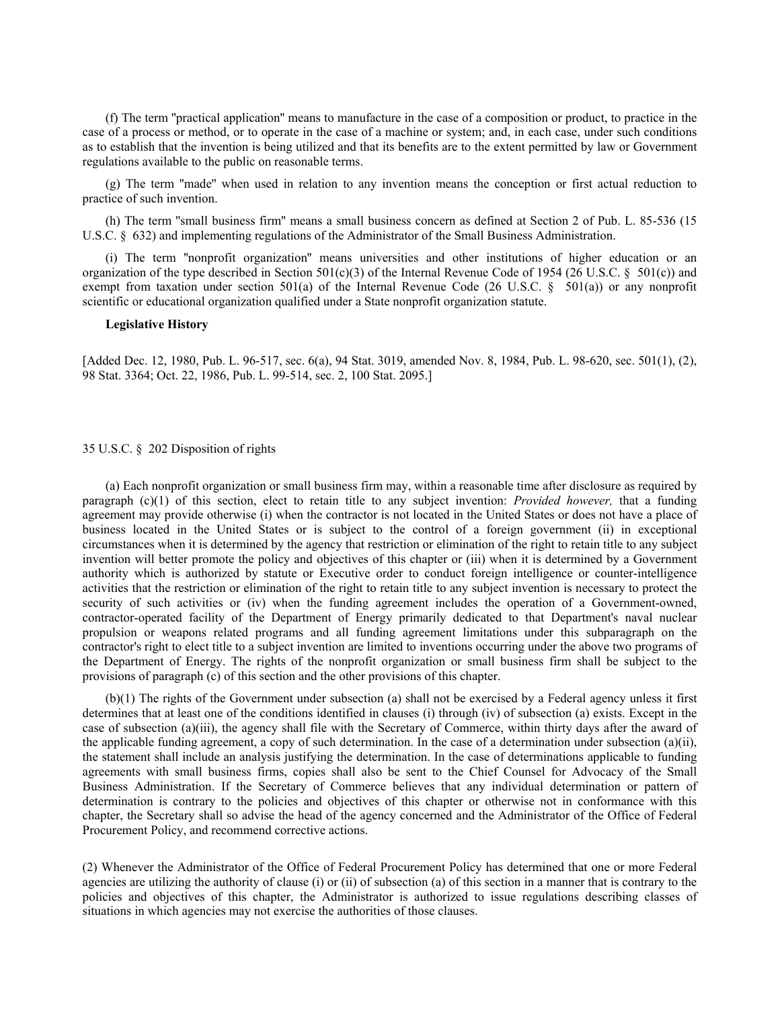(f) The term ''practical application'' means to manufacture in the case of a composition or product, to practice in the case of a process or method, or to operate in the case of a machine or system; and, in each case, under such conditions as to establish that the invention is being utilized and that its benefits are to the extent permitted by law or Government regulations available to the public on reasonable terms.

(g) The term ''made'' when used in relation to any invention means the conception or first actual reduction to practice of such invention.

(h) The term ''small business firm'' means a small business concern as defined at Section 2 of Pub. L. 85-536 (15 U.S.C. § 632) and implementing regulations of the Administrator of the Small Business Administration.

(i) The term ''nonprofit organization'' means universities and other institutions of higher education or an organization of the type described in Section 501(c)(3) of the Internal Revenue Code of 1954 (26 U.S.C. § 501(c)) and exempt from taxation under section 501(a) of the Internal Revenue Code (26 U.S.C. § 501(a)) or any nonprofit scientific or educational organization qualified under a State nonprofit organization statute.

# **Legislative History**

[Added Dec. 12, 1980, Pub. L. 96-517, sec. 6(a), 94 Stat. 3019, amended Nov. 8, 1984, Pub. L. 98-620, sec. 501(1), (2), 98 Stat. 3364; Oct. 22, 1986, Pub. L. 99-514, sec. 2, 100 Stat. 2095.]

# 35 U.S.C. § 202 Disposition of rights

(a) Each nonprofit organization or small business firm may, within a reasonable time after disclosure as required by paragraph (c)(1) of this section, elect to retain title to any subject invention: *Provided however,* that a funding agreement may provide otherwise (i) when the contractor is not located in the United States or does not have a place of business located in the United States or is subject to the control of a foreign government (ii) in exceptional circumstances when it is determined by the agency that restriction or elimination of the right to retain title to any subject invention will better promote the policy and objectives of this chapter or (iii) when it is determined by a Government authority which is authorized by statute or Executive order to conduct foreign intelligence or counter-intelligence activities that the restriction or elimination of the right to retain title to any subject invention is necessary to protect the security of such activities or (iv) when the funding agreement includes the operation of a Government-owned, contractor-operated facility of the Department of Energy primarily dedicated to that Department's naval nuclear propulsion or weapons related programs and all funding agreement limitations under this subparagraph on the contractor's right to elect title to a subject invention are limited to inventions occurring under the above two programs of the Department of Energy. The rights of the nonprofit organization or small business firm shall be subject to the provisions of paragraph (c) of this section and the other provisions of this chapter.

(b)(1) The rights of the Government under subsection (a) shall not be exercised by a Federal agency unless it first determines that at least one of the conditions identified in clauses (i) through (iv) of subsection (a) exists. Except in the case of subsection (a)(iii), the agency shall file with the Secretary of Commerce, within thirty days after the award of the applicable funding agreement, a copy of such determination. In the case of a determination under subsection (a)(ii), the statement shall include an analysis justifying the determination. In the case of determinations applicable to funding agreements with small business firms, copies shall also be sent to the Chief Counsel for Advocacy of the Small Business Administration. If the Secretary of Commerce believes that any individual determination or pattern of determination is contrary to the policies and objectives of this chapter or otherwise not in conformance with this chapter, the Secretary shall so advise the head of the agency concerned and the Administrator of the Office of Federal Procurement Policy, and recommend corrective actions.

(2) Whenever the Administrator of the Office of Federal Procurement Policy has determined that one or more Federal agencies are utilizing the authority of clause (i) or (ii) of subsection (a) of this section in a manner that is contrary to the policies and objectives of this chapter, the Administrator is authorized to issue regulations describing classes of situations in which agencies may not exercise the authorities of those clauses.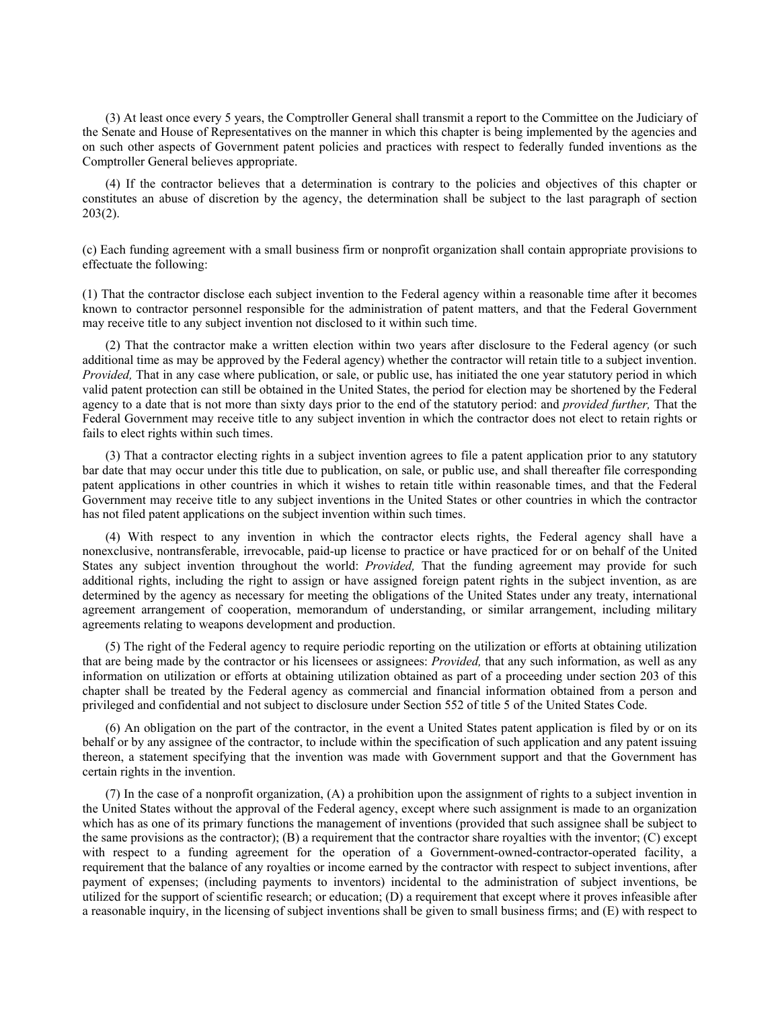(3) At least once every 5 years, the Comptroller General shall transmit a report to the Committee on the Judiciary of the Senate and House of Representatives on the manner in which this chapter is being implemented by the agencies and on such other aspects of Government patent policies and practices with respect to federally funded inventions as the Comptroller General believes appropriate.

(4) If the contractor believes that a determination is contrary to the policies and objectives of this chapter or constitutes an abuse of discretion by the agency, the determination shall be subject to the last paragraph of section 203(2).

(c) Each funding agreement with a small business firm or nonprofit organization shall contain appropriate provisions to effectuate the following:

(1) That the contractor disclose each subject invention to the Federal agency within a reasonable time after it becomes known to contractor personnel responsible for the administration of patent matters, and that the Federal Government may receive title to any subject invention not disclosed to it within such time.

(2) That the contractor make a written election within two years after disclosure to the Federal agency (or such additional time as may be approved by the Federal agency) whether the contractor will retain title to a subject invention. *Provided,* That in any case where publication, or sale, or public use, has initiated the one year statutory period in which valid patent protection can still be obtained in the United States, the period for election may be shortened by the Federal agency to a date that is not more than sixty days prior to the end of the statutory period: and *provided further,* That the Federal Government may receive title to any subject invention in which the contractor does not elect to retain rights or fails to elect rights within such times.

(3) That a contractor electing rights in a subject invention agrees to file a patent application prior to any statutory bar date that may occur under this title due to publication, on sale, or public use, and shall thereafter file corresponding patent applications in other countries in which it wishes to retain title within reasonable times, and that the Federal Government may receive title to any subject inventions in the United States or other countries in which the contractor has not filed patent applications on the subject invention within such times.

(4) With respect to any invention in which the contractor elects rights, the Federal agency shall have a nonexclusive, nontransferable, irrevocable, paid-up license to practice or have practiced for or on behalf of the United States any subject invention throughout the world: *Provided,* That the funding agreement may provide for such additional rights, including the right to assign or have assigned foreign patent rights in the subject invention, as are determined by the agency as necessary for meeting the obligations of the United States under any treaty, international agreement arrangement of cooperation, memorandum of understanding, or similar arrangement, including military agreements relating to weapons development and production.

(5) The right of the Federal agency to require periodic reporting on the utilization or efforts at obtaining utilization that are being made by the contractor or his licensees or assignees: *Provided,* that any such information, as well as any information on utilization or efforts at obtaining utilization obtained as part of a proceeding under section 203 of this chapter shall be treated by the Federal agency as commercial and financial information obtained from a person and privileged and confidential and not subject to disclosure under Section 552 of title 5 of the United States Code.

(6) An obligation on the part of the contractor, in the event a United States patent application is filed by or on its behalf or by any assignee of the contractor, to include within the specification of such application and any patent issuing thereon, a statement specifying that the invention was made with Government support and that the Government has certain rights in the invention.

(7) In the case of a nonprofit organization, (A) a prohibition upon the assignment of rights to a subject invention in the United States without the approval of the Federal agency, except where such assignment is made to an organization which has as one of its primary functions the management of inventions (provided that such assignee shall be subject to the same provisions as the contractor); (B) a requirement that the contractor share royalties with the inventor; (C) except with respect to a funding agreement for the operation of a Government-owned-contractor-operated facility, a requirement that the balance of any royalties or income earned by the contractor with respect to subject inventions, after payment of expenses; (including payments to inventors) incidental to the administration of subject inventions, be utilized for the support of scientific research; or education; (D) a requirement that except where it proves infeasible after a reasonable inquiry, in the licensing of subject inventions shall be given to small business firms; and (E) with respect to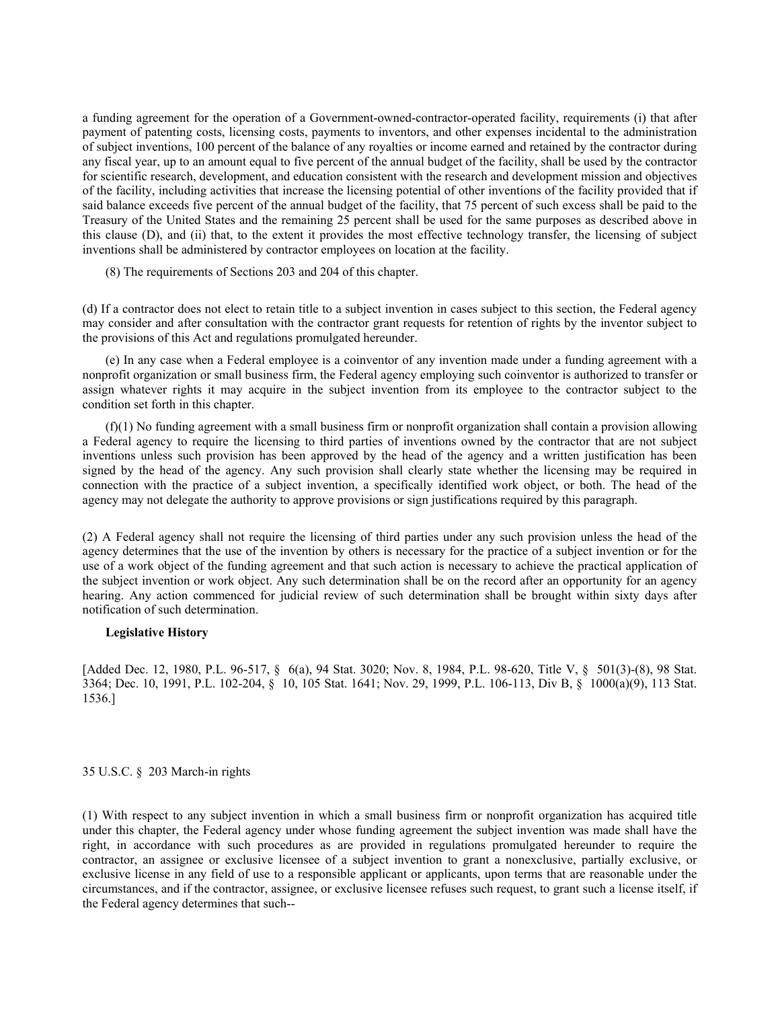a funding agreement for the operation of a Government-owned-contractor-operated facility, requirements (i) that after payment of patenting costs, licensing costs, payments to inventors, and other expenses incidental to the administration of subject inventions, 100 percent of the balance of any royalties or income earned and retained by the contractor during any fiscal year, up to an amount equal to five percent of the annual budget of the facility, shall be used by the contractor for scientific research, development, and education consistent with the research and development mission and objectives of the facility, including activities that increase the licensing potential of other inventions of the facility provided that if said balance exceeds five percent of the annual budget of the facility, that 75 percent of such excess shall be paid to the Treasury of the United States and the remaining 25 percent shall be used for the same purposes as described above in this clause (D), and (ii) that, to the extent it provides the most effective technology transfer, the licensing of subject inventions shall be administered by contractor employees on location at the facility.

(8) The requirements of Sections 203 and 204 of this chapter.

(d) If a contractor does not elect to retain title to a subject invention in cases subject to this section, the Federal agency may consider and after consultation with the contractor grant requests for retention of rights by the inventor subject to the provisions of this Act and regulations promulgated hereunder.

(e) In any case when a Federal employee is a coinventor of any invention made under a funding agreement with a nonprofit organization or small business firm, the Federal agency employing such coinventor is authorized to transfer or assign whatever rights it may acquire in the subject invention from its employee to the contractor subject to the condition set forth in this chapter.

 $(f)(1)$  No funding agreement with a small business firm or nonprofit organization shall contain a provision allowing a Federal agency to require the licensing to third parties of inventions owned by the contractor that are not subject inventions unless such provision has been approved by the head of the agency and a written justification has been signed by the head of the agency. Any such provision shall clearly state whether the licensing may be required in connection with the practice of a subject invention, a specifically identified work object, or both. The head of the agency may not delegate the authority to approve provisions or sign justifications required by this paragraph.

(2) A Federal agency shall not require the licensing of third parties under any such provision unless the head of the agency determines that the use of the invention by others is necessary for the practice of a subject invention or for the use of a work object of the funding agreement and that such action is necessary to achieve the practical application of the subject invention or work object. Any such determination shall be on the record after an opportunity for an agency hearing. Any action commenced for judicial review of such determination shall be brought within sixty days after notification of such determination.

## **Legislative History**

[Added Dec. 12, 1980, P.L. 96-517, § 6(a), 94 Stat. 3020; Nov. 8, 1984, P.L. 98-620, Title V, § 501(3)-(8), 98 Stat. 3364; Dec. 10, 1991, P.L. 102-204, § 10, 105 Stat. 1641; Nov. 29, 1999, P.L. 106-113, Div B, § 1000(a)(9), 113 Stat. 1536.]

35 U.S.C. § 203 March-in rights

(1) With respect to any subject invention in which a small business firm or nonprofit organization has acquired title under this chapter, the Federal agency under whose funding agreement the subject invention was made shall have the right, in accordance with such procedures as are provided in regulations promulgated hereunder to require the contractor, an assignee or exclusive licensee of a subject invention to grant a nonexclusive, partially exclusive, or exclusive license in any field of use to a responsible applicant or applicants, upon terms that are reasonable under the circumstances, and if the contractor, assignee, or exclusive licensee refuses such request, to grant such a license itself, if the Federal agency determines that such--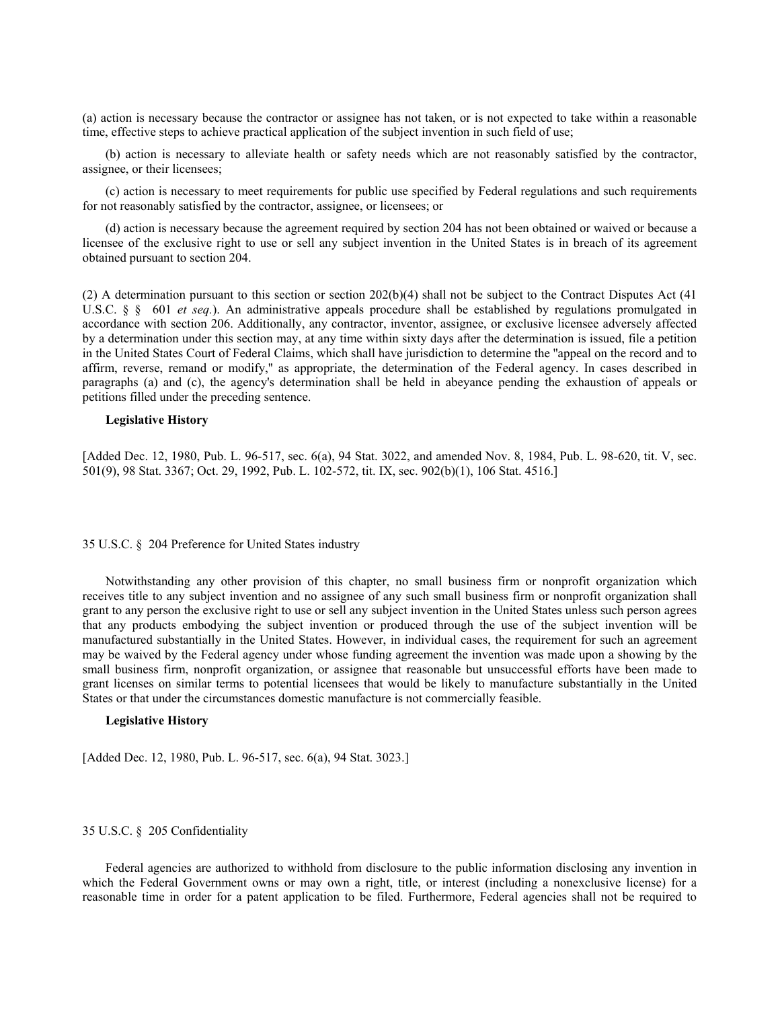(a) action is necessary because the contractor or assignee has not taken, or is not expected to take within a reasonable time, effective steps to achieve practical application of the subject invention in such field of use;

(b) action is necessary to alleviate health or safety needs which are not reasonably satisfied by the contractor, assignee, or their licensees;

(c) action is necessary to meet requirements for public use specified by Federal regulations and such requirements for not reasonably satisfied by the contractor, assignee, or licensees; or

(d) action is necessary because the agreement required by section 204 has not been obtained or waived or because a licensee of the exclusive right to use or sell any subject invention in the United States is in breach of its agreement obtained pursuant to section 204.

 $(2)$  A determination pursuant to this section or section  $202(b)(4)$  shall not be subject to the Contract Disputes Act  $(41)$ U.S.C. § § 601 *et seq.*). An administrative appeals procedure shall be established by regulations promulgated in accordance with section 206. Additionally, any contractor, inventor, assignee, or exclusive licensee adversely affected by a determination under this section may, at any time within sixty days after the determination is issued, file a petition in the United States Court of Federal Claims, which shall have jurisdiction to determine the ''appeal on the record and to affirm, reverse, remand or modify,'' as appropriate, the determination of the Federal agency. In cases described in paragraphs (a) and (c), the agency's determination shall be held in abeyance pending the exhaustion of appeals or petitions filled under the preceding sentence.

## **Legislative History**

[Added Dec. 12, 1980, Pub. L. 96-517, sec. 6(a), 94 Stat. 3022, and amended Nov. 8, 1984, Pub. L. 98-620, tit. V, sec. 501(9), 98 Stat. 3367; Oct. 29, 1992, Pub. L. 102-572, tit. IX, sec. 902(b)(1), 106 Stat. 4516.]

35 U.S.C. § 204 Preference for United States industry

Notwithstanding any other provision of this chapter, no small business firm or nonprofit organization which receives title to any subject invention and no assignee of any such small business firm or nonprofit organization shall grant to any person the exclusive right to use or sell any subject invention in the United States unless such person agrees that any products embodying the subject invention or produced through the use of the subject invention will be manufactured substantially in the United States. However, in individual cases, the requirement for such an agreement may be waived by the Federal agency under whose funding agreement the invention was made upon a showing by the small business firm, nonprofit organization, or assignee that reasonable but unsuccessful efforts have been made to grant licenses on similar terms to potential licensees that would be likely to manufacture substantially in the United States or that under the circumstances domestic manufacture is not commercially feasible.

### **Legislative History**

[Added Dec. 12, 1980, Pub. L. 96-517, sec. 6(a), 94 Stat. 3023.]

### 35 U.S.C. § 205 Confidentiality

Federal agencies are authorized to withhold from disclosure to the public information disclosing any invention in which the Federal Government owns or may own a right, title, or interest (including a nonexclusive license) for a reasonable time in order for a patent application to be filed. Furthermore, Federal agencies shall not be required to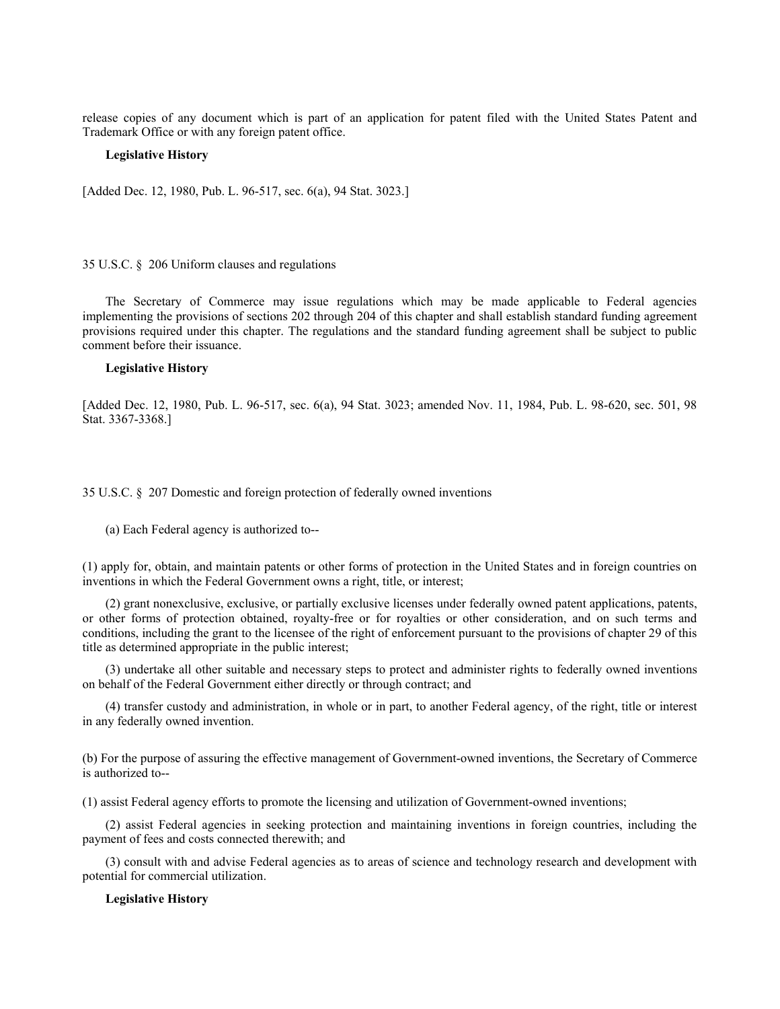release copies of any document which is part of an application for patent filed with the United States Patent and Trademark Office or with any foreign patent office.

## **Legislative History**

[Added Dec. 12, 1980, Pub. L. 96-517, sec. 6(a), 94 Stat. 3023.]

#### 35 U.S.C. § 206 Uniform clauses and regulations

The Secretary of Commerce may issue regulations which may be made applicable to Federal agencies implementing the provisions of sections 202 through 204 of this chapter and shall establish standard funding agreement provisions required under this chapter. The regulations and the standard funding agreement shall be subject to public comment before their issuance.

### **Legislative History**

[Added Dec. 12, 1980, Pub. L. 96-517, sec. 6(a), 94 Stat. 3023; amended Nov. 11, 1984, Pub. L. 98-620, sec. 501, 98 Stat. 3367-3368.]

35 U.S.C. § 207 Domestic and foreign protection of federally owned inventions

(a) Each Federal agency is authorized to--

(1) apply for, obtain, and maintain patents or other forms of protection in the United States and in foreign countries on inventions in which the Federal Government owns a right, title, or interest;

(2) grant nonexclusive, exclusive, or partially exclusive licenses under federally owned patent applications, patents, or other forms of protection obtained, royalty-free or for royalties or other consideration, and on such terms and conditions, including the grant to the licensee of the right of enforcement pursuant to the provisions of chapter 29 of this title as determined appropriate in the public interest;

(3) undertake all other suitable and necessary steps to protect and administer rights to federally owned inventions on behalf of the Federal Government either directly or through contract; and

(4) transfer custody and administration, in whole or in part, to another Federal agency, of the right, title or interest in any federally owned invention.

(b) For the purpose of assuring the effective management of Government-owned inventions, the Secretary of Commerce is authorized to--

(1) assist Federal agency efforts to promote the licensing and utilization of Government-owned inventions;

(2) assist Federal agencies in seeking protection and maintaining inventions in foreign countries, including the payment of fees and costs connected therewith; and

(3) consult with and advise Federal agencies as to areas of science and technology research and development with potential for commercial utilization.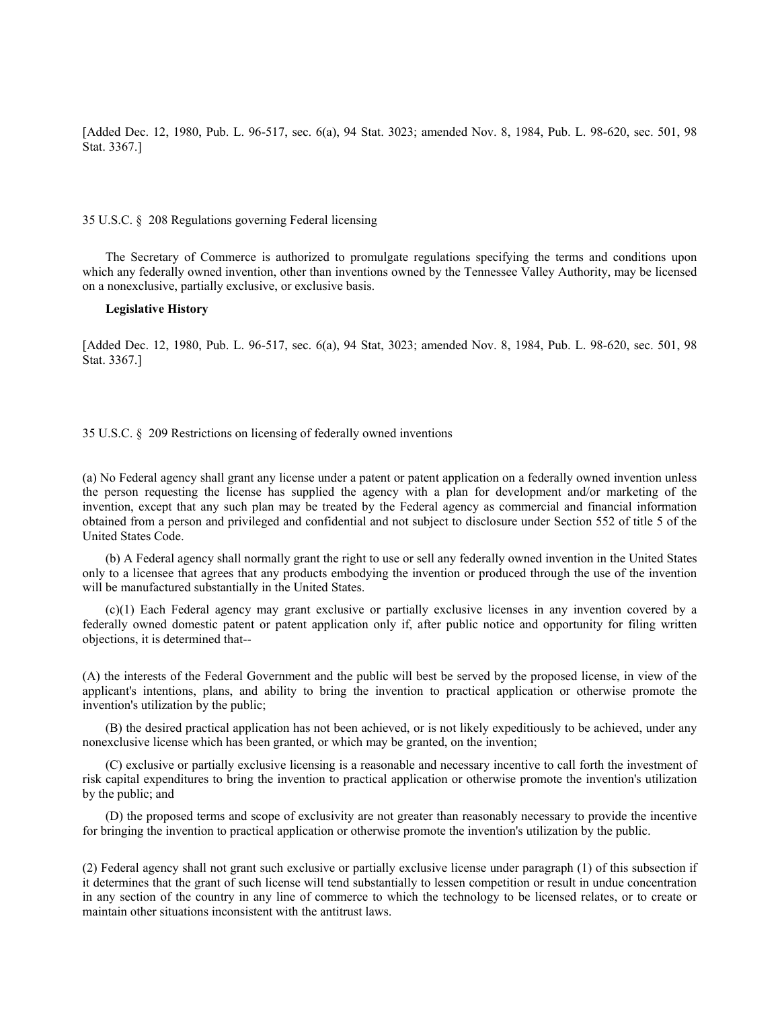[Added Dec. 12, 1980, Pub. L. 96-517, sec. 6(a), 94 Stat. 3023; amended Nov. 8, 1984, Pub. L. 98-620, sec. 501, 98 Stat. 3367.]

### 35 U.S.C. § 208 Regulations governing Federal licensing

The Secretary of Commerce is authorized to promulgate regulations specifying the terms and conditions upon which any federally owned invention, other than inventions owned by the Tennessee Valley Authority, may be licensed on a nonexclusive, partially exclusive, or exclusive basis.

### **Legislative History**

[Added Dec. 12, 1980, Pub. L. 96-517, sec. 6(a), 94 Stat, 3023; amended Nov. 8, 1984, Pub. L. 98-620, sec. 501, 98 Stat. 3367.]

35 U.S.C. § 209 Restrictions on licensing of federally owned inventions

(a) No Federal agency shall grant any license under a patent or patent application on a federally owned invention unless the person requesting the license has supplied the agency with a plan for development and/or marketing of the invention, except that any such plan may be treated by the Federal agency as commercial and financial information obtained from a person and privileged and confidential and not subject to disclosure under Section 552 of title 5 of the United States Code.

(b) A Federal agency shall normally grant the right to use or sell any federally owned invention in the United States only to a licensee that agrees that any products embodying the invention or produced through the use of the invention will be manufactured substantially in the United States.

(c)(1) Each Federal agency may grant exclusive or partially exclusive licenses in any invention covered by a federally owned domestic patent or patent application only if, after public notice and opportunity for filing written objections, it is determined that--

(A) the interests of the Federal Government and the public will best be served by the proposed license, in view of the applicant's intentions, plans, and ability to bring the invention to practical application or otherwise promote the invention's utilization by the public;

(B) the desired practical application has not been achieved, or is not likely expeditiously to be achieved, under any nonexclusive license which has been granted, or which may be granted, on the invention;

(C) exclusive or partially exclusive licensing is a reasonable and necessary incentive to call forth the investment of risk capital expenditures to bring the invention to practical application or otherwise promote the invention's utilization by the public; and

(D) the proposed terms and scope of exclusivity are not greater than reasonably necessary to provide the incentive for bringing the invention to practical application or otherwise promote the invention's utilization by the public.

(2) Federal agency shall not grant such exclusive or partially exclusive license under paragraph (1) of this subsection if it determines that the grant of such license will tend substantially to lessen competition or result in undue concentration in any section of the country in any line of commerce to which the technology to be licensed relates, or to create or maintain other situations inconsistent with the antitrust laws.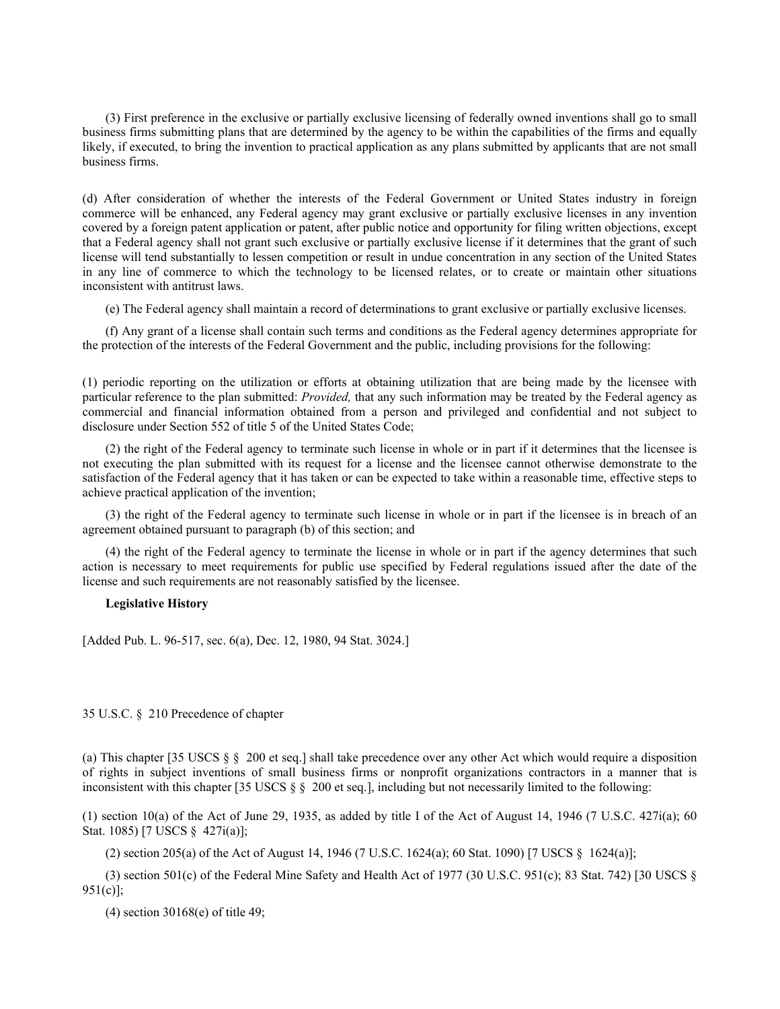(3) First preference in the exclusive or partially exclusive licensing of federally owned inventions shall go to small business firms submitting plans that are determined by the agency to be within the capabilities of the firms and equally likely, if executed, to bring the invention to practical application as any plans submitted by applicants that are not small business firms.

(d) After consideration of whether the interests of the Federal Government or United States industry in foreign commerce will be enhanced, any Federal agency may grant exclusive or partially exclusive licenses in any invention covered by a foreign patent application or patent, after public notice and opportunity for filing written objections, except that a Federal agency shall not grant such exclusive or partially exclusive license if it determines that the grant of such license will tend substantially to lessen competition or result in undue concentration in any section of the United States in any line of commerce to which the technology to be licensed relates, or to create or maintain other situations inconsistent with antitrust laws.

(e) The Federal agency shall maintain a record of determinations to grant exclusive or partially exclusive licenses.

(f) Any grant of a license shall contain such terms and conditions as the Federal agency determines appropriate for the protection of the interests of the Federal Government and the public, including provisions for the following:

(1) periodic reporting on the utilization or efforts at obtaining utilization that are being made by the licensee with particular reference to the plan submitted: *Provided,* that any such information may be treated by the Federal agency as commercial and financial information obtained from a person and privileged and confidential and not subject to disclosure under Section 552 of title 5 of the United States Code;

(2) the right of the Federal agency to terminate such license in whole or in part if it determines that the licensee is not executing the plan submitted with its request for a license and the licensee cannot otherwise demonstrate to the satisfaction of the Federal agency that it has taken or can be expected to take within a reasonable time, effective steps to achieve practical application of the invention;

(3) the right of the Federal agency to terminate such license in whole or in part if the licensee is in breach of an agreement obtained pursuant to paragraph (b) of this section; and

(4) the right of the Federal agency to terminate the license in whole or in part if the agency determines that such action is necessary to meet requirements for public use specified by Federal regulations issued after the date of the license and such requirements are not reasonably satisfied by the licensee.

# **Legislative History**

[Added Pub. L. 96-517, sec. 6(a), Dec. 12, 1980, 94 Stat. 3024.]

# 35 U.S.C. § 210 Precedence of chapter

(a) This chapter [35 USCS  $\S$   $\S$  200 et seq.] shall take precedence over any other Act which would require a disposition of rights in subject inventions of small business firms or nonprofit organizations contractors in a manner that is inconsistent with this chapter  $[35 \text{ USCS} \& 200 \text{ et seq.}]$ , including but not necessarily limited to the following:

(1) section 10(a) of the Act of June 29, 1935, as added by title I of the Act of August 14, 1946 (7 U.S.C. 427i(a); 60 Stat. 1085) [7 USCS § 427i(a)];

(2) section 205(a) of the Act of August 14, 1946 (7 U.S.C. 1624(a); 60 Stat. 1090) [7 USCS § 1624(a)];

(3) section 501(c) of the Federal Mine Safety and Health Act of 1977 (30 U.S.C. 951(c); 83 Stat. 742) [30 USCS  $\S$  $951(c)$ ;

(4) section 30168(e) of title 49;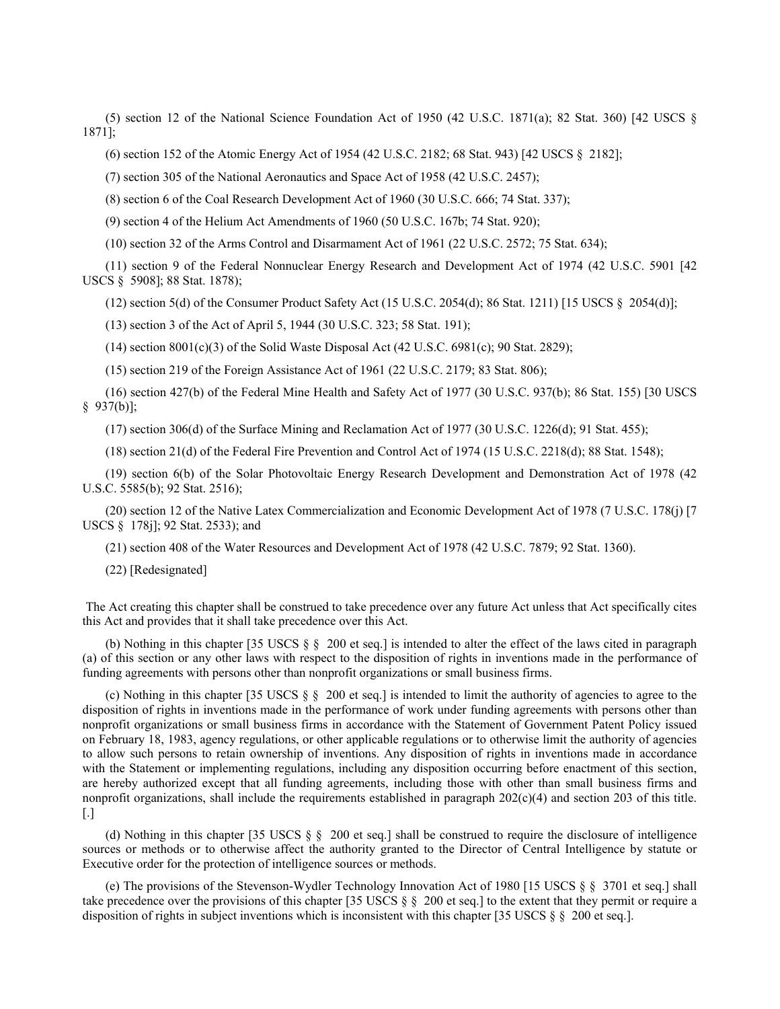(5) section 12 of the National Science Foundation Act of 1950 (42 U.S.C. 1871(a); 82 Stat. 360) [42 USCS § 1871];

(6) section 152 of the Atomic Energy Act of 1954 (42 U.S.C. 2182; 68 Stat. 943) [42 USCS § 2182];

(7) section 305 of the National Aeronautics and Space Act of 1958 (42 U.S.C. 2457);

(8) section 6 of the Coal Research Development Act of 1960 (30 U.S.C. 666; 74 Stat. 337);

(9) section 4 of the Helium Act Amendments of 1960 (50 U.S.C. 167b; 74 Stat. 920);

(10) section 32 of the Arms Control and Disarmament Act of 1961 (22 U.S.C. 2572; 75 Stat. 634);

(11) section 9 of the Federal Nonnuclear Energy Research and Development Act of 1974 (42 U.S.C. 5901 [42 USCS § 5908]; 88 Stat. 1878);

(12) section 5(d) of the Consumer Product Safety Act (15 U.S.C. 2054(d); 86 Stat. 1211) [15 USCS § 2054(d)];

(13) section 3 of the Act of April 5, 1944 (30 U.S.C. 323; 58 Stat. 191);

 $(14)$  section 8001 $(c)(3)$  of the Solid Waste Disposal Act  $(42 \text{ U.S.C. } 6981(c); 90 \text{ Stat. } 2829)$ ;

(15) section 219 of the Foreign Assistance Act of 1961 (22 U.S.C. 2179; 83 Stat. 806);

(16) section 427(b) of the Federal Mine Health and Safety Act of 1977 (30 U.S.C. 937(b); 86 Stat. 155) [30 USCS  $§$  937(b)];

(17) section 306(d) of the Surface Mining and Reclamation Act of 1977 (30 U.S.C. 1226(d); 91 Stat. 455);

(18) section 21(d) of the Federal Fire Prevention and Control Act of 1974 (15 U.S.C. 2218(d); 88 Stat. 1548);

(19) section 6(b) of the Solar Photovoltaic Energy Research Development and Demonstration Act of 1978 (42 U.S.C. 5585(b); 92 Stat. 2516);

(20) section 12 of the Native Latex Commercialization and Economic Development Act of 1978 (7 U.S.C. 178(j) [7 USCS § 178j]; 92 Stat. 2533); and

(21) section 408 of the Water Resources and Development Act of 1978 (42 U.S.C. 7879; 92 Stat. 1360).

(22) [Redesignated]

 The Act creating this chapter shall be construed to take precedence over any future Act unless that Act specifically cites this Act and provides that it shall take precedence over this Act.

(b) Nothing in this chapter [35 USCS  $\S$   $\S$  200 et seq.] is intended to alter the effect of the laws cited in paragraph (a) of this section or any other laws with respect to the disposition of rights in inventions made in the performance of funding agreements with persons other than nonprofit organizations or small business firms.

(c) Nothing in this chapter [35 USCS  $\S$   $\S$  200 et seq.] is intended to limit the authority of agencies to agree to the disposition of rights in inventions made in the performance of work under funding agreements with persons other than nonprofit organizations or small business firms in accordance with the Statement of Government Patent Policy issued on February 18, 1983, agency regulations, or other applicable regulations or to otherwise limit the authority of agencies to allow such persons to retain ownership of inventions. Any disposition of rights in inventions made in accordance with the Statement or implementing regulations, including any disposition occurring before enactment of this section, are hereby authorized except that all funding agreements, including those with other than small business firms and nonprofit organizations, shall include the requirements established in paragraph  $202(c)(4)$  and section 203 of this title. [.]

(d) Nothing in this chapter [35 USCS  $\S$   $\S$  200 et seq.] shall be construed to require the disclosure of intelligence sources or methods or to otherwise affect the authority granted to the Director of Central Intelligence by statute or Executive order for the protection of intelligence sources or methods.

(e) The provisions of the Stevenson-Wydler Technology Innovation Act of 1980 [15 USCS § § 3701 et seq.] shall take precedence over the provisions of this chapter [35 USCS  $\S$   $\S$  200 et seq.] to the extent that they permit or require a disposition of rights in subject inventions which is inconsistent with this chapter [35 USCS § § 200 et seq.].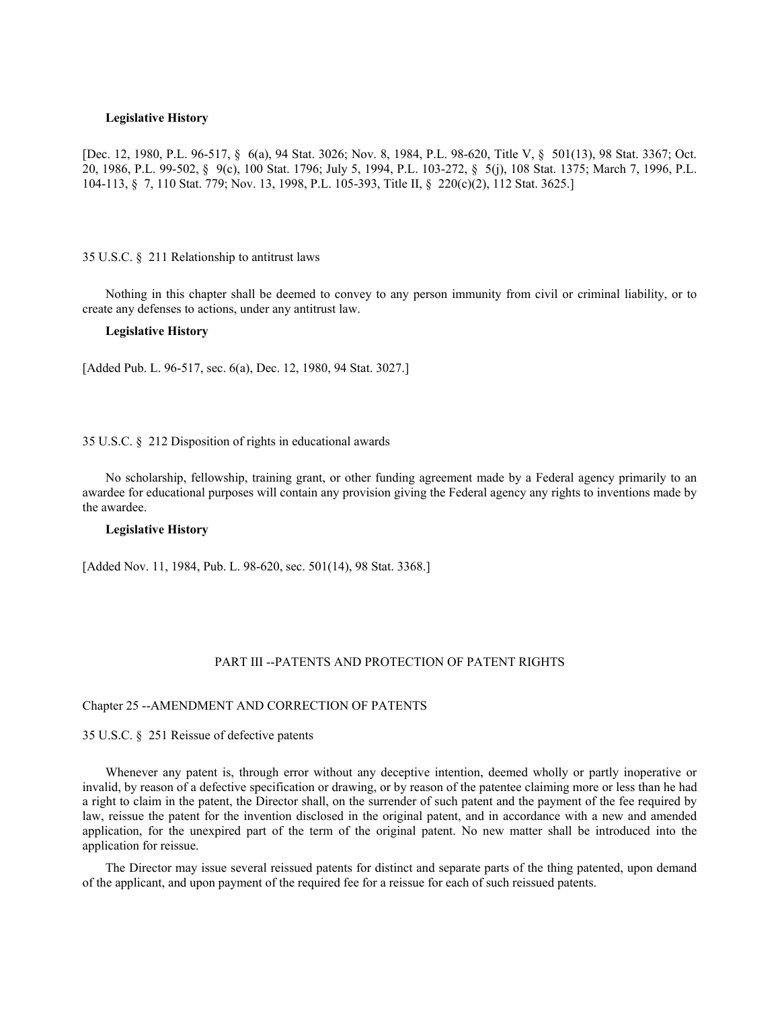### **Legislative History**

[Dec. 12, 1980, P.L. 96-517, § 6(a), 94 Stat. 3026; Nov. 8, 1984, P.L. 98-620, Title V, § 501(13), 98 Stat. 3367; Oct. 20, 1986, P.L. 99-502, § 9(c), 100 Stat. 1796; July 5, 1994, P.L. 103-272, § 5(j), 108 Stat. 1375; March 7, 1996, P.L. 104-113, § 7, 110 Stat. 779; Nov. 13, 1998, P.L. 105-393, Title II, § 220(c)(2), 112 Stat. 3625.]

#### 35 U.S.C. § 211 Relationship to antitrust laws

Nothing in this chapter shall be deemed to convey to any person immunity from civil or criminal liability, or to create any defenses to actions, under any antitrust law.

## **Legislative History**

[Added Pub. L. 96-517, sec. 6(a), Dec. 12, 1980, 94 Stat. 3027.]

## 35 U.S.C. § 212 Disposition of rights in educational awards

No scholarship, fellowship, training grant, or other funding agreement made by a Federal agency primarily to an awardee for educational purposes will contain any provision giving the Federal agency any rights to inventions made by the awardee.

### **Legislative History**

[Added Nov. 11, 1984, Pub. L. 98-620, sec. 501(14), 98 Stat. 3368.]

### PART III --PATENTS AND PROTECTION OF PATENT RIGHTS

#### Chapter 25 --AMENDMENT AND CORRECTION OF PATENTS

35 U.S.C. § 251 Reissue of defective patents

Whenever any patent is, through error without any deceptive intention, deemed wholly or partly inoperative or invalid, by reason of a defective specification or drawing, or by reason of the patentee claiming more or less than he had a right to claim in the patent, the Director shall, on the surrender of such patent and the payment of the fee required by law, reissue the patent for the invention disclosed in the original patent, and in accordance with a new and amended application, for the unexpired part of the term of the original patent. No new matter shall be introduced into the application for reissue.

The Director may issue several reissued patents for distinct and separate parts of the thing patented, upon demand of the applicant, and upon payment of the required fee for a reissue for each of such reissued patents.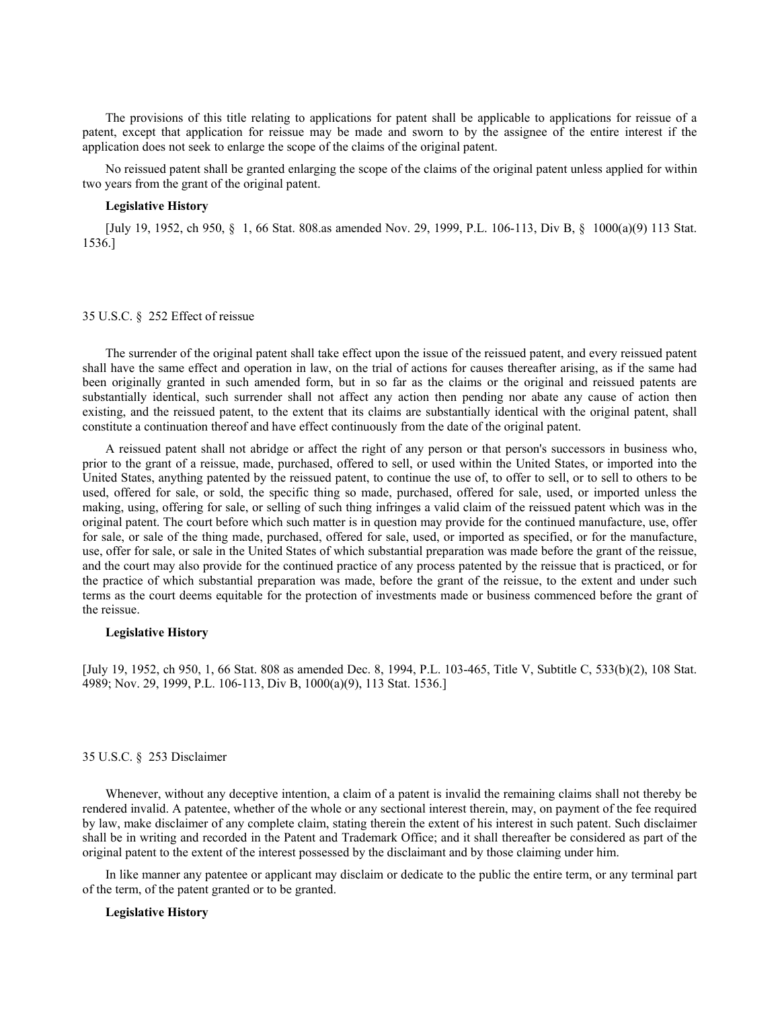The provisions of this title relating to applications for patent shall be applicable to applications for reissue of a patent, except that application for reissue may be made and sworn to by the assignee of the entire interest if the application does not seek to enlarge the scope of the claims of the original patent.

No reissued patent shall be granted enlarging the scope of the claims of the original patent unless applied for within two years from the grant of the original patent.

#### **Legislative History**

[July 19, 1952, ch 950, § 1, 66 Stat. 808.as amended Nov. 29, 1999, P.L. 106-113, Div B, § 1000(a)(9) 113 Stat. 1536.]

#### 35 U.S.C. § 252 Effect of reissue

The surrender of the original patent shall take effect upon the issue of the reissued patent, and every reissued patent shall have the same effect and operation in law, on the trial of actions for causes thereafter arising, as if the same had been originally granted in such amended form, but in so far as the claims or the original and reissued patents are substantially identical, such surrender shall not affect any action then pending nor abate any cause of action then existing, and the reissued patent, to the extent that its claims are substantially identical with the original patent, shall constitute a continuation thereof and have effect continuously from the date of the original patent.

A reissued patent shall not abridge or affect the right of any person or that person's successors in business who, prior to the grant of a reissue, made, purchased, offered to sell, or used within the United States, or imported into the United States, anything patented by the reissued patent, to continue the use of, to offer to sell, or to sell to others to be used, offered for sale, or sold, the specific thing so made, purchased, offered for sale, used, or imported unless the making, using, offering for sale, or selling of such thing infringes a valid claim of the reissued patent which was in the original patent. The court before which such matter is in question may provide for the continued manufacture, use, offer for sale, or sale of the thing made, purchased, offered for sale, used, or imported as specified, or for the manufacture, use, offer for sale, or sale in the United States of which substantial preparation was made before the grant of the reissue, and the court may also provide for the continued practice of any process patented by the reissue that is practiced, or for the practice of which substantial preparation was made, before the grant of the reissue, to the extent and under such terms as the court deems equitable for the protection of investments made or business commenced before the grant of the reissue.

### **Legislative History**

[July 19, 1952, ch 950, 1, 66 Stat. 808 as amended Dec. 8, 1994, P.L. 103-465, Title V, Subtitle C, 533(b)(2), 108 Stat. 4989; Nov. 29, 1999, P.L. 106-113, Div B, 1000(a)(9), 113 Stat. 1536.]

### 35 U.S.C. § 253 Disclaimer

Whenever, without any deceptive intention, a claim of a patent is invalid the remaining claims shall not thereby be rendered invalid. A patentee, whether of the whole or any sectional interest therein, may, on payment of the fee required by law, make disclaimer of any complete claim, stating therein the extent of his interest in such patent. Such disclaimer shall be in writing and recorded in the Patent and Trademark Office; and it shall thereafter be considered as part of the original patent to the extent of the interest possessed by the disclaimant and by those claiming under him.

In like manner any patentee or applicant may disclaim or dedicate to the public the entire term, or any terminal part of the term, of the patent granted or to be granted.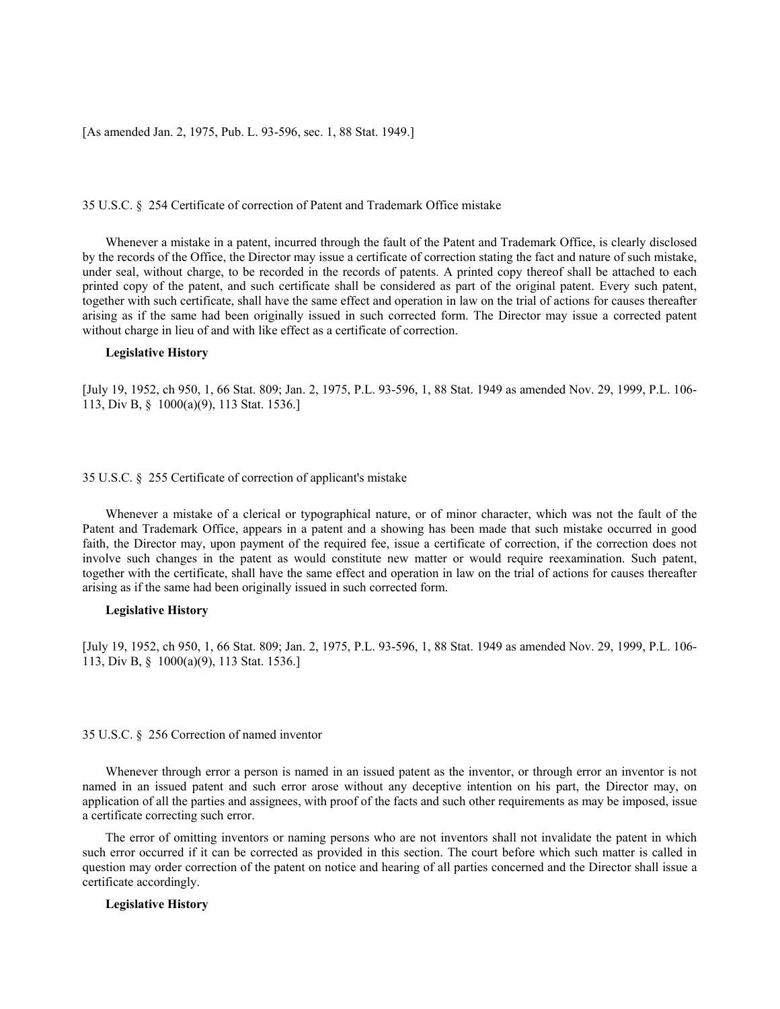[As amended Jan. 2, 1975, Pub. L. 93-596, sec. 1, 88 Stat. 1949.]

#### 35 U.S.C. § 254 Certificate of correction of Patent and Trademark Office mistake

Whenever a mistake in a patent, incurred through the fault of the Patent and Trademark Office, is clearly disclosed by the records of the Office, the Director may issue a certificate of correction stating the fact and nature of such mistake, under seal, without charge, to be recorded in the records of patents. A printed copy thereof shall be attached to each printed copy of the patent, and such certificate shall be considered as part of the original patent. Every such patent, together with such certificate, shall have the same effect and operation in law on the trial of actions for causes thereafter arising as if the same had been originally issued in such corrected form. The Director may issue a corrected patent without charge in lieu of and with like effect as a certificate of correction.

### **Legislative History**

[July 19, 1952, ch 950, 1, 66 Stat. 809; Jan. 2, 1975, P.L. 93-596, 1, 88 Stat. 1949 as amended Nov. 29, 1999, P.L. 106- 113, Div B, § 1000(a)(9), 113 Stat. 1536.]

#### 35 U.S.C. § 255 Certificate of correction of applicant's mistake

Whenever a mistake of a clerical or typographical nature, or of minor character, which was not the fault of the Patent and Trademark Office, appears in a patent and a showing has been made that such mistake occurred in good faith, the Director may, upon payment of the required fee, issue a certificate of correction, if the correction does not involve such changes in the patent as would constitute new matter or would require reexamination. Such patent, together with the certificate, shall have the same effect and operation in law on the trial of actions for causes thereafter arising as if the same had been originally issued in such corrected form.

### **Legislative History**

[July 19, 1952, ch 950, 1, 66 Stat. 809; Jan. 2, 1975, P.L. 93-596, 1, 88 Stat. 1949 as amended Nov. 29, 1999, P.L. 106- 113, Div B, § 1000(a)(9), 113 Stat. 1536.]

## 35 U.S.C. § 256 Correction of named inventor

Whenever through error a person is named in an issued patent as the inventor, or through error an inventor is not named in an issued patent and such error arose without any deceptive intention on his part, the Director may, on application of all the parties and assignees, with proof of the facts and such other requirements as may be imposed, issue a certificate correcting such error.

The error of omitting inventors or naming persons who are not inventors shall not invalidate the patent in which such error occurred if it can be corrected as provided in this section. The court before which such matter is called in question may order correction of the patent on notice and hearing of all parties concerned and the Director shall issue a certificate accordingly.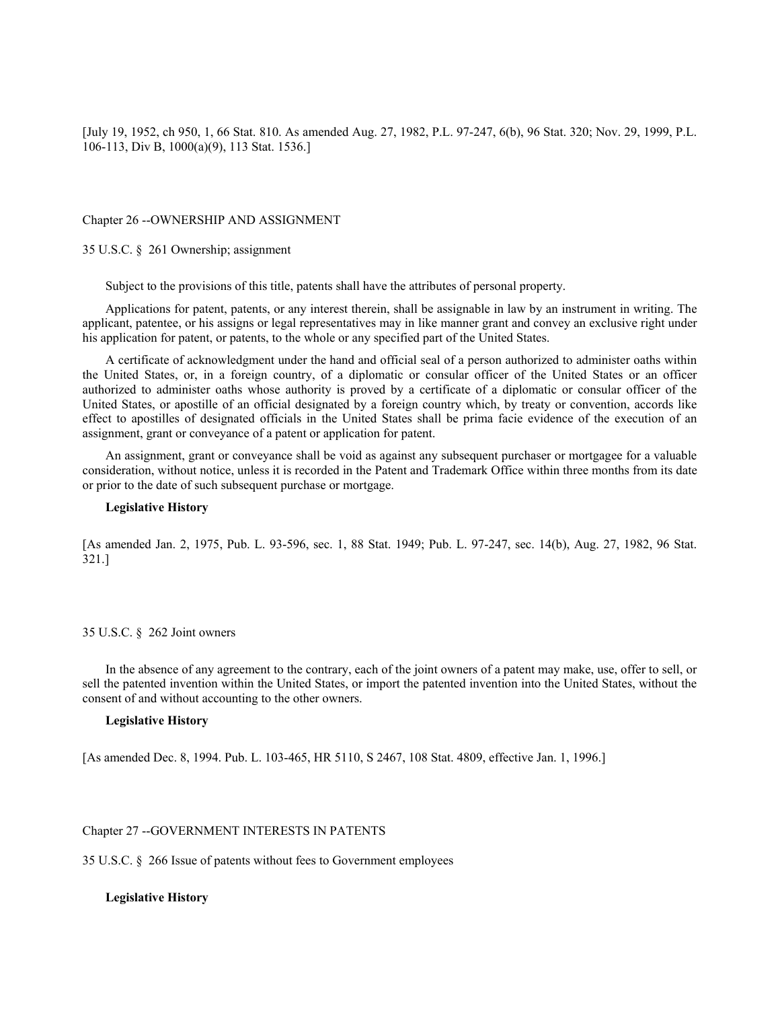[July 19, 1952, ch 950, 1, 66 Stat. 810. As amended Aug. 27, 1982, P.L. 97-247, 6(b), 96 Stat. 320; Nov. 29, 1999, P.L. 106-113, Div B, 1000(a)(9), 113 Stat. 1536.]

Chapter 26 --OWNERSHIP AND ASSIGNMENT

35 U.S.C. § 261 Ownership; assignment

Subject to the provisions of this title, patents shall have the attributes of personal property.

Applications for patent, patents, or any interest therein, shall be assignable in law by an instrument in writing. The applicant, patentee, or his assigns or legal representatives may in like manner grant and convey an exclusive right under his application for patent, or patents, to the whole or any specified part of the United States.

A certificate of acknowledgment under the hand and official seal of a person authorized to administer oaths within the United States, or, in a foreign country, of a diplomatic or consular officer of the United States or an officer authorized to administer oaths whose authority is proved by a certificate of a diplomatic or consular officer of the United States, or apostille of an official designated by a foreign country which, by treaty or convention, accords like effect to apostilles of designated officials in the United States shall be prima facie evidence of the execution of an assignment, grant or conveyance of a patent or application for patent.

An assignment, grant or conveyance shall be void as against any subsequent purchaser or mortgagee for a valuable consideration, without notice, unless it is recorded in the Patent and Trademark Office within three months from its date or prior to the date of such subsequent purchase or mortgage.

# **Legislative History**

[As amended Jan. 2, 1975, Pub. L. 93-596, sec. 1, 88 Stat. 1949; Pub. L. 97-247, sec. 14(b), Aug. 27, 1982, 96 Stat. 321.]

## 35 U.S.C. § 262 Joint owners

In the absence of any agreement to the contrary, each of the joint owners of a patent may make, use, offer to sell, or sell the patented invention within the United States, or import the patented invention into the United States, without the consent of and without accounting to the other owners.

# **Legislative History**

[As amended Dec. 8, 1994. Pub. L. 103-465, HR 5110, S 2467, 108 Stat. 4809, effective Jan. 1, 1996.]

#### Chapter 27 --GOVERNMENT INTERESTS IN PATENTS

35 U.S.C. § 266 Issue of patents without fees to Government employees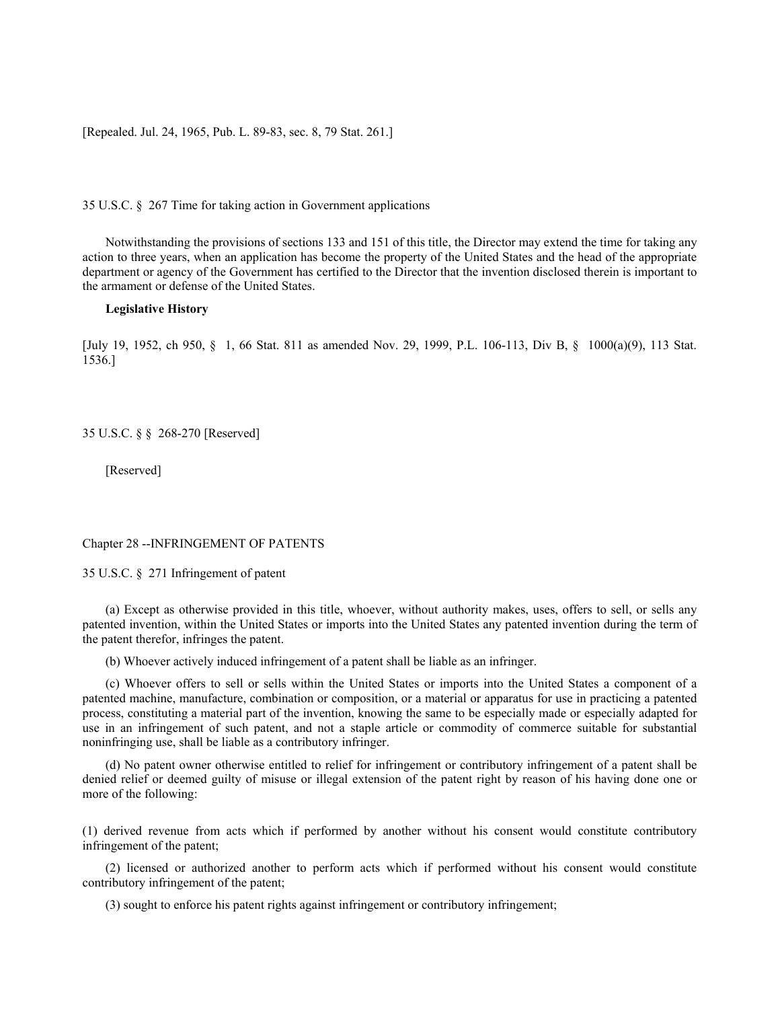[Repealed. Jul. 24, 1965, Pub. L. 89-83, sec. 8, 79 Stat. 261.]

35 U.S.C. § 267 Time for taking action in Government applications

Notwithstanding the provisions of sections 133 and 151 of this title, the Director may extend the time for taking any action to three years, when an application has become the property of the United States and the head of the appropriate department or agency of the Government has certified to the Director that the invention disclosed therein is important to the armament or defense of the United States.

## **Legislative History**

[July 19, 1952, ch 950, § 1, 66 Stat. 811 as amended Nov. 29, 1999, P.L. 106-113, Div B, § 1000(a)(9), 113 Stat. 1536.]

35 U.S.C. § § 268-270 [Reserved]

[Reserved]

Chapter 28 --INFRINGEMENT OF PATENTS

35 U.S.C. § 271 Infringement of patent

(a) Except as otherwise provided in this title, whoever, without authority makes, uses, offers to sell, or sells any patented invention, within the United States or imports into the United States any patented invention during the term of the patent therefor, infringes the patent.

(b) Whoever actively induced infringement of a patent shall be liable as an infringer.

(c) Whoever offers to sell or sells within the United States or imports into the United States a component of a patented machine, manufacture, combination or composition, or a material or apparatus for use in practicing a patented process, constituting a material part of the invention, knowing the same to be especially made or especially adapted for use in an infringement of such patent, and not a staple article or commodity of commerce suitable for substantial noninfringing use, shall be liable as a contributory infringer.

(d) No patent owner otherwise entitled to relief for infringement or contributory infringement of a patent shall be denied relief or deemed guilty of misuse or illegal extension of the patent right by reason of his having done one or more of the following:

(1) derived revenue from acts which if performed by another without his consent would constitute contributory infringement of the patent;

(2) licensed or authorized another to perform acts which if performed without his consent would constitute contributory infringement of the patent;

(3) sought to enforce his patent rights against infringement or contributory infringement;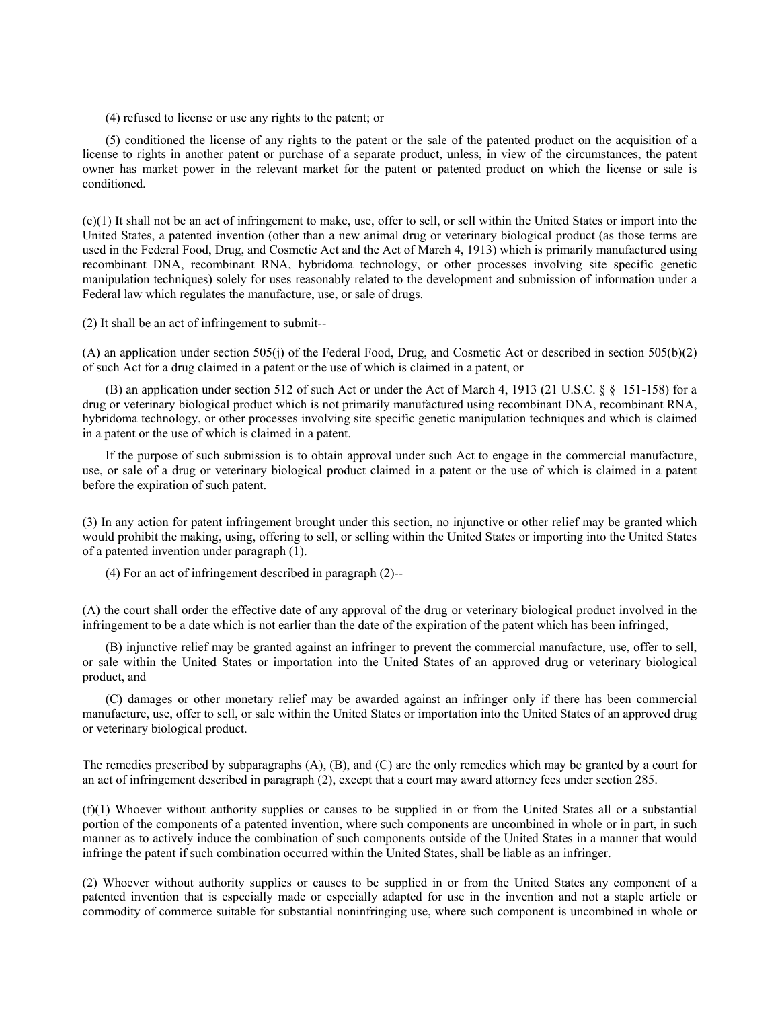(4) refused to license or use any rights to the patent; or

(5) conditioned the license of any rights to the patent or the sale of the patented product on the acquisition of a license to rights in another patent or purchase of a separate product, unless, in view of the circumstances, the patent owner has market power in the relevant market for the patent or patented product on which the license or sale is conditioned.

 $(e)(1)$  It shall not be an act of infringement to make, use, offer to sell, or sell within the United States or import into the United States, a patented invention (other than a new animal drug or veterinary biological product (as those terms are used in the Federal Food, Drug, and Cosmetic Act and the Act of March 4, 1913) which is primarily manufactured using recombinant DNA, recombinant RNA, hybridoma technology, or other processes involving site specific genetic manipulation techniques) solely for uses reasonably related to the development and submission of information under a Federal law which regulates the manufacture, use, or sale of drugs.

(2) It shall be an act of infringement to submit--

(A) an application under section 505(j) of the Federal Food, Drug, and Cosmetic Act or described in section 505(b)(2) of such Act for a drug claimed in a patent or the use of which is claimed in a patent, or

(B) an application under section 512 of such Act or under the Act of March 4, 1913 (21 U.S.C. § § 151-158) for a drug or veterinary biological product which is not primarily manufactured using recombinant DNA, recombinant RNA, hybridoma technology, or other processes involving site specific genetic manipulation techniques and which is claimed in a patent or the use of which is claimed in a patent.

If the purpose of such submission is to obtain approval under such Act to engage in the commercial manufacture, use, or sale of a drug or veterinary biological product claimed in a patent or the use of which is claimed in a patent before the expiration of such patent.

(3) In any action for patent infringement brought under this section, no injunctive or other relief may be granted which would prohibit the making, using, offering to sell, or selling within the United States or importing into the United States of a patented invention under paragraph (1).

(4) For an act of infringement described in paragraph (2)--

(A) the court shall order the effective date of any approval of the drug or veterinary biological product involved in the infringement to be a date which is not earlier than the date of the expiration of the patent which has been infringed,

(B) injunctive relief may be granted against an infringer to prevent the commercial manufacture, use, offer to sell, or sale within the United States or importation into the United States of an approved drug or veterinary biological product, and

(C) damages or other monetary relief may be awarded against an infringer only if there has been commercial manufacture, use, offer to sell, or sale within the United States or importation into the United States of an approved drug or veterinary biological product.

The remedies prescribed by subparagraphs (A), (B), and (C) are the only remedies which may be granted by a court for an act of infringement described in paragraph (2), except that a court may award attorney fees under section 285.

(f)(1) Whoever without authority supplies or causes to be supplied in or from the United States all or a substantial portion of the components of a patented invention, where such components are uncombined in whole or in part, in such manner as to actively induce the combination of such components outside of the United States in a manner that would infringe the patent if such combination occurred within the United States, shall be liable as an infringer.

(2) Whoever without authority supplies or causes to be supplied in or from the United States any component of a patented invention that is especially made or especially adapted for use in the invention and not a staple article or commodity of commerce suitable for substantial noninfringing use, where such component is uncombined in whole or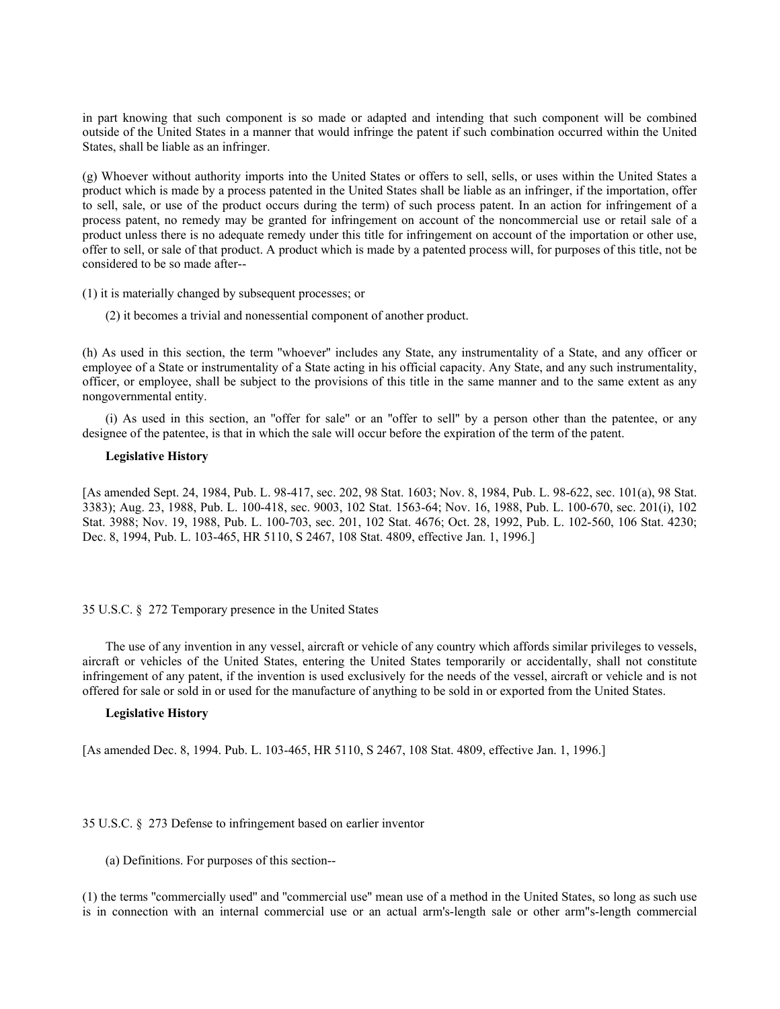in part knowing that such component is so made or adapted and intending that such component will be combined outside of the United States in a manner that would infringe the patent if such combination occurred within the United States, shall be liable as an infringer.

(g) Whoever without authority imports into the United States or offers to sell, sells, or uses within the United States a product which is made by a process patented in the United States shall be liable as an infringer, if the importation, offer to sell, sale, or use of the product occurs during the term) of such process patent. In an action for infringement of a process patent, no remedy may be granted for infringement on account of the noncommercial use or retail sale of a product unless there is no adequate remedy under this title for infringement on account of the importation or other use, offer to sell, or sale of that product. A product which is made by a patented process will, for purposes of this title, not be considered to be so made after--

(1) it is materially changed by subsequent processes; or

(2) it becomes a trivial and nonessential component of another product.

(h) As used in this section, the term ''whoever'' includes any State, any instrumentality of a State, and any officer or employee of a State or instrumentality of a State acting in his official capacity. Any State, and any such instrumentality, officer, or employee, shall be subject to the provisions of this title in the same manner and to the same extent as any nongovernmental entity.

(i) As used in this section, an ''offer for sale'' or an ''offer to sell'' by a person other than the patentee, or any designee of the patentee, is that in which the sale will occur before the expiration of the term of the patent.

## **Legislative History**

[As amended Sept. 24, 1984, Pub. L. 98-417, sec. 202, 98 Stat. 1603; Nov. 8, 1984, Pub. L. 98-622, sec. 101(a), 98 Stat. 3383); Aug. 23, 1988, Pub. L. 100-418, sec. 9003, 102 Stat. 1563-64; Nov. 16, 1988, Pub. L. 100-670, sec. 201(i), 102 Stat. 3988; Nov. 19, 1988, Pub. L. 100-703, sec. 201, 102 Stat. 4676; Oct. 28, 1992, Pub. L. 102-560, 106 Stat. 4230; Dec. 8, 1994, Pub. L. 103-465, HR 5110, S 2467, 108 Stat. 4809, effective Jan. 1, 1996.]

# 35 U.S.C. § 272 Temporary presence in the United States

The use of any invention in any vessel, aircraft or vehicle of any country which affords similar privileges to vessels, aircraft or vehicles of the United States, entering the United States temporarily or accidentally, shall not constitute infringement of any patent, if the invention is used exclusively for the needs of the vessel, aircraft or vehicle and is not offered for sale or sold in or used for the manufacture of anything to be sold in or exported from the United States.

# **Legislative History**

[As amended Dec. 8, 1994. Pub. L. 103-465, HR 5110, S 2467, 108 Stat. 4809, effective Jan. 1, 1996.]

35 U.S.C. § 273 Defense to infringement based on earlier inventor

(a) Definitions. For purposes of this section--

(1) the terms ''commercially used'' and ''commercial use'' mean use of a method in the United States, so long as such use is in connection with an internal commercial use or an actual arm's-length sale or other arm"s-length commercial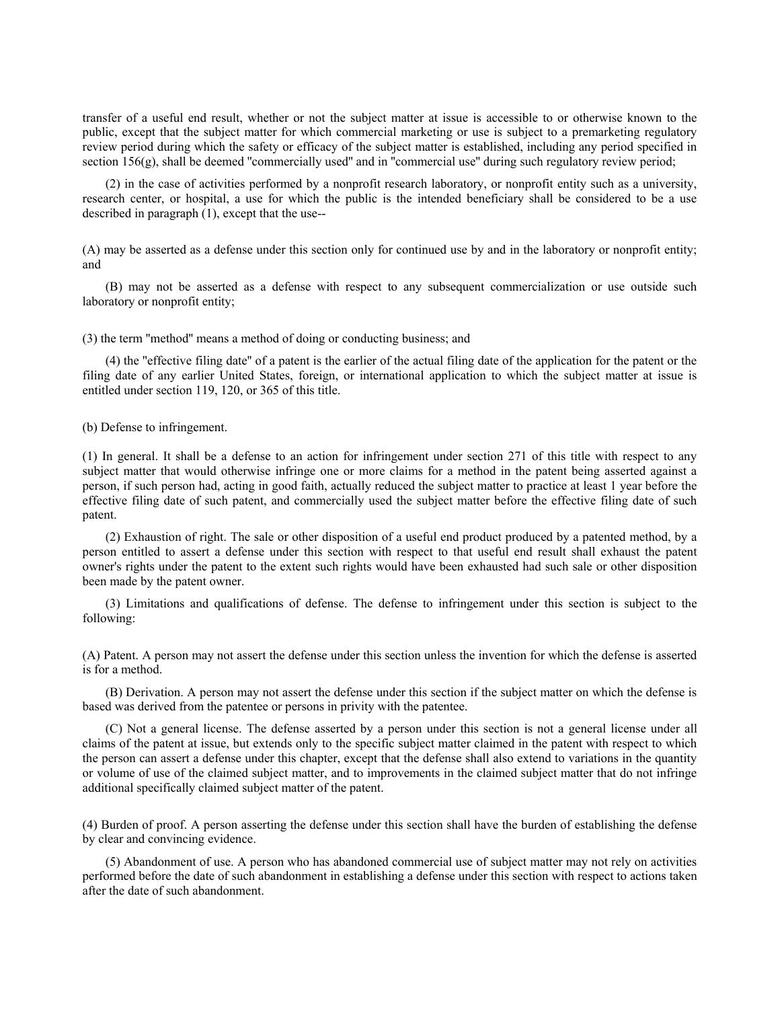transfer of a useful end result, whether or not the subject matter at issue is accessible to or otherwise known to the public, except that the subject matter for which commercial marketing or use is subject to a premarketing regulatory review period during which the safety or efficacy of the subject matter is established, including any period specified in section 156(g), shall be deemed "commercially used" and in "commercial use" during such regulatory review period;

(2) in the case of activities performed by a nonprofit research laboratory, or nonprofit entity such as a university, research center, or hospital, a use for which the public is the intended beneficiary shall be considered to be a use described in paragraph (1), except that the use--

(A) may be asserted as a defense under this section only for continued use by and in the laboratory or nonprofit entity; and

(B) may not be asserted as a defense with respect to any subsequent commercialization or use outside such laboratory or nonprofit entity;

(3) the term ''method'' means a method of doing or conducting business; and

(4) the ''effective filing date'' of a patent is the earlier of the actual filing date of the application for the patent or the filing date of any earlier United States, foreign, or international application to which the subject matter at issue is entitled under section 119, 120, or 365 of this title.

(b) Defense to infringement.

(1) In general. It shall be a defense to an action for infringement under section 271 of this title with respect to any subject matter that would otherwise infringe one or more claims for a method in the patent being asserted against a person, if such person had, acting in good faith, actually reduced the subject matter to practice at least 1 year before the effective filing date of such patent, and commercially used the subject matter before the effective filing date of such patent.

(2) Exhaustion of right. The sale or other disposition of a useful end product produced by a patented method, by a person entitled to assert a defense under this section with respect to that useful end result shall exhaust the patent owner's rights under the patent to the extent such rights would have been exhausted had such sale or other disposition been made by the patent owner.

(3) Limitations and qualifications of defense. The defense to infringement under this section is subject to the following:

(A) Patent. A person may not assert the defense under this section unless the invention for which the defense is asserted is for a method.

(B) Derivation. A person may not assert the defense under this section if the subject matter on which the defense is based was derived from the patentee or persons in privity with the patentee.

(C) Not a general license. The defense asserted by a person under this section is not a general license under all claims of the patent at issue, but extends only to the specific subject matter claimed in the patent with respect to which the person can assert a defense under this chapter, except that the defense shall also extend to variations in the quantity or volume of use of the claimed subject matter, and to improvements in the claimed subject matter that do not infringe additional specifically claimed subject matter of the patent.

(4) Burden of proof. A person asserting the defense under this section shall have the burden of establishing the defense by clear and convincing evidence.

(5) Abandonment of use. A person who has abandoned commercial use of subject matter may not rely on activities performed before the date of such abandonment in establishing a defense under this section with respect to actions taken after the date of such abandonment.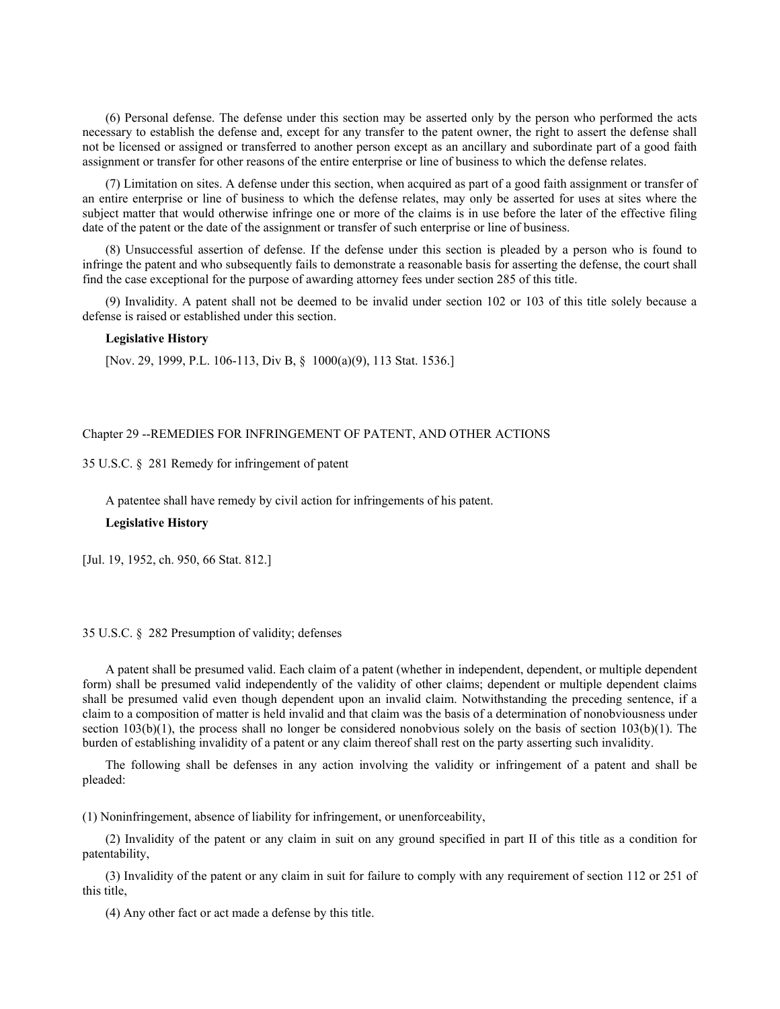(6) Personal defense. The defense under this section may be asserted only by the person who performed the acts necessary to establish the defense and, except for any transfer to the patent owner, the right to assert the defense shall not be licensed or assigned or transferred to another person except as an ancillary and subordinate part of a good faith assignment or transfer for other reasons of the entire enterprise or line of business to which the defense relates.

(7) Limitation on sites. A defense under this section, when acquired as part of a good faith assignment or transfer of an entire enterprise or line of business to which the defense relates, may only be asserted for uses at sites where the subject matter that would otherwise infringe one or more of the claims is in use before the later of the effective filing date of the patent or the date of the assignment or transfer of such enterprise or line of business.

(8) Unsuccessful assertion of defense. If the defense under this section is pleaded by a person who is found to infringe the patent and who subsequently fails to demonstrate a reasonable basis for asserting the defense, the court shall find the case exceptional for the purpose of awarding attorney fees under section 285 of this title.

(9) Invalidity. A patent shall not be deemed to be invalid under section 102 or 103 of this title solely because a defense is raised or established under this section.

## **Legislative History**

[Nov. 29, 1999, P.L. 106-113, Div B, § 1000(a)(9), 113 Stat. 1536.]

### Chapter 29 --REMEDIES FOR INFRINGEMENT OF PATENT, AND OTHER ACTIONS

# 35 U.S.C. § 281 Remedy for infringement of patent

A patentee shall have remedy by civil action for infringements of his patent.

# **Legislative History**

[Jul. 19, 1952, ch. 950, 66 Stat. 812.]

### 35 U.S.C. § 282 Presumption of validity; defenses

A patent shall be presumed valid. Each claim of a patent (whether in independent, dependent, or multiple dependent form) shall be presumed valid independently of the validity of other claims; dependent or multiple dependent claims shall be presumed valid even though dependent upon an invalid claim. Notwithstanding the preceding sentence, if a claim to a composition of matter is held invalid and that claim was the basis of a determination of nonobviousness under section  $103(b)(1)$ , the process shall no longer be considered nonobvious solely on the basis of section  $103(b)(1)$ . The burden of establishing invalidity of a patent or any claim thereof shall rest on the party asserting such invalidity.

The following shall be defenses in any action involving the validity or infringement of a patent and shall be pleaded:

(1) Noninfringement, absence of liability for infringement, or unenforceability,

(2) Invalidity of the patent or any claim in suit on any ground specified in part II of this title as a condition for patentability,

(3) Invalidity of the patent or any claim in suit for failure to comply with any requirement of section 112 or 251 of this title,

(4) Any other fact or act made a defense by this title.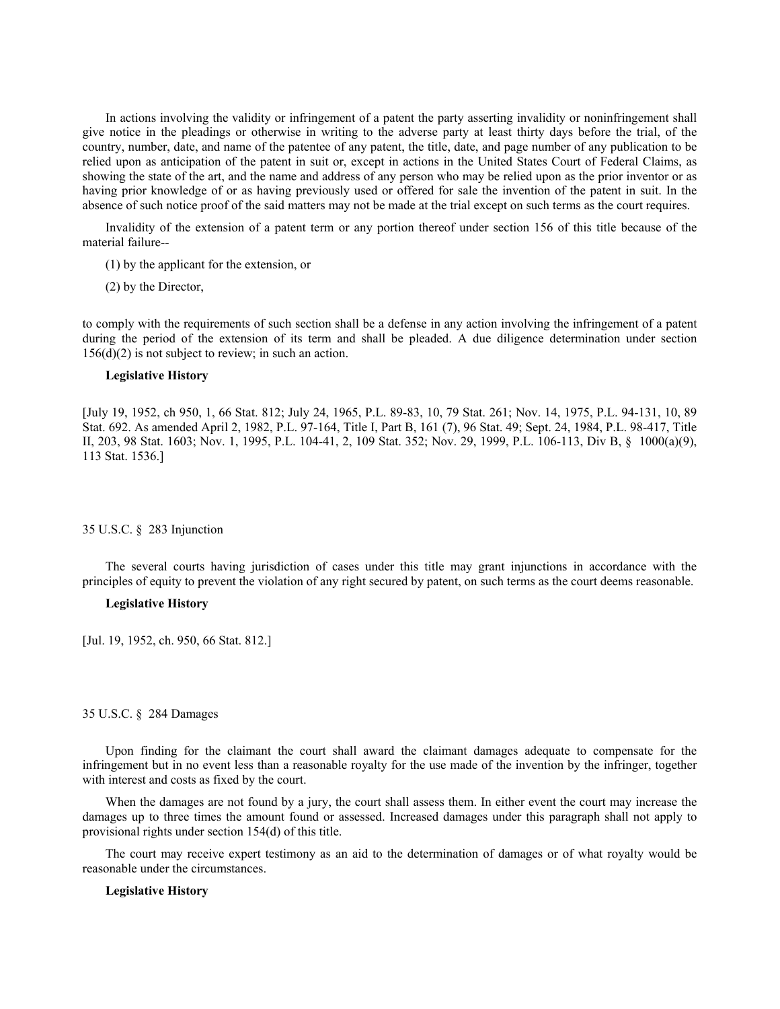In actions involving the validity or infringement of a patent the party asserting invalidity or noninfringement shall give notice in the pleadings or otherwise in writing to the adverse party at least thirty days before the trial, of the country, number, date, and name of the patentee of any patent, the title, date, and page number of any publication to be relied upon as anticipation of the patent in suit or, except in actions in the United States Court of Federal Claims, as showing the state of the art, and the name and address of any person who may be relied upon as the prior inventor or as having prior knowledge of or as having previously used or offered for sale the invention of the patent in suit. In the absence of such notice proof of the said matters may not be made at the trial except on such terms as the court requires.

Invalidity of the extension of a patent term or any portion thereof under section 156 of this title because of the material failure--

- (1) by the applicant for the extension, or
- (2) by the Director,

to comply with the requirements of such section shall be a defense in any action involving the infringement of a patent during the period of the extension of its term and shall be pleaded. A due diligence determination under section  $156(d)(2)$  is not subject to review; in such an action.

### **Legislative History**

[July 19, 1952, ch 950, 1, 66 Stat. 812; July 24, 1965, P.L. 89-83, 10, 79 Stat. 261; Nov. 14, 1975, P.L. 94-131, 10, 89 Stat. 692. As amended April 2, 1982, P.L. 97-164, Title I, Part B, 161 (7), 96 Stat. 49; Sept. 24, 1984, P.L. 98-417, Title II, 203, 98 Stat. 1603; Nov. 1, 1995, P.L. 104-41, 2, 109 Stat. 352; Nov. 29, 1999, P.L. 106-113, Div B, § 1000(a)(9), 113 Stat. 1536.]

#### 35 U.S.C. § 283 Injunction

The several courts having jurisdiction of cases under this title may grant injunctions in accordance with the principles of equity to prevent the violation of any right secured by patent, on such terms as the court deems reasonable.

## **Legislative History**

[Jul. 19, 1952, ch. 950, 66 Stat. 812.]

### 35 U.S.C. § 284 Damages

Upon finding for the claimant the court shall award the claimant damages adequate to compensate for the infringement but in no event less than a reasonable royalty for the use made of the invention by the infringer, together with interest and costs as fixed by the court.

When the damages are not found by a jury, the court shall assess them. In either event the court may increase the damages up to three times the amount found or assessed. Increased damages under this paragraph shall not apply to provisional rights under section 154(d) of this title.

The court may receive expert testimony as an aid to the determination of damages or of what royalty would be reasonable under the circumstances.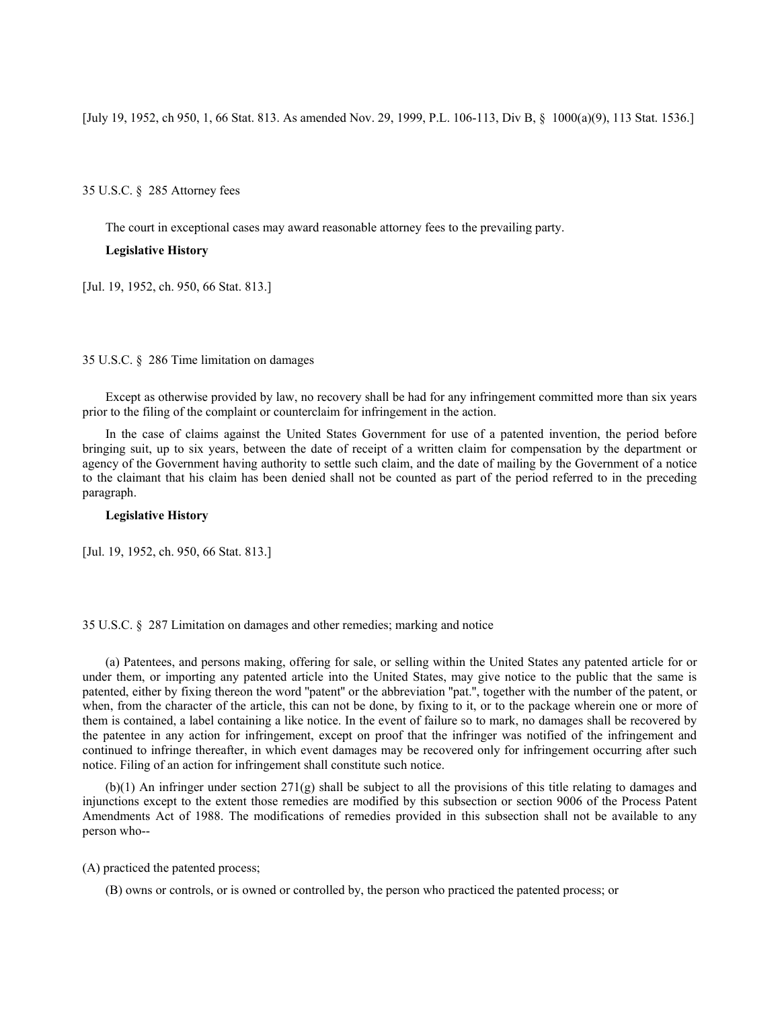[July 19, 1952, ch 950, 1, 66 Stat. 813. As amended Nov. 29, 1999, P.L. 106-113, Div B, § 1000(a)(9), 113 Stat. 1536.]

35 U.S.C. § 285 Attorney fees

The court in exceptional cases may award reasonable attorney fees to the prevailing party.

## **Legislative History**

[Jul. 19, 1952, ch. 950, 66 Stat. 813.]

### 35 U.S.C. § 286 Time limitation on damages

Except as otherwise provided by law, no recovery shall be had for any infringement committed more than six years prior to the filing of the complaint or counterclaim for infringement in the action.

In the case of claims against the United States Government for use of a patented invention, the period before bringing suit, up to six years, between the date of receipt of a written claim for compensation by the department or agency of the Government having authority to settle such claim, and the date of mailing by the Government of a notice to the claimant that his claim has been denied shall not be counted as part of the period referred to in the preceding paragraph.

## **Legislative History**

[Jul. 19, 1952, ch. 950, 66 Stat. 813.]

35 U.S.C. § 287 Limitation on damages and other remedies; marking and notice

(a) Patentees, and persons making, offering for sale, or selling within the United States any patented article for or under them, or importing any patented article into the United States, may give notice to the public that the same is patented, either by fixing thereon the word ''patent'' or the abbreviation ''pat.'', together with the number of the patent, or when, from the character of the article, this can not be done, by fixing to it, or to the package wherein one or more of them is contained, a label containing a like notice. In the event of failure so to mark, no damages shall be recovered by the patentee in any action for infringement, except on proof that the infringer was notified of the infringement and continued to infringe thereafter, in which event damages may be recovered only for infringement occurring after such notice. Filing of an action for infringement shall constitute such notice.

(b)(1) An infringer under section 271(g) shall be subject to all the provisions of this title relating to damages and injunctions except to the extent those remedies are modified by this subsection or section 9006 of the Process Patent Amendments Act of 1988. The modifications of remedies provided in this subsection shall not be available to any person who--

(A) practiced the patented process;

(B) owns or controls, or is owned or controlled by, the person who practiced the patented process; or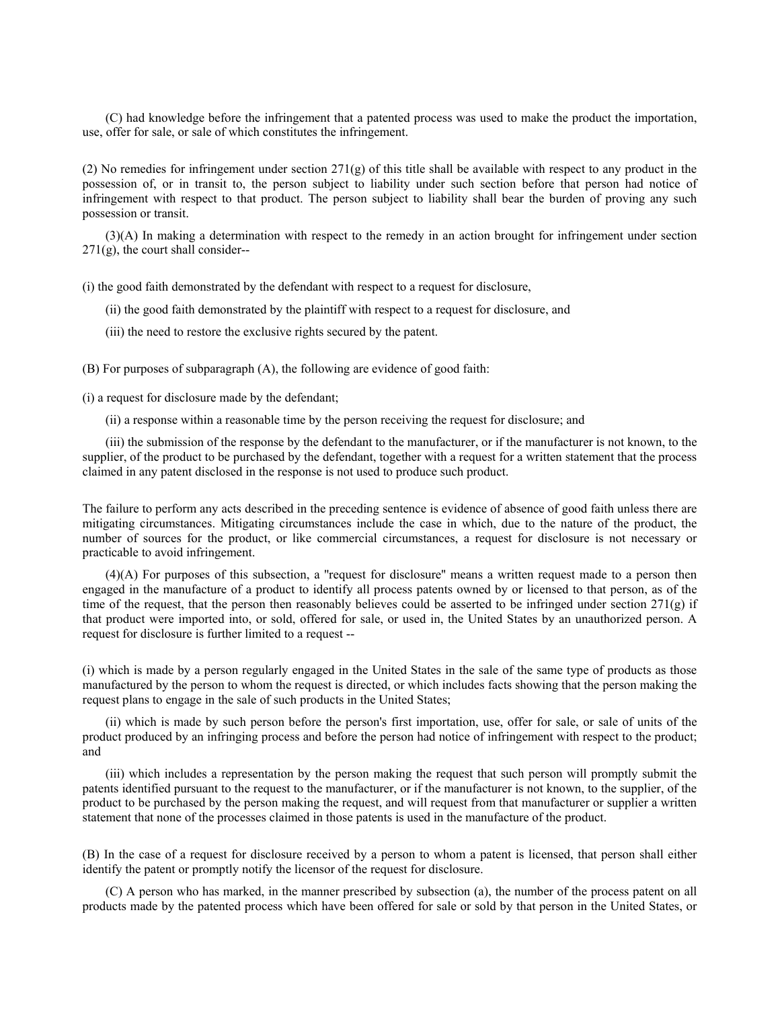(C) had knowledge before the infringement that a patented process was used to make the product the importation, use, offer for sale, or sale of which constitutes the infringement.

(2) No remedies for infringement under section 271(g) of this title shall be available with respect to any product in the possession of, or in transit to, the person subject to liability under such section before that person had notice of infringement with respect to that product. The person subject to liability shall bear the burden of proving any such possession or transit.

(3)(A) In making a determination with respect to the remedy in an action brought for infringement under section  $271(g)$ , the court shall consider--

(i) the good faith demonstrated by the defendant with respect to a request for disclosure,

(ii) the good faith demonstrated by the plaintiff with respect to a request for disclosure, and

(iii) the need to restore the exclusive rights secured by the patent.

(B) For purposes of subparagraph (A), the following are evidence of good faith:

(i) a request for disclosure made by the defendant;

(ii) a response within a reasonable time by the person receiving the request for disclosure; and

(iii) the submission of the response by the defendant to the manufacturer, or if the manufacturer is not known, to the supplier, of the product to be purchased by the defendant, together with a request for a written statement that the process claimed in any patent disclosed in the response is not used to produce such product.

The failure to perform any acts described in the preceding sentence is evidence of absence of good faith unless there are mitigating circumstances. Mitigating circumstances include the case in which, due to the nature of the product, the number of sources for the product, or like commercial circumstances, a request for disclosure is not necessary or practicable to avoid infringement.

(4)(A) For purposes of this subsection, a ''request for disclosure'' means a written request made to a person then engaged in the manufacture of a product to identify all process patents owned by or licensed to that person, as of the time of the request, that the person then reasonably believes could be asserted to be infringed under section  $271(g)$  if that product were imported into, or sold, offered for sale, or used in, the United States by an unauthorized person. A request for disclosure is further limited to a request --

(i) which is made by a person regularly engaged in the United States in the sale of the same type of products as those manufactured by the person to whom the request is directed, or which includes facts showing that the person making the request plans to engage in the sale of such products in the United States;

(ii) which is made by such person before the person's first importation, use, offer for sale, or sale of units of the product produced by an infringing process and before the person had notice of infringement with respect to the product; and

(iii) which includes a representation by the person making the request that such person will promptly submit the patents identified pursuant to the request to the manufacturer, or if the manufacturer is not known, to the supplier, of the product to be purchased by the person making the request, and will request from that manufacturer or supplier a written statement that none of the processes claimed in those patents is used in the manufacture of the product.

(B) In the case of a request for disclosure received by a person to whom a patent is licensed, that person shall either identify the patent or promptly notify the licensor of the request for disclosure.

(C) A person who has marked, in the manner prescribed by subsection (a), the number of the process patent on all products made by the patented process which have been offered for sale or sold by that person in the United States, or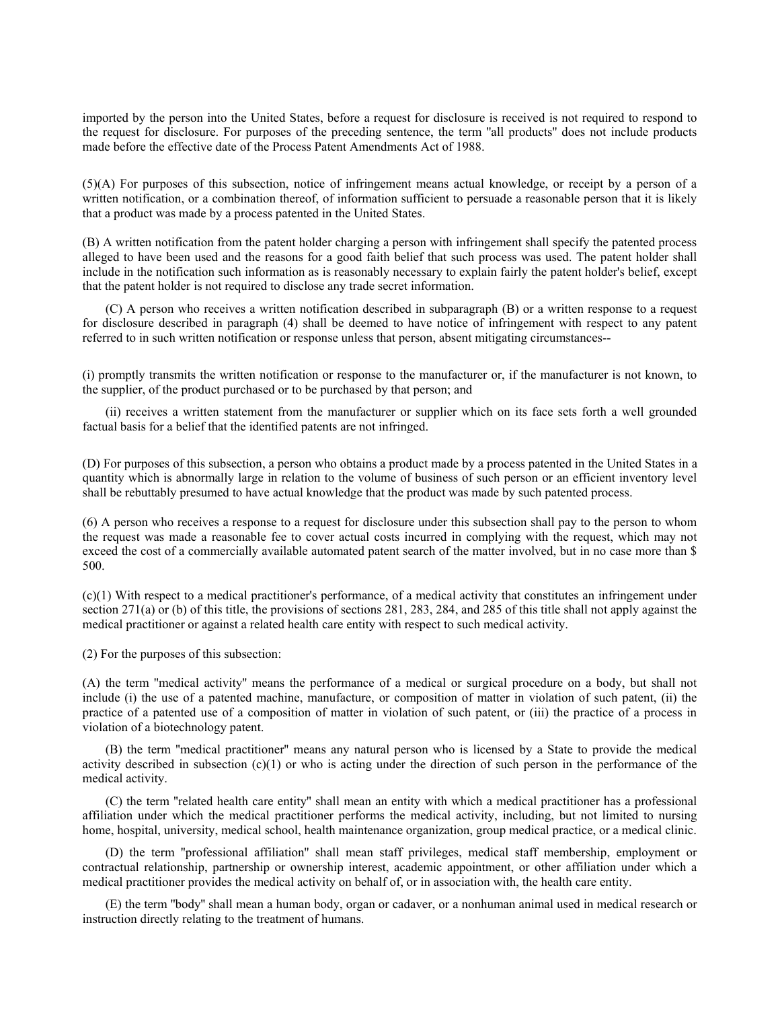imported by the person into the United States, before a request for disclosure is received is not required to respond to the request for disclosure. For purposes of the preceding sentence, the term ''all products'' does not include products made before the effective date of the Process Patent Amendments Act of 1988.

(5)(A) For purposes of this subsection, notice of infringement means actual knowledge, or receipt by a person of a written notification, or a combination thereof, of information sufficient to persuade a reasonable person that it is likely that a product was made by a process patented in the United States.

(B) A written notification from the patent holder charging a person with infringement shall specify the patented process alleged to have been used and the reasons for a good faith belief that such process was used. The patent holder shall include in the notification such information as is reasonably necessary to explain fairly the patent holder's belief, except that the patent holder is not required to disclose any trade secret information.

(C) A person who receives a written notification described in subparagraph (B) or a written response to a request for disclosure described in paragraph (4) shall be deemed to have notice of infringement with respect to any patent referred to in such written notification or response unless that person, absent mitigating circumstances--

(i) promptly transmits the written notification or response to the manufacturer or, if the manufacturer is not known, to the supplier, of the product purchased or to be purchased by that person; and

(ii) receives a written statement from the manufacturer or supplier which on its face sets forth a well grounded factual basis for a belief that the identified patents are not infringed.

(D) For purposes of this subsection, a person who obtains a product made by a process patented in the United States in a quantity which is abnormally large in relation to the volume of business of such person or an efficient inventory level shall be rebuttably presumed to have actual knowledge that the product was made by such patented process.

(6) A person who receives a response to a request for disclosure under this subsection shall pay to the person to whom the request was made a reasonable fee to cover actual costs incurred in complying with the request, which may not exceed the cost of a commercially available automated patent search of the matter involved, but in no case more than \$ 500.

 $(c)(1)$  With respect to a medical practitioner's performance, of a medical activity that constitutes an infringement under section 271(a) or (b) of this title, the provisions of sections 281, 283, 284, and 285 of this title shall not apply against the medical practitioner or against a related health care entity with respect to such medical activity.

(2) For the purposes of this subsection:

(A) the term ''medical activity'' means the performance of a medical or surgical procedure on a body, but shall not include (i) the use of a patented machine, manufacture, or composition of matter in violation of such patent, (ii) the practice of a patented use of a composition of matter in violation of such patent, or (iii) the practice of a process in violation of a biotechnology patent.

(B) the term ''medical practitioner'' means any natural person who is licensed by a State to provide the medical activity described in subsection  $(c)(1)$  or who is acting under the direction of such person in the performance of the medical activity.

(C) the term ''related health care entity'' shall mean an entity with which a medical practitioner has a professional affiliation under which the medical practitioner performs the medical activity, including, but not limited to nursing home, hospital, university, medical school, health maintenance organization, group medical practice, or a medical clinic.

(D) the term ''professional affiliation'' shall mean staff privileges, medical staff membership, employment or contractual relationship, partnership or ownership interest, academic appointment, or other affiliation under which a medical practitioner provides the medical activity on behalf of, or in association with, the health care entity.

(E) the term ''body'' shall mean a human body, organ or cadaver, or a nonhuman animal used in medical research or instruction directly relating to the treatment of humans.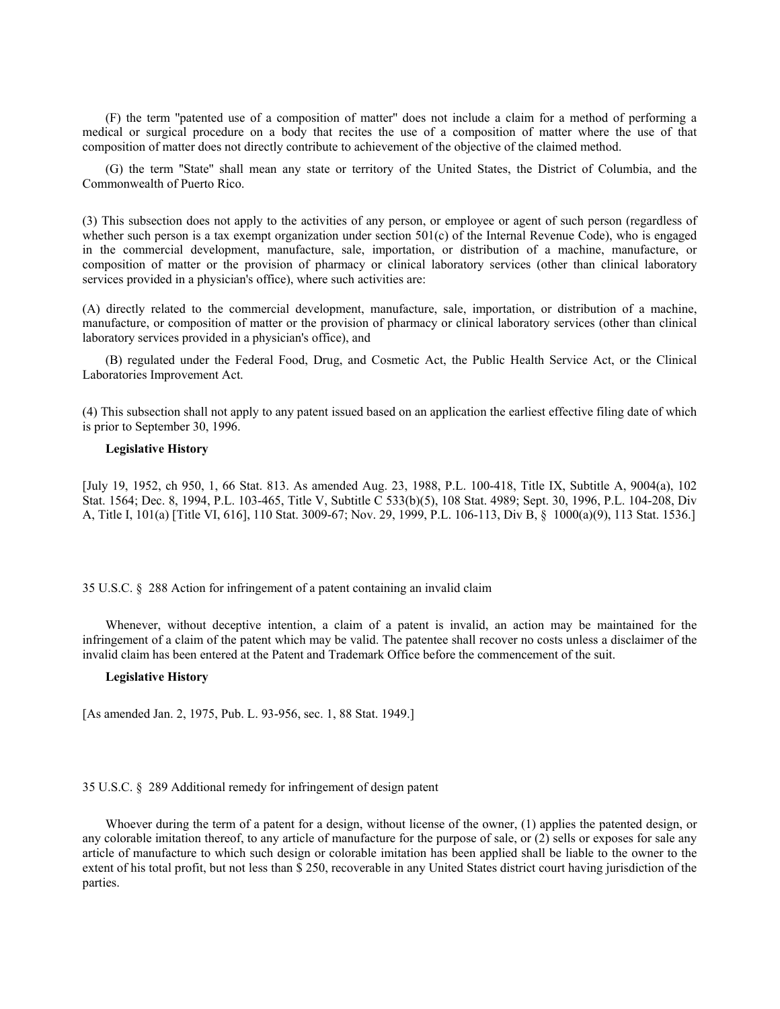(F) the term ''patented use of a composition of matter'' does not include a claim for a method of performing a medical or surgical procedure on a body that recites the use of a composition of matter where the use of that composition of matter does not directly contribute to achievement of the objective of the claimed method.

(G) the term ''State'' shall mean any state or territory of the United States, the District of Columbia, and the Commonwealth of Puerto Rico.

(3) This subsection does not apply to the activities of any person, or employee or agent of such person (regardless of whether such person is a tax exempt organization under section 501(c) of the Internal Revenue Code), who is engaged in the commercial development, manufacture, sale, importation, or distribution of a machine, manufacture, or composition of matter or the provision of pharmacy or clinical laboratory services (other than clinical laboratory services provided in a physician's office), where such activities are:

(A) directly related to the commercial development, manufacture, sale, importation, or distribution of a machine, manufacture, or composition of matter or the provision of pharmacy or clinical laboratory services (other than clinical laboratory services provided in a physician's office), and

(B) regulated under the Federal Food, Drug, and Cosmetic Act, the Public Health Service Act, or the Clinical Laboratories Improvement Act.

(4) This subsection shall not apply to any patent issued based on an application the earliest effective filing date of which is prior to September 30, 1996.

# **Legislative History**

[July 19, 1952, ch 950, 1, 66 Stat. 813. As amended Aug. 23, 1988, P.L. 100-418, Title IX, Subtitle A, 9004(a), 102 Stat. 1564; Dec. 8, 1994, P.L. 103-465, Title V, Subtitle C 533(b)(5), 108 Stat. 4989; Sept. 30, 1996, P.L. 104-208, Div A, Title I, 101(a) [Title VI, 616], 110 Stat. 3009-67; Nov. 29, 1999, P.L. 106-113, Div B, § 1000(a)(9), 113 Stat. 1536.]

35 U.S.C. § 288 Action for infringement of a patent containing an invalid claim

Whenever, without deceptive intention, a claim of a patent is invalid, an action may be maintained for the infringement of a claim of the patent which may be valid. The patentee shall recover no costs unless a disclaimer of the invalid claim has been entered at the Patent and Trademark Office before the commencement of the suit.

# **Legislative History**

[As amended Jan. 2, 1975, Pub. L. 93-956, sec. 1, 88 Stat. 1949.]

35 U.S.C. § 289 Additional remedy for infringement of design patent

Whoever during the term of a patent for a design, without license of the owner, (1) applies the patented design, or any colorable imitation thereof, to any article of manufacture for the purpose of sale, or (2) sells or exposes for sale any article of manufacture to which such design or colorable imitation has been applied shall be liable to the owner to the extent of his total profit, but not less than \$ 250, recoverable in any United States district court having jurisdiction of the parties.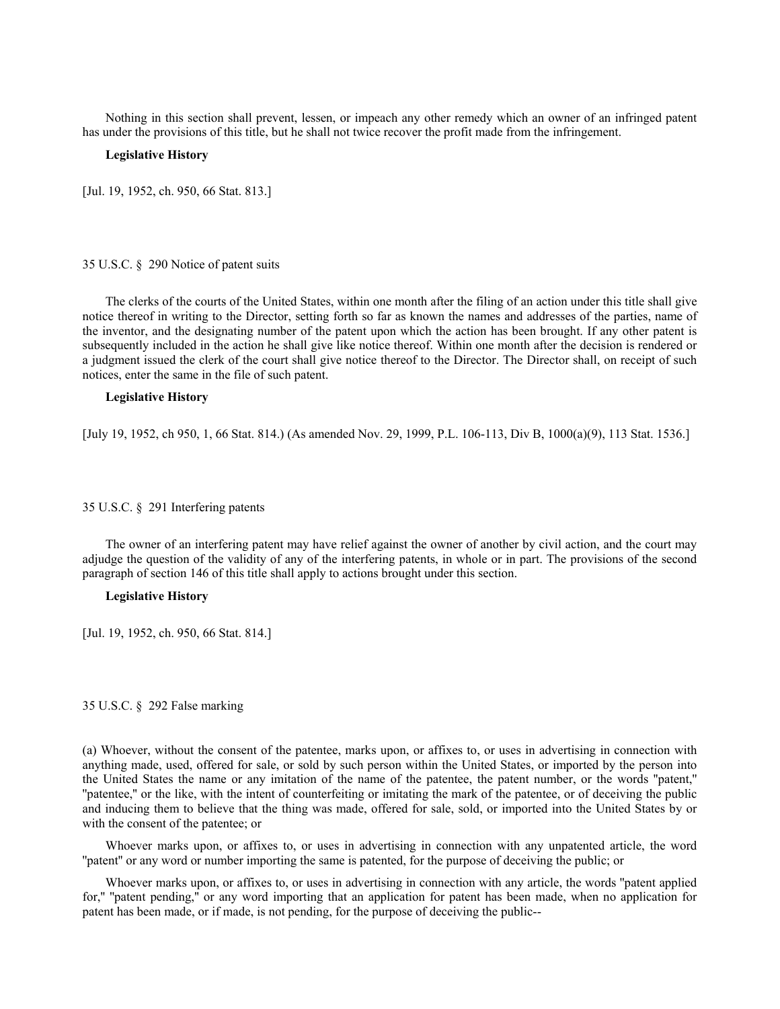Nothing in this section shall prevent, lessen, or impeach any other remedy which an owner of an infringed patent has under the provisions of this title, but he shall not twice recover the profit made from the infringement.

# **Legislative History**

[Jul. 19, 1952, ch. 950, 66 Stat. 813.]

#### 35 U.S.C. § 290 Notice of patent suits

The clerks of the courts of the United States, within one month after the filing of an action under this title shall give notice thereof in writing to the Director, setting forth so far as known the names and addresses of the parties, name of the inventor, and the designating number of the patent upon which the action has been brought. If any other patent is subsequently included in the action he shall give like notice thereof. Within one month after the decision is rendered or a judgment issued the clerk of the court shall give notice thereof to the Director. The Director shall, on receipt of such notices, enter the same in the file of such patent.

# **Legislative History**

[July 19, 1952, ch 950, 1, 66 Stat. 814.) (As amended Nov. 29, 1999, P.L. 106-113, Div B, 1000(a)(9), 113 Stat. 1536.]

### 35 U.S.C. § 291 Interfering patents

The owner of an interfering patent may have relief against the owner of another by civil action, and the court may adjudge the question of the validity of any of the interfering patents, in whole or in part. The provisions of the second paragraph of section 146 of this title shall apply to actions brought under this section.

# **Legislative History**

[Jul. 19, 1952, ch. 950, 66 Stat. 814.]

35 U.S.C. § 292 False marking

(a) Whoever, without the consent of the patentee, marks upon, or affixes to, or uses in advertising in connection with anything made, used, offered for sale, or sold by such person within the United States, or imported by the person into the United States the name or any imitation of the name of the patentee, the patent number, or the words ''patent,'' ''patentee,'' or the like, with the intent of counterfeiting or imitating the mark of the patentee, or of deceiving the public and inducing them to believe that the thing was made, offered for sale, sold, or imported into the United States by or with the consent of the patentee; or

Whoever marks upon, or affixes to, or uses in advertising in connection with any unpatented article, the word ''patent'' or any word or number importing the same is patented, for the purpose of deceiving the public; or

Whoever marks upon, or affixes to, or uses in advertising in connection with any article, the words ''patent applied for," "patent pending," or any word importing that an application for patent has been made, when no application for patent has been made, or if made, is not pending, for the purpose of deceiving the public--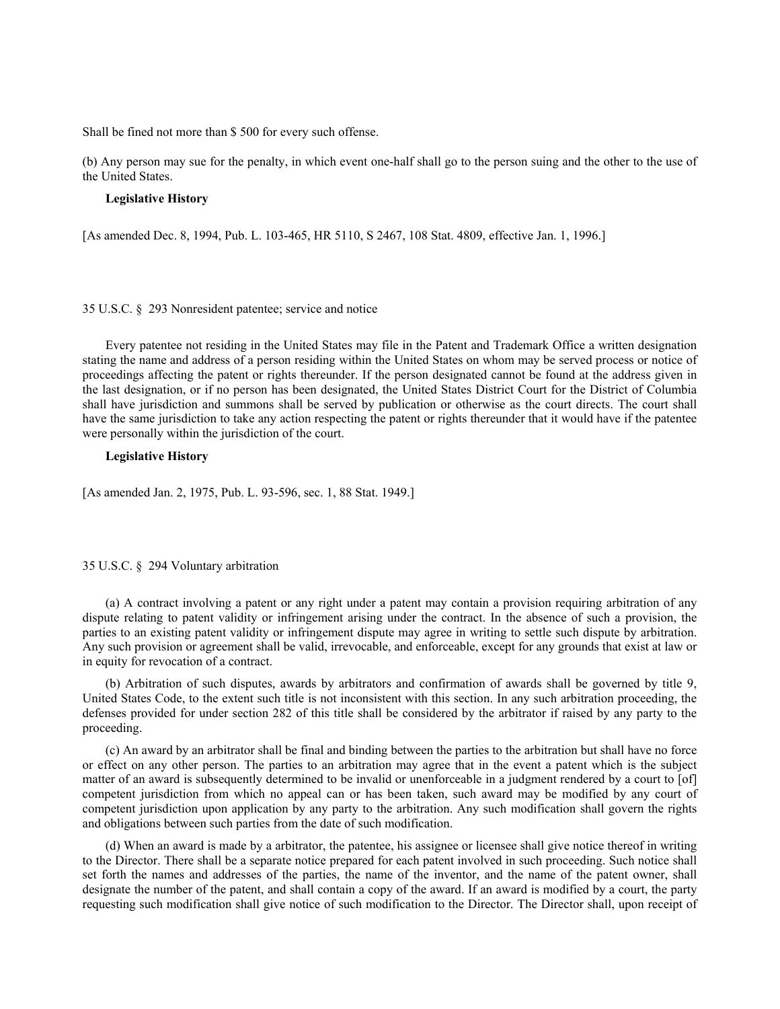Shall be fined not more than \$ 500 for every such offense.

(b) Any person may sue for the penalty, in which event one-half shall go to the person suing and the other to the use of the United States.

# **Legislative History**

[As amended Dec. 8, 1994, Pub. L. 103-465, HR 5110, S 2467, 108 Stat. 4809, effective Jan. 1, 1996.]

#### 35 U.S.C. § 293 Nonresident patentee; service and notice

Every patentee not residing in the United States may file in the Patent and Trademark Office a written designation stating the name and address of a person residing within the United States on whom may be served process or notice of proceedings affecting the patent or rights thereunder. If the person designated cannot be found at the address given in the last designation, or if no person has been designated, the United States District Court for the District of Columbia shall have jurisdiction and summons shall be served by publication or otherwise as the court directs. The court shall have the same jurisdiction to take any action respecting the patent or rights thereunder that it would have if the patentee were personally within the jurisdiction of the court.

# **Legislative History**

[As amended Jan. 2, 1975, Pub. L. 93-596, sec. 1, 88 Stat. 1949.]

# 35 U.S.C. § 294 Voluntary arbitration

(a) A contract involving a patent or any right under a patent may contain a provision requiring arbitration of any dispute relating to patent validity or infringement arising under the contract. In the absence of such a provision, the parties to an existing patent validity or infringement dispute may agree in writing to settle such dispute by arbitration. Any such provision or agreement shall be valid, irrevocable, and enforceable, except for any grounds that exist at law or in equity for revocation of a contract.

(b) Arbitration of such disputes, awards by arbitrators and confirmation of awards shall be governed by title 9, United States Code, to the extent such title is not inconsistent with this section. In any such arbitration proceeding, the defenses provided for under section 282 of this title shall be considered by the arbitrator if raised by any party to the proceeding.

(c) An award by an arbitrator shall be final and binding between the parties to the arbitration but shall have no force or effect on any other person. The parties to an arbitration may agree that in the event a patent which is the subject matter of an award is subsequently determined to be invalid or unenforceable in a judgment rendered by a court to [of] competent jurisdiction from which no appeal can or has been taken, such award may be modified by any court of competent jurisdiction upon application by any party to the arbitration. Any such modification shall govern the rights and obligations between such parties from the date of such modification.

(d) When an award is made by a arbitrator, the patentee, his assignee or licensee shall give notice thereof in writing to the Director. There shall be a separate notice prepared for each patent involved in such proceeding. Such notice shall set forth the names and addresses of the parties, the name of the inventor, and the name of the patent owner, shall designate the number of the patent, and shall contain a copy of the award. If an award is modified by a court, the party requesting such modification shall give notice of such modification to the Director. The Director shall, upon receipt of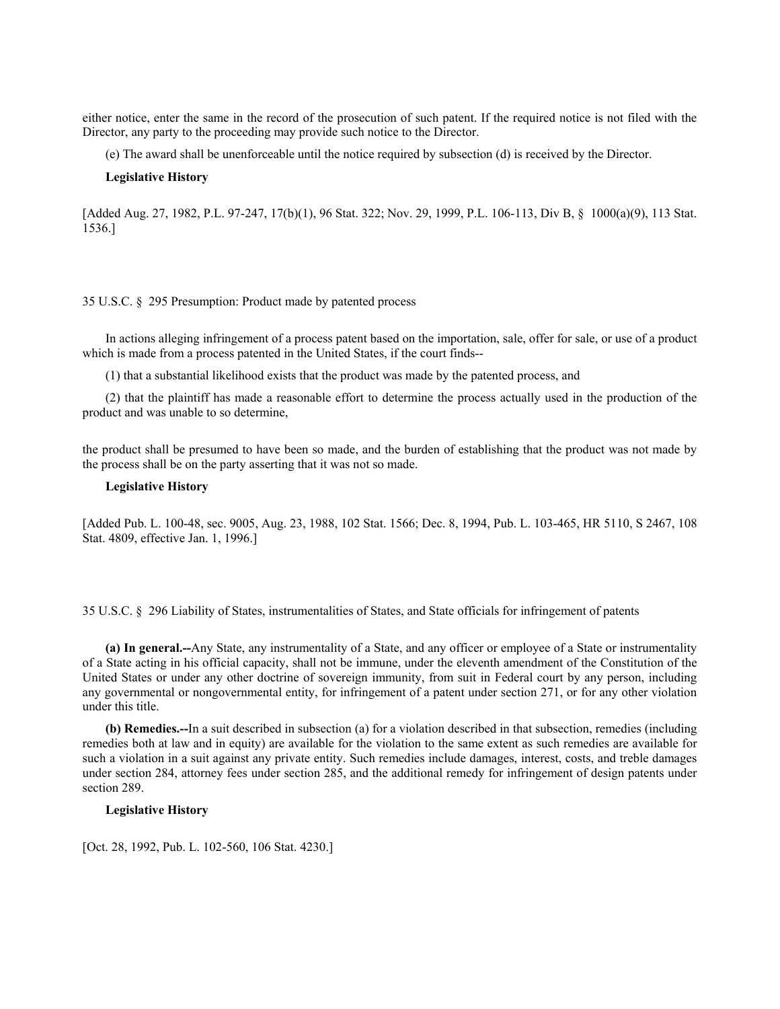either notice, enter the same in the record of the prosecution of such patent. If the required notice is not filed with the Director, any party to the proceeding may provide such notice to the Director.

(e) The award shall be unenforceable until the notice required by subsection (d) is received by the Director.

# **Legislative History**

[Added Aug. 27, 1982, P.L. 97-247, 17(b)(1), 96 Stat. 322; Nov. 29, 1999, P.L. 106-113, Div B, § 1000(a)(9), 113 Stat. 1536.]

## 35 U.S.C. § 295 Presumption: Product made by patented process

In actions alleging infringement of a process patent based on the importation, sale, offer for sale, or use of a product which is made from a process patented in the United States, if the court finds--

(1) that a substantial likelihood exists that the product was made by the patented process, and

(2) that the plaintiff has made a reasonable effort to determine the process actually used in the production of the product and was unable to so determine,

the product shall be presumed to have been so made, and the burden of establishing that the product was not made by the process shall be on the party asserting that it was not so made.

#### **Legislative History**

[Added Pub. L. 100-48, sec. 9005, Aug. 23, 1988, 102 Stat. 1566; Dec. 8, 1994, Pub. L. 103-465, HR 5110, S 2467, 108 Stat. 4809, effective Jan. 1, 1996.]

35 U.S.C. § 296 Liability of States, instrumentalities of States, and State officials for infringement of patents

**(a) In general.--**Any State, any instrumentality of a State, and any officer or employee of a State or instrumentality of a State acting in his official capacity, shall not be immune, under the eleventh amendment of the Constitution of the United States or under any other doctrine of sovereign immunity, from suit in Federal court by any person, including any governmental or nongovernmental entity, for infringement of a patent under section 271, or for any other violation under this title.

**(b) Remedies.--**In a suit described in subsection (a) for a violation described in that subsection, remedies (including remedies both at law and in equity) are available for the violation to the same extent as such remedies are available for such a violation in a suit against any private entity. Such remedies include damages, interest, costs, and treble damages under section 284, attorney fees under section 285, and the additional remedy for infringement of design patents under section 289.

#### **Legislative History**

[Oct. 28, 1992, Pub. L. 102-560, 106 Stat. 4230.]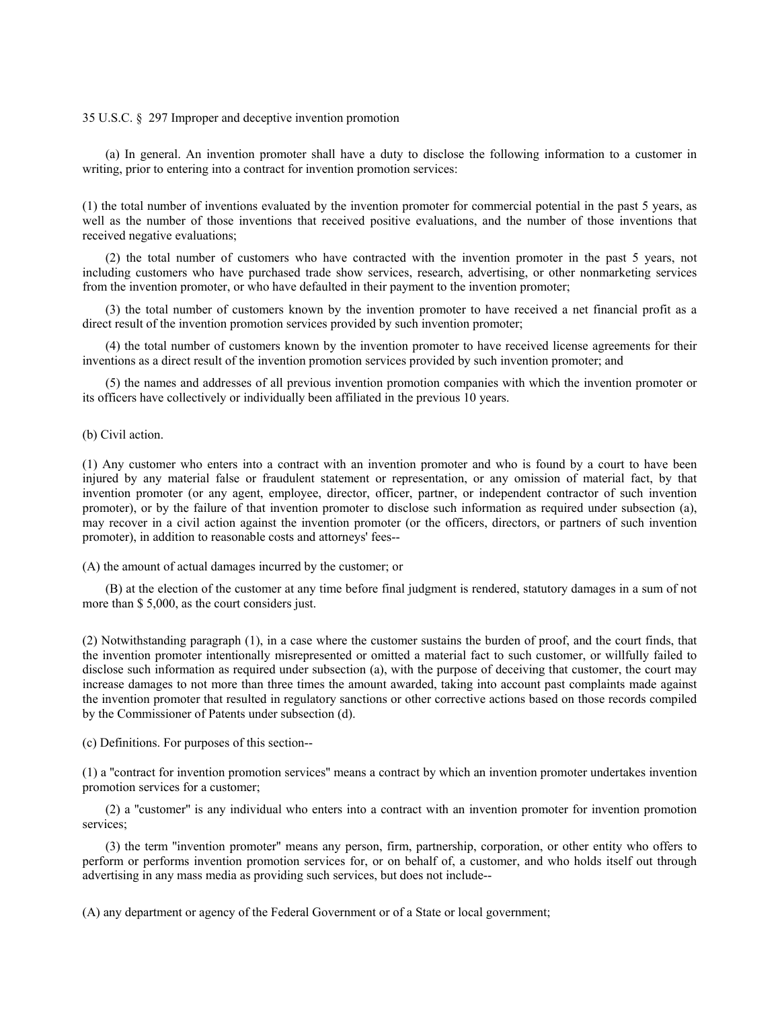#### 35 U.S.C. § 297 Improper and deceptive invention promotion

(a) In general. An invention promoter shall have a duty to disclose the following information to a customer in writing, prior to entering into a contract for invention promotion services:

(1) the total number of inventions evaluated by the invention promoter for commercial potential in the past 5 years, as well as the number of those inventions that received positive evaluations, and the number of those inventions that received negative evaluations;

(2) the total number of customers who have contracted with the invention promoter in the past 5 years, not including customers who have purchased trade show services, research, advertising, or other nonmarketing services from the invention promoter, or who have defaulted in their payment to the invention promoter;

(3) the total number of customers known by the invention promoter to have received a net financial profit as a direct result of the invention promotion services provided by such invention promoter;

(4) the total number of customers known by the invention promoter to have received license agreements for their inventions as a direct result of the invention promotion services provided by such invention promoter; and

(5) the names and addresses of all previous invention promotion companies with which the invention promoter or its officers have collectively or individually been affiliated in the previous 10 years.

# (b) Civil action.

(1) Any customer who enters into a contract with an invention promoter and who is found by a court to have been injured by any material false or fraudulent statement or representation, or any omission of material fact, by that invention promoter (or any agent, employee, director, officer, partner, or independent contractor of such invention promoter), or by the failure of that invention promoter to disclose such information as required under subsection (a), may recover in a civil action against the invention promoter (or the officers, directors, or partners of such invention promoter), in addition to reasonable costs and attorneys' fees--

(A) the amount of actual damages incurred by the customer; or

(B) at the election of the customer at any time before final judgment is rendered, statutory damages in a sum of not more than \$ 5,000, as the court considers just.

(2) Notwithstanding paragraph (1), in a case where the customer sustains the burden of proof, and the court finds, that the invention promoter intentionally misrepresented or omitted a material fact to such customer, or willfully failed to disclose such information as required under subsection (a), with the purpose of deceiving that customer, the court may increase damages to not more than three times the amount awarded, taking into account past complaints made against the invention promoter that resulted in regulatory sanctions or other corrective actions based on those records compiled by the Commissioner of Patents under subsection (d).

(c) Definitions. For purposes of this section--

(1) a ''contract for invention promotion services'' means a contract by which an invention promoter undertakes invention promotion services for a customer;

(2) a ''customer'' is any individual who enters into a contract with an invention promoter for invention promotion services;

(3) the term ''invention promoter'' means any person, firm, partnership, corporation, or other entity who offers to perform or performs invention promotion services for, or on behalf of, a customer, and who holds itself out through advertising in any mass media as providing such services, but does not include--

(A) any department or agency of the Federal Government or of a State or local government;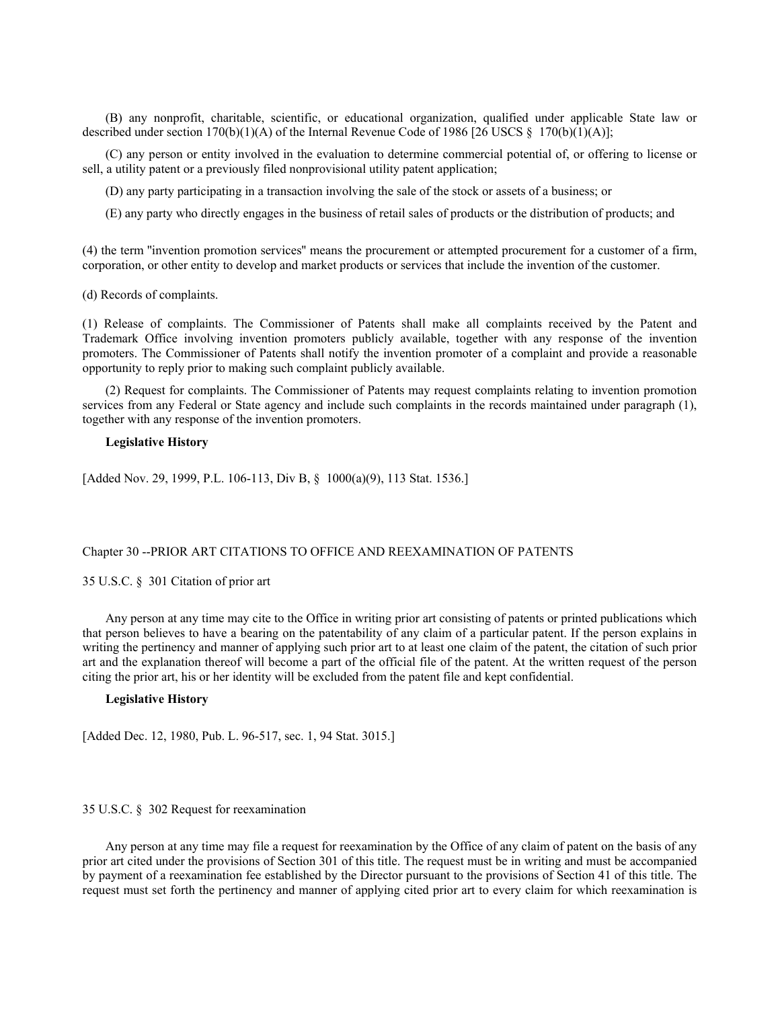(B) any nonprofit, charitable, scientific, or educational organization, qualified under applicable State law or described under section  $170(b)(1)(A)$  of the Internal Revenue Code of 1986 [26 USCS § 170(b)(1)(A)];

(C) any person or entity involved in the evaluation to determine commercial potential of, or offering to license or sell, a utility patent or a previously filed nonprovisional utility patent application;

(D) any party participating in a transaction involving the sale of the stock or assets of a business; or

(E) any party who directly engages in the business of retail sales of products or the distribution of products; and

(4) the term ''invention promotion services'' means the procurement or attempted procurement for a customer of a firm, corporation, or other entity to develop and market products or services that include the invention of the customer.

(d) Records of complaints.

(1) Release of complaints. The Commissioner of Patents shall make all complaints received by the Patent and Trademark Office involving invention promoters publicly available, together with any response of the invention promoters. The Commissioner of Patents shall notify the invention promoter of a complaint and provide a reasonable opportunity to reply prior to making such complaint publicly available.

(2) Request for complaints. The Commissioner of Patents may request complaints relating to invention promotion services from any Federal or State agency and include such complaints in the records maintained under paragraph (1), together with any response of the invention promoters.

# **Legislative History**

[Added Nov. 29, 1999, P.L. 106-113, Div B, § 1000(a)(9), 113 Stat. 1536.]

#### Chapter 30 --PRIOR ART CITATIONS TO OFFICE AND REEXAMINATION OF PATENTS

# 35 U.S.C. § 301 Citation of prior art

Any person at any time may cite to the Office in writing prior art consisting of patents or printed publications which that person believes to have a bearing on the patentability of any claim of a particular patent. If the person explains in writing the pertinency and manner of applying such prior art to at least one claim of the patent, the citation of such prior art and the explanation thereof will become a part of the official file of the patent. At the written request of the person citing the prior art, his or her identity will be excluded from the patent file and kept confidential.

# **Legislative History**

[Added Dec. 12, 1980, Pub. L. 96-517, sec. 1, 94 Stat. 3015.]

## 35 U.S.C. § 302 Request for reexamination

Any person at any time may file a request for reexamination by the Office of any claim of patent on the basis of any prior art cited under the provisions of Section 301 of this title. The request must be in writing and must be accompanied by payment of a reexamination fee established by the Director pursuant to the provisions of Section 41 of this title. The request must set forth the pertinency and manner of applying cited prior art to every claim for which reexamination is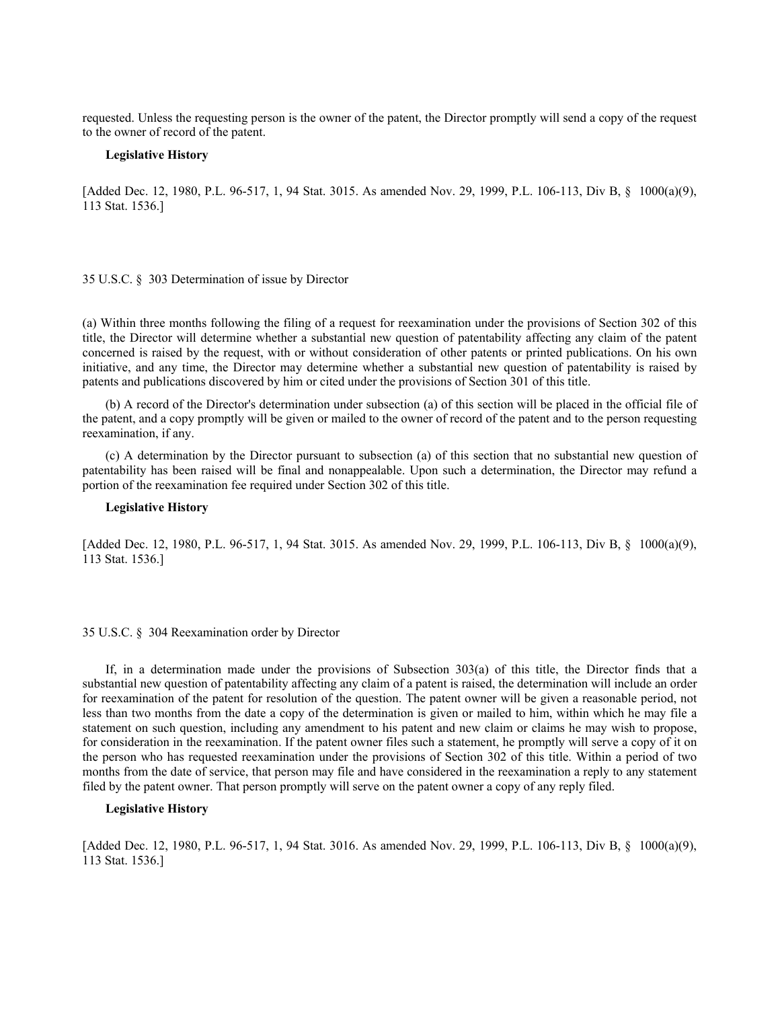requested. Unless the requesting person is the owner of the patent, the Director promptly will send a copy of the request to the owner of record of the patent.

# **Legislative History**

[Added Dec. 12, 1980, P.L. 96-517, 1, 94 Stat. 3015. As amended Nov. 29, 1999, P.L. 106-113, Div B, § 1000(a)(9), 113 Stat. 1536.]

#### 35 U.S.C. § 303 Determination of issue by Director

(a) Within three months following the filing of a request for reexamination under the provisions of Section 302 of this title, the Director will determine whether a substantial new question of patentability affecting any claim of the patent concerned is raised by the request, with or without consideration of other patents or printed publications. On his own initiative, and any time, the Director may determine whether a substantial new question of patentability is raised by patents and publications discovered by him or cited under the provisions of Section 301 of this title.

(b) A record of the Director's determination under subsection (a) of this section will be placed in the official file of the patent, and a copy promptly will be given or mailed to the owner of record of the patent and to the person requesting reexamination, if any.

(c) A determination by the Director pursuant to subsection (a) of this section that no substantial new question of patentability has been raised will be final and nonappealable. Upon such a determination, the Director may refund a portion of the reexamination fee required under Section 302 of this title.

# **Legislative History**

[Added Dec. 12, 1980, P.L. 96-517, 1, 94 Stat. 3015. As amended Nov. 29, 1999, P.L. 106-113, Div B, § 1000(a)(9), 113 Stat. 1536.]

# 35 U.S.C. § 304 Reexamination order by Director

If, in a determination made under the provisions of Subsection 303(a) of this title, the Director finds that a substantial new question of patentability affecting any claim of a patent is raised, the determination will include an order for reexamination of the patent for resolution of the question. The patent owner will be given a reasonable period, not less than two months from the date a copy of the determination is given or mailed to him, within which he may file a statement on such question, including any amendment to his patent and new claim or claims he may wish to propose, for consideration in the reexamination. If the patent owner files such a statement, he promptly will serve a copy of it on the person who has requested reexamination under the provisions of Section 302 of this title. Within a period of two months from the date of service, that person may file and have considered in the reexamination a reply to any statement filed by the patent owner. That person promptly will serve on the patent owner a copy of any reply filed.

## **Legislative History**

[Added Dec. 12, 1980, P.L. 96-517, 1, 94 Stat. 3016. As amended Nov. 29, 1999, P.L. 106-113, Div B, § 1000(a)(9), 113 Stat. 1536.]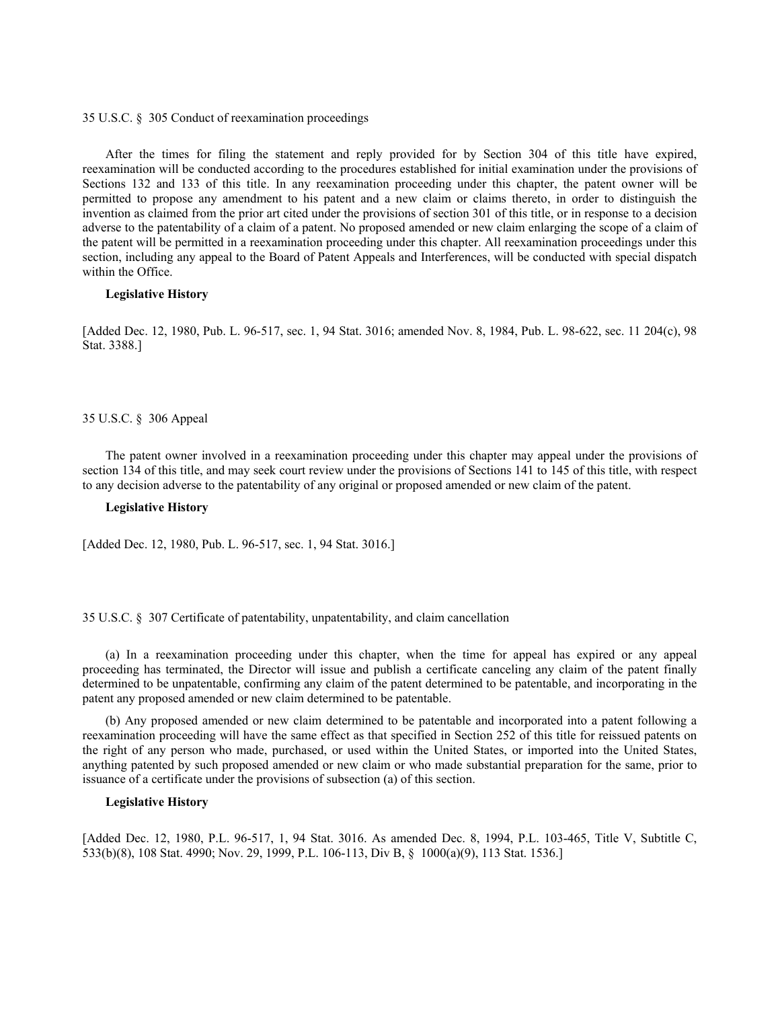#### 35 U.S.C. § 305 Conduct of reexamination proceedings

After the times for filing the statement and reply provided for by Section 304 of this title have expired, reexamination will be conducted according to the procedures established for initial examination under the provisions of Sections 132 and 133 of this title. In any reexamination proceeding under this chapter, the patent owner will be permitted to propose any amendment to his patent and a new claim or claims thereto, in order to distinguish the invention as claimed from the prior art cited under the provisions of section 301 of this title, or in response to a decision adverse to the patentability of a claim of a patent. No proposed amended or new claim enlarging the scope of a claim of the patent will be permitted in a reexamination proceeding under this chapter. All reexamination proceedings under this section, including any appeal to the Board of Patent Appeals and Interferences, will be conducted with special dispatch within the Office.

# **Legislative History**

[Added Dec. 12, 1980, Pub. L. 96-517, sec. 1, 94 Stat. 3016; amended Nov. 8, 1984, Pub. L. 98-622, sec. 11 204(c), 98 Stat. 3388.]

## 35 U.S.C. § 306 Appeal

The patent owner involved in a reexamination proceeding under this chapter may appeal under the provisions of section 134 of this title, and may seek court review under the provisions of Sections 141 to 145 of this title, with respect to any decision adverse to the patentability of any original or proposed amended or new claim of the patent.

# **Legislative History**

[Added Dec. 12, 1980, Pub. L. 96-517, sec. 1, 94 Stat. 3016.]

35 U.S.C. § 307 Certificate of patentability, unpatentability, and claim cancellation

(a) In a reexamination proceeding under this chapter, when the time for appeal has expired or any appeal proceeding has terminated, the Director will issue and publish a certificate canceling any claim of the patent finally determined to be unpatentable, confirming any claim of the patent determined to be patentable, and incorporating in the patent any proposed amended or new claim determined to be patentable.

(b) Any proposed amended or new claim determined to be patentable and incorporated into a patent following a reexamination proceeding will have the same effect as that specified in Section 252 of this title for reissued patents on the right of any person who made, purchased, or used within the United States, or imported into the United States, anything patented by such proposed amended or new claim or who made substantial preparation for the same, prior to issuance of a certificate under the provisions of subsection (a) of this section.

#### **Legislative History**

[Added Dec. 12, 1980, P.L. 96-517, 1, 94 Stat. 3016. As amended Dec. 8, 1994, P.L. 103-465, Title V, Subtitle C, 533(b)(8), 108 Stat. 4990; Nov. 29, 1999, P.L. 106-113, Div B, § 1000(a)(9), 113 Stat. 1536.]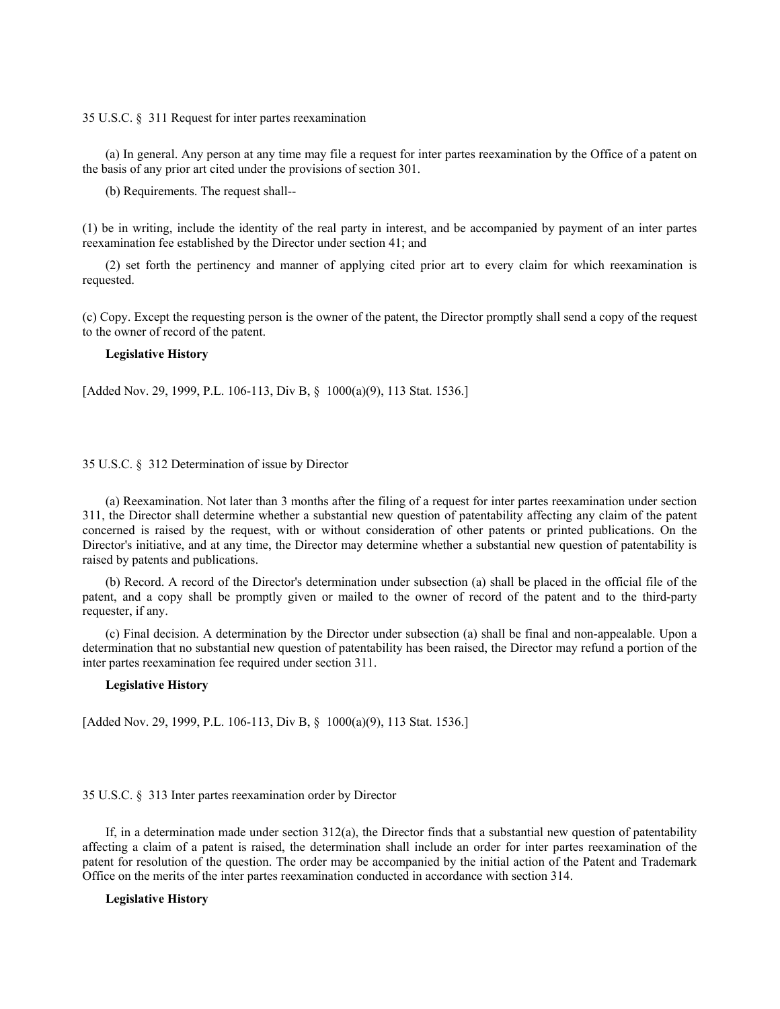35 U.S.C. § 311 Request for inter partes reexamination

(a) In general. Any person at any time may file a request for inter partes reexamination by the Office of a patent on the basis of any prior art cited under the provisions of section 301.

(b) Requirements. The request shall--

(1) be in writing, include the identity of the real party in interest, and be accompanied by payment of an inter partes reexamination fee established by the Director under section 41; and

(2) set forth the pertinency and manner of applying cited prior art to every claim for which reexamination is requested.

(c) Copy. Except the requesting person is the owner of the patent, the Director promptly shall send a copy of the request to the owner of record of the patent.

# **Legislative History**

[Added Nov. 29, 1999, P.L. 106-113, Div B, § 1000(a)(9), 113 Stat. 1536.]

## 35 U.S.C. § 312 Determination of issue by Director

(a) Reexamination. Not later than 3 months after the filing of a request for inter partes reexamination under section 311, the Director shall determine whether a substantial new question of patentability affecting any claim of the patent concerned is raised by the request, with or without consideration of other patents or printed publications. On the Director's initiative, and at any time, the Director may determine whether a substantial new question of patentability is raised by patents and publications.

(b) Record. A record of the Director's determination under subsection (a) shall be placed in the official file of the patent, and a copy shall be promptly given or mailed to the owner of record of the patent and to the third-party requester, if any.

(c) Final decision. A determination by the Director under subsection (a) shall be final and non-appealable. Upon a determination that no substantial new question of patentability has been raised, the Director may refund a portion of the inter partes reexamination fee required under section 311.

## **Legislative History**

[Added Nov. 29, 1999, P.L. 106-113, Div B, § 1000(a)(9), 113 Stat. 1536.]

35 U.S.C. § 313 Inter partes reexamination order by Director

If, in a determination made under section  $312(a)$ , the Director finds that a substantial new question of patentability affecting a claim of a patent is raised, the determination shall include an order for inter partes reexamination of the patent for resolution of the question. The order may be accompanied by the initial action of the Patent and Trademark Office on the merits of the inter partes reexamination conducted in accordance with section 314.

**Legislative History**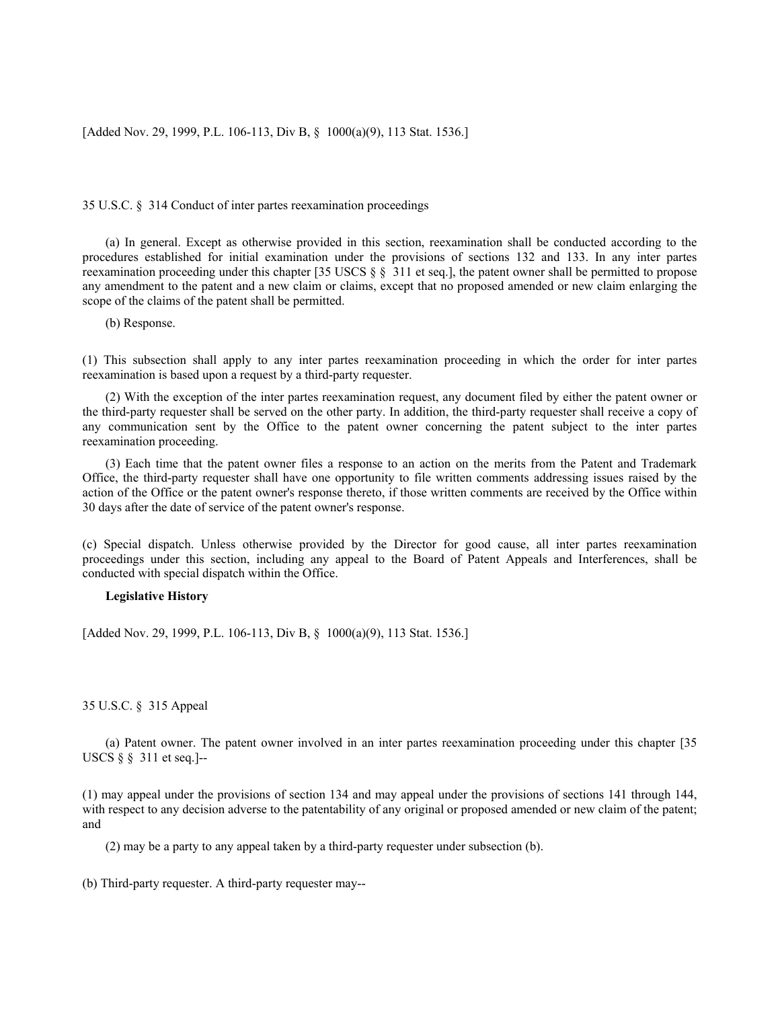[Added Nov. 29, 1999, P.L. 106-113, Div B, § 1000(a)(9), 113 Stat. 1536.]

#### 35 U.S.C. § 314 Conduct of inter partes reexamination proceedings

(a) In general. Except as otherwise provided in this section, reexamination shall be conducted according to the procedures established for initial examination under the provisions of sections 132 and 133. In any inter partes reexamination proceeding under this chapter [35 USCS  $\S$  § 311 et seq.], the patent owner shall be permitted to propose any amendment to the patent and a new claim or claims, except that no proposed amended or new claim enlarging the scope of the claims of the patent shall be permitted.

(b) Response.

(1) This subsection shall apply to any inter partes reexamination proceeding in which the order for inter partes reexamination is based upon a request by a third-party requester.

(2) With the exception of the inter partes reexamination request, any document filed by either the patent owner or the third-party requester shall be served on the other party. In addition, the third-party requester shall receive a copy of any communication sent by the Office to the patent owner concerning the patent subject to the inter partes reexamination proceeding.

(3) Each time that the patent owner files a response to an action on the merits from the Patent and Trademark Office, the third-party requester shall have one opportunity to file written comments addressing issues raised by the action of the Office or the patent owner's response thereto, if those written comments are received by the Office within 30 days after the date of service of the patent owner's response.

(c) Special dispatch. Unless otherwise provided by the Director for good cause, all inter partes reexamination proceedings under this section, including any appeal to the Board of Patent Appeals and Interferences, shall be conducted with special dispatch within the Office.

# **Legislative History**

[Added Nov. 29, 1999, P.L. 106-113, Div B, § 1000(a)(9), 113 Stat. 1536.]

#### 35 U.S.C. § 315 Appeal

(a) Patent owner. The patent owner involved in an inter partes reexamination proceeding under this chapter [35 USCS § § 311 et seq.]--

(1) may appeal under the provisions of section 134 and may appeal under the provisions of sections 141 through 144, with respect to any decision adverse to the patentability of any original or proposed amended or new claim of the patent; and

(2) may be a party to any appeal taken by a third-party requester under subsection (b).

(b) Third-party requester. A third-party requester may--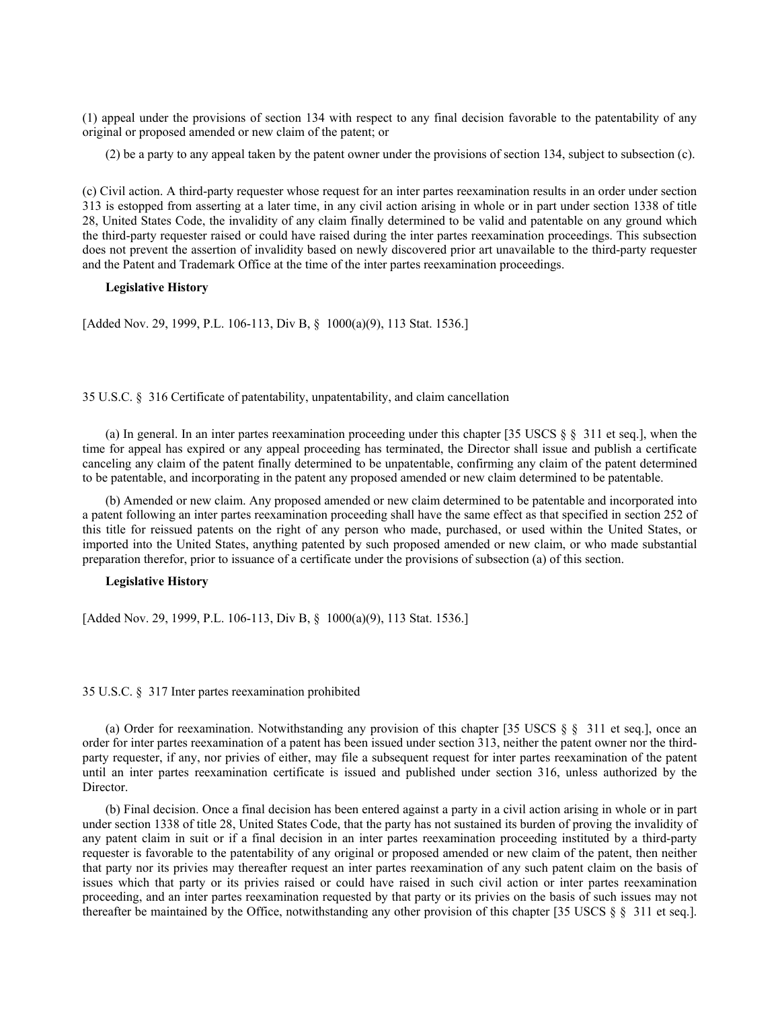(1) appeal under the provisions of section 134 with respect to any final decision favorable to the patentability of any original or proposed amended or new claim of the patent; or

(2) be a party to any appeal taken by the patent owner under the provisions of section 134, subject to subsection (c).

(c) Civil action. A third-party requester whose request for an inter partes reexamination results in an order under section 313 is estopped from asserting at a later time, in any civil action arising in whole or in part under section 1338 of title 28, United States Code, the invalidity of any claim finally determined to be valid and patentable on any ground which the third-party requester raised or could have raised during the inter partes reexamination proceedings. This subsection does not prevent the assertion of invalidity based on newly discovered prior art unavailable to the third-party requester and the Patent and Trademark Office at the time of the inter partes reexamination proceedings.

# **Legislative History**

[Added Nov. 29, 1999, P.L. 106-113, Div B, § 1000(a)(9), 113 Stat. 1536.]

35 U.S.C. § 316 Certificate of patentability, unpatentability, and claim cancellation

(a) In general. In an inter partes reexamination proceeding under this chapter [35 USCS § § 311 et seq.], when the time for appeal has expired or any appeal proceeding has terminated, the Director shall issue and publish a certificate canceling any claim of the patent finally determined to be unpatentable, confirming any claim of the patent determined to be patentable, and incorporating in the patent any proposed amended or new claim determined to be patentable.

(b) Amended or new claim. Any proposed amended or new claim determined to be patentable and incorporated into a patent following an inter partes reexamination proceeding shall have the same effect as that specified in section 252 of this title for reissued patents on the right of any person who made, purchased, or used within the United States, or imported into the United States, anything patented by such proposed amended or new claim, or who made substantial preparation therefor, prior to issuance of a certificate under the provisions of subsection (a) of this section.

### **Legislative History**

[Added Nov. 29, 1999, P.L. 106-113, Div B, § 1000(a)(9), 113 Stat. 1536.]

35 U.S.C. § 317 Inter partes reexamination prohibited

(a) Order for reexamination. Notwithstanding any provision of this chapter [35 USCS § § 311 et seq.], once an order for inter partes reexamination of a patent has been issued under section 313, neither the patent owner nor the thirdparty requester, if any, nor privies of either, may file a subsequent request for inter partes reexamination of the patent until an inter partes reexamination certificate is issued and published under section 316, unless authorized by the Director.

(b) Final decision. Once a final decision has been entered against a party in a civil action arising in whole or in part under section 1338 of title 28, United States Code, that the party has not sustained its burden of proving the invalidity of any patent claim in suit or if a final decision in an inter partes reexamination proceeding instituted by a third-party requester is favorable to the patentability of any original or proposed amended or new claim of the patent, then neither that party nor its privies may thereafter request an inter partes reexamination of any such patent claim on the basis of issues which that party or its privies raised or could have raised in such civil action or inter partes reexamination proceeding, and an inter partes reexamination requested by that party or its privies on the basis of such issues may not thereafter be maintained by the Office, notwithstanding any other provision of this chapter [35 USCS § § 311 et seq.].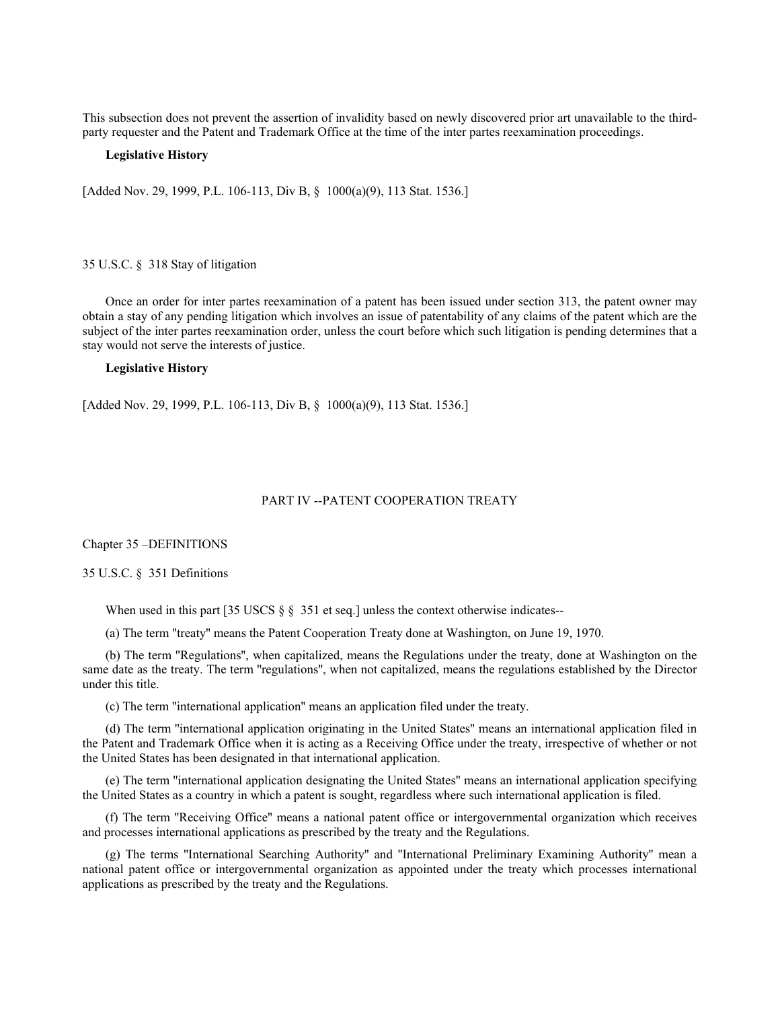This subsection does not prevent the assertion of invalidity based on newly discovered prior art unavailable to the thirdparty requester and the Patent and Trademark Office at the time of the inter partes reexamination proceedings.

# **Legislative History**

[Added Nov. 29, 1999, P.L. 106-113, Div B, § 1000(a)(9), 113 Stat. 1536.]

## 35 U.S.C. § 318 Stay of litigation

Once an order for inter partes reexamination of a patent has been issued under section 313, the patent owner may obtain a stay of any pending litigation which involves an issue of patentability of any claims of the patent which are the subject of the inter partes reexamination order, unless the court before which such litigation is pending determines that a stay would not serve the interests of justice.

## **Legislative History**

[Added Nov. 29, 1999, P.L. 106-113, Div B, § 1000(a)(9), 113 Stat. 1536.]

#### PART IV --PATENT COOPERATION TREATY

#### Chapter 35 –DEFINITIONS

35 U.S.C. § 351 Definitions

When used in this part [35 USCS  $\S$   $\S$   $\S$  351 et seq.] unless the context otherwise indicates--

(a) The term ''treaty'' means the Patent Cooperation Treaty done at Washington, on June 19, 1970.

(b) The term ''Regulations'', when capitalized, means the Regulations under the treaty, done at Washington on the same date as the treaty. The term ''regulations'', when not capitalized, means the regulations established by the Director under this title.

(c) The term ''international application'' means an application filed under the treaty.

(d) The term ''international application originating in the United States'' means an international application filed in the Patent and Trademark Office when it is acting as a Receiving Office under the treaty, irrespective of whether or not the United States has been designated in that international application.

(e) The term ''international application designating the United States'' means an international application specifying the United States as a country in which a patent is sought, regardless where such international application is filed.

(f) The term ''Receiving Office'' means a national patent office or intergovernmental organization which receives and processes international applications as prescribed by the treaty and the Regulations.

(g) The terms ''International Searching Authority'' and ''International Preliminary Examining Authority'' mean a national patent office or intergovernmental organization as appointed under the treaty which processes international applications as prescribed by the treaty and the Regulations.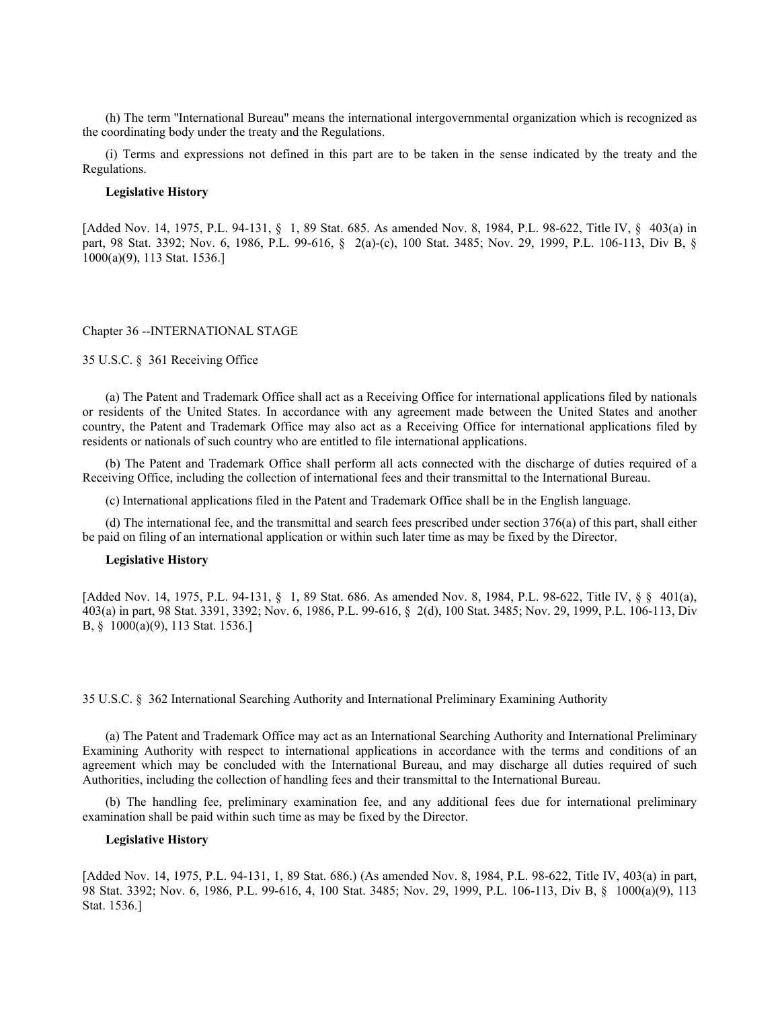(h) The term ''International Bureau'' means the international intergovernmental organization which is recognized as the coordinating body under the treaty and the Regulations.

(i) Terms and expressions not defined in this part are to be taken in the sense indicated by the treaty and the Regulations.

# **Legislative History**

[Added Nov. 14, 1975, P.L. 94-131, § 1, 89 Stat. 685. As amended Nov. 8, 1984, P.L. 98-622, Title IV, § 403(a) in part, 98 Stat. 3392; Nov. 6, 1986, P.L. 99-616, § 2(a)-(c), 100 Stat. 3485; Nov. 29, 1999, P.L. 106-113, Div B, § 1000(a)(9), 113 Stat. 1536.]

# Chapter 36 --INTERNATIONAL STAGE

#### 35 U.S.C. § 361 Receiving Office

(a) The Patent and Trademark Office shall act as a Receiving Office for international applications filed by nationals or residents of the United States. In accordance with any agreement made between the United States and another country, the Patent and Trademark Office may also act as a Receiving Office for international applications filed by residents or nationals of such country who are entitled to file international applications.

(b) The Patent and Trademark Office shall perform all acts connected with the discharge of duties required of a Receiving Office, including the collection of international fees and their transmittal to the International Bureau.

(c) International applications filed in the Patent and Trademark Office shall be in the English language.

(d) The international fee, and the transmittal and search fees prescribed under section 376(a) of this part, shall either be paid on filing of an international application or within such later time as may be fixed by the Director.

# **Legislative History**

[Added Nov. 14, 1975, P.L. 94-131, § 1, 89 Stat. 686. As amended Nov. 8, 1984, P.L. 98-622, Title IV, § § 401(a), 403(a) in part, 98 Stat. 3391, 3392; Nov. 6, 1986, P.L. 99-616, § 2(d), 100 Stat. 3485; Nov. 29, 1999, P.L. 106-113, Div B, § 1000(a)(9), 113 Stat. 1536.]

35 U.S.C. § 362 International Searching Authority and International Preliminary Examining Authority

(a) The Patent and Trademark Office may act as an International Searching Authority and International Preliminary Examining Authority with respect to international applications in accordance with the terms and conditions of an agreement which may be concluded with the International Bureau, and may discharge all duties required of such Authorities, including the collection of handling fees and their transmittal to the International Bureau.

(b) The handling fee, preliminary examination fee, and any additional fees due for international preliminary examination shall be paid within such time as may be fixed by the Director.

## **Legislative History**

[Added Nov. 14, 1975, P.L. 94-131, 1, 89 Stat. 686.) (As amended Nov. 8, 1984, P.L. 98-622, Title IV, 403(a) in part, 98 Stat. 3392; Nov. 6, 1986, P.L. 99-616, 4, 100 Stat. 3485; Nov. 29, 1999, P.L. 106-113, Div B, § 1000(a)(9), 113 Stat. 1536.]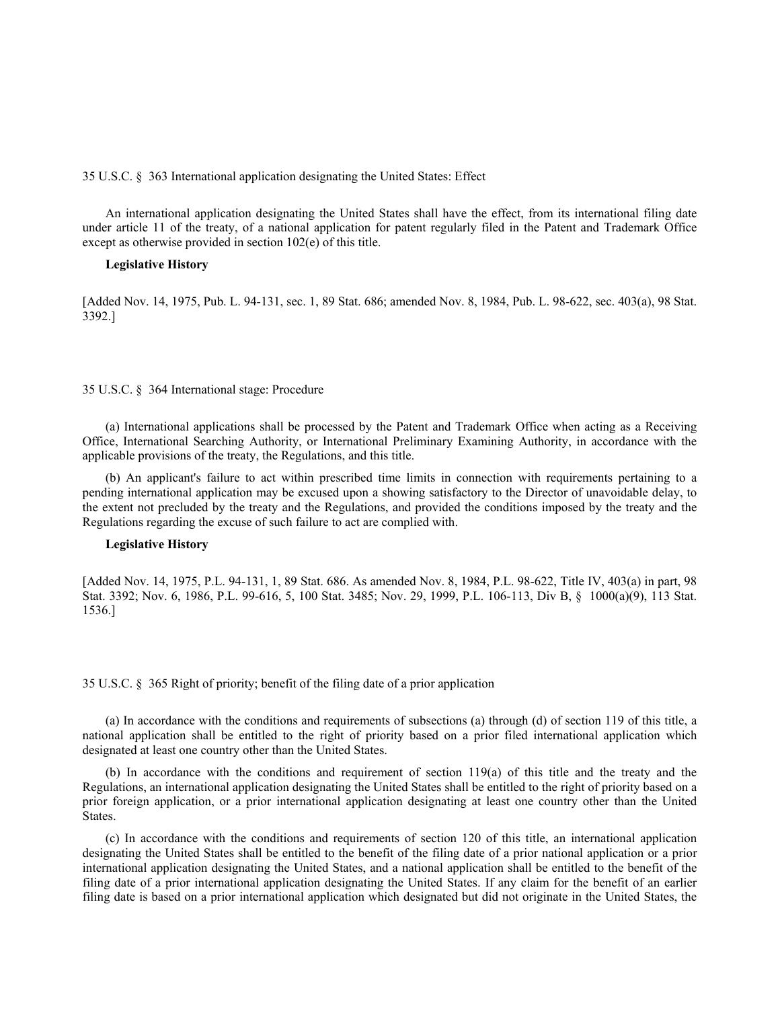35 U.S.C. § 363 International application designating the United States: Effect

An international application designating the United States shall have the effect, from its international filing date under article 11 of the treaty, of a national application for patent regularly filed in the Patent and Trademark Office except as otherwise provided in section 102(e) of this title.

## **Legislative History**

[Added Nov. 14, 1975, Pub. L. 94-131, sec. 1, 89 Stat. 686; amended Nov. 8, 1984, Pub. L. 98-622, sec. 403(a), 98 Stat. 3392.]

#### 35 U.S.C. § 364 International stage: Procedure

(a) International applications shall be processed by the Patent and Trademark Office when acting as a Receiving Office, International Searching Authority, or International Preliminary Examining Authority, in accordance with the applicable provisions of the treaty, the Regulations, and this title.

(b) An applicant's failure to act within prescribed time limits in connection with requirements pertaining to a pending international application may be excused upon a showing satisfactory to the Director of unavoidable delay, to the extent not precluded by the treaty and the Regulations, and provided the conditions imposed by the treaty and the Regulations regarding the excuse of such failure to act are complied with.

## **Legislative History**

[Added Nov. 14, 1975, P.L. 94-131, 1, 89 Stat. 686. As amended Nov. 8, 1984, P.L. 98-622, Title IV, 403(a) in part, 98 Stat. 3392; Nov. 6, 1986, P.L. 99-616, 5, 100 Stat. 3485; Nov. 29, 1999, P.L. 106-113, Div B, § 1000(a)(9), 113 Stat. 1536.]

35 U.S.C. § 365 Right of priority; benefit of the filing date of a prior application

(a) In accordance with the conditions and requirements of subsections (a) through (d) of section 119 of this title, a national application shall be entitled to the right of priority based on a prior filed international application which designated at least one country other than the United States.

(b) In accordance with the conditions and requirement of section 119(a) of this title and the treaty and the Regulations, an international application designating the United States shall be entitled to the right of priority based on a prior foreign application, or a prior international application designating at least one country other than the United States.

(c) In accordance with the conditions and requirements of section 120 of this title, an international application designating the United States shall be entitled to the benefit of the filing date of a prior national application or a prior international application designating the United States, and a national application shall be entitled to the benefit of the filing date of a prior international application designating the United States. If any claim for the benefit of an earlier filing date is based on a prior international application which designated but did not originate in the United States, the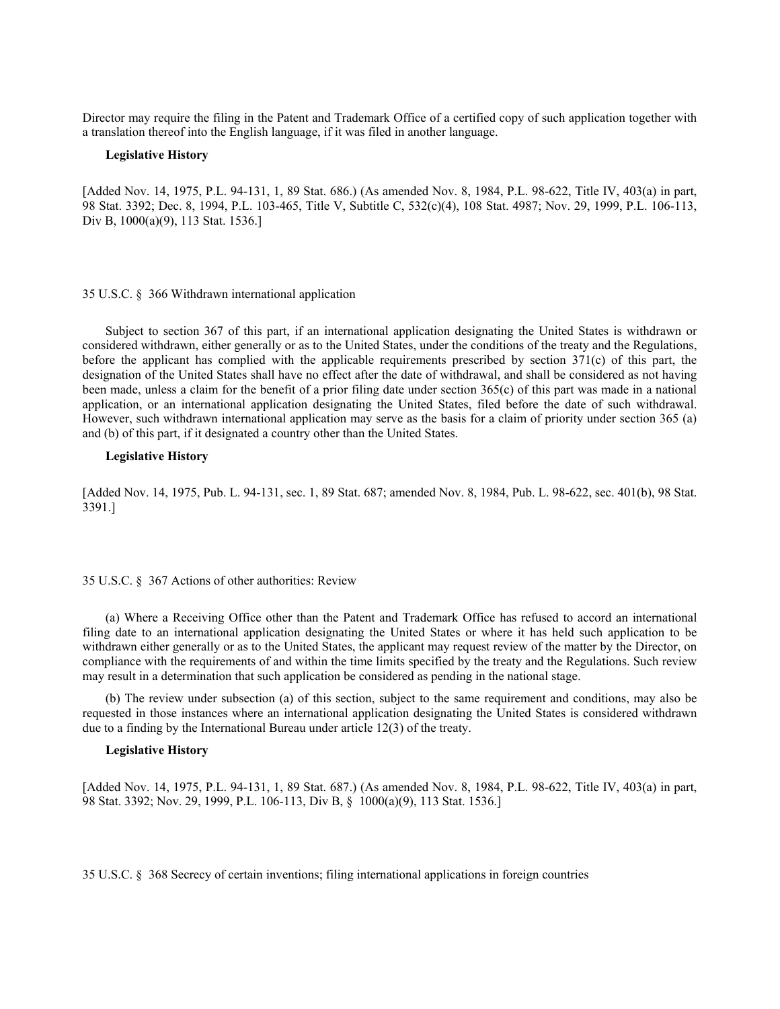Director may require the filing in the Patent and Trademark Office of a certified copy of such application together with a translation thereof into the English language, if it was filed in another language.

# **Legislative History**

[Added Nov. 14, 1975, P.L. 94-131, 1, 89 Stat. 686.) (As amended Nov. 8, 1984, P.L. 98-622, Title IV, 403(a) in part, 98 Stat. 3392; Dec. 8, 1994, P.L. 103-465, Title V, Subtitle C, 532(c)(4), 108 Stat. 4987; Nov. 29, 1999, P.L. 106-113, Div B, 1000(a)(9), 113 Stat. 1536.]

### 35 U.S.C. § 366 Withdrawn international application

Subject to section 367 of this part, if an international application designating the United States is withdrawn or considered withdrawn, either generally or as to the United States, under the conditions of the treaty and the Regulations, before the applicant has complied with the applicable requirements prescribed by section 371(c) of this part, the designation of the United States shall have no effect after the date of withdrawal, and shall be considered as not having been made, unless a claim for the benefit of a prior filing date under section 365(c) of this part was made in a national application, or an international application designating the United States, filed before the date of such withdrawal. However, such withdrawn international application may serve as the basis for a claim of priority under section 365 (a) and (b) of this part, if it designated a country other than the United States.

## **Legislative History**

[Added Nov. 14, 1975, Pub. L. 94-131, sec. 1, 89 Stat. 687; amended Nov. 8, 1984, Pub. L. 98-622, sec. 401(b), 98 Stat. 3391.]

#### 35 U.S.C. § 367 Actions of other authorities: Review

(a) Where a Receiving Office other than the Patent and Trademark Office has refused to accord an international filing date to an international application designating the United States or where it has held such application to be withdrawn either generally or as to the United States, the applicant may request review of the matter by the Director, on compliance with the requirements of and within the time limits specified by the treaty and the Regulations. Such review may result in a determination that such application be considered as pending in the national stage.

(b) The review under subsection (a) of this section, subject to the same requirement and conditions, may also be requested in those instances where an international application designating the United States is considered withdrawn due to a finding by the International Bureau under article 12(3) of the treaty.

# **Legislative History**

[Added Nov. 14, 1975, P.L. 94-131, 1, 89 Stat. 687.) (As amended Nov. 8, 1984, P.L. 98-622, Title IV, 403(a) in part, 98 Stat. 3392; Nov. 29, 1999, P.L. 106-113, Div B, § 1000(a)(9), 113 Stat. 1536.]

35 U.S.C. § 368 Secrecy of certain inventions; filing international applications in foreign countries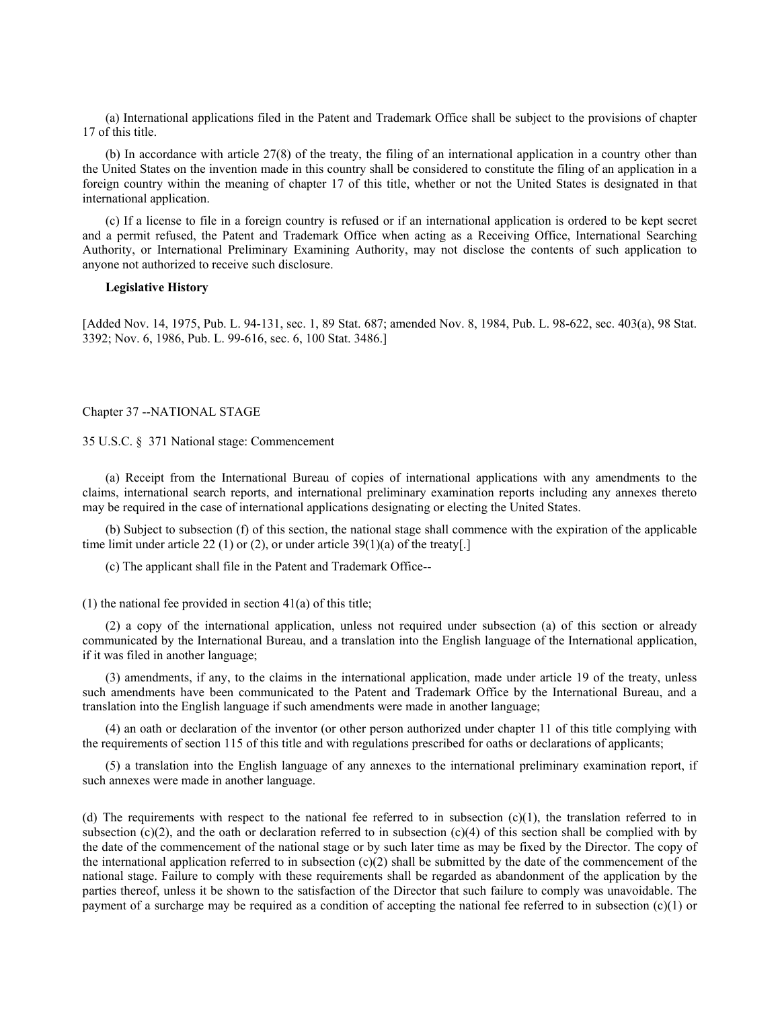(a) International applications filed in the Patent and Trademark Office shall be subject to the provisions of chapter 17 of this title.

(b) In accordance with article 27(8) of the treaty, the filing of an international application in a country other than the United States on the invention made in this country shall be considered to constitute the filing of an application in a foreign country within the meaning of chapter 17 of this title, whether or not the United States is designated in that international application.

(c) If a license to file in a foreign country is refused or if an international application is ordered to be kept secret and a permit refused, the Patent and Trademark Office when acting as a Receiving Office, International Searching Authority, or International Preliminary Examining Authority, may not disclose the contents of such application to anyone not authorized to receive such disclosure.

# **Legislative History**

[Added Nov. 14, 1975, Pub. L. 94-131, sec. 1, 89 Stat. 687; amended Nov. 8, 1984, Pub. L. 98-622, sec. 403(a), 98 Stat. 3392; Nov. 6, 1986, Pub. L. 99-616, sec. 6, 100 Stat. 3486.]

#### Chapter 37 --NATIONAL STAGE

35 U.S.C. § 371 National stage: Commencement

(a) Receipt from the International Bureau of copies of international applications with any amendments to the claims, international search reports, and international preliminary examination reports including any annexes thereto may be required in the case of international applications designating or electing the United States.

(b) Subject to subsection (f) of this section, the national stage shall commence with the expiration of the applicable time limit under article 22 (1) or (2), or under article  $39(1)(a)$  of the treaty[.]

(c) The applicant shall file in the Patent and Trademark Office--

(1) the national fee provided in section  $41(a)$  of this title;

(2) a copy of the international application, unless not required under subsection (a) of this section or already communicated by the International Bureau, and a translation into the English language of the International application, if it was filed in another language;

(3) amendments, if any, to the claims in the international application, made under article 19 of the treaty, unless such amendments have been communicated to the Patent and Trademark Office by the International Bureau, and a translation into the English language if such amendments were made in another language;

(4) an oath or declaration of the inventor (or other person authorized under chapter 11 of this title complying with the requirements of section 115 of this title and with regulations prescribed for oaths or declarations of applicants;

(5) a translation into the English language of any annexes to the international preliminary examination report, if such annexes were made in another language.

(d) The requirements with respect to the national fee referred to in subsection  $(c)(1)$ , the translation referred to in subsection  $(c)(2)$ , and the oath or declaration referred to in subsection  $(c)(4)$  of this section shall be complied with by the date of the commencement of the national stage or by such later time as may be fixed by the Director. The copy of the international application referred to in subsection  $(c)(2)$  shall be submitted by the date of the commencement of the national stage. Failure to comply with these requirements shall be regarded as abandonment of the application by the parties thereof, unless it be shown to the satisfaction of the Director that such failure to comply was unavoidable. The payment of a surcharge may be required as a condition of accepting the national fee referred to in subsection  $(c)(1)$  or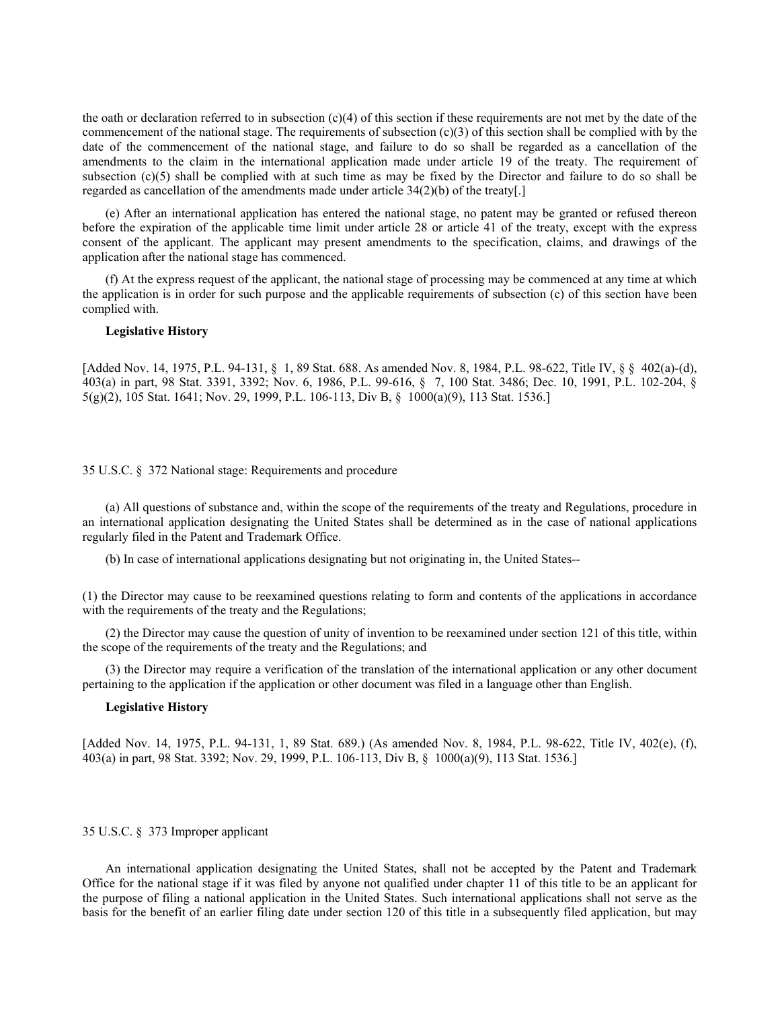the oath or declaration referred to in subsection  $(c)(4)$  of this section if these requirements are not met by the date of the commencement of the national stage. The requirements of subsection  $(c)(3)$  of this section shall be complied with by the date of the commencement of the national stage, and failure to do so shall be regarded as a cancellation of the amendments to the claim in the international application made under article 19 of the treaty. The requirement of subsection (c)(5) shall be complied with at such time as may be fixed by the Director and failure to do so shall be regarded as cancellation of the amendments made under article  $34(2)(b)$  of the treaty[.]

(e) After an international application has entered the national stage, no patent may be granted or refused thereon before the expiration of the applicable time limit under article 28 or article 41 of the treaty, except with the express consent of the applicant. The applicant may present amendments to the specification, claims, and drawings of the application after the national stage has commenced.

(f) At the express request of the applicant, the national stage of processing may be commenced at any time at which the application is in order for such purpose and the applicable requirements of subsection (c) of this section have been complied with.

## **Legislative History**

[Added Nov. 14, 1975, P.L. 94-131, § 1, 89 Stat. 688. As amended Nov. 8, 1984, P.L. 98-622, Title IV, § § 402(a)-(d), 403(a) in part, 98 Stat. 3391, 3392; Nov. 6, 1986, P.L. 99-616, § 7, 100 Stat. 3486; Dec. 10, 1991, P.L. 102-204, § 5(g)(2), 105 Stat. 1641; Nov. 29, 1999, P.L. 106-113, Div B, § 1000(a)(9), 113 Stat. 1536.]

#### 35 U.S.C. § 372 National stage: Requirements and procedure

(a) All questions of substance and, within the scope of the requirements of the treaty and Regulations, procedure in an international application designating the United States shall be determined as in the case of national applications regularly filed in the Patent and Trademark Office.

(b) In case of international applications designating but not originating in, the United States--

(1) the Director may cause to be reexamined questions relating to form and contents of the applications in accordance with the requirements of the treaty and the Regulations;

(2) the Director may cause the question of unity of invention to be reexamined under section 121 of this title, within the scope of the requirements of the treaty and the Regulations; and

(3) the Director may require a verification of the translation of the international application or any other document pertaining to the application if the application or other document was filed in a language other than English.

# **Legislative History**

[Added Nov. 14, 1975, P.L. 94-131, 1, 89 Stat. 689.) (As amended Nov. 8, 1984, P.L. 98-622, Title IV, 402(e), (f), 403(a) in part, 98 Stat. 3392; Nov. 29, 1999, P.L. 106-113, Div B, § 1000(a)(9), 113 Stat. 1536.]

# 35 U.S.C. § 373 Improper applicant

An international application designating the United States, shall not be accepted by the Patent and Trademark Office for the national stage if it was filed by anyone not qualified under chapter 11 of this title to be an applicant for the purpose of filing a national application in the United States. Such international applications shall not serve as the basis for the benefit of an earlier filing date under section 120 of this title in a subsequently filed application, but may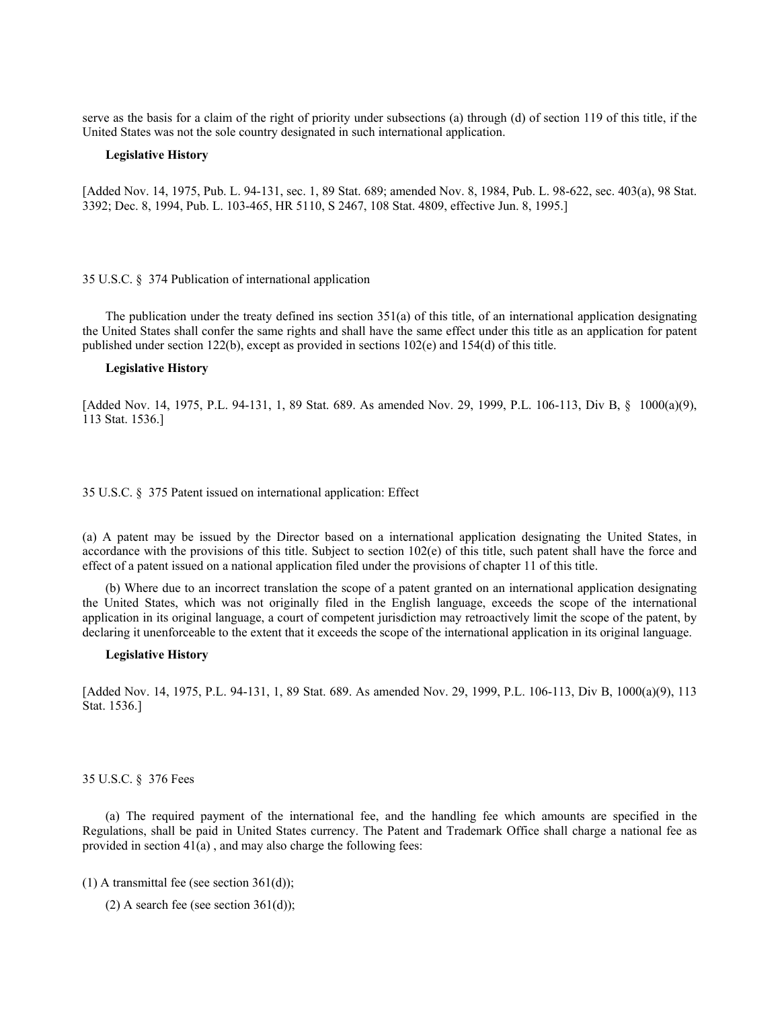serve as the basis for a claim of the right of priority under subsections (a) through (d) of section 119 of this title, if the United States was not the sole country designated in such international application.

# **Legislative History**

[Added Nov. 14, 1975, Pub. L. 94-131, sec. 1, 89 Stat. 689; amended Nov. 8, 1984, Pub. L. 98-622, sec. 403(a), 98 Stat. 3392; Dec. 8, 1994, Pub. L. 103-465, HR 5110, S 2467, 108 Stat. 4809, effective Jun. 8, 1995.]

# 35 U.S.C. § 374 Publication of international application

The publication under the treaty defined ins section  $351(a)$  of this title, of an international application designating the United States shall confer the same rights and shall have the same effect under this title as an application for patent published under section 122(b), except as provided in sections 102(e) and 154(d) of this title.

#### **Legislative History**

[Added Nov. 14, 1975, P.L. 94-131, 1, 89 Stat. 689. As amended Nov. 29, 1999, P.L. 106-113, Div B, § 1000(a)(9), 113 Stat. 1536.]

#### 35 U.S.C. § 375 Patent issued on international application: Effect

(a) A patent may be issued by the Director based on a international application designating the United States, in accordance with the provisions of this title. Subject to section 102(e) of this title, such patent shall have the force and effect of a patent issued on a national application filed under the provisions of chapter 11 of this title.

(b) Where due to an incorrect translation the scope of a patent granted on an international application designating the United States, which was not originally filed in the English language, exceeds the scope of the international application in its original language, a court of competent jurisdiction may retroactively limit the scope of the patent, by declaring it unenforceable to the extent that it exceeds the scope of the international application in its original language.

#### **Legislative History**

[Added Nov. 14, 1975, P.L. 94-131, 1, 89 Stat. 689. As amended Nov. 29, 1999, P.L. 106-113, Div B, 1000(a)(9), 113 Stat. 1536.]

35 U.S.C. § 376 Fees

(a) The required payment of the international fee, and the handling fee which amounts are specified in the Regulations, shall be paid in United States currency. The Patent and Trademark Office shall charge a national fee as provided in section  $41(a)$ , and may also charge the following fees:

(1) A transmittal fee (see section  $361(d)$ );

(2) A search fee (see section  $361(d)$ );